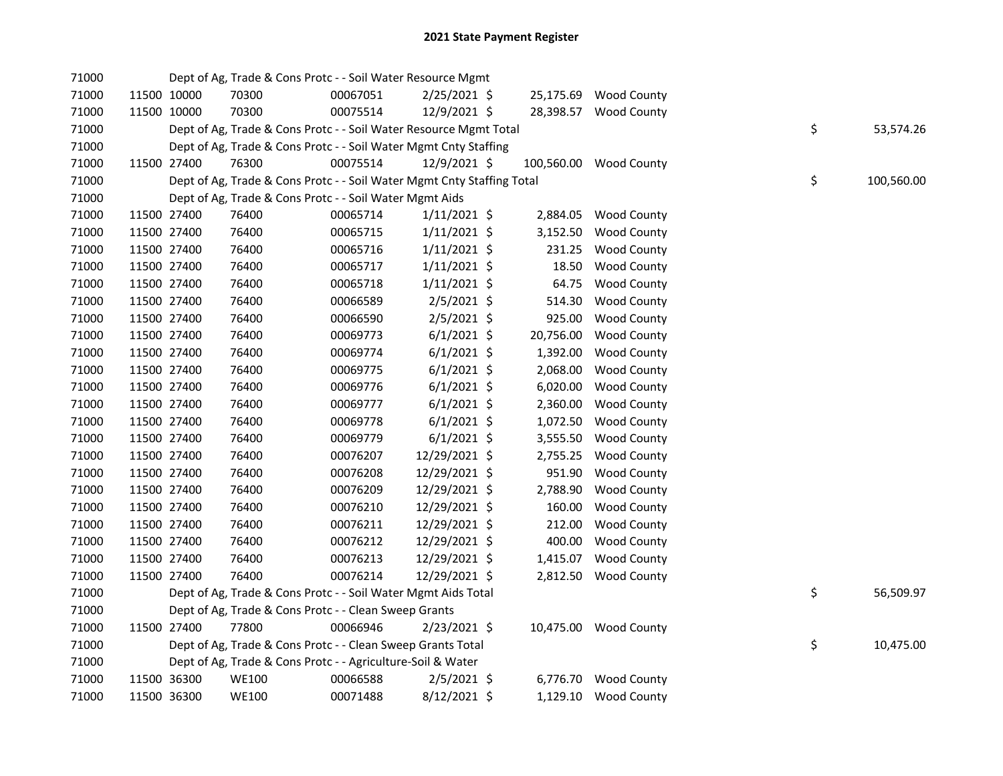## 2021 State Payment Register

| 71000 |             | Dept of Ag, Trade & Cons Protc - - Soil Water Resource Mgmt            |          |                |           |                        |    |            |
|-------|-------------|------------------------------------------------------------------------|----------|----------------|-----------|------------------------|----|------------|
| 71000 | 11500 10000 | 70300                                                                  | 00067051 | $2/25/2021$ \$ |           | 25,175.69 Wood County  |    |            |
| 71000 | 11500 10000 | 70300                                                                  | 00075514 | 12/9/2021 \$   |           | 28,398.57 Wood County  |    |            |
| 71000 |             | Dept of Ag, Trade & Cons Protc - - Soil Water Resource Mgmt Total      |          |                |           |                        | \$ | 53,574.26  |
| 71000 |             | Dept of Ag, Trade & Cons Protc - - Soil Water Mgmt Cnty Staffing       |          |                |           |                        |    |            |
| 71000 | 11500 27400 | 76300                                                                  | 00075514 | 12/9/2021 \$   |           | 100,560.00 Wood County |    |            |
| 71000 |             | Dept of Ag, Trade & Cons Protc - - Soil Water Mgmt Cnty Staffing Total |          |                |           |                        | \$ | 100,560.00 |
| 71000 |             | Dept of Ag, Trade & Cons Protc - - Soil Water Mgmt Aids                |          |                |           |                        |    |            |
| 71000 | 11500 27400 | 76400                                                                  | 00065714 | $1/11/2021$ \$ | 2,884.05  | <b>Wood County</b>     |    |            |
| 71000 | 11500 27400 | 76400                                                                  | 00065715 | $1/11/2021$ \$ | 3,152.50  | Wood County            |    |            |
| 71000 | 11500 27400 | 76400                                                                  | 00065716 | $1/11/2021$ \$ | 231.25    | Wood County            |    |            |
| 71000 | 11500 27400 | 76400                                                                  | 00065717 | $1/11/2021$ \$ | 18.50     | <b>Wood County</b>     |    |            |
| 71000 | 11500 27400 | 76400                                                                  | 00065718 | $1/11/2021$ \$ | 64.75     | <b>Wood County</b>     |    |            |
| 71000 | 11500 27400 | 76400                                                                  | 00066589 | $2/5/2021$ \$  | 514.30    | <b>Wood County</b>     |    |            |
| 71000 | 11500 27400 | 76400                                                                  | 00066590 | $2/5/2021$ \$  | 925.00    | <b>Wood County</b>     |    |            |
| 71000 | 11500 27400 | 76400                                                                  | 00069773 | $6/1/2021$ \$  | 20,756.00 | Wood County            |    |            |
| 71000 | 11500 27400 | 76400                                                                  | 00069774 | $6/1/2021$ \$  | 1,392.00  | Wood County            |    |            |
| 71000 | 11500 27400 | 76400                                                                  | 00069775 | $6/1/2021$ \$  | 2,068.00  | Wood County            |    |            |
| 71000 | 11500 27400 | 76400                                                                  | 00069776 | $6/1/2021$ \$  | 6,020.00  | Wood County            |    |            |
| 71000 | 11500 27400 | 76400                                                                  | 00069777 | $6/1/2021$ \$  | 2,360.00  | Wood County            |    |            |
| 71000 | 11500 27400 | 76400                                                                  | 00069778 | $6/1/2021$ \$  | 1,072.50  | Wood County            |    |            |
| 71000 | 11500 27400 | 76400                                                                  | 00069779 | $6/1/2021$ \$  | 3,555.50  | <b>Wood County</b>     |    |            |
| 71000 | 11500 27400 | 76400                                                                  | 00076207 | 12/29/2021 \$  | 2,755.25  | <b>Wood County</b>     |    |            |
| 71000 | 11500 27400 | 76400                                                                  | 00076208 | 12/29/2021 \$  | 951.90    | <b>Wood County</b>     |    |            |
| 71000 | 11500 27400 | 76400                                                                  | 00076209 | 12/29/2021 \$  | 2,788.90  | <b>Wood County</b>     |    |            |
| 71000 | 11500 27400 | 76400                                                                  | 00076210 | 12/29/2021 \$  | 160.00    | <b>Wood County</b>     |    |            |
| 71000 | 11500 27400 | 76400                                                                  | 00076211 | 12/29/2021 \$  | 212.00    | <b>Wood County</b>     |    |            |
| 71000 | 11500 27400 | 76400                                                                  | 00076212 | 12/29/2021 \$  | 400.00    | Wood County            |    |            |
| 71000 | 11500 27400 | 76400                                                                  | 00076213 | 12/29/2021 \$  | 1,415.07  | <b>Wood County</b>     |    |            |
| 71000 | 11500 27400 | 76400                                                                  | 00076214 | 12/29/2021 \$  |           | 2,812.50 Wood County   |    |            |
| 71000 |             | Dept of Ag, Trade & Cons Protc - - Soil Water Mgmt Aids Total          |          |                |           |                        | \$ | 56,509.97  |
| 71000 |             | Dept of Ag, Trade & Cons Protc - - Clean Sweep Grants                  |          |                |           |                        |    |            |
| 71000 | 11500 27400 | 77800                                                                  | 00066946 | $2/23/2021$ \$ |           | 10,475.00 Wood County  |    |            |
| 71000 |             | Dept of Ag, Trade & Cons Protc - - Clean Sweep Grants Total            |          |                |           |                        | \$ | 10,475.00  |
| 71000 |             | Dept of Ag, Trade & Cons Protc - - Agriculture-Soil & Water            |          |                |           |                        |    |            |
| 71000 | 11500 36300 | <b>WE100</b>                                                           | 00066588 | $2/5/2021$ \$  |           | 6,776.70 Wood County   |    |            |
| 71000 | 11500 36300 | <b>WE100</b>                                                           | 00071488 | 8/12/2021 \$   |           | 1,129.10 Wood County   |    |            |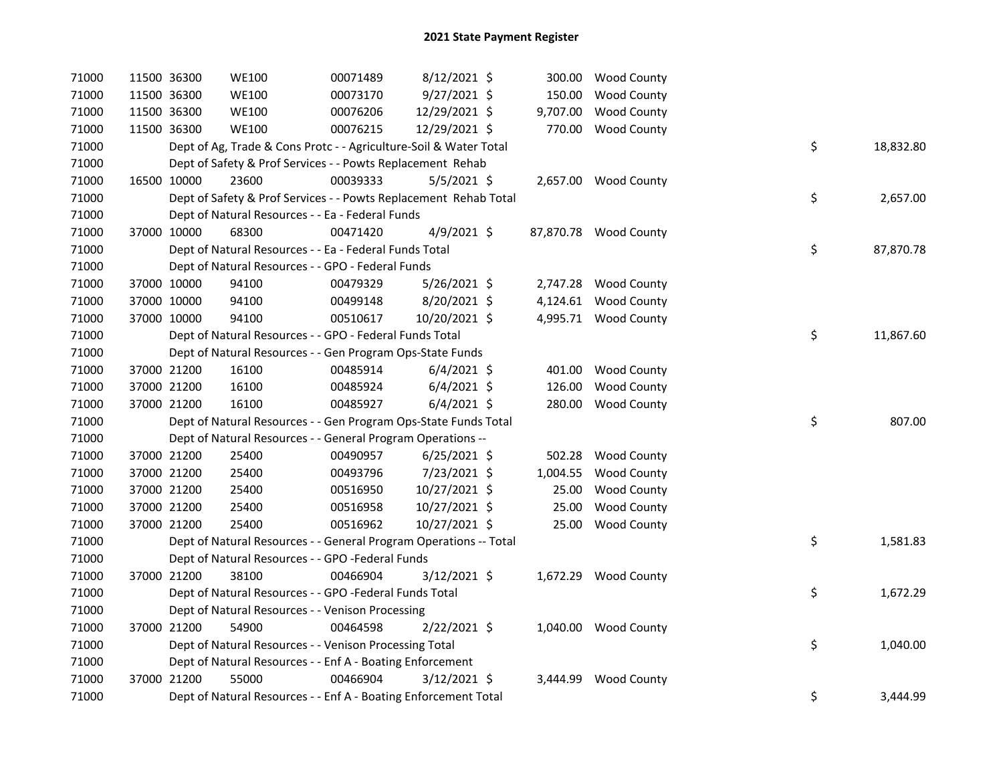| 71000 | 11500 36300 | <b>WE100</b>                                                      | 00071489 | $8/12/2021$ \$ |          | 300.00 Wood County    |    |           |
|-------|-------------|-------------------------------------------------------------------|----------|----------------|----------|-----------------------|----|-----------|
| 71000 | 11500 36300 | <b>WE100</b>                                                      | 00073170 | 9/27/2021 \$   | 150.00   | <b>Wood County</b>    |    |           |
| 71000 | 11500 36300 | <b>WE100</b>                                                      | 00076206 | 12/29/2021 \$  | 9,707.00 | <b>Wood County</b>    |    |           |
| 71000 | 11500 36300 | <b>WE100</b>                                                      | 00076215 | 12/29/2021 \$  |          | 770.00 Wood County    |    |           |
| 71000 |             | Dept of Ag, Trade & Cons Protc - - Agriculture-Soil & Water Total |          |                |          |                       | \$ | 18,832.80 |
| 71000 |             | Dept of Safety & Prof Services - - Powts Replacement Rehab        |          |                |          |                       |    |           |
| 71000 | 16500 10000 | 23600                                                             | 00039333 | $5/5/2021$ \$  |          | 2,657.00 Wood County  |    |           |
| 71000 |             | Dept of Safety & Prof Services - - Powts Replacement Rehab Total  |          |                |          |                       | \$ | 2,657.00  |
| 71000 |             | Dept of Natural Resources - - Ea - Federal Funds                  |          |                |          |                       |    |           |
| 71000 | 37000 10000 | 68300                                                             | 00471420 | 4/9/2021 \$    |          | 87,870.78 Wood County |    |           |
| 71000 |             | Dept of Natural Resources - - Ea - Federal Funds Total            |          |                |          |                       | \$ | 87,870.78 |
| 71000 |             | Dept of Natural Resources - - GPO - Federal Funds                 |          |                |          |                       |    |           |
| 71000 | 37000 10000 | 94100                                                             | 00479329 | 5/26/2021 \$   |          | 2,747.28 Wood County  |    |           |
| 71000 | 37000 10000 | 94100                                                             | 00499148 | 8/20/2021 \$   |          | 4,124.61 Wood County  |    |           |
| 71000 | 37000 10000 | 94100                                                             | 00510617 | 10/20/2021 \$  |          | 4,995.71 Wood County  |    |           |
| 71000 |             | Dept of Natural Resources - - GPO - Federal Funds Total           |          |                |          |                       | \$ | 11,867.60 |
| 71000 |             | Dept of Natural Resources - - Gen Program Ops-State Funds         |          |                |          |                       |    |           |
| 71000 | 37000 21200 | 16100                                                             | 00485914 | $6/4/2021$ \$  |          | 401.00 Wood County    |    |           |
| 71000 | 37000 21200 | 16100                                                             | 00485924 | $6/4/2021$ \$  | 126.00   | <b>Wood County</b>    |    |           |
| 71000 | 37000 21200 | 16100                                                             | 00485927 | $6/4/2021$ \$  | 280.00   | <b>Wood County</b>    |    |           |
| 71000 |             | Dept of Natural Resources - - Gen Program Ops-State Funds Total   |          |                |          |                       | \$ | 807.00    |
| 71000 |             | Dept of Natural Resources - - General Program Operations --       |          |                |          |                       |    |           |
| 71000 | 37000 21200 | 25400                                                             | 00490957 | $6/25/2021$ \$ |          | 502.28 Wood County    |    |           |
| 71000 | 37000 21200 | 25400                                                             | 00493796 | 7/23/2021 \$   | 1,004.55 | <b>Wood County</b>    |    |           |
| 71000 | 37000 21200 | 25400                                                             | 00516950 | 10/27/2021 \$  | 25.00    | <b>Wood County</b>    |    |           |
| 71000 | 37000 21200 | 25400                                                             | 00516958 | 10/27/2021 \$  | 25.00    | <b>Wood County</b>    |    |           |
| 71000 | 37000 21200 | 25400                                                             | 00516962 | 10/27/2021 \$  | 25.00    | <b>Wood County</b>    |    |           |
| 71000 |             | Dept of Natural Resources - - General Program Operations -- Total |          |                |          |                       | \$ | 1,581.83  |
| 71000 |             | Dept of Natural Resources - - GPO -Federal Funds                  |          |                |          |                       |    |           |
| 71000 | 37000 21200 | 38100                                                             | 00466904 | 3/12/2021 \$   |          | 1,672.29 Wood County  |    |           |
| 71000 |             | Dept of Natural Resources - - GPO -Federal Funds Total            |          |                |          |                       | \$ | 1,672.29  |
| 71000 |             | Dept of Natural Resources - - Venison Processing                  |          |                |          |                       |    |           |
| 71000 | 37000 21200 | 54900                                                             | 00464598 | $2/22/2021$ \$ |          | 1,040.00 Wood County  |    |           |
| 71000 |             | Dept of Natural Resources - - Venison Processing Total            |          |                |          |                       | \$ | 1,040.00  |
| 71000 |             | Dept of Natural Resources - - Enf A - Boating Enforcement         |          |                |          |                       |    |           |
| 71000 | 37000 21200 | 55000                                                             | 00466904 | $3/12/2021$ \$ |          | 3,444.99 Wood County  |    |           |
| 71000 |             | Dept of Natural Resources - - Enf A - Boating Enforcement Total   |          |                |          |                       | \$ | 3,444.99  |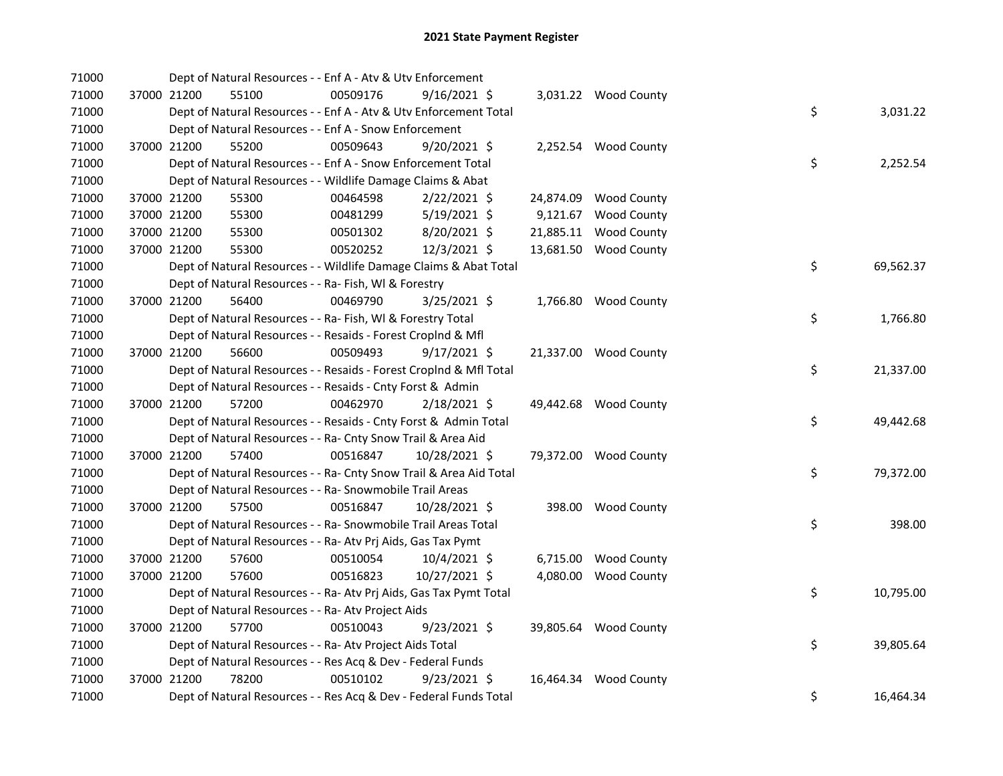| 71000 | Dept of Natural Resources - - Enf A - Atv & Utv Enforcement        |          |                |          |                       |    |           |
|-------|--------------------------------------------------------------------|----------|----------------|----------|-----------------------|----|-----------|
| 71000 | 37000 21200<br>55100                                               | 00509176 | $9/16/2021$ \$ |          | 3,031.22 Wood County  |    |           |
| 71000 | Dept of Natural Resources - - Enf A - Atv & Utv Enforcement Total  |          |                |          |                       | \$ | 3,031.22  |
| 71000 | Dept of Natural Resources - - Enf A - Snow Enforcement             |          |                |          |                       |    |           |
| 71000 | 37000 21200<br>55200                                               | 00509643 | 9/20/2021 \$   |          | 2,252.54 Wood County  |    |           |
| 71000 | Dept of Natural Resources - - Enf A - Snow Enforcement Total       |          |                |          |                       | \$ | 2,252.54  |
| 71000 | Dept of Natural Resources - - Wildlife Damage Claims & Abat        |          |                |          |                       |    |           |
| 71000 | 55300<br>37000 21200                                               | 00464598 | $2/22/2021$ \$ |          | 24,874.09 Wood County |    |           |
| 71000 | 37000 21200<br>55300                                               | 00481299 | 5/19/2021 \$   | 9,121.67 | <b>Wood County</b>    |    |           |
| 71000 | 37000 21200<br>55300                                               | 00501302 | 8/20/2021 \$   |          | 21,885.11 Wood County |    |           |
| 71000 | 37000 21200<br>55300                                               | 00520252 | 12/3/2021 \$   |          | 13,681.50 Wood County |    |           |
| 71000 | Dept of Natural Resources - - Wildlife Damage Claims & Abat Total  |          |                |          |                       | \$ | 69,562.37 |
| 71000 | Dept of Natural Resources - - Ra- Fish, WI & Forestry              |          |                |          |                       |    |           |
| 71000 | 37000 21200<br>56400                                               | 00469790 | 3/25/2021 \$   |          | 1,766.80 Wood County  |    |           |
| 71000 | Dept of Natural Resources - - Ra- Fish, WI & Forestry Total        |          |                |          |                       | \$ | 1,766.80  |
| 71000 | Dept of Natural Resources - - Resaids - Forest CropInd & Mfl       |          |                |          |                       |    |           |
| 71000 | 56600<br>37000 21200                                               | 00509493 | $9/17/2021$ \$ |          | 21,337.00 Wood County |    |           |
| 71000 | Dept of Natural Resources - - Resaids - Forest CropInd & Mfl Total |          |                |          |                       | \$ | 21,337.00 |
| 71000 | Dept of Natural Resources - - Resaids - Cnty Forst & Admin         |          |                |          |                       |    |           |
| 71000 | 57200<br>37000 21200                                               | 00462970 | 2/18/2021 \$   |          | 49,442.68 Wood County |    |           |
| 71000 | Dept of Natural Resources - - Resaids - Cnty Forst & Admin Total   |          |                |          |                       | \$ | 49,442.68 |
| 71000 | Dept of Natural Resources - - Ra- Cnty Snow Trail & Area Aid       |          |                |          |                       |    |           |
| 71000 | 37000 21200<br>57400                                               | 00516847 | 10/28/2021 \$  |          | 79,372.00 Wood County |    |           |
| 71000 | Dept of Natural Resources - - Ra- Cnty Snow Trail & Area Aid Total |          |                |          |                       | \$ | 79,372.00 |
| 71000 | Dept of Natural Resources - - Ra- Snowmobile Trail Areas           |          |                |          |                       |    |           |
| 71000 | 37000 21200<br>57500                                               | 00516847 | 10/28/2021 \$  |          | 398.00 Wood County    |    |           |
| 71000 | Dept of Natural Resources - - Ra- Snowmobile Trail Areas Total     |          |                |          |                       | \$ | 398.00    |
| 71000 | Dept of Natural Resources - - Ra- Atv Prj Aids, Gas Tax Pymt       |          |                |          |                       |    |           |
| 71000 | 57600<br>37000 21200                                               | 00510054 | $10/4/2021$ \$ |          | 6,715.00 Wood County  |    |           |
| 71000 | 57600<br>37000 21200                                               | 00516823 | 10/27/2021 \$  |          | 4,080.00 Wood County  |    |           |
| 71000 | Dept of Natural Resources - - Ra- Atv Prj Aids, Gas Tax Pymt Total |          |                |          |                       | \$ | 10,795.00 |
| 71000 | Dept of Natural Resources - - Ra- Atv Project Aids                 |          |                |          |                       |    |           |
| 71000 | 57700<br>37000 21200                                               | 00510043 | $9/23/2021$ \$ |          | 39,805.64 Wood County |    |           |
| 71000 | Dept of Natural Resources - - Ra- Atv Project Aids Total           |          |                |          |                       | \$ | 39,805.64 |
| 71000 | Dept of Natural Resources - - Res Acq & Dev - Federal Funds        |          |                |          |                       |    |           |
| 71000 | 37000 21200<br>78200                                               | 00510102 | $9/23/2021$ \$ |          | 16,464.34 Wood County |    |           |
| 71000 | Dept of Natural Resources - - Res Acq & Dev - Federal Funds Total  |          |                |          |                       | \$ | 16,464.34 |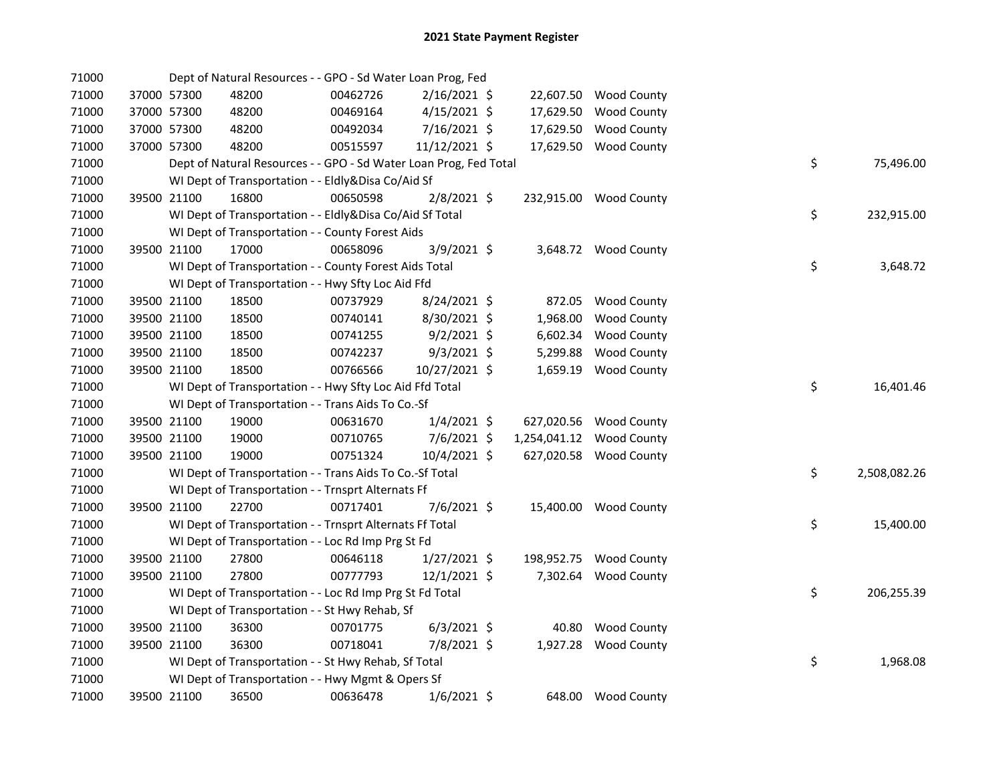| 71000 |             | Dept of Natural Resources - - GPO - Sd Water Loan Prog, Fed       |          |                |           |                          |    |              |
|-------|-------------|-------------------------------------------------------------------|----------|----------------|-----------|--------------------------|----|--------------|
| 71000 | 37000 57300 | 48200                                                             | 00462726 | 2/16/2021 \$   |           | 22,607.50 Wood County    |    |              |
| 71000 | 37000 57300 | 48200                                                             | 00469164 | $4/15/2021$ \$ | 17,629.50 | <b>Wood County</b>       |    |              |
| 71000 | 37000 57300 | 48200                                                             | 00492034 | 7/16/2021 \$   | 17,629.50 | <b>Wood County</b>       |    |              |
| 71000 | 37000 57300 | 48200                                                             | 00515597 | 11/12/2021 \$  |           | 17,629.50 Wood County    |    |              |
| 71000 |             | Dept of Natural Resources - - GPO - Sd Water Loan Prog, Fed Total |          |                |           |                          | \$ | 75,496.00    |
| 71000 |             | WI Dept of Transportation - - Eldly&Disa Co/Aid Sf                |          |                |           |                          |    |              |
| 71000 | 39500 21100 | 16800                                                             | 00650598 | $2/8/2021$ \$  |           | 232,915.00 Wood County   |    |              |
| 71000 |             | WI Dept of Transportation - - Eldly&Disa Co/Aid Sf Total          |          |                |           |                          | \$ | 232,915.00   |
| 71000 |             | WI Dept of Transportation - - County Forest Aids                  |          |                |           |                          |    |              |
| 71000 | 39500 21100 | 17000                                                             | 00658096 | 3/9/2021 \$    |           | 3,648.72 Wood County     |    |              |
| 71000 |             | WI Dept of Transportation - - County Forest Aids Total            |          |                |           |                          | \$ | 3,648.72     |
| 71000 |             | WI Dept of Transportation - - Hwy Sfty Loc Aid Ffd                |          |                |           |                          |    |              |
| 71000 | 39500 21100 | 18500                                                             | 00737929 | 8/24/2021 \$   |           | 872.05 Wood County       |    |              |
| 71000 | 39500 21100 | 18500                                                             | 00740141 | 8/30/2021 \$   | 1,968.00  | <b>Wood County</b>       |    |              |
| 71000 | 39500 21100 | 18500                                                             | 00741255 | $9/2/2021$ \$  | 6,602.34  | <b>Wood County</b>       |    |              |
| 71000 | 39500 21100 | 18500                                                             | 00742237 | $9/3/2021$ \$  | 5,299.88  | <b>Wood County</b>       |    |              |
| 71000 | 39500 21100 | 18500                                                             | 00766566 | 10/27/2021 \$  |           | 1,659.19 Wood County     |    |              |
| 71000 |             | WI Dept of Transportation - - Hwy Sfty Loc Aid Ffd Total          |          |                |           |                          | \$ | 16,401.46    |
| 71000 |             | WI Dept of Transportation - - Trans Aids To Co.-Sf                |          |                |           |                          |    |              |
| 71000 | 39500 21100 | 19000                                                             | 00631670 | $1/4/2021$ \$  |           | 627,020.56 Wood County   |    |              |
| 71000 | 39500 21100 | 19000                                                             | 00710765 | 7/6/2021 \$    |           | 1,254,041.12 Wood County |    |              |
| 71000 | 39500 21100 | 19000                                                             | 00751324 | 10/4/2021 \$   |           | 627,020.58 Wood County   |    |              |
| 71000 |             | WI Dept of Transportation - - Trans Aids To Co.-Sf Total          |          |                |           |                          | \$ | 2,508,082.26 |
| 71000 |             | WI Dept of Transportation - - Trnsprt Alternats Ff                |          |                |           |                          |    |              |
| 71000 | 39500 21100 | 22700                                                             | 00717401 | 7/6/2021 \$    |           | 15,400.00 Wood County    |    |              |
| 71000 |             | WI Dept of Transportation - - Trnsprt Alternats Ff Total          |          |                |           |                          | \$ | 15,400.00    |
| 71000 |             | WI Dept of Transportation - - Loc Rd Imp Prg St Fd                |          |                |           |                          |    |              |
| 71000 | 39500 21100 | 27800                                                             | 00646118 | $1/27/2021$ \$ |           | 198,952.75 Wood County   |    |              |
| 71000 | 39500 21100 | 27800                                                             | 00777793 | $12/1/2021$ \$ |           | 7,302.64 Wood County     |    |              |
| 71000 |             | WI Dept of Transportation - - Loc Rd Imp Prg St Fd Total          |          |                |           |                          | \$ | 206,255.39   |
| 71000 |             | WI Dept of Transportation - - St Hwy Rehab, Sf                    |          |                |           |                          |    |              |
| 71000 | 39500 21100 | 36300                                                             | 00701775 | $6/3/2021$ \$  |           | 40.80 Wood County        |    |              |
| 71000 | 39500 21100 | 36300                                                             | 00718041 | 7/8/2021 \$    |           | 1,927.28 Wood County     |    |              |
| 71000 |             | WI Dept of Transportation - - St Hwy Rehab, Sf Total              |          |                |           |                          | \$ | 1,968.08     |
| 71000 |             | WI Dept of Transportation - - Hwy Mgmt & Opers Sf                 |          |                |           |                          |    |              |
| 71000 | 39500 21100 | 36500                                                             | 00636478 | $1/6/2021$ \$  |           | 648.00 Wood County       |    |              |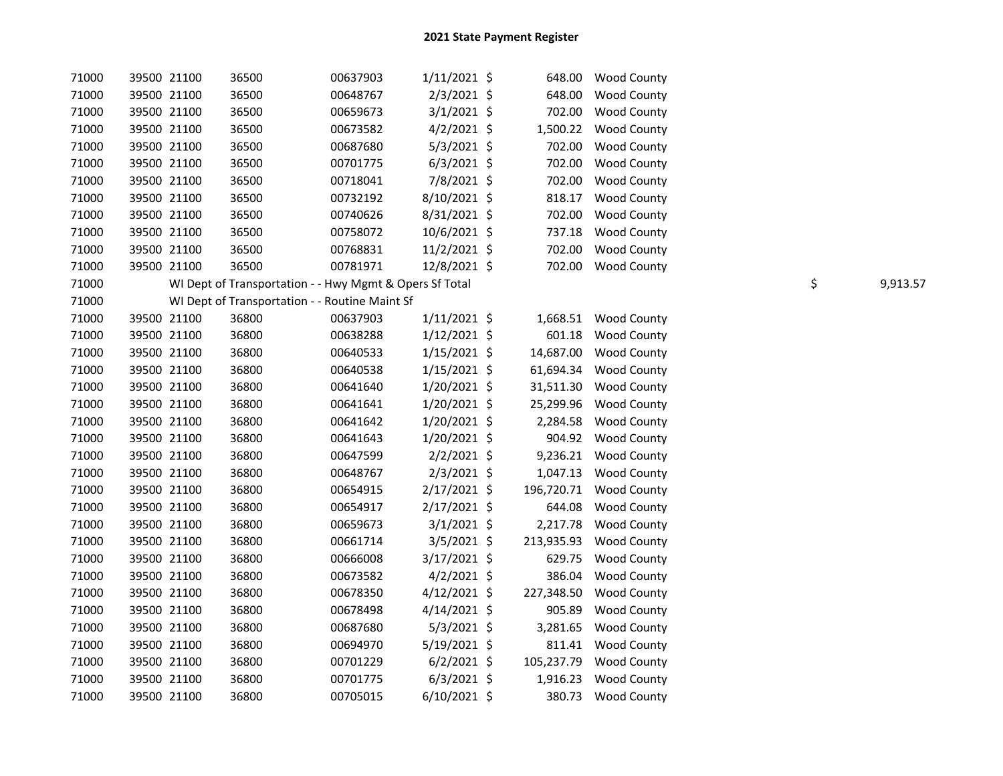| 71000 | 39500 21100 | 36500                                                   | 00637903 | $1/11/2021$ \$ | 648.00     | Wood County           |    |          |
|-------|-------------|---------------------------------------------------------|----------|----------------|------------|-----------------------|----|----------|
| 71000 | 39500 21100 | 36500                                                   | 00648767 | $2/3/2021$ \$  | 648.00     | <b>Wood County</b>    |    |          |
| 71000 | 39500 21100 | 36500                                                   | 00659673 | 3/1/2021 \$    | 702.00     | <b>Wood County</b>    |    |          |
| 71000 | 39500 21100 | 36500                                                   | 00673582 | $4/2/2021$ \$  | 1,500.22   | Wood County           |    |          |
| 71000 | 39500 21100 | 36500                                                   | 00687680 | $5/3/2021$ \$  | 702.00     | <b>Wood County</b>    |    |          |
| 71000 | 39500 21100 | 36500                                                   | 00701775 | $6/3/2021$ \$  | 702.00     | Wood County           |    |          |
| 71000 | 39500 21100 | 36500                                                   | 00718041 | 7/8/2021 \$    | 702.00     | <b>Wood County</b>    |    |          |
| 71000 | 39500 21100 | 36500                                                   | 00732192 | 8/10/2021 \$   | 818.17     | <b>Wood County</b>    |    |          |
| 71000 | 39500 21100 | 36500                                                   | 00740626 | $8/31/2021$ \$ | 702.00     | <b>Wood County</b>    |    |          |
| 71000 | 39500 21100 | 36500                                                   | 00758072 | 10/6/2021 \$   | 737.18     | <b>Wood County</b>    |    |          |
| 71000 | 39500 21100 | 36500                                                   | 00768831 | 11/2/2021 \$   | 702.00     | <b>Wood County</b>    |    |          |
| 71000 | 39500 21100 | 36500                                                   | 00781971 | 12/8/2021 \$   |            | 702.00 Wood County    |    |          |
| 71000 |             | WI Dept of Transportation - - Hwy Mgmt & Opers Sf Total |          |                |            |                       | \$ | 9,913.57 |
| 71000 |             | WI Dept of Transportation - - Routine Maint Sf          |          |                |            |                       |    |          |
| 71000 | 39500 21100 | 36800                                                   | 00637903 | $1/11/2021$ \$ |            | 1,668.51 Wood County  |    |          |
| 71000 | 39500 21100 | 36800                                                   | 00638288 | $1/12/2021$ \$ |            | 601.18 Wood County    |    |          |
| 71000 | 39500 21100 | 36800                                                   | 00640533 | $1/15/2021$ \$ | 14,687.00  | <b>Wood County</b>    |    |          |
| 71000 | 39500 21100 | 36800                                                   | 00640538 | $1/15/2021$ \$ |            | 61,694.34 Wood County |    |          |
| 71000 | 39500 21100 | 36800                                                   | 00641640 | 1/20/2021 \$   | 31,511.30  | Wood County           |    |          |
| 71000 | 39500 21100 | 36800                                                   | 00641641 | 1/20/2021 \$   | 25,299.96  | <b>Wood County</b>    |    |          |
| 71000 | 39500 21100 | 36800                                                   | 00641642 | 1/20/2021 \$   | 2,284.58   | <b>Wood County</b>    |    |          |
| 71000 | 39500 21100 | 36800                                                   | 00641643 | 1/20/2021 \$   | 904.92     | <b>Wood County</b>    |    |          |
| 71000 | 39500 21100 | 36800                                                   | 00647599 | $2/2/2021$ \$  | 9,236.21   | <b>Wood County</b>    |    |          |
| 71000 | 39500 21100 | 36800                                                   | 00648767 | $2/3/2021$ \$  | 1,047.13   | <b>Wood County</b>    |    |          |
| 71000 | 39500 21100 | 36800                                                   | 00654915 | 2/17/2021 \$   | 196,720.71 | <b>Wood County</b>    |    |          |
| 71000 | 39500 21100 | 36800                                                   | 00654917 | 2/17/2021 \$   | 644.08     | <b>Wood County</b>    |    |          |
| 71000 | 39500 21100 | 36800                                                   | 00659673 | $3/1/2021$ \$  | 2,217.78   | <b>Wood County</b>    |    |          |
| 71000 | 39500 21100 | 36800                                                   | 00661714 | $3/5/2021$ \$  | 213,935.93 | <b>Wood County</b>    |    |          |
| 71000 | 39500 21100 | 36800                                                   | 00666008 | 3/17/2021 \$   | 629.75     | <b>Wood County</b>    |    |          |
| 71000 | 39500 21100 | 36800                                                   | 00673582 | $4/2/2021$ \$  | 386.04     | <b>Wood County</b>    |    |          |
| 71000 | 39500 21100 | 36800                                                   | 00678350 | $4/12/2021$ \$ | 227,348.50 | <b>Wood County</b>    |    |          |
| 71000 | 39500 21100 | 36800                                                   | 00678498 | $4/14/2021$ \$ | 905.89     | <b>Wood County</b>    |    |          |
| 71000 | 39500 21100 | 36800                                                   | 00687680 | $5/3/2021$ \$  | 3,281.65   | <b>Wood County</b>    |    |          |
| 71000 | 39500 21100 | 36800                                                   | 00694970 | 5/19/2021 \$   |            | 811.41 Wood County    |    |          |
| 71000 | 39500 21100 | 36800                                                   | 00701229 | $6/2/2021$ \$  | 105,237.79 | <b>Wood County</b>    |    |          |
| 71000 | 39500 21100 | 36800                                                   | 00701775 | $6/3/2021$ \$  | 1,916.23   | <b>Wood County</b>    |    |          |
| 71000 | 39500 21100 | 36800                                                   | 00705015 | $6/10/2021$ \$ |            | 380.73 Wood County    |    |          |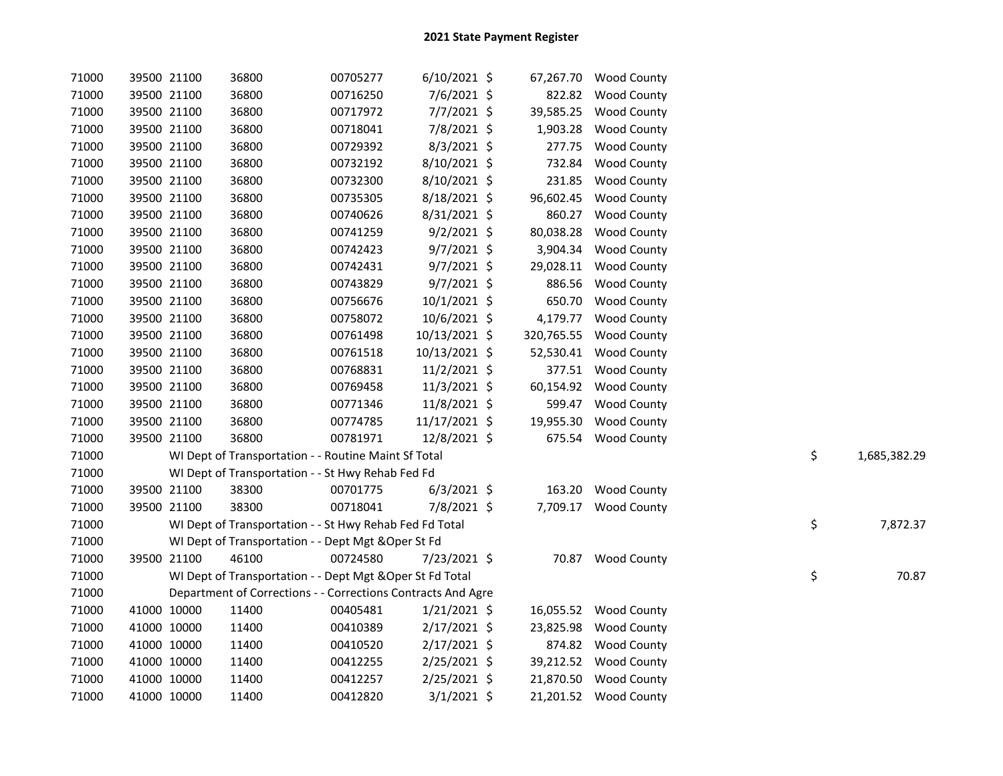| 71000 |             | 39500 21100 | 36800                                                        | 00705277 | $6/10/2021$ \$ | 67,267.70  | <b>Wood County</b>    |    |              |
|-------|-------------|-------------|--------------------------------------------------------------|----------|----------------|------------|-----------------------|----|--------------|
| 71000 |             | 39500 21100 | 36800                                                        | 00716250 | 7/6/2021 \$    | 822.82     | <b>Wood County</b>    |    |              |
| 71000 |             | 39500 21100 | 36800                                                        | 00717972 | 7/7/2021 \$    | 39,585.25  | Wood County           |    |              |
| 71000 |             | 39500 21100 | 36800                                                        | 00718041 | 7/8/2021 \$    | 1,903.28   | <b>Wood County</b>    |    |              |
| 71000 |             | 39500 21100 | 36800                                                        | 00729392 | 8/3/2021 \$    | 277.75     | <b>Wood County</b>    |    |              |
| 71000 |             | 39500 21100 | 36800                                                        | 00732192 | 8/10/2021 \$   | 732.84     | <b>Wood County</b>    |    |              |
| 71000 |             | 39500 21100 | 36800                                                        | 00732300 | 8/10/2021 \$   | 231.85     | <b>Wood County</b>    |    |              |
| 71000 |             | 39500 21100 | 36800                                                        | 00735305 | 8/18/2021 \$   | 96,602.45  | <b>Wood County</b>    |    |              |
| 71000 |             | 39500 21100 | 36800                                                        | 00740626 | 8/31/2021 \$   | 860.27     | <b>Wood County</b>    |    |              |
| 71000 |             | 39500 21100 | 36800                                                        | 00741259 | $9/2/2021$ \$  | 80,038.28  | Wood County           |    |              |
| 71000 |             | 39500 21100 | 36800                                                        | 00742423 | $9/7/2021$ \$  | 3,904.34   | <b>Wood County</b>    |    |              |
| 71000 |             | 39500 21100 | 36800                                                        | 00742431 | $9/7/2021$ \$  | 29,028.11  | <b>Wood County</b>    |    |              |
| 71000 |             | 39500 21100 | 36800                                                        | 00743829 | $9/7/2021$ \$  | 886.56     | <b>Wood County</b>    |    |              |
| 71000 |             | 39500 21100 | 36800                                                        | 00756676 | 10/1/2021 \$   | 650.70     | <b>Wood County</b>    |    |              |
| 71000 |             | 39500 21100 | 36800                                                        | 00758072 | 10/6/2021 \$   | 4,179.77   | Wood County           |    |              |
| 71000 |             | 39500 21100 | 36800                                                        | 00761498 | 10/13/2021 \$  | 320,765.55 | <b>Wood County</b>    |    |              |
| 71000 |             | 39500 21100 | 36800                                                        | 00761518 | 10/13/2021 \$  | 52,530.41  | <b>Wood County</b>    |    |              |
| 71000 |             | 39500 21100 | 36800                                                        | 00768831 | 11/2/2021 \$   | 377.51     | <b>Wood County</b>    |    |              |
| 71000 |             | 39500 21100 | 36800                                                        | 00769458 | 11/3/2021 \$   | 60,154.92  | <b>Wood County</b>    |    |              |
| 71000 |             | 39500 21100 | 36800                                                        | 00771346 | 11/8/2021 \$   | 599.47     | <b>Wood County</b>    |    |              |
| 71000 |             | 39500 21100 | 36800                                                        | 00774785 | 11/17/2021 \$  | 19,955.30  | Wood County           |    |              |
| 71000 |             | 39500 21100 | 36800                                                        | 00781971 | 12/8/2021 \$   | 675.54     | <b>Wood County</b>    |    |              |
| 71000 |             |             | WI Dept of Transportation - - Routine Maint Sf Total         |          |                |            |                       | \$ | 1,685,382.29 |
| 71000 |             |             | WI Dept of Transportation - - St Hwy Rehab Fed Fd            |          |                |            |                       |    |              |
| 71000 |             | 39500 21100 | 38300                                                        | 00701775 | $6/3/2021$ \$  | 163.20     | <b>Wood County</b>    |    |              |
| 71000 |             | 39500 21100 | 38300                                                        | 00718041 | 7/8/2021 \$    |            | 7,709.17 Wood County  |    |              |
| 71000 |             |             | WI Dept of Transportation - - St Hwy Rehab Fed Fd Total      |          |                |            |                       | \$ | 7,872.37     |
| 71000 |             |             | WI Dept of Transportation - - Dept Mgt & Oper St Fd          |          |                |            |                       |    |              |
| 71000 |             | 39500 21100 | 46100                                                        | 00724580 | 7/23/2021 \$   |            | 70.87 Wood County     |    |              |
| 71000 |             |             | WI Dept of Transportation - - Dept Mgt & Oper St Fd Total    |          |                |            |                       | \$ | 70.87        |
| 71000 |             |             | Department of Corrections - - Corrections Contracts And Agre |          |                |            |                       |    |              |
| 71000 |             | 41000 10000 | 11400                                                        | 00405481 | $1/21/2021$ \$ |            | 16,055.52 Wood County |    |              |
| 71000 |             | 41000 10000 | 11400                                                        | 00410389 | $2/17/2021$ \$ | 23,825.98  | <b>Wood County</b>    |    |              |
| 71000 |             | 41000 10000 | 11400                                                        | 00410520 | 2/17/2021 \$   | 874.82     | <b>Wood County</b>    |    |              |
| 71000 |             | 41000 10000 | 11400                                                        | 00412255 | 2/25/2021 \$   | 39,212.52  | <b>Wood County</b>    |    |              |
| 71000 |             | 41000 10000 | 11400                                                        | 00412257 | 2/25/2021 \$   | 21,870.50  | <b>Wood County</b>    |    |              |
| 71000 | 41000 10000 |             | 11400                                                        | 00412820 | $3/1/2021$ \$  |            | 21,201.52 Wood County |    |              |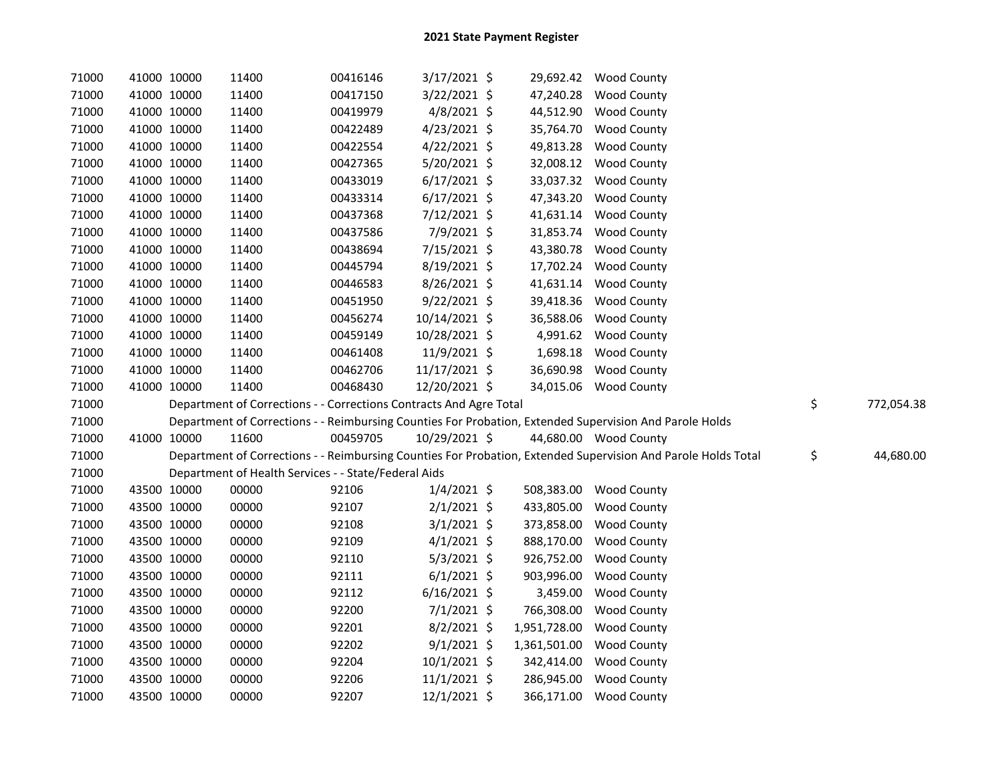| 71000 | 41000 10000 | 11400                                                              | 00416146 | 3/17/2021 \$   |              | 29,692.42 Wood County                                                                                         |                  |
|-------|-------------|--------------------------------------------------------------------|----------|----------------|--------------|---------------------------------------------------------------------------------------------------------------|------------------|
| 71000 | 41000 10000 | 11400                                                              | 00417150 | 3/22/2021 \$   | 47,240.28    | <b>Wood County</b>                                                                                            |                  |
| 71000 | 41000 10000 | 11400                                                              | 00419979 | $4/8/2021$ \$  | 44,512.90    | <b>Wood County</b>                                                                                            |                  |
| 71000 | 41000 10000 | 11400                                                              | 00422489 | $4/23/2021$ \$ | 35,764.70    | <b>Wood County</b>                                                                                            |                  |
| 71000 | 41000 10000 | 11400                                                              | 00422554 | 4/22/2021 \$   | 49,813.28    | <b>Wood County</b>                                                                                            |                  |
| 71000 | 41000 10000 | 11400                                                              | 00427365 | 5/20/2021 \$   | 32,008.12    | <b>Wood County</b>                                                                                            |                  |
| 71000 | 41000 10000 | 11400                                                              | 00433019 | $6/17/2021$ \$ | 33,037.32    | <b>Wood County</b>                                                                                            |                  |
| 71000 | 41000 10000 | 11400                                                              | 00433314 | $6/17/2021$ \$ | 47,343.20    | <b>Wood County</b>                                                                                            |                  |
| 71000 | 41000 10000 | 11400                                                              | 00437368 | 7/12/2021 \$   | 41,631.14    | <b>Wood County</b>                                                                                            |                  |
| 71000 | 41000 10000 | 11400                                                              | 00437586 | 7/9/2021 \$    | 31,853.74    | <b>Wood County</b>                                                                                            |                  |
| 71000 | 41000 10000 | 11400                                                              | 00438694 | 7/15/2021 \$   | 43,380.78    | <b>Wood County</b>                                                                                            |                  |
| 71000 | 41000 10000 | 11400                                                              | 00445794 | 8/19/2021 \$   | 17,702.24    | <b>Wood County</b>                                                                                            |                  |
| 71000 | 41000 10000 | 11400                                                              | 00446583 | 8/26/2021 \$   | 41,631.14    | <b>Wood County</b>                                                                                            |                  |
| 71000 | 41000 10000 | 11400                                                              | 00451950 | $9/22/2021$ \$ |              | 39,418.36 Wood County                                                                                         |                  |
| 71000 | 41000 10000 | 11400                                                              | 00456274 | 10/14/2021 \$  |              | 36,588.06 Wood County                                                                                         |                  |
| 71000 | 41000 10000 | 11400                                                              | 00459149 | 10/28/2021 \$  |              | 4,991.62 Wood County                                                                                          |                  |
| 71000 | 41000 10000 | 11400                                                              | 00461408 | 11/9/2021 \$   |              | 1,698.18 Wood County                                                                                          |                  |
| 71000 | 41000 10000 | 11400                                                              | 00462706 | 11/17/2021 \$  |              | 36,690.98 Wood County                                                                                         |                  |
| 71000 | 41000 10000 | 11400                                                              | 00468430 | 12/20/2021 \$  |              | 34,015.06 Wood County                                                                                         |                  |
| 71000 |             | Department of Corrections - - Corrections Contracts And Agre Total |          |                |              |                                                                                                               | \$<br>772,054.38 |
| 71000 |             |                                                                    |          |                |              | Department of Corrections - - Reimbursing Counties For Probation, Extended Supervision And Parole Holds       |                  |
| 71000 | 41000 10000 | 11600                                                              | 00459705 | 10/29/2021 \$  |              | 44,680.00 Wood County                                                                                         |                  |
| 71000 |             |                                                                    |          |                |              | Department of Corrections - - Reimbursing Counties For Probation, Extended Supervision And Parole Holds Total | \$<br>44,680.00  |
| 71000 |             | Department of Health Services - - State/Federal Aids               |          |                |              |                                                                                                               |                  |
| 71000 | 43500 10000 | 00000                                                              | 92106    | $1/4/2021$ \$  | 508,383.00   | <b>Wood County</b>                                                                                            |                  |
| 71000 | 43500 10000 | 00000                                                              | 92107    | $2/1/2021$ \$  | 433,805.00   | <b>Wood County</b>                                                                                            |                  |
| 71000 | 43500 10000 | 00000                                                              | 92108    | $3/1/2021$ \$  | 373,858.00   | <b>Wood County</b>                                                                                            |                  |
| 71000 | 43500 10000 | 00000                                                              | 92109    | $4/1/2021$ \$  | 888,170.00   | <b>Wood County</b>                                                                                            |                  |
| 71000 | 43500 10000 | 00000                                                              | 92110    | $5/3/2021$ \$  | 926,752.00   | <b>Wood County</b>                                                                                            |                  |
| 71000 | 43500 10000 | 00000                                                              | 92111    | $6/1/2021$ \$  | 903,996.00   | <b>Wood County</b>                                                                                            |                  |
| 71000 | 43500 10000 | 00000                                                              | 92112    | $6/16/2021$ \$ | 3,459.00     | <b>Wood County</b>                                                                                            |                  |
| 71000 | 43500 10000 | 00000                                                              | 92200    | $7/1/2021$ \$  | 766,308.00   | <b>Wood County</b>                                                                                            |                  |
| 71000 | 43500 10000 | 00000                                                              | 92201    | $8/2/2021$ \$  | 1,951,728.00 | <b>Wood County</b>                                                                                            |                  |
| 71000 | 43500 10000 | 00000                                                              | 92202    | $9/1/2021$ \$  | 1,361,501.00 | <b>Wood County</b>                                                                                            |                  |
| 71000 | 43500 10000 | 00000                                                              | 92204    | 10/1/2021 \$   | 342,414.00   | <b>Wood County</b>                                                                                            |                  |
| 71000 | 43500 10000 | 00000                                                              | 92206    | 11/1/2021 \$   | 286,945.00   | <b>Wood County</b>                                                                                            |                  |
| 71000 | 43500 10000 | 00000                                                              | 92207    | 12/1/2021 \$   |              | 366,171.00 Wood County                                                                                        |                  |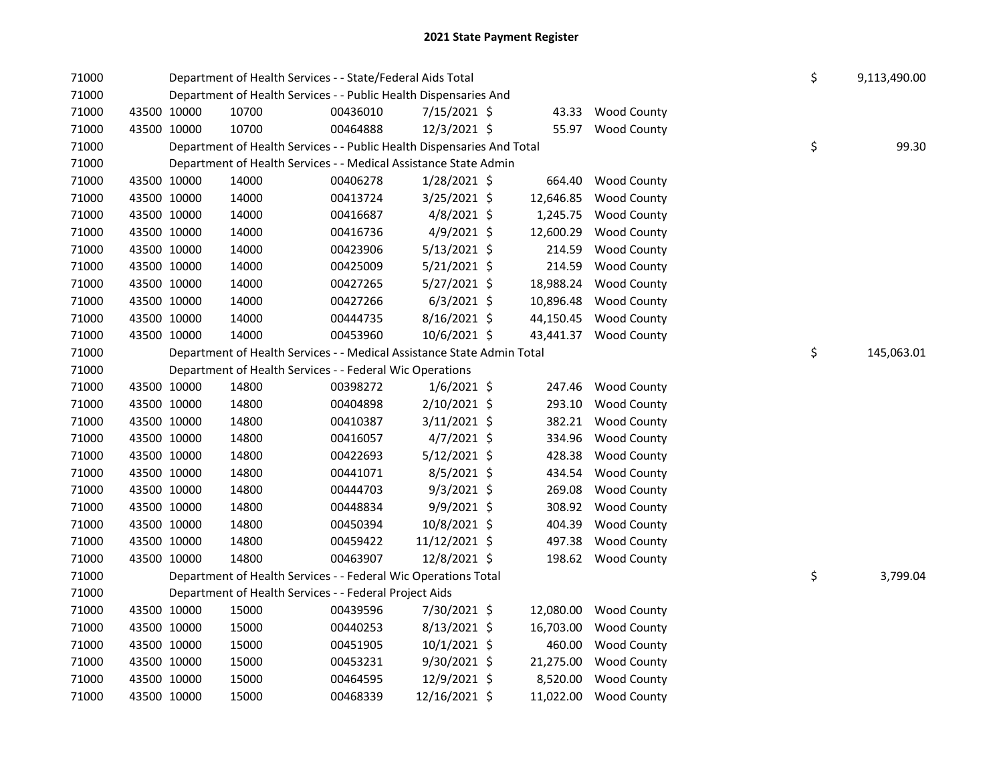| 71000 |             |             | Department of Health Services - - State/Federal Aids Total             | \$       | 9,113,490.00   |           |                       |    |            |
|-------|-------------|-------------|------------------------------------------------------------------------|----------|----------------|-----------|-----------------------|----|------------|
| 71000 |             |             | Department of Health Services - - Public Health Dispensaries And       |          |                |           |                       |    |            |
| 71000 |             | 43500 10000 | 10700                                                                  | 00436010 | 7/15/2021 \$   |           | 43.33 Wood County     |    |            |
| 71000 |             | 43500 10000 | 10700                                                                  | 00464888 | 12/3/2021 \$   |           | 55.97 Wood County     |    |            |
| 71000 |             |             | Department of Health Services - - Public Health Dispensaries And Total |          |                |           |                       | \$ | 99.30      |
| 71000 |             |             | Department of Health Services - - Medical Assistance State Admin       |          |                |           |                       |    |            |
| 71000 |             | 43500 10000 | 14000                                                                  | 00406278 | $1/28/2021$ \$ | 664.40    | <b>Wood County</b>    |    |            |
| 71000 |             | 43500 10000 | 14000                                                                  | 00413724 | 3/25/2021 \$   | 12,646.85 | <b>Wood County</b>    |    |            |
| 71000 |             | 43500 10000 | 14000                                                                  | 00416687 | 4/8/2021 \$    | 1,245.75  | <b>Wood County</b>    |    |            |
| 71000 |             | 43500 10000 | 14000                                                                  | 00416736 | 4/9/2021 \$    | 12,600.29 | Wood County           |    |            |
| 71000 |             | 43500 10000 | 14000                                                                  | 00423906 | $5/13/2021$ \$ | 214.59    | <b>Wood County</b>    |    |            |
| 71000 |             | 43500 10000 | 14000                                                                  | 00425009 | $5/21/2021$ \$ | 214.59    | <b>Wood County</b>    |    |            |
| 71000 |             | 43500 10000 | 14000                                                                  | 00427265 | $5/27/2021$ \$ | 18,988.24 | <b>Wood County</b>    |    |            |
| 71000 |             | 43500 10000 | 14000                                                                  | 00427266 | $6/3/2021$ \$  | 10,896.48 | <b>Wood County</b>    |    |            |
| 71000 |             | 43500 10000 | 14000                                                                  | 00444735 | 8/16/2021 \$   | 44,150.45 | <b>Wood County</b>    |    |            |
| 71000 |             | 43500 10000 | 14000                                                                  | 00453960 | 10/6/2021 \$   | 43,441.37 | Wood County           |    |            |
| 71000 |             |             | Department of Health Services - - Medical Assistance State Admin Total |          |                |           |                       | \$ | 145,063.01 |
| 71000 |             |             | Department of Health Services - - Federal Wic Operations               |          |                |           |                       |    |            |
| 71000 |             | 43500 10000 | 14800                                                                  | 00398272 | $1/6/2021$ \$  | 247.46    | <b>Wood County</b>    |    |            |
| 71000 |             | 43500 10000 | 14800                                                                  | 00404898 | 2/10/2021 \$   | 293.10    | <b>Wood County</b>    |    |            |
| 71000 |             | 43500 10000 | 14800                                                                  | 00410387 | 3/11/2021 \$   | 382.21    | <b>Wood County</b>    |    |            |
| 71000 |             | 43500 10000 | 14800                                                                  | 00416057 | $4/7/2021$ \$  | 334.96    | <b>Wood County</b>    |    |            |
| 71000 |             | 43500 10000 | 14800                                                                  | 00422693 | $5/12/2021$ \$ | 428.38    | <b>Wood County</b>    |    |            |
| 71000 | 43500 10000 |             | 14800                                                                  | 00441071 | 8/5/2021 \$    | 434.54    | <b>Wood County</b>    |    |            |
| 71000 | 43500 10000 |             | 14800                                                                  | 00444703 | $9/3/2021$ \$  | 269.08    | <b>Wood County</b>    |    |            |
| 71000 | 43500 10000 |             | 14800                                                                  | 00448834 | $9/9/2021$ \$  | 308.92    | <b>Wood County</b>    |    |            |
| 71000 | 43500 10000 |             | 14800                                                                  | 00450394 | 10/8/2021 \$   | 404.39    | <b>Wood County</b>    |    |            |
| 71000 | 43500 10000 |             | 14800                                                                  | 00459422 | 11/12/2021 \$  | 497.38    | <b>Wood County</b>    |    |            |
| 71000 |             | 43500 10000 | 14800                                                                  | 00463907 | 12/8/2021 \$   |           | 198.62 Wood County    |    |            |
| 71000 |             |             | Department of Health Services - - Federal Wic Operations Total         |          |                |           |                       | \$ | 3,799.04   |
| 71000 |             |             | Department of Health Services - - Federal Project Aids                 |          |                |           |                       |    |            |
| 71000 |             | 43500 10000 | 15000                                                                  | 00439596 | 7/30/2021 \$   |           | 12,080.00 Wood County |    |            |
| 71000 |             | 43500 10000 | 15000                                                                  | 00440253 | 8/13/2021 \$   | 16,703.00 | Wood County           |    |            |
| 71000 |             | 43500 10000 | 15000                                                                  | 00451905 | $10/1/2021$ \$ | 460.00    | <b>Wood County</b>    |    |            |
| 71000 |             | 43500 10000 | 15000                                                                  | 00453231 | $9/30/2021$ \$ | 21,275.00 | <b>Wood County</b>    |    |            |
| 71000 |             | 43500 10000 | 15000                                                                  | 00464595 | 12/9/2021 \$   | 8,520.00  | <b>Wood County</b>    |    |            |
| 71000 | 43500 10000 |             | 15000                                                                  | 00468339 | 12/16/2021 \$  | 11,022.00 | <b>Wood County</b>    |    |            |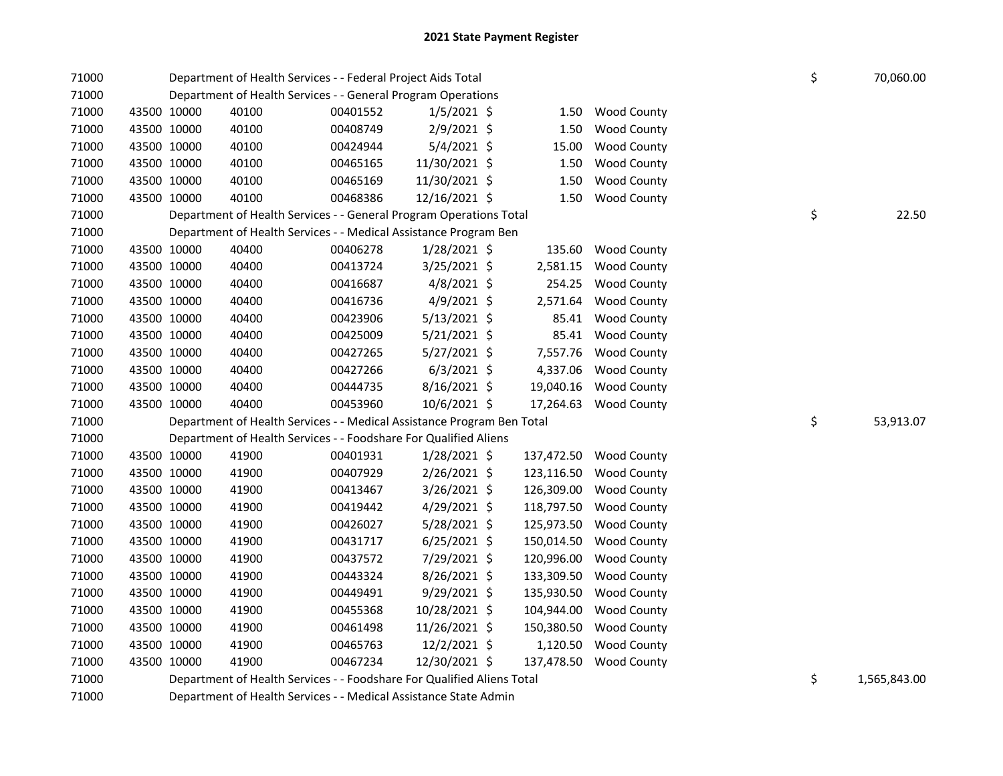| 71000 |             | Department of Health Services - - Federal Project Aids Total           | \$       | 70,060.00      |            |                        |    |           |
|-------|-------------|------------------------------------------------------------------------|----------|----------------|------------|------------------------|----|-----------|
| 71000 |             | Department of Health Services - - General Program Operations           |          |                |            |                        |    |           |
| 71000 | 43500 10000 | 40100                                                                  | 00401552 | $1/5/2021$ \$  | 1.50       | <b>Wood County</b>     |    |           |
| 71000 | 43500 10000 | 40100                                                                  | 00408749 | 2/9/2021 \$    | 1.50       | <b>Wood County</b>     |    |           |
| 71000 | 43500 10000 | 40100                                                                  | 00424944 | $5/4/2021$ \$  | 15.00      | <b>Wood County</b>     |    |           |
| 71000 | 43500 10000 | 40100                                                                  | 00465165 | 11/30/2021 \$  | 1.50       | <b>Wood County</b>     |    |           |
| 71000 | 43500 10000 | 40100                                                                  | 00465169 | 11/30/2021 \$  | 1.50       | <b>Wood County</b>     |    |           |
| 71000 | 43500 10000 | 40100                                                                  | 00468386 | 12/16/2021 \$  | 1.50       | <b>Wood County</b>     |    |           |
| 71000 |             | Department of Health Services - - General Program Operations Total     |          |                |            |                        | \$ | 22.50     |
| 71000 |             | Department of Health Services - - Medical Assistance Program Ben       |          |                |            |                        |    |           |
| 71000 | 43500 10000 | 40400                                                                  | 00406278 | $1/28/2021$ \$ | 135.60     | <b>Wood County</b>     |    |           |
| 71000 | 43500 10000 | 40400                                                                  | 00413724 | $3/25/2021$ \$ | 2,581.15   | <b>Wood County</b>     |    |           |
| 71000 | 43500 10000 | 40400                                                                  | 00416687 | 4/8/2021 \$    | 254.25     | <b>Wood County</b>     |    |           |
| 71000 | 43500 10000 | 40400                                                                  | 00416736 | $4/9/2021$ \$  | 2,571.64   | <b>Wood County</b>     |    |           |
| 71000 | 43500 10000 | 40400                                                                  | 00423906 | $5/13/2021$ \$ | 85.41      | <b>Wood County</b>     |    |           |
| 71000 | 43500 10000 | 40400                                                                  | 00425009 | $5/21/2021$ \$ | 85.41      | <b>Wood County</b>     |    |           |
| 71000 | 43500 10000 | 40400                                                                  | 00427265 | 5/27/2021 \$   | 7,557.76   | <b>Wood County</b>     |    |           |
| 71000 | 43500 10000 | 40400                                                                  | 00427266 | $6/3/2021$ \$  | 4,337.06   | <b>Wood County</b>     |    |           |
| 71000 | 43500 10000 | 40400                                                                  | 00444735 | 8/16/2021 \$   | 19,040.16  | <b>Wood County</b>     |    |           |
| 71000 | 43500 10000 | 40400                                                                  | 00453960 | 10/6/2021 \$   | 17,264.63  | <b>Wood County</b>     |    |           |
| 71000 |             | Department of Health Services - - Medical Assistance Program Ben Total |          |                |            |                        | \$ | 53,913.07 |
| 71000 |             | Department of Health Services - - Foodshare For Qualified Aliens       |          |                |            |                        |    |           |
| 71000 | 43500 10000 | 41900                                                                  | 00401931 | 1/28/2021 \$   |            | 137,472.50 Wood County |    |           |
| 71000 | 43500 10000 | 41900                                                                  | 00407929 | 2/26/2021 \$   | 123,116.50 | <b>Wood County</b>     |    |           |
| 71000 | 43500 10000 | 41900                                                                  | 00413467 | 3/26/2021 \$   | 126,309.00 | <b>Wood County</b>     |    |           |
| 71000 | 43500 10000 | 41900                                                                  | 00419442 | 4/29/2021 \$   | 118,797.50 | <b>Wood County</b>     |    |           |
| 71000 | 43500 10000 | 41900                                                                  | 00426027 | 5/28/2021 \$   | 125,973.50 | <b>Wood County</b>     |    |           |
| 71000 | 43500 10000 | 41900                                                                  | 00431717 | $6/25/2021$ \$ | 150,014.50 | <b>Wood County</b>     |    |           |
| 71000 | 43500 10000 | 41900                                                                  | 00437572 | 7/29/2021 \$   | 120,996.00 | <b>Wood County</b>     |    |           |
| 71000 | 43500 10000 | 41900                                                                  | 00443324 | $8/26/2021$ \$ | 133,309.50 | <b>Wood County</b>     |    |           |
| 71000 | 43500 10000 | 41900                                                                  | 00449491 | 9/29/2021 \$   | 135,930.50 | <b>Wood County</b>     |    |           |
| 71000 | 43500 10000 | 41900                                                                  | 00455368 | 10/28/2021 \$  | 104,944.00 | <b>Wood County</b>     |    |           |
| 71000 | 43500 10000 | 41900                                                                  | 00461498 | 11/26/2021 \$  | 150,380.50 | <b>Wood County</b>     |    |           |
| 71000 | 43500 10000 | 41900                                                                  | 00465763 | 12/2/2021 \$   | 1,120.50   | Wood County            |    |           |
| 71000 | 43500 10000 | 41900                                                                  | 00467234 | 12/30/2021 \$  | 137,478.50 | <b>Wood County</b>     |    |           |
| 71000 |             | Department of Health Services - - Foodshare For Qualified Aliens Total | \$       | 1,565,843.00   |            |                        |    |           |

71000 Department of Health Services - - Medical Assistance State Admin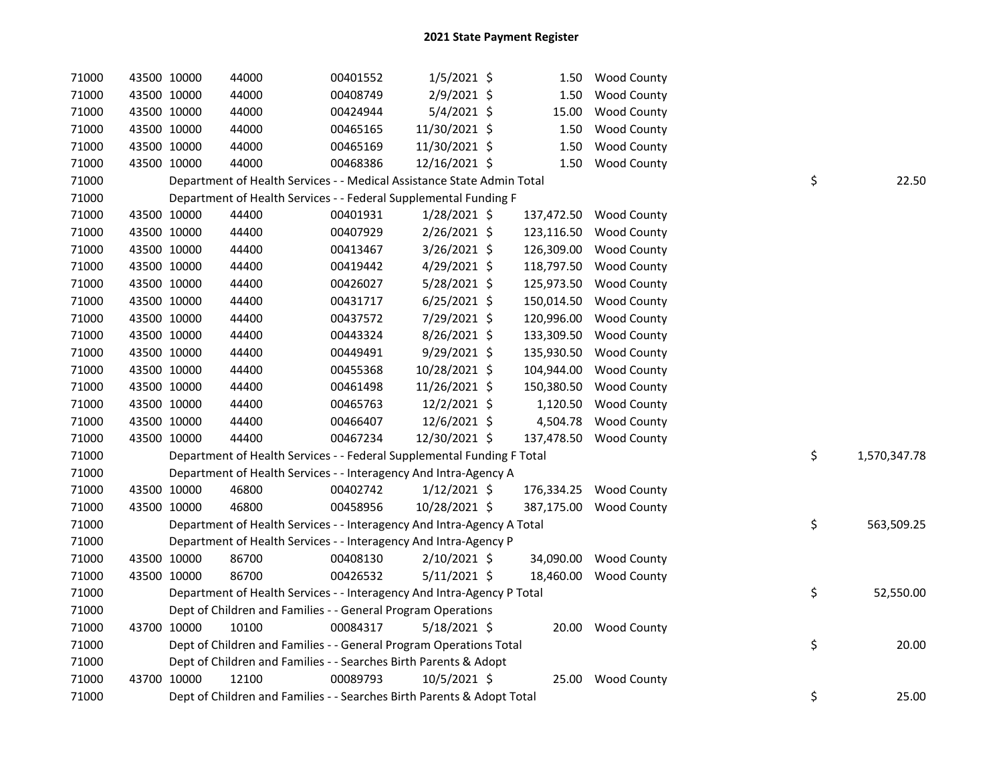| 71000 | 43500 10000 | 44000                                                                  | 00401552 | $1/5/2021$ \$  | 1.50       | <b>Wood County</b>     |    |              |
|-------|-------------|------------------------------------------------------------------------|----------|----------------|------------|------------------------|----|--------------|
| 71000 | 43500 10000 | 44000                                                                  | 00408749 | 2/9/2021 \$    | 1.50       | <b>Wood County</b>     |    |              |
| 71000 | 43500 10000 | 44000                                                                  | 00424944 | 5/4/2021 \$    | 15.00      | <b>Wood County</b>     |    |              |
| 71000 | 43500 10000 | 44000                                                                  | 00465165 | 11/30/2021 \$  | 1.50       | <b>Wood County</b>     |    |              |
| 71000 | 43500 10000 | 44000                                                                  | 00465169 | 11/30/2021 \$  | 1.50       | <b>Wood County</b>     |    |              |
| 71000 | 43500 10000 | 44000                                                                  | 00468386 | 12/16/2021 \$  | 1.50       | <b>Wood County</b>     |    |              |
| 71000 |             | Department of Health Services - - Medical Assistance State Admin Total |          |                |            |                        | \$ | 22.50        |
| 71000 |             | Department of Health Services - - Federal Supplemental Funding F       |          |                |            |                        |    |              |
| 71000 | 43500 10000 | 44400                                                                  | 00401931 | $1/28/2021$ \$ |            | 137,472.50 Wood County |    |              |
| 71000 | 43500 10000 | 44400                                                                  | 00407929 | 2/26/2021 \$   |            | 123,116.50 Wood County |    |              |
| 71000 | 43500 10000 | 44400                                                                  | 00413467 | 3/26/2021 \$   | 126,309.00 | <b>Wood County</b>     |    |              |
| 71000 | 43500 10000 | 44400                                                                  | 00419442 | 4/29/2021 \$   |            | 118,797.50 Wood County |    |              |
| 71000 | 43500 10000 | 44400                                                                  | 00426027 | 5/28/2021 \$   |            | 125,973.50 Wood County |    |              |
| 71000 | 43500 10000 | 44400                                                                  | 00431717 | $6/25/2021$ \$ | 150,014.50 | <b>Wood County</b>     |    |              |
| 71000 | 43500 10000 | 44400                                                                  | 00437572 | 7/29/2021 \$   | 120,996.00 | <b>Wood County</b>     |    |              |
| 71000 | 43500 10000 | 44400                                                                  | 00443324 | 8/26/2021 \$   | 133,309.50 | <b>Wood County</b>     |    |              |
| 71000 | 43500 10000 | 44400                                                                  | 00449491 | $9/29/2021$ \$ | 135,930.50 | <b>Wood County</b>     |    |              |
| 71000 | 43500 10000 | 44400                                                                  | 00455368 | 10/28/2021 \$  | 104,944.00 | <b>Wood County</b>     |    |              |
| 71000 | 43500 10000 | 44400                                                                  | 00461498 | 11/26/2021 \$  | 150,380.50 | <b>Wood County</b>     |    |              |
| 71000 | 43500 10000 | 44400                                                                  | 00465763 | 12/2/2021 \$   | 1,120.50   | <b>Wood County</b>     |    |              |
| 71000 | 43500 10000 | 44400                                                                  | 00466407 | 12/6/2021 \$   | 4,504.78   | <b>Wood County</b>     |    |              |
| 71000 | 43500 10000 | 44400                                                                  | 00467234 | 12/30/2021 \$  | 137,478.50 | <b>Wood County</b>     |    |              |
| 71000 |             | Department of Health Services - - Federal Supplemental Funding F Total |          |                |            |                        | \$ | 1,570,347.78 |
| 71000 |             | Department of Health Services - - Interagency And Intra-Agency A       |          |                |            |                        |    |              |
| 71000 | 43500 10000 | 46800                                                                  | 00402742 | $1/12/2021$ \$ |            | 176,334.25 Wood County |    |              |
| 71000 | 43500 10000 | 46800                                                                  | 00458956 | 10/28/2021 \$  | 387,175.00 | <b>Wood County</b>     |    |              |
| 71000 |             | Department of Health Services - - Interagency And Intra-Agency A Total |          |                |            |                        | \$ | 563,509.25   |
| 71000 |             | Department of Health Services - - Interagency And Intra-Agency P       |          |                |            |                        |    |              |
| 71000 | 43500 10000 | 86700                                                                  | 00408130 | 2/10/2021 \$   |            | 34,090.00 Wood County  |    |              |
| 71000 | 43500 10000 | 86700                                                                  | 00426532 | $5/11/2021$ \$ | 18,460.00  | <b>Wood County</b>     |    |              |
| 71000 |             | Department of Health Services - - Interagency And Intra-Agency P Total |          |                |            |                        | \$ | 52,550.00    |
| 71000 |             | Dept of Children and Families - - General Program Operations           |          |                |            |                        |    |              |
| 71000 | 43700 10000 | 10100                                                                  | 00084317 | $5/18/2021$ \$ |            | 20.00 Wood County      |    |              |
| 71000 |             | Dept of Children and Families - - General Program Operations Total     |          |                |            |                        | \$ | 20.00        |
| 71000 |             | Dept of Children and Families - - Searches Birth Parents & Adopt       |          |                |            |                        |    |              |
| 71000 | 43700 10000 | 12100                                                                  | 00089793 | 10/5/2021 \$   |            | 25.00 Wood County      |    |              |
| 71000 |             | Dept of Children and Families - - Searches Birth Parents & Adopt Total |          |                |            |                        | \$ | 25.00        |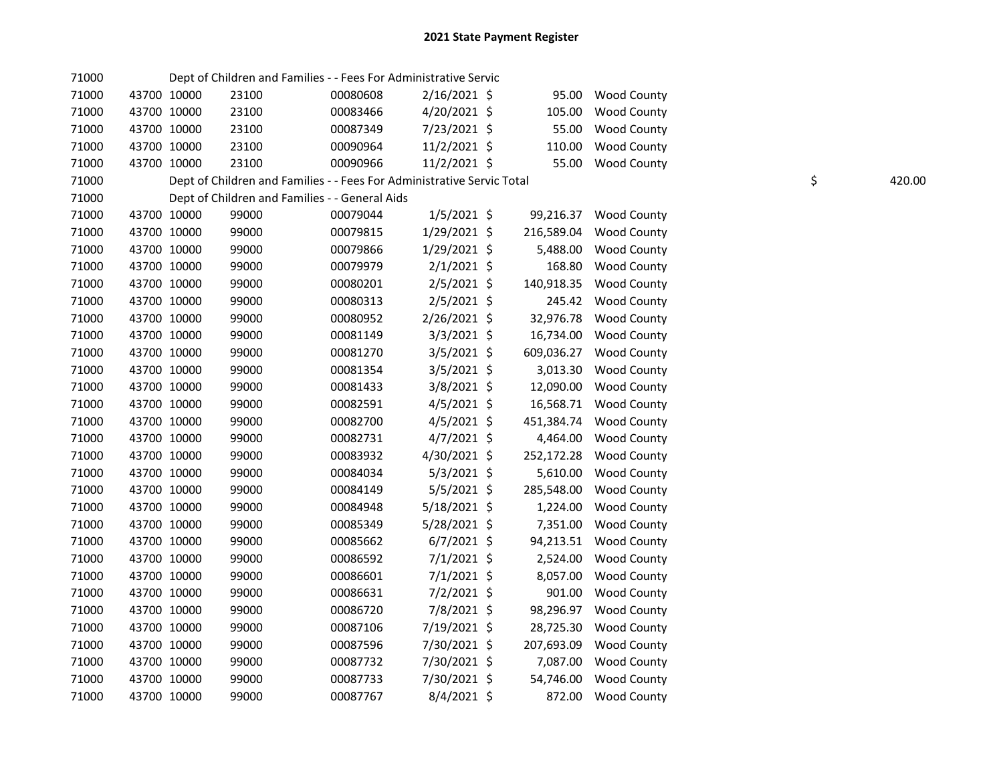| 71000 |             |             | Dept of Children and Families - - Fees For Administrative Servic       |          |                |            |                        |    |        |
|-------|-------------|-------------|------------------------------------------------------------------------|----------|----------------|------------|------------------------|----|--------|
| 71000 |             | 43700 10000 | 23100                                                                  | 00080608 | $2/16/2021$ \$ | 95.00      | <b>Wood County</b>     |    |        |
| 71000 |             | 43700 10000 | 23100                                                                  | 00083466 | $4/20/2021$ \$ | 105.00     | <b>Wood County</b>     |    |        |
| 71000 |             | 43700 10000 | 23100                                                                  | 00087349 | 7/23/2021 \$   | 55.00      | <b>Wood County</b>     |    |        |
| 71000 |             | 43700 10000 | 23100                                                                  | 00090964 | 11/2/2021 \$   | 110.00     | <b>Wood County</b>     |    |        |
| 71000 |             | 43700 10000 | 23100                                                                  | 00090966 | 11/2/2021 \$   | 55.00      | <b>Wood County</b>     |    |        |
| 71000 |             |             | Dept of Children and Families - - Fees For Administrative Servic Total |          |                |            |                        | \$ | 420.00 |
| 71000 |             |             | Dept of Children and Families - - General Aids                         |          |                |            |                        |    |        |
| 71000 |             | 43700 10000 | 99000                                                                  | 00079044 | $1/5/2021$ \$  |            | 99,216.37 Wood County  |    |        |
| 71000 |             | 43700 10000 | 99000                                                                  | 00079815 | $1/29/2021$ \$ | 216,589.04 | <b>Wood County</b>     |    |        |
| 71000 |             | 43700 10000 | 99000                                                                  | 00079866 | $1/29/2021$ \$ | 5,488.00   | <b>Wood County</b>     |    |        |
| 71000 |             | 43700 10000 | 99000                                                                  | 00079979 | $2/1/2021$ \$  | 168.80     | <b>Wood County</b>     |    |        |
| 71000 |             | 43700 10000 | 99000                                                                  | 00080201 | $2/5/2021$ \$  | 140,918.35 | <b>Wood County</b>     |    |        |
| 71000 |             | 43700 10000 | 99000                                                                  | 00080313 | $2/5/2021$ \$  |            | 245.42 Wood County     |    |        |
| 71000 |             | 43700 10000 | 99000                                                                  | 00080952 | 2/26/2021 \$   |            | 32,976.78 Wood County  |    |        |
| 71000 |             | 43700 10000 | 99000                                                                  | 00081149 | $3/3/2021$ \$  |            | 16,734.00 Wood County  |    |        |
| 71000 |             | 43700 10000 | 99000                                                                  | 00081270 | $3/5/2021$ \$  |            | 609,036.27 Wood County |    |        |
| 71000 |             | 43700 10000 | 99000                                                                  | 00081354 | $3/5/2021$ \$  | 3,013.30   | <b>Wood County</b>     |    |        |
| 71000 |             | 43700 10000 | 99000                                                                  | 00081433 | 3/8/2021 \$    | 12,090.00  | <b>Wood County</b>     |    |        |
| 71000 |             | 43700 10000 | 99000                                                                  | 00082591 | $4/5/2021$ \$  | 16,568.71  | <b>Wood County</b>     |    |        |
| 71000 |             | 43700 10000 | 99000                                                                  | 00082700 | $4/5/2021$ \$  | 451,384.74 | <b>Wood County</b>     |    |        |
| 71000 |             | 43700 10000 | 99000                                                                  | 00082731 | $4/7/2021$ \$  | 4,464.00   | <b>Wood County</b>     |    |        |
| 71000 |             | 43700 10000 | 99000                                                                  | 00083932 | 4/30/2021 \$   | 252,172.28 | <b>Wood County</b>     |    |        |
| 71000 |             | 43700 10000 | 99000                                                                  | 00084034 | $5/3/2021$ \$  | 5,610.00   | <b>Wood County</b>     |    |        |
| 71000 |             | 43700 10000 | 99000                                                                  | 00084149 | $5/5/2021$ \$  | 285,548.00 | <b>Wood County</b>     |    |        |
| 71000 |             | 43700 10000 | 99000                                                                  | 00084948 | 5/18/2021 \$   | 1,224.00   | <b>Wood County</b>     |    |        |
| 71000 |             | 43700 10000 | 99000                                                                  | 00085349 | 5/28/2021 \$   | 7,351.00   | <b>Wood County</b>     |    |        |
| 71000 |             | 43700 10000 | 99000                                                                  | 00085662 | $6/7/2021$ \$  | 94,213.51  | <b>Wood County</b>     |    |        |
| 71000 |             | 43700 10000 | 99000                                                                  | 00086592 | $7/1/2021$ \$  | 2,524.00   | <b>Wood County</b>     |    |        |
| 71000 |             | 43700 10000 | 99000                                                                  | 00086601 | $7/1/2021$ \$  | 8,057.00   | <b>Wood County</b>     |    |        |
| 71000 |             | 43700 10000 | 99000                                                                  | 00086631 | $7/2/2021$ \$  | 901.00     | <b>Wood County</b>     |    |        |
| 71000 |             | 43700 10000 | 99000                                                                  | 00086720 | 7/8/2021 \$    |            | 98,296.97 Wood County  |    |        |
| 71000 |             | 43700 10000 | 99000                                                                  | 00087106 | 7/19/2021 \$   | 28,725.30  | <b>Wood County</b>     |    |        |
| 71000 |             | 43700 10000 | 99000                                                                  | 00087596 | 7/30/2021 \$   | 207,693.09 | <b>Wood County</b>     |    |        |
| 71000 |             | 43700 10000 | 99000                                                                  | 00087732 | 7/30/2021 \$   | 7,087.00   | <b>Wood County</b>     |    |        |
| 71000 |             | 43700 10000 | 99000                                                                  | 00087733 | 7/30/2021 \$   | 54,746.00  | <b>Wood County</b>     |    |        |
| 71000 | 43700 10000 |             | 99000                                                                  | 00087767 | $8/4/2021$ \$  | 872.00     | <b>Wood County</b>     |    |        |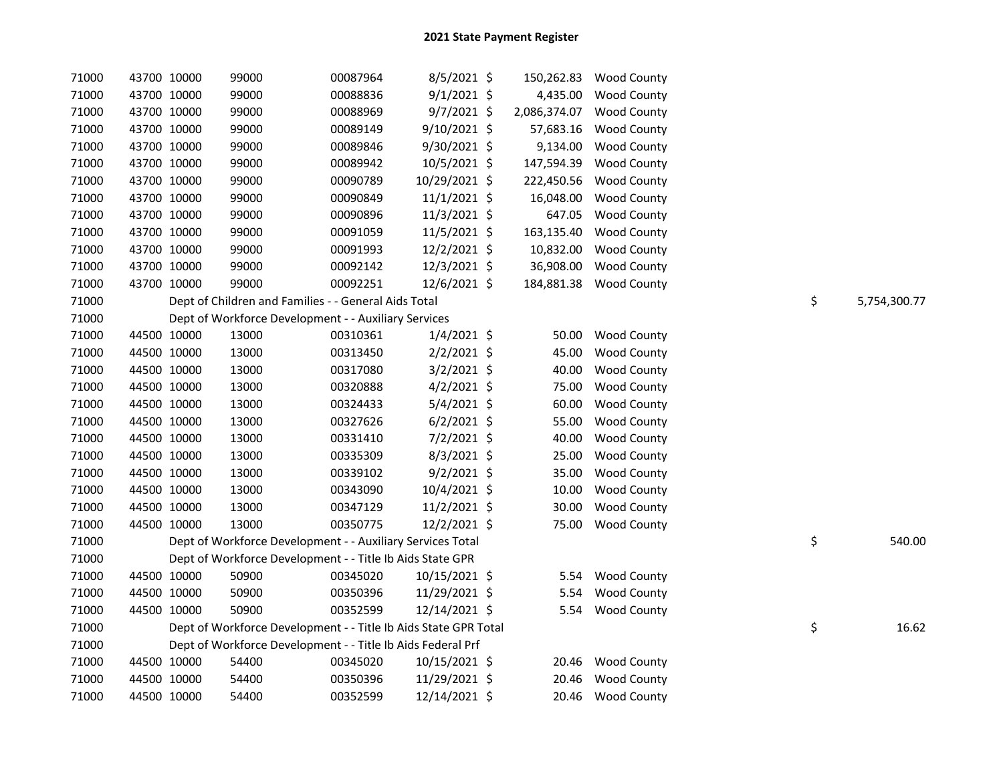| 71000 | 43700 10000 | 99000                                                           | 00087964 | 8/5/2021 \$   | 150,262.83   | <b>Wood County</b> |    |              |
|-------|-------------|-----------------------------------------------------------------|----------|---------------|--------------|--------------------|----|--------------|
| 71000 | 43700 10000 | 99000                                                           | 00088836 | $9/1/2021$ \$ | 4,435.00     | Wood County        |    |              |
| 71000 | 43700 10000 | 99000                                                           | 00088969 | $9/7/2021$ \$ | 2,086,374.07 | <b>Wood County</b> |    |              |
| 71000 | 43700 10000 | 99000                                                           | 00089149 | 9/10/2021 \$  | 57,683.16    | <b>Wood County</b> |    |              |
| 71000 | 43700 10000 | 99000                                                           | 00089846 | 9/30/2021 \$  | 9,134.00     | Wood County        |    |              |
| 71000 | 43700 10000 | 99000                                                           | 00089942 | 10/5/2021 \$  | 147,594.39   | <b>Wood County</b> |    |              |
| 71000 | 43700 10000 | 99000                                                           | 00090789 | 10/29/2021 \$ | 222,450.56   | <b>Wood County</b> |    |              |
| 71000 | 43700 10000 | 99000                                                           | 00090849 | 11/1/2021 \$  | 16,048.00    | Wood County        |    |              |
| 71000 | 43700 10000 | 99000                                                           | 00090896 | 11/3/2021 \$  | 647.05       | <b>Wood County</b> |    |              |
| 71000 | 43700 10000 | 99000                                                           | 00091059 | 11/5/2021 \$  | 163,135.40   | <b>Wood County</b> |    |              |
| 71000 | 43700 10000 | 99000                                                           | 00091993 | 12/2/2021 \$  | 10,832.00    | <b>Wood County</b> |    |              |
| 71000 | 43700 10000 | 99000                                                           | 00092142 | 12/3/2021 \$  | 36,908.00    | Wood County        |    |              |
| 71000 | 43700 10000 | 99000                                                           | 00092251 | 12/6/2021 \$  | 184,881.38   | <b>Wood County</b> |    |              |
| 71000 |             | Dept of Children and Families - - General Aids Total            |          |               |              |                    | \$ | 5,754,300.77 |
| 71000 |             | Dept of Workforce Development - - Auxiliary Services            |          |               |              |                    |    |              |
| 71000 | 44500 10000 | 13000                                                           | 00310361 | $1/4/2021$ \$ | 50.00        | <b>Wood County</b> |    |              |
| 71000 | 44500 10000 | 13000                                                           | 00313450 | $2/2/2021$ \$ | 45.00        | <b>Wood County</b> |    |              |
| 71000 | 44500 10000 | 13000                                                           | 00317080 | $3/2/2021$ \$ | 40.00        | <b>Wood County</b> |    |              |
| 71000 | 44500 10000 | 13000                                                           | 00320888 | $4/2/2021$ \$ | 75.00        | <b>Wood County</b> |    |              |
| 71000 | 44500 10000 | 13000                                                           | 00324433 | 5/4/2021 \$   | 60.00        | <b>Wood County</b> |    |              |
| 71000 | 44500 10000 | 13000                                                           | 00327626 | $6/2/2021$ \$ | 55.00        | <b>Wood County</b> |    |              |
| 71000 | 44500 10000 | 13000                                                           | 00331410 | 7/2/2021 \$   | 40.00        | <b>Wood County</b> |    |              |
| 71000 | 44500 10000 | 13000                                                           | 00335309 | 8/3/2021 \$   | 25.00        | <b>Wood County</b> |    |              |
| 71000 | 44500 10000 | 13000                                                           | 00339102 | $9/2/2021$ \$ | 35.00        | <b>Wood County</b> |    |              |
| 71000 | 44500 10000 | 13000                                                           | 00343090 | 10/4/2021 \$  | 10.00        | <b>Wood County</b> |    |              |
| 71000 | 44500 10000 | 13000                                                           | 00347129 | 11/2/2021 \$  | 30.00        | <b>Wood County</b> |    |              |
| 71000 | 44500 10000 | 13000                                                           | 00350775 | 12/2/2021 \$  | 75.00        | <b>Wood County</b> |    |              |
| 71000 |             | Dept of Workforce Development - - Auxiliary Services Total      |          |               |              |                    | \$ | 540.00       |
| 71000 |             | Dept of Workforce Development - - Title Ib Aids State GPR       |          |               |              |                    |    |              |
| 71000 | 44500 10000 | 50900                                                           | 00345020 | 10/15/2021 \$ | 5.54         | <b>Wood County</b> |    |              |
| 71000 | 44500 10000 | 50900                                                           | 00350396 | 11/29/2021 \$ | 5.54         | <b>Wood County</b> |    |              |
| 71000 | 44500 10000 | 50900                                                           | 00352599 | 12/14/2021 \$ | 5.54         | <b>Wood County</b> |    |              |
| 71000 |             | Dept of Workforce Development - - Title Ib Aids State GPR Total |          |               |              |                    | \$ | 16.62        |
| 71000 |             | Dept of Workforce Development - - Title Ib Aids Federal Prf     |          |               |              |                    |    |              |
| 71000 | 44500 10000 | 54400                                                           | 00345020 | 10/15/2021 \$ | 20.46        | <b>Wood County</b> |    |              |
| 71000 | 44500 10000 | 54400                                                           | 00350396 | 11/29/2021 \$ | 20.46        | <b>Wood County</b> |    |              |
| 71000 | 44500 10000 | 54400                                                           | 00352599 | 12/14/2021 \$ | 20.46        | <b>Wood County</b> |    |              |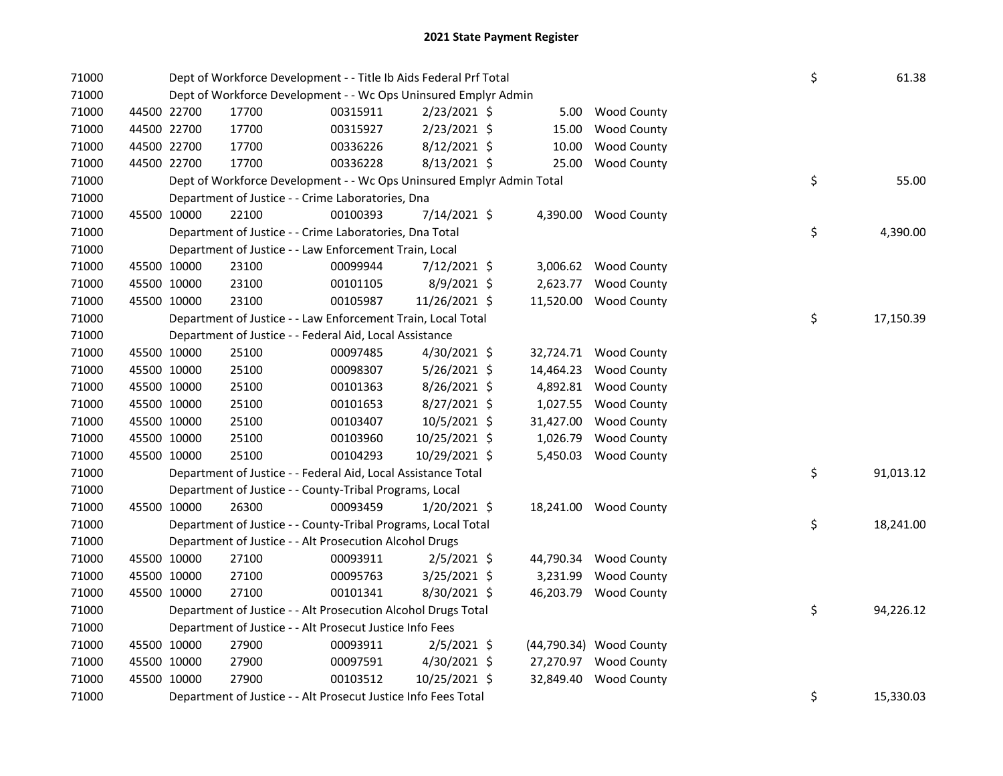| 71000 |             |             | Dept of Workforce Development - - Title Ib Aids Federal Prf Total     | \$       | 61.38          |           |                         |    |           |
|-------|-------------|-------------|-----------------------------------------------------------------------|----------|----------------|-----------|-------------------------|----|-----------|
| 71000 |             |             | Dept of Workforce Development - - Wc Ops Uninsured Emplyr Admin       |          |                |           |                         |    |           |
| 71000 |             | 44500 22700 | 17700                                                                 | 00315911 | $2/23/2021$ \$ | 5.00      | <b>Wood County</b>      |    |           |
| 71000 |             | 44500 22700 | 17700                                                                 | 00315927 | $2/23/2021$ \$ | 15.00     | <b>Wood County</b>      |    |           |
| 71000 |             | 44500 22700 | 17700                                                                 | 00336226 | 8/12/2021 \$   | 10.00     | <b>Wood County</b>      |    |           |
| 71000 |             | 44500 22700 | 17700                                                                 | 00336228 | 8/13/2021 \$   | 25.00     | <b>Wood County</b>      |    |           |
| 71000 |             |             | Dept of Workforce Development - - Wc Ops Uninsured Emplyr Admin Total |          |                |           |                         | \$ | 55.00     |
| 71000 |             |             | Department of Justice - - Crime Laboratories, Dna                     |          |                |           |                         |    |           |
| 71000 |             | 45500 10000 | 22100                                                                 | 00100393 | 7/14/2021 \$   |           | 4,390.00 Wood County    |    |           |
| 71000 |             |             | Department of Justice - - Crime Laboratories, Dna Total               |          |                |           |                         | \$ | 4,390.00  |
| 71000 |             |             | Department of Justice - - Law Enforcement Train, Local                |          |                |           |                         |    |           |
| 71000 |             | 45500 10000 | 23100                                                                 | 00099944 | 7/12/2021 \$   |           | 3,006.62 Wood County    |    |           |
| 71000 |             | 45500 10000 | 23100                                                                 | 00101105 | 8/9/2021 \$    | 2,623.77  | Wood County             |    |           |
| 71000 |             | 45500 10000 | 23100                                                                 | 00105987 | 11/26/2021 \$  | 11,520.00 | <b>Wood County</b>      |    |           |
| 71000 |             |             | Department of Justice - - Law Enforcement Train, Local Total          |          |                |           |                         | \$ | 17,150.39 |
| 71000 |             |             | Department of Justice - - Federal Aid, Local Assistance               |          |                |           |                         |    |           |
| 71000 |             | 45500 10000 | 25100                                                                 | 00097485 | 4/30/2021 \$   | 32,724.71 | <b>Wood County</b>      |    |           |
| 71000 |             | 45500 10000 | 25100                                                                 | 00098307 | $5/26/2021$ \$ | 14,464.23 | <b>Wood County</b>      |    |           |
| 71000 |             | 45500 10000 | 25100                                                                 | 00101363 | 8/26/2021 \$   | 4,892.81  | <b>Wood County</b>      |    |           |
| 71000 |             | 45500 10000 | 25100                                                                 | 00101653 | $8/27/2021$ \$ | 1,027.55  | <b>Wood County</b>      |    |           |
| 71000 |             | 45500 10000 | 25100                                                                 | 00103407 | 10/5/2021 \$   | 31,427.00 | <b>Wood County</b>      |    |           |
| 71000 | 45500 10000 |             | 25100                                                                 | 00103960 | 10/25/2021 \$  | 1,026.79  | <b>Wood County</b>      |    |           |
| 71000 |             | 45500 10000 | 25100                                                                 | 00104293 | 10/29/2021 \$  | 5,450.03  | <b>Wood County</b>      |    |           |
| 71000 |             |             | Department of Justice - - Federal Aid, Local Assistance Total         |          |                |           |                         | \$ | 91,013.12 |
| 71000 |             |             | Department of Justice - - County-Tribal Programs, Local               |          |                |           |                         |    |           |
| 71000 |             | 45500 10000 | 26300                                                                 | 00093459 | $1/20/2021$ \$ |           | 18,241.00 Wood County   |    |           |
| 71000 |             |             | Department of Justice - - County-Tribal Programs, Local Total         |          |                |           |                         | \$ | 18,241.00 |
| 71000 |             |             | Department of Justice - - Alt Prosecution Alcohol Drugs               |          |                |           |                         |    |           |
| 71000 |             | 45500 10000 | 27100                                                                 | 00093911 | $2/5/2021$ \$  | 44,790.34 | <b>Wood County</b>      |    |           |
| 71000 |             | 45500 10000 | 27100                                                                 | 00095763 | $3/25/2021$ \$ | 3,231.99  | <b>Wood County</b>      |    |           |
| 71000 |             | 45500 10000 | 27100                                                                 | 00101341 | 8/30/2021 \$   | 46,203.79 | <b>Wood County</b>      |    |           |
| 71000 |             |             | Department of Justice - - Alt Prosecution Alcohol Drugs Total         |          |                |           |                         | \$ | 94,226.12 |
| 71000 |             |             | Department of Justice - - Alt Prosecut Justice Info Fees              |          |                |           |                         |    |           |
| 71000 |             | 45500 10000 | 27900                                                                 | 00093911 | 2/5/2021 \$    |           | (44,790.34) Wood County |    |           |
| 71000 |             | 45500 10000 | 27900                                                                 | 00097591 | 4/30/2021 \$   |           | 27,270.97 Wood County   |    |           |
| 71000 |             | 45500 10000 | 27900                                                                 | 00103512 | 10/25/2021 \$  | 32,849.40 | <b>Wood County</b>      |    |           |
| 71000 |             |             | Department of Justice - - Alt Prosecut Justice Info Fees Total        |          |                |           |                         | \$ | 15,330.03 |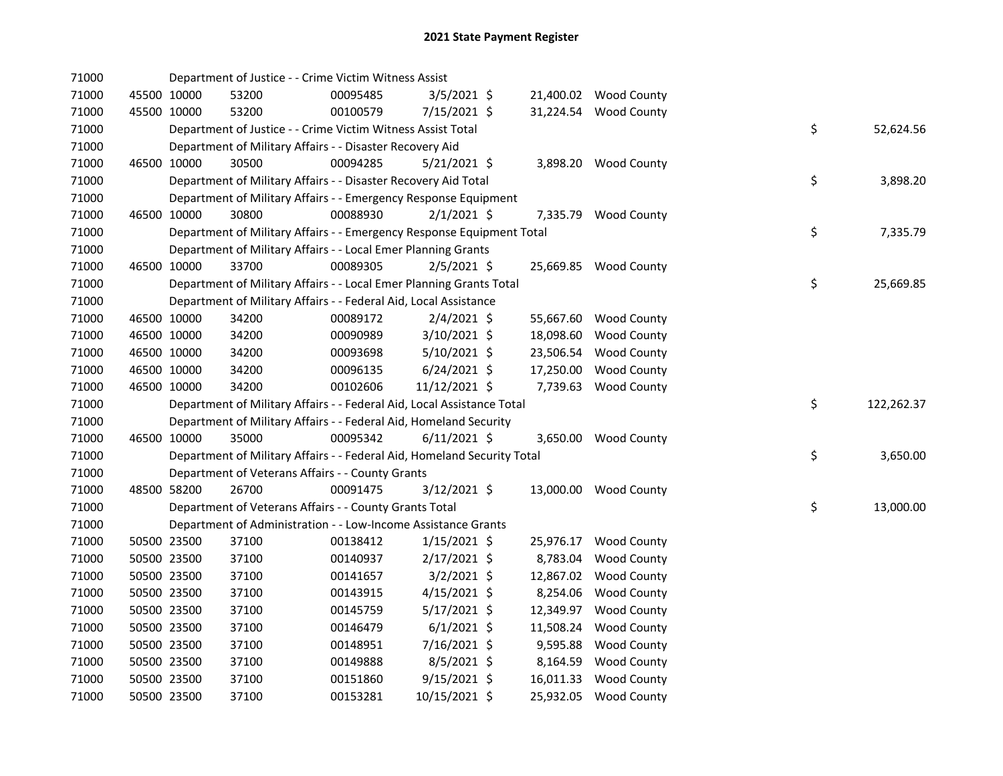| 71000          |             |                            | Department of Justice - - Crime Victim Witness Assist                   |                      |                                 |           |                                             |    |            |
|----------------|-------------|----------------------------|-------------------------------------------------------------------------|----------------------|---------------------------------|-----------|---------------------------------------------|----|------------|
| 71000          |             | 45500 10000                | 53200                                                                   | 00095485             | 3/5/2021 \$                     |           | 21,400.02 Wood County                       |    |            |
| 71000          |             | 45500 10000                | 53200                                                                   | 00100579             | 7/15/2021 \$                    |           | 31,224.54 Wood County                       |    |            |
| 71000          |             |                            | Department of Justice - - Crime Victim Witness Assist Total             |                      |                                 |           |                                             | \$ | 52,624.56  |
| 71000          |             |                            | Department of Military Affairs - - Disaster Recovery Aid                |                      |                                 |           |                                             |    |            |
| 71000          |             | 46500 10000                | 30500                                                                   | 00094285             | $5/21/2021$ \$                  |           | 3,898.20 Wood County                        |    |            |
| 71000          |             |                            | Department of Military Affairs - - Disaster Recovery Aid Total          |                      |                                 |           |                                             | \$ | 3,898.20   |
| 71000          |             |                            | Department of Military Affairs - - Emergency Response Equipment         |                      |                                 |           |                                             |    |            |
| 71000          |             | 46500 10000                | 30800                                                                   | 00088930             | $2/1/2021$ \$                   |           | 7,335.79 Wood County                        |    |            |
| 71000          |             |                            | Department of Military Affairs - - Emergency Response Equipment Total   |                      |                                 |           |                                             | \$ | 7,335.79   |
| 71000          |             |                            | Department of Military Affairs - - Local Emer Planning Grants           |                      |                                 |           |                                             |    |            |
| 71000          |             | 46500 10000                | 33700                                                                   | 00089305             | $2/5/2021$ \$                   |           | 25,669.85 Wood County                       |    |            |
| 71000          |             |                            | Department of Military Affairs - - Local Emer Planning Grants Total     |                      |                                 |           |                                             | \$ | 25,669.85  |
| 71000          |             |                            | Department of Military Affairs - - Federal Aid, Local Assistance        |                      |                                 |           |                                             |    |            |
| 71000          |             | 46500 10000                | 34200                                                                   | 00089172             | $2/4/2021$ \$                   |           | 55,667.60 Wood County                       |    |            |
| 71000          |             | 46500 10000                | 34200                                                                   | 00090989             | 3/10/2021 \$                    | 18,098.60 | <b>Wood County</b>                          |    |            |
| 71000          |             | 46500 10000                | 34200                                                                   | 00093698             | $5/10/2021$ \$                  | 23,506.54 | <b>Wood County</b>                          |    |            |
| 71000          |             | 46500 10000                | 34200                                                                   | 00096135             | $6/24/2021$ \$                  | 17,250.00 | <b>Wood County</b>                          |    |            |
| 71000          | 46500 10000 |                            |                                                                         |                      |                                 |           |                                             |    |            |
|                |             |                            | 34200                                                                   | 00102606             | 11/12/2021 \$                   |           | 7,739.63 Wood County                        |    |            |
| 71000          |             |                            | Department of Military Affairs - - Federal Aid, Local Assistance Total  |                      |                                 |           |                                             | \$ | 122,262.37 |
| 71000          |             |                            | Department of Military Affairs - - Federal Aid, Homeland Security       |                      |                                 |           |                                             |    |            |
| 71000          |             | 46500 10000                | 35000                                                                   | 00095342             | $6/11/2021$ \$                  |           | 3,650.00 Wood County                        |    |            |
| 71000          |             |                            | Department of Military Affairs - - Federal Aid, Homeland Security Total |                      |                                 |           |                                             | \$ | 3,650.00   |
| 71000          |             |                            | Department of Veterans Affairs - - County Grants                        |                      |                                 |           |                                             |    |            |
| 71000          |             | 48500 58200                | 26700                                                                   | 00091475             | 3/12/2021 \$                    |           | 13,000.00 Wood County                       |    |            |
| 71000          |             |                            | Department of Veterans Affairs - - County Grants Total                  |                      |                                 |           |                                             | \$ | 13,000.00  |
| 71000          |             |                            | Department of Administration - - Low-Income Assistance Grants           |                      |                                 |           |                                             |    |            |
| 71000          |             | 50500 23500                | 37100                                                                   | 00138412             | $1/15/2021$ \$                  |           | 25,976.17 Wood County                       |    |            |
| 71000          |             | 50500 23500                | 37100                                                                   | 00140937             | $2/17/2021$ \$                  | 8,783.04  | <b>Wood County</b>                          |    |            |
| 71000          |             | 50500 23500                | 37100                                                                   | 00141657             | $3/2/2021$ \$                   |           | 12,867.02 Wood County                       |    |            |
| 71000          |             | 50500 23500                | 37100                                                                   | 00143915             | $4/15/2021$ \$                  | 8,254.06  | <b>Wood County</b>                          |    |            |
| 71000          |             | 50500 23500                | 37100                                                                   | 00145759             | $5/17/2021$ \$                  | 12,349.97 | <b>Wood County</b>                          |    |            |
| 71000          |             | 50500 23500                | 37100                                                                   | 00146479             | $6/1/2021$ \$                   | 11,508.24 | <b>Wood County</b>                          |    |            |
| 71000          |             | 50500 23500                | 37100                                                                   | 00148951             | 7/16/2021 \$                    | 9,595.88  | <b>Wood County</b>                          |    |            |
| 71000          |             | 50500 23500                | 37100                                                                   | 00149888             | 8/5/2021 \$                     | 8,164.59  | <b>Wood County</b>                          |    |            |
| 71000<br>71000 |             | 50500 23500<br>50500 23500 | 37100<br>37100                                                          | 00151860<br>00153281 | $9/15/2021$ \$<br>10/15/2021 \$ | 16,011.33 | <b>Wood County</b><br>25,932.05 Wood County |    |            |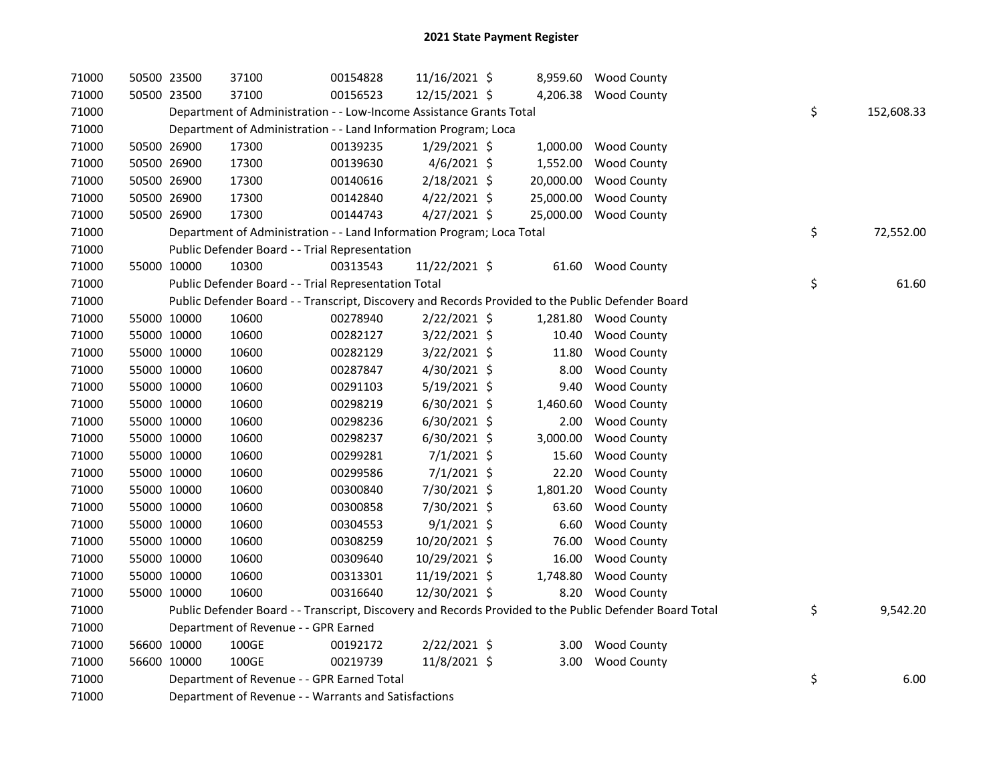| 71000 | 50500 23500 | 37100                                                                 | 00154828 | 11/16/2021 \$  |           | 8,959.60 Wood County                                                                                    |                  |
|-------|-------------|-----------------------------------------------------------------------|----------|----------------|-----------|---------------------------------------------------------------------------------------------------------|------------------|
| 71000 | 50500 23500 | 37100                                                                 | 00156523 | 12/15/2021 \$  |           | 4,206.38 Wood County                                                                                    |                  |
| 71000 |             | Department of Administration - - Low-Income Assistance Grants Total   |          |                |           |                                                                                                         | \$<br>152,608.33 |
| 71000 |             | Department of Administration - - Land Information Program; Loca       |          |                |           |                                                                                                         |                  |
| 71000 | 50500 26900 | 17300                                                                 | 00139235 | 1/29/2021 \$   |           | 1,000.00 Wood County                                                                                    |                  |
| 71000 | 50500 26900 | 17300                                                                 | 00139630 | $4/6/2021$ \$  |           | 1,552.00 Wood County                                                                                    |                  |
| 71000 | 50500 26900 | 17300                                                                 | 00140616 | $2/18/2021$ \$ | 20,000.00 | <b>Wood County</b>                                                                                      |                  |
| 71000 | 50500 26900 | 17300                                                                 | 00142840 | $4/22/2021$ \$ | 25,000.00 | <b>Wood County</b>                                                                                      |                  |
| 71000 | 50500 26900 | 17300                                                                 | 00144743 | 4/27/2021 \$   | 25,000.00 | <b>Wood County</b>                                                                                      |                  |
| 71000 |             | Department of Administration - - Land Information Program; Loca Total |          |                |           |                                                                                                         | \$<br>72,552.00  |
| 71000 |             | Public Defender Board - - Trial Representation                        |          |                |           |                                                                                                         |                  |
| 71000 | 55000 10000 | 10300                                                                 | 00313543 | 11/22/2021 \$  |           | 61.60 Wood County                                                                                       |                  |
| 71000 |             | Public Defender Board - - Trial Representation Total                  |          |                |           |                                                                                                         | \$<br>61.60      |
| 71000 |             |                                                                       |          |                |           | Public Defender Board - - Transcript, Discovery and Records Provided to the Public Defender Board       |                  |
| 71000 | 55000 10000 | 10600                                                                 | 00278940 | $2/22/2021$ \$ |           | 1,281.80 Wood County                                                                                    |                  |
| 71000 | 55000 10000 | 10600                                                                 | 00282127 | 3/22/2021 \$   | 10.40     | <b>Wood County</b>                                                                                      |                  |
| 71000 | 55000 10000 | 10600                                                                 | 00282129 | $3/22/2021$ \$ | 11.80     | <b>Wood County</b>                                                                                      |                  |
| 71000 | 55000 10000 | 10600                                                                 | 00287847 | 4/30/2021 \$   | 8.00      | <b>Wood County</b>                                                                                      |                  |
| 71000 | 55000 10000 | 10600                                                                 | 00291103 | $5/19/2021$ \$ | 9.40      | <b>Wood County</b>                                                                                      |                  |
| 71000 | 55000 10000 | 10600                                                                 | 00298219 | 6/30/2021 \$   | 1,460.60  | Wood County                                                                                             |                  |
| 71000 | 55000 10000 | 10600                                                                 | 00298236 | $6/30/2021$ \$ | 2.00      | <b>Wood County</b>                                                                                      |                  |
| 71000 | 55000 10000 | 10600                                                                 | 00298237 | $6/30/2021$ \$ | 3,000.00  | <b>Wood County</b>                                                                                      |                  |
| 71000 | 55000 10000 | 10600                                                                 | 00299281 | $7/1/2021$ \$  | 15.60     | <b>Wood County</b>                                                                                      |                  |
| 71000 | 55000 10000 | 10600                                                                 | 00299586 | $7/1/2021$ \$  | 22.20     | <b>Wood County</b>                                                                                      |                  |
| 71000 | 55000 10000 | 10600                                                                 | 00300840 | 7/30/2021 \$   | 1,801.20  | <b>Wood County</b>                                                                                      |                  |
| 71000 | 55000 10000 | 10600                                                                 | 00300858 | 7/30/2021 \$   | 63.60     | <b>Wood County</b>                                                                                      |                  |
| 71000 | 55000 10000 | 10600                                                                 | 00304553 | $9/1/2021$ \$  | 6.60      | <b>Wood County</b>                                                                                      |                  |
| 71000 | 55000 10000 | 10600                                                                 | 00308259 | 10/20/2021 \$  | 76.00     | <b>Wood County</b>                                                                                      |                  |
| 71000 | 55000 10000 | 10600                                                                 | 00309640 | 10/29/2021 \$  | 16.00     | <b>Wood County</b>                                                                                      |                  |
| 71000 | 55000 10000 | 10600                                                                 | 00313301 | 11/19/2021 \$  | 1,748.80  | <b>Wood County</b>                                                                                      |                  |
| 71000 | 55000 10000 | 10600                                                                 | 00316640 | 12/30/2021 \$  | 8.20      | <b>Wood County</b>                                                                                      |                  |
| 71000 |             |                                                                       |          |                |           | Public Defender Board - - Transcript, Discovery and Records Provided to the Public Defender Board Total | \$<br>9,542.20   |
| 71000 |             | Department of Revenue - - GPR Earned                                  |          |                |           |                                                                                                         |                  |
| 71000 | 56600 10000 | 100GE                                                                 | 00192172 | 2/22/2021 \$   |           | 3.00 Wood County                                                                                        |                  |
| 71000 | 56600 10000 | 100GE                                                                 | 00219739 | 11/8/2021 \$   | 3.00      | <b>Wood County</b>                                                                                      |                  |
| 71000 |             | Department of Revenue - - GPR Earned Total                            |          |                |           |                                                                                                         | \$<br>6.00       |
| 71000 |             | Department of Revenue - - Warrants and Satisfactions                  |          |                |           |                                                                                                         |                  |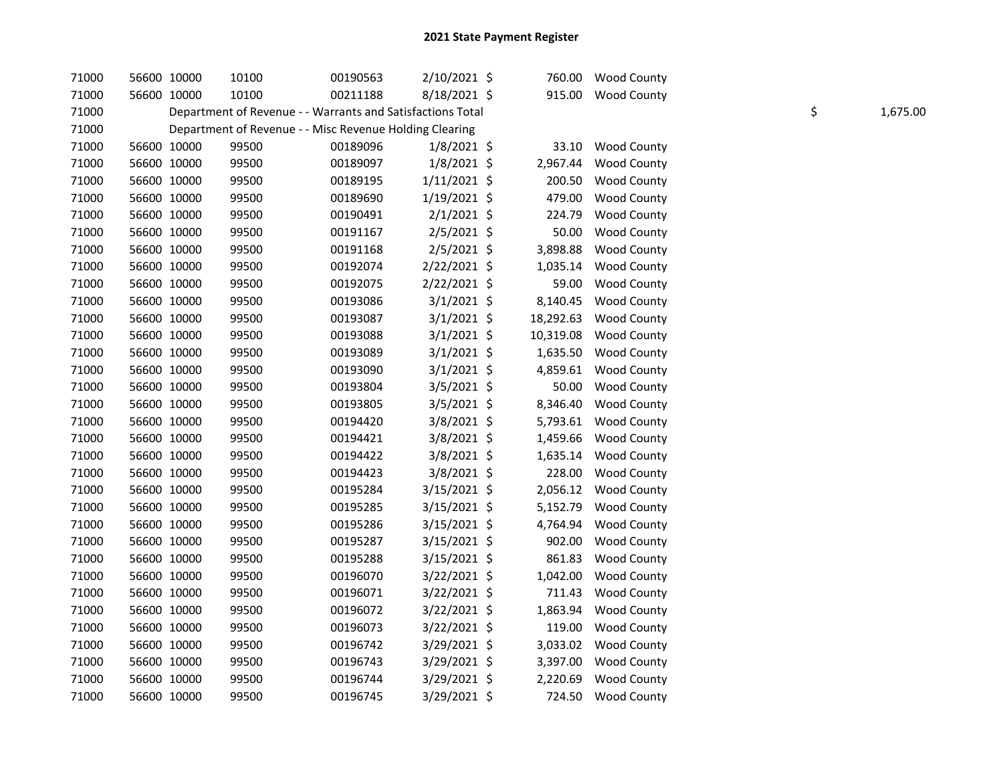| 71000 | 56600 10000 | 10100                                                      | 00190563 | 2/10/2021 \$   |           | 760.00 Wood County   |    |          |
|-------|-------------|------------------------------------------------------------|----------|----------------|-----------|----------------------|----|----------|
| 71000 | 56600 10000 | 10100                                                      | 00211188 | 8/18/2021 \$   |           | 915.00 Wood County   |    |          |
| 71000 |             | Department of Revenue - - Warrants and Satisfactions Total |          |                |           |                      | \$ | 1,675.00 |
| 71000 |             | Department of Revenue - - Misc Revenue Holding Clearing    |          |                |           |                      |    |          |
| 71000 | 56600 10000 | 99500                                                      | 00189096 | $1/8/2021$ \$  | 33.10     | <b>Wood County</b>   |    |          |
| 71000 | 56600 10000 | 99500                                                      | 00189097 | $1/8/2021$ \$  | 2,967.44  | <b>Wood County</b>   |    |          |
| 71000 | 56600 10000 | 99500                                                      | 00189195 | $1/11/2021$ \$ | 200.50    | <b>Wood County</b>   |    |          |
| 71000 | 56600 10000 | 99500                                                      | 00189690 | $1/19/2021$ \$ | 479.00    | <b>Wood County</b>   |    |          |
| 71000 | 56600 10000 | 99500                                                      | 00190491 | $2/1/2021$ \$  | 224.79    | <b>Wood County</b>   |    |          |
| 71000 | 56600 10000 | 99500                                                      | 00191167 | $2/5/2021$ \$  | 50.00     | <b>Wood County</b>   |    |          |
| 71000 | 56600 10000 | 99500                                                      | 00191168 | $2/5/2021$ \$  | 3,898.88  | <b>Wood County</b>   |    |          |
| 71000 | 56600 10000 | 99500                                                      | 00192074 | 2/22/2021 \$   | 1,035.14  | <b>Wood County</b>   |    |          |
| 71000 | 56600 10000 | 99500                                                      | 00192075 | 2/22/2021 \$   | 59.00     | <b>Wood County</b>   |    |          |
| 71000 | 56600 10000 | 99500                                                      | 00193086 | $3/1/2021$ \$  | 8,140.45  | <b>Wood County</b>   |    |          |
| 71000 | 56600 10000 | 99500                                                      | 00193087 | $3/1/2021$ \$  | 18,292.63 | <b>Wood County</b>   |    |          |
| 71000 | 56600 10000 | 99500                                                      | 00193088 | 3/1/2021 \$    | 10,319.08 | <b>Wood County</b>   |    |          |
| 71000 | 56600 10000 | 99500                                                      | 00193089 | $3/1/2021$ \$  | 1,635.50  | <b>Wood County</b>   |    |          |
| 71000 | 56600 10000 | 99500                                                      | 00193090 | $3/1/2021$ \$  |           | 4,859.61 Wood County |    |          |
| 71000 | 56600 10000 | 99500                                                      | 00193804 | 3/5/2021 \$    | 50.00     | <b>Wood County</b>   |    |          |
| 71000 | 56600 10000 | 99500                                                      | 00193805 | 3/5/2021 \$    | 8,346.40  | Wood County          |    |          |
| 71000 | 56600 10000 | 99500                                                      | 00194420 | 3/8/2021 \$    | 5,793.61  | <b>Wood County</b>   |    |          |
| 71000 | 56600 10000 | 99500                                                      | 00194421 | 3/8/2021 \$    | 1,459.66  | <b>Wood County</b>   |    |          |
| 71000 | 56600 10000 | 99500                                                      | 00194422 | 3/8/2021 \$    | 1,635.14  | Wood County          |    |          |
| 71000 | 56600 10000 | 99500                                                      | 00194423 | 3/8/2021 \$    | 228.00    | <b>Wood County</b>   |    |          |
| 71000 | 56600 10000 | 99500                                                      | 00195284 | $3/15/2021$ \$ | 2,056.12  | <b>Wood County</b>   |    |          |
| 71000 | 56600 10000 | 99500                                                      | 00195285 | $3/15/2021$ \$ | 5,152.79  | <b>Wood County</b>   |    |          |
| 71000 | 56600 10000 | 99500                                                      | 00195286 | 3/15/2021 \$   | 4,764.94  | <b>Wood County</b>   |    |          |
| 71000 | 56600 10000 | 99500                                                      | 00195287 | 3/15/2021 \$   | 902.00    | <b>Wood County</b>   |    |          |
| 71000 | 56600 10000 | 99500                                                      | 00195288 | $3/15/2021$ \$ | 861.83    | <b>Wood County</b>   |    |          |
| 71000 | 56600 10000 | 99500                                                      | 00196070 | $3/22/2021$ \$ | 1,042.00  | <b>Wood County</b>   |    |          |
| 71000 | 56600 10000 | 99500                                                      | 00196071 | 3/22/2021 \$   | 711.43    | <b>Wood County</b>   |    |          |
| 71000 | 56600 10000 | 99500                                                      | 00196072 | 3/22/2021 \$   | 1,863.94  | Wood County          |    |          |
| 71000 | 56600 10000 | 99500                                                      | 00196073 | 3/22/2021 \$   | 119.00    | <b>Wood County</b>   |    |          |
| 71000 | 56600 10000 | 99500                                                      | 00196742 | $3/29/2021$ \$ | 3,033.02  | <b>Wood County</b>   |    |          |
| 71000 | 56600 10000 | 99500                                                      | 00196743 | 3/29/2021 \$   | 3,397.00  | Wood County          |    |          |
| 71000 | 56600 10000 | 99500                                                      | 00196744 | 3/29/2021 \$   | 2,220.69  | <b>Wood County</b>   |    |          |
| 71000 | 56600 10000 | 99500                                                      | 00196745 | 3/29/2021 \$   | 724.50    | <b>Wood County</b>   |    |          |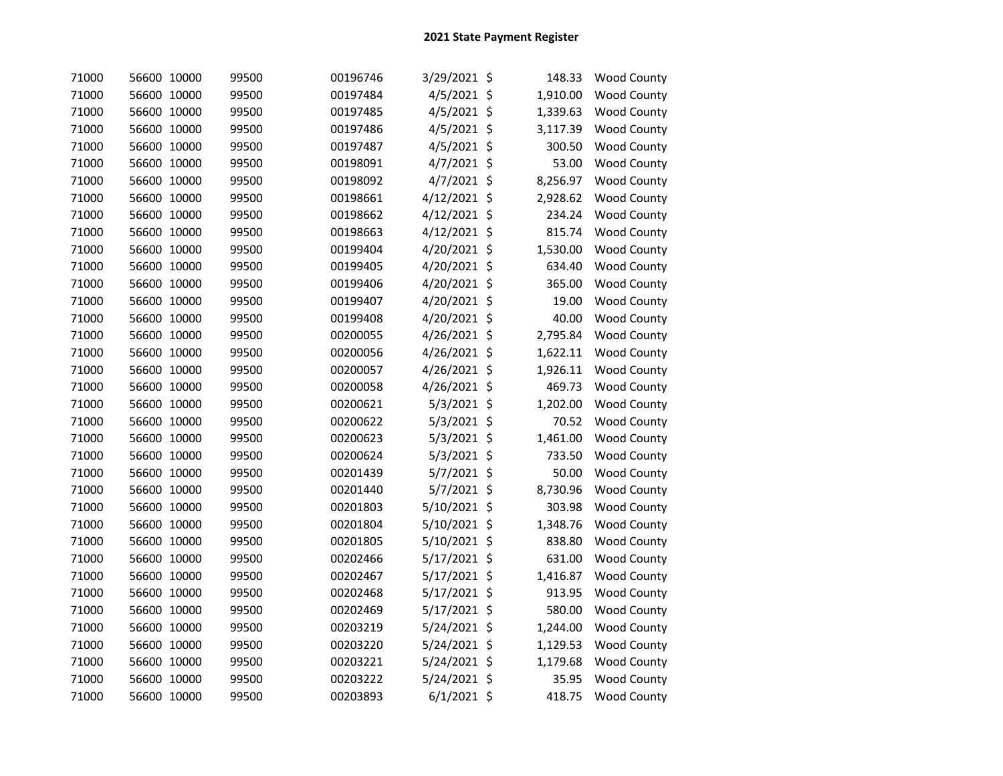| 71000 | 56600 10000 | 99500 | 00196746 | 3/29/2021 \$  | 148.33   | <b>Wood County</b> |
|-------|-------------|-------|----------|---------------|----------|--------------------|
| 71000 | 56600 10000 | 99500 | 00197484 | 4/5/2021 \$   | 1,910.00 | Wood County        |
| 71000 | 56600 10000 | 99500 | 00197485 | 4/5/2021 \$   | 1,339.63 | <b>Wood County</b> |
| 71000 | 56600 10000 | 99500 | 00197486 | 4/5/2021 \$   | 3,117.39 | <b>Wood County</b> |
| 71000 | 56600 10000 | 99500 | 00197487 | 4/5/2021 \$   | 300.50   | <b>Wood County</b> |
| 71000 | 56600 10000 | 99500 | 00198091 | 4/7/2021 \$   | 53.00    | <b>Wood County</b> |
| 71000 | 56600 10000 | 99500 | 00198092 | 4/7/2021 \$   | 8,256.97 | <b>Wood County</b> |
| 71000 | 56600 10000 | 99500 | 00198661 | 4/12/2021 \$  | 2,928.62 | <b>Wood County</b> |
| 71000 | 56600 10000 | 99500 | 00198662 | 4/12/2021 \$  | 234.24   | <b>Wood County</b> |
| 71000 | 56600 10000 | 99500 | 00198663 | 4/12/2021 \$  | 815.74   | <b>Wood County</b> |
| 71000 | 56600 10000 | 99500 | 00199404 | 4/20/2021 \$  | 1,530.00 | <b>Wood County</b> |
| 71000 | 56600 10000 | 99500 | 00199405 | 4/20/2021 \$  | 634.40   | <b>Wood County</b> |
| 71000 | 56600 10000 | 99500 | 00199406 | 4/20/2021 \$  | 365.00   | <b>Wood County</b> |
| 71000 | 56600 10000 | 99500 | 00199407 | 4/20/2021 \$  | 19.00    | <b>Wood County</b> |
| 71000 | 56600 10000 | 99500 | 00199408 | 4/20/2021 \$  | 40.00    | <b>Wood County</b> |
| 71000 | 56600 10000 | 99500 | 00200055 | 4/26/2021 \$  | 2,795.84 | Wood County        |
| 71000 | 56600 10000 | 99500 | 00200056 | 4/26/2021 \$  | 1,622.11 | <b>Wood County</b> |
| 71000 | 56600 10000 | 99500 | 00200057 | 4/26/2021 \$  | 1,926.11 | <b>Wood County</b> |
| 71000 | 56600 10000 | 99500 | 00200058 | 4/26/2021 \$  | 469.73   | <b>Wood County</b> |
| 71000 | 56600 10000 | 99500 | 00200621 | 5/3/2021 \$   | 1,202.00 | Wood County        |
| 71000 | 56600 10000 | 99500 | 00200622 | 5/3/2021 \$   | 70.52    | <b>Wood County</b> |
| 71000 | 56600 10000 | 99500 | 00200623 | $5/3/2021$ \$ | 1,461.00 | Wood County        |
| 71000 | 56600 10000 | 99500 | 00200624 | 5/3/2021 \$   | 733.50   | <b>Wood County</b> |
| 71000 | 56600 10000 | 99500 | 00201439 | 5/7/2021 \$   | 50.00    | <b>Wood County</b> |
| 71000 | 56600 10000 | 99500 | 00201440 | 5/7/2021 \$   | 8,730.96 | <b>Wood County</b> |
| 71000 | 56600 10000 | 99500 | 00201803 | 5/10/2021 \$  | 303.98   | <b>Wood County</b> |
| 71000 | 56600 10000 | 99500 | 00201804 | 5/10/2021 \$  | 1,348.76 | Wood County        |
| 71000 | 56600 10000 | 99500 | 00201805 | 5/10/2021 \$  | 838.80   | <b>Wood County</b> |
| 71000 | 56600 10000 | 99500 | 00202466 | 5/17/2021 \$  | 631.00   | <b>Wood County</b> |
| 71000 | 56600 10000 | 99500 | 00202467 | 5/17/2021 \$  | 1,416.87 | Wood County        |
| 71000 | 56600 10000 | 99500 | 00202468 | 5/17/2021 \$  | 913.95   | <b>Wood County</b> |
| 71000 | 56600 10000 | 99500 | 00202469 | 5/17/2021 \$  | 580.00   | <b>Wood County</b> |
| 71000 | 56600 10000 | 99500 | 00203219 | 5/24/2021 \$  | 1,244.00 | <b>Wood County</b> |
| 71000 | 56600 10000 | 99500 | 00203220 | 5/24/2021 \$  | 1,129.53 | Wood County        |
| 71000 | 56600 10000 | 99500 | 00203221 | 5/24/2021 \$  | 1,179.68 | <b>Wood County</b> |
| 71000 | 56600 10000 | 99500 | 00203222 | 5/24/2021 \$  | 35.95    | <b>Wood County</b> |
| 71000 | 56600 10000 | 99500 | 00203893 | $6/1/2021$ \$ | 418.75   | <b>Wood County</b> |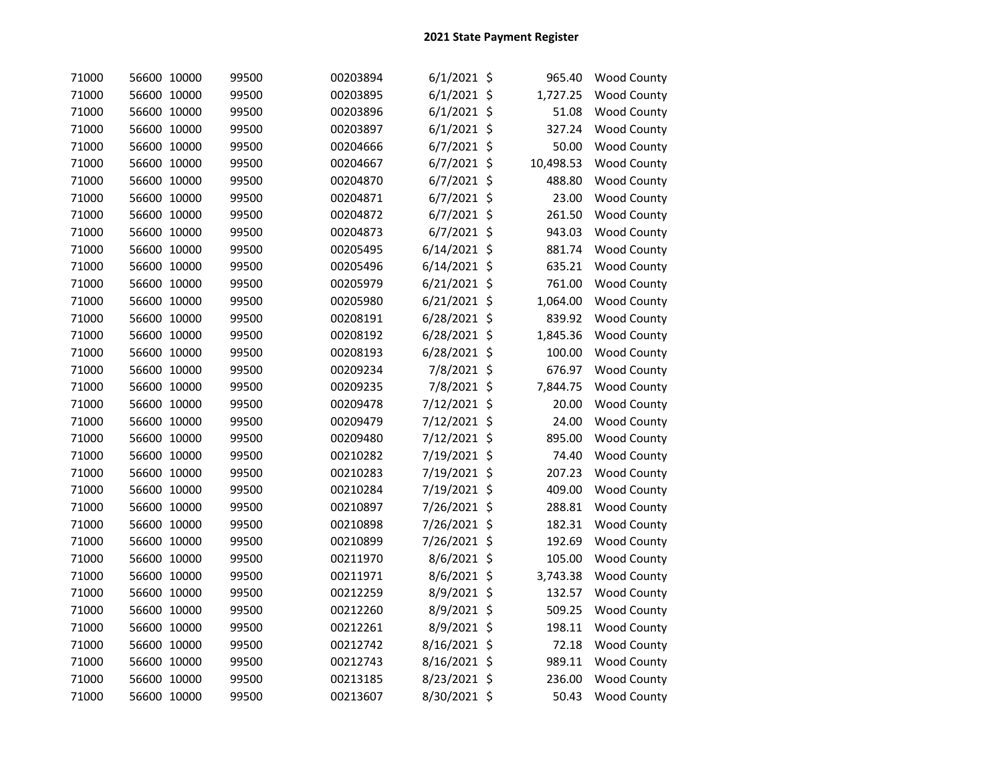| 71000 | 56600 10000 | 99500 | 00203894 | $6/1/2021$ \$  | 965.40    | <b>Wood County</b> |
|-------|-------------|-------|----------|----------------|-----------|--------------------|
| 71000 | 56600 10000 | 99500 | 00203895 | $6/1/2021$ \$  | 1,727.25  | Wood County        |
| 71000 | 56600 10000 | 99500 | 00203896 | $6/1/2021$ \$  | 51.08     | <b>Wood County</b> |
| 71000 | 56600 10000 | 99500 | 00203897 | $6/1/2021$ \$  | 327.24    | <b>Wood County</b> |
| 71000 | 56600 10000 | 99500 | 00204666 | 6/7/2021 \$    | 50.00     | <b>Wood County</b> |
| 71000 | 56600 10000 | 99500 | 00204667 | $6/7/2021$ \$  | 10,498.53 | <b>Wood County</b> |
| 71000 | 56600 10000 | 99500 | 00204870 | $6/7/2021$ \$  | 488.80    | <b>Wood County</b> |
| 71000 | 56600 10000 | 99500 | 00204871 | $6/7/2021$ \$  | 23.00     | <b>Wood County</b> |
| 71000 | 56600 10000 | 99500 | 00204872 | $6/7/2021$ \$  | 261.50    | <b>Wood County</b> |
| 71000 | 56600 10000 | 99500 | 00204873 | $6/7/2021$ \$  | 943.03    | <b>Wood County</b> |
| 71000 | 56600 10000 | 99500 | 00205495 | $6/14/2021$ \$ | 881.74    | <b>Wood County</b> |
| 71000 | 56600 10000 | 99500 | 00205496 | $6/14/2021$ \$ | 635.21    | <b>Wood County</b> |
| 71000 | 56600 10000 | 99500 | 00205979 | $6/21/2021$ \$ | 761.00    | <b>Wood County</b> |
| 71000 | 56600 10000 | 99500 | 00205980 | $6/21/2021$ \$ | 1,064.00  | <b>Wood County</b> |
| 71000 | 56600 10000 | 99500 | 00208191 | 6/28/2021 \$   | 839.92    | Wood County        |
| 71000 | 56600 10000 | 99500 | 00208192 | 6/28/2021 \$   | 1,845.36  | Wood County        |
| 71000 | 56600 10000 | 99500 | 00208193 | 6/28/2021 \$   | 100.00    | <b>Wood County</b> |
| 71000 | 56600 10000 | 99500 | 00209234 | 7/8/2021 \$    | 676.97    | <b>Wood County</b> |
| 71000 | 56600 10000 | 99500 | 00209235 | 7/8/2021 \$    | 7,844.75  | <b>Wood County</b> |
| 71000 | 56600 10000 | 99500 | 00209478 | 7/12/2021 \$   | 20.00     | <b>Wood County</b> |
| 71000 | 56600 10000 | 99500 | 00209479 | 7/12/2021 \$   | 24.00     | <b>Wood County</b> |
| 71000 | 56600 10000 | 99500 | 00209480 | 7/12/2021 \$   | 895.00    | <b>Wood County</b> |
| 71000 | 56600 10000 | 99500 | 00210282 | 7/19/2021 \$   | 74.40     | <b>Wood County</b> |
| 71000 | 56600 10000 | 99500 | 00210283 | 7/19/2021 \$   | 207.23    | <b>Wood County</b> |
| 71000 | 56600 10000 | 99500 | 00210284 | 7/19/2021 \$   | 409.00    | Wood County        |
| 71000 | 56600 10000 | 99500 | 00210897 | 7/26/2021 \$   | 288.81    | <b>Wood County</b> |
| 71000 | 56600 10000 | 99500 | 00210898 | 7/26/2021 \$   | 182.31    | <b>Wood County</b> |
| 71000 | 56600 10000 | 99500 | 00210899 | 7/26/2021 \$   | 192.69    | <b>Wood County</b> |
| 71000 | 56600 10000 | 99500 | 00211970 | 8/6/2021 \$    | 105.00    | <b>Wood County</b> |
| 71000 | 56600 10000 | 99500 | 00211971 | 8/6/2021 \$    | 3,743.38  | <b>Wood County</b> |
| 71000 | 56600 10000 | 99500 | 00212259 | 8/9/2021 \$    | 132.57    | <b>Wood County</b> |
| 71000 | 56600 10000 | 99500 | 00212260 | 8/9/2021 \$    | 509.25    | <b>Wood County</b> |
| 71000 | 56600 10000 | 99500 | 00212261 | 8/9/2021 \$    | 198.11    | <b>Wood County</b> |
| 71000 | 56600 10000 | 99500 | 00212742 | 8/16/2021 \$   | 72.18     | Wood County        |
| 71000 | 56600 10000 | 99500 | 00212743 | 8/16/2021 \$   | 989.11    | <b>Wood County</b> |
| 71000 | 56600 10000 | 99500 | 00213185 | 8/23/2021 \$   | 236.00    | <b>Wood County</b> |
| 71000 | 56600 10000 | 99500 | 00213607 | 8/30/2021 \$   | 50.43     | <b>Wood County</b> |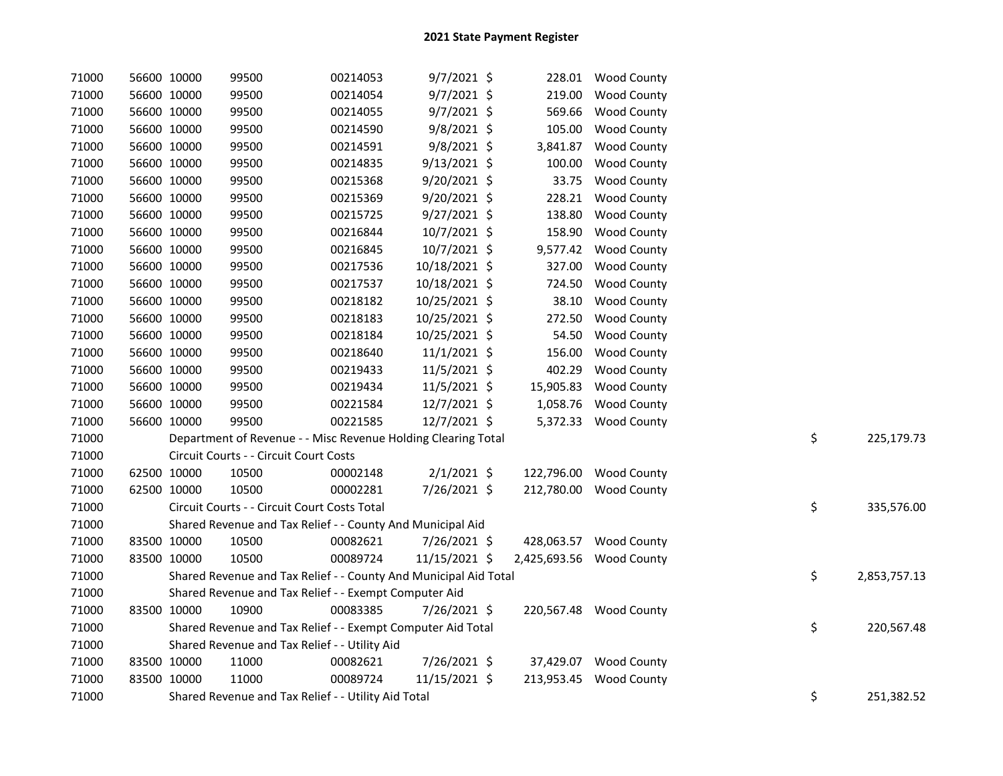| 71000 | 56600 10000 | 99500                                                            | 00214053 | $9/7/2021$ \$  |            | 228.01 Wood County       |    |              |
|-------|-------------|------------------------------------------------------------------|----------|----------------|------------|--------------------------|----|--------------|
| 71000 | 56600 10000 | 99500                                                            | 00214054 | 9/7/2021 \$    | 219.00     | <b>Wood County</b>       |    |              |
| 71000 | 56600 10000 | 99500                                                            | 00214055 | 9/7/2021 \$    | 569.66     | Wood County              |    |              |
| 71000 | 56600 10000 | 99500                                                            | 00214590 | $9/8/2021$ \$  | 105.00     | <b>Wood County</b>       |    |              |
| 71000 | 56600 10000 | 99500                                                            | 00214591 | $9/8/2021$ \$  | 3,841.87   | <b>Wood County</b>       |    |              |
| 71000 | 56600 10000 | 99500                                                            | 00214835 | 9/13/2021 \$   | 100.00     | <b>Wood County</b>       |    |              |
| 71000 | 56600 10000 | 99500                                                            | 00215368 | 9/20/2021 \$   | 33.75      | <b>Wood County</b>       |    |              |
| 71000 | 56600 10000 | 99500                                                            | 00215369 | $9/20/2021$ \$ | 228.21     | <b>Wood County</b>       |    |              |
| 71000 | 56600 10000 | 99500                                                            | 00215725 | $9/27/2021$ \$ | 138.80     | <b>Wood County</b>       |    |              |
| 71000 | 56600 10000 | 99500                                                            | 00216844 | 10/7/2021 \$   | 158.90     | <b>Wood County</b>       |    |              |
| 71000 | 56600 10000 | 99500                                                            | 00216845 | 10/7/2021 \$   | 9,577.42   | <b>Wood County</b>       |    |              |
| 71000 | 56600 10000 | 99500                                                            | 00217536 | 10/18/2021 \$  | 327.00     | <b>Wood County</b>       |    |              |
| 71000 | 56600 10000 | 99500                                                            | 00217537 | 10/18/2021 \$  | 724.50     | <b>Wood County</b>       |    |              |
| 71000 | 56600 10000 | 99500                                                            | 00218182 | 10/25/2021 \$  | 38.10      | <b>Wood County</b>       |    |              |
| 71000 | 56600 10000 | 99500                                                            | 00218183 | 10/25/2021 \$  | 272.50     | <b>Wood County</b>       |    |              |
| 71000 | 56600 10000 | 99500                                                            | 00218184 | 10/25/2021 \$  | 54.50      | Wood County              |    |              |
| 71000 | 56600 10000 | 99500                                                            | 00218640 | $11/1/2021$ \$ | 156.00     | <b>Wood County</b>       |    |              |
| 71000 | 56600 10000 | 99500                                                            | 00219433 | 11/5/2021 \$   | 402.29     | <b>Wood County</b>       |    |              |
| 71000 | 56600 10000 | 99500                                                            | 00219434 | 11/5/2021 \$   | 15,905.83  | <b>Wood County</b>       |    |              |
| 71000 | 56600 10000 | 99500                                                            | 00221584 | 12/7/2021 \$   | 1,058.76   | Wood County              |    |              |
| 71000 | 56600 10000 | 99500                                                            | 00221585 | 12/7/2021 \$   | 5,372.33   | <b>Wood County</b>       |    |              |
| 71000 |             | Department of Revenue - - Misc Revenue Holding Clearing Total    |          |                |            |                          | \$ | 225,179.73   |
| 71000 |             | Circuit Courts - - Circuit Court Costs                           |          |                |            |                          |    |              |
| 71000 | 62500 10000 | 10500                                                            | 00002148 | $2/1/2021$ \$  | 122,796.00 | <b>Wood County</b>       |    |              |
| 71000 | 62500 10000 | 10500                                                            | 00002281 | 7/26/2021 \$   | 212,780.00 | <b>Wood County</b>       |    |              |
| 71000 |             | Circuit Courts - - Circuit Court Costs Total                     |          |                |            |                          | \$ | 335,576.00   |
| 71000 |             | Shared Revenue and Tax Relief - - County And Municipal Aid       |          |                |            |                          |    |              |
| 71000 | 83500 10000 | 10500                                                            | 00082621 | 7/26/2021 \$   |            | 428,063.57 Wood County   |    |              |
| 71000 | 83500 10000 | 10500                                                            | 00089724 | 11/15/2021 \$  |            | 2,425,693.56 Wood County |    |              |
| 71000 |             | Shared Revenue and Tax Relief - - County And Municipal Aid Total |          |                |            |                          | \$ | 2,853,757.13 |
| 71000 |             | Shared Revenue and Tax Relief - - Exempt Computer Aid            |          |                |            |                          |    |              |
| 71000 | 83500 10000 | 10900                                                            | 00083385 | 7/26/2021 \$   |            | 220,567.48 Wood County   |    |              |
| 71000 |             | Shared Revenue and Tax Relief - - Exempt Computer Aid Total      |          |                |            |                          | \$ | 220,567.48   |
| 71000 |             | Shared Revenue and Tax Relief - - Utility Aid                    |          |                |            |                          |    |              |
| 71000 | 83500 10000 | 11000                                                            | 00082621 | 7/26/2021 \$   |            | 37,429.07 Wood County    |    |              |
| 71000 | 83500 10000 | 11000                                                            | 00089724 | 11/15/2021 \$  |            | 213,953.45 Wood County   |    |              |
| 71000 |             | Shared Revenue and Tax Relief - - Utility Aid Total              |          |                |            |                          | \$ | 251,382.52   |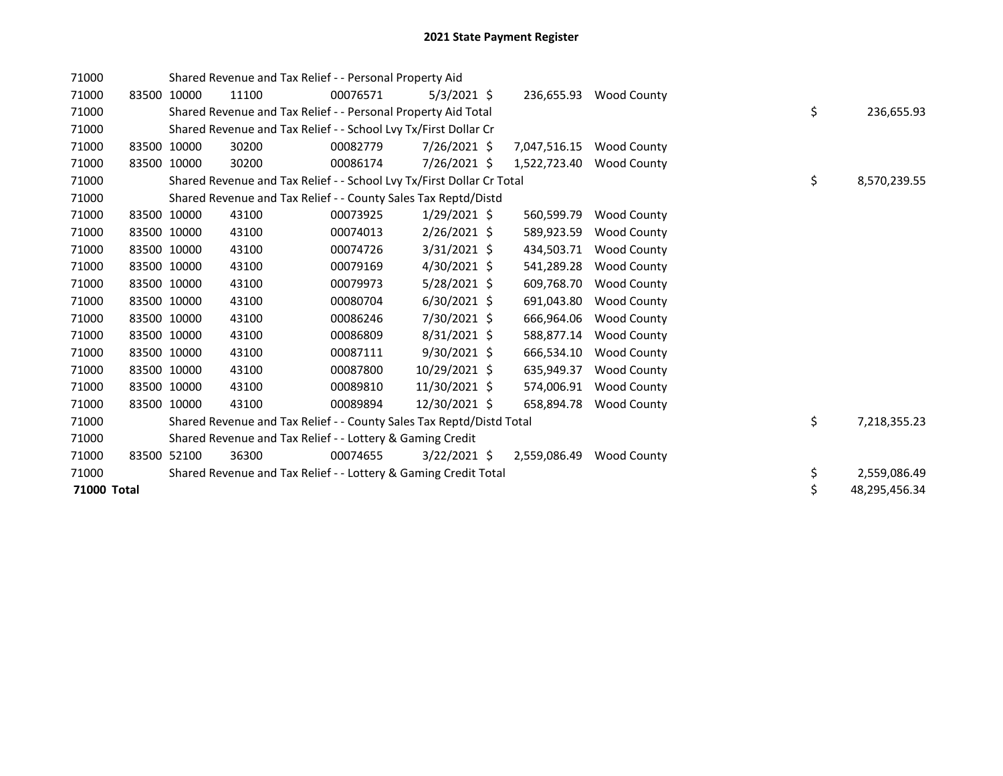| 71000       |             |             | Shared Revenue and Tax Relief - - Personal Property Aid               |          |                |              |                    |    |               |
|-------------|-------------|-------------|-----------------------------------------------------------------------|----------|----------------|--------------|--------------------|----|---------------|
| 71000       | 83500       | 10000       | 11100                                                                 | 00076571 | $5/3/2021$ \$  | 236,655.93   | <b>Wood County</b> |    |               |
| 71000       |             |             | Shared Revenue and Tax Relief - - Personal Property Aid Total         |          |                |              |                    | \$ | 236,655.93    |
| 71000       |             |             | Shared Revenue and Tax Relief - - School Lvy Tx/First Dollar Cr       |          |                |              |                    |    |               |
| 71000       |             | 83500 10000 | 30200                                                                 | 00082779 | 7/26/2021 \$   | 7,047,516.15 | <b>Wood County</b> |    |               |
| 71000       | 83500 10000 |             | 30200                                                                 | 00086174 | 7/26/2021 \$   | 1,522,723.40 | <b>Wood County</b> |    |               |
| 71000       |             |             | Shared Revenue and Tax Relief - - School Lvy Tx/First Dollar Cr Total |          |                |              |                    | \$ | 8,570,239.55  |
| 71000       |             |             | Shared Revenue and Tax Relief - - County Sales Tax Reptd/Distd        |          |                |              |                    |    |               |
| 71000       |             | 83500 10000 | 43100                                                                 | 00073925 | $1/29/2021$ \$ | 560,599.79   | <b>Wood County</b> |    |               |
| 71000       | 83500 10000 |             | 43100                                                                 | 00074013 | $2/26/2021$ \$ | 589,923.59   | <b>Wood County</b> |    |               |
| 71000       | 83500 10000 |             | 43100                                                                 | 00074726 | $3/31/2021$ \$ | 434,503.71   | <b>Wood County</b> |    |               |
| 71000       | 83500 10000 |             | 43100                                                                 | 00079169 | $4/30/2021$ \$ | 541,289.28   | <b>Wood County</b> |    |               |
| 71000       | 83500 10000 |             | 43100                                                                 | 00079973 | $5/28/2021$ \$ | 609,768.70   | <b>Wood County</b> |    |               |
| 71000       | 83500 10000 |             | 43100                                                                 | 00080704 | $6/30/2021$ \$ | 691,043.80   | <b>Wood County</b> |    |               |
| 71000       | 83500 10000 |             | 43100                                                                 | 00086246 | 7/30/2021 \$   | 666,964.06   | <b>Wood County</b> |    |               |
| 71000       | 83500 10000 |             | 43100                                                                 | 00086809 | $8/31/2021$ \$ | 588,877.14   | <b>Wood County</b> |    |               |
| 71000       | 83500 10000 |             | 43100                                                                 | 00087111 | $9/30/2021$ \$ | 666,534.10   | <b>Wood County</b> |    |               |
| 71000       | 83500 10000 |             | 43100                                                                 | 00087800 | 10/29/2021 \$  | 635,949.37   | <b>Wood County</b> |    |               |
| 71000       | 83500 10000 |             | 43100                                                                 | 00089810 | 11/30/2021 \$  | 574,006.91   | <b>Wood County</b> |    |               |
| 71000       |             | 83500 10000 | 43100                                                                 | 00089894 | 12/30/2021 \$  | 658,894.78   | <b>Wood County</b> |    |               |
| 71000       |             |             | Shared Revenue and Tax Relief - - County Sales Tax Reptd/Distd Total  |          |                |              |                    | \$ | 7,218,355.23  |
| 71000       |             |             | Shared Revenue and Tax Relief - - Lottery & Gaming Credit             |          |                |              |                    |    |               |
| 71000       |             | 83500 52100 | 36300                                                                 | 00074655 | $3/22/2021$ \$ | 2,559,086.49 | <b>Wood County</b> |    |               |
| 71000       |             |             | Shared Revenue and Tax Relief - - Lottery & Gaming Credit Total       |          |                |              |                    | \$ | 2,559,086.49  |
| 71000 Total |             |             |                                                                       |          |                |              |                    | \$ | 48,295,456.34 |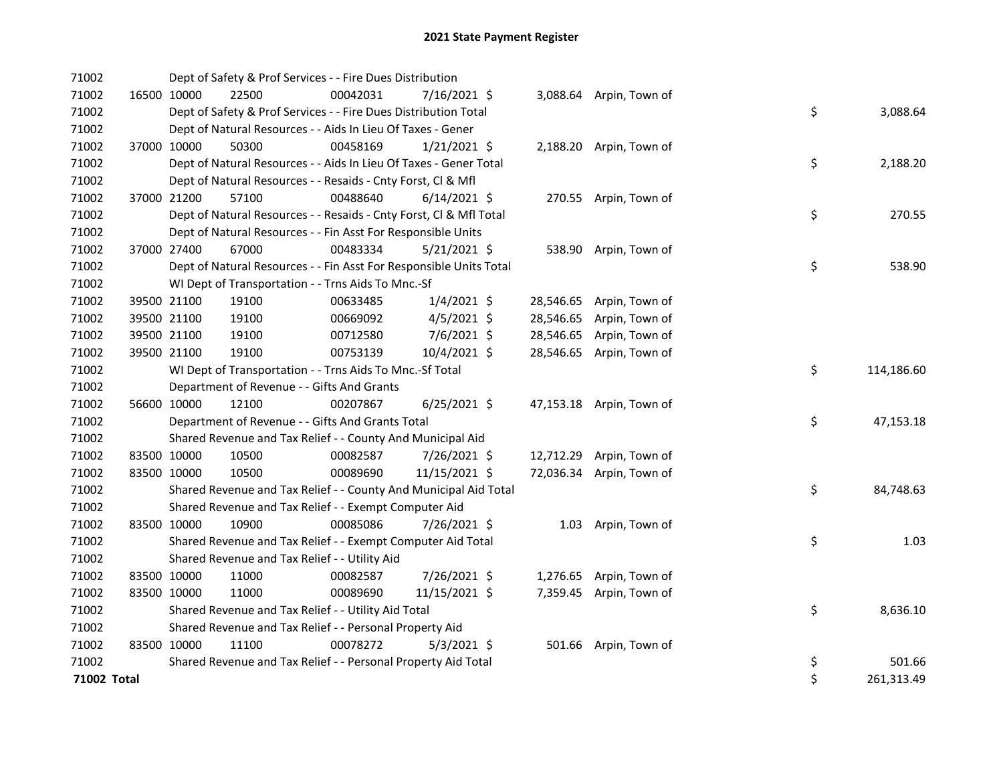| 71002       |             | Dept of Safety & Prof Services - - Fire Dues Distribution          |          |                |           |                          |    |            |
|-------------|-------------|--------------------------------------------------------------------|----------|----------------|-----------|--------------------------|----|------------|
| 71002       | 16500 10000 | 22500                                                              | 00042031 | 7/16/2021 \$   |           | 3,088.64 Arpin, Town of  |    |            |
| 71002       |             | Dept of Safety & Prof Services - - Fire Dues Distribution Total    |          |                |           |                          | \$ | 3,088.64   |
| 71002       |             | Dept of Natural Resources - - Aids In Lieu Of Taxes - Gener        |          |                |           |                          |    |            |
| 71002       | 37000 10000 | 50300                                                              | 00458169 | $1/21/2021$ \$ |           | 2,188.20 Arpin, Town of  |    |            |
| 71002       |             | Dept of Natural Resources - - Aids In Lieu Of Taxes - Gener Total  |          |                |           |                          | \$ | 2,188.20   |
| 71002       |             | Dept of Natural Resources - - Resaids - Cnty Forst, Cl & Mfl       |          |                |           |                          |    |            |
| 71002       | 37000 21200 | 57100                                                              | 00488640 | $6/14/2021$ \$ |           | 270.55 Arpin, Town of    |    |            |
| 71002       |             | Dept of Natural Resources - - Resaids - Cnty Forst, Cl & Mfl Total |          |                |           |                          | \$ | 270.55     |
| 71002       |             | Dept of Natural Resources - - Fin Asst For Responsible Units       |          |                |           |                          |    |            |
| 71002       | 37000 27400 | 67000                                                              | 00483334 | $5/21/2021$ \$ |           | 538.90 Arpin, Town of    |    |            |
| 71002       |             | Dept of Natural Resources - - Fin Asst For Responsible Units Total |          |                |           |                          | \$ | 538.90     |
| 71002       |             | WI Dept of Transportation - - Trns Aids To Mnc.-Sf                 |          |                |           |                          |    |            |
| 71002       | 39500 21100 | 19100                                                              | 00633485 | $1/4/2021$ \$  |           | 28,546.65 Arpin, Town of |    |            |
| 71002       | 39500 21100 | 19100                                                              | 00669092 | $4/5/2021$ \$  | 28,546.65 | Arpin, Town of           |    |            |
| 71002       | 39500 21100 | 19100                                                              | 00712580 | 7/6/2021 \$    | 28,546.65 | Arpin, Town of           |    |            |
| 71002       | 39500 21100 | 19100                                                              | 00753139 | 10/4/2021 \$   |           | 28,546.65 Arpin, Town of |    |            |
| 71002       |             | WI Dept of Transportation - - Trns Aids To Mnc.-Sf Total           |          |                |           |                          | \$ | 114,186.60 |
| 71002       |             | Department of Revenue - - Gifts And Grants                         |          |                |           |                          |    |            |
| 71002       | 56600 10000 | 12100                                                              | 00207867 | $6/25/2021$ \$ |           | 47,153.18 Arpin, Town of |    |            |
| 71002       |             | Department of Revenue - - Gifts And Grants Total                   |          |                |           |                          | \$ | 47,153.18  |
| 71002       |             | Shared Revenue and Tax Relief - - County And Municipal Aid         |          |                |           |                          |    |            |
| 71002       | 83500 10000 | 10500                                                              | 00082587 | 7/26/2021 \$   |           | 12,712.29 Arpin, Town of |    |            |
| 71002       | 83500 10000 | 10500                                                              | 00089690 | 11/15/2021 \$  |           | 72,036.34 Arpin, Town of |    |            |
| 71002       |             | Shared Revenue and Tax Relief - - County And Municipal Aid Total   |          |                |           |                          | \$ | 84,748.63  |
| 71002       |             | Shared Revenue and Tax Relief - - Exempt Computer Aid              |          |                |           |                          |    |            |
| 71002       | 83500 10000 | 10900                                                              | 00085086 | 7/26/2021 \$   |           | 1.03 Arpin, Town of      |    |            |
| 71002       |             | Shared Revenue and Tax Relief - - Exempt Computer Aid Total        |          |                |           |                          | \$ | 1.03       |
| 71002       |             | Shared Revenue and Tax Relief - - Utility Aid                      |          |                |           |                          |    |            |
| 71002       | 83500 10000 | 11000                                                              | 00082587 | 7/26/2021 \$   |           | 1,276.65 Arpin, Town of  |    |            |
| 71002       | 83500 10000 | 11000                                                              | 00089690 | 11/15/2021 \$  |           | 7,359.45 Arpin, Town of  |    |            |
| 71002       |             | Shared Revenue and Tax Relief - - Utility Aid Total                |          |                |           |                          | \$ | 8,636.10   |
| 71002       |             | Shared Revenue and Tax Relief - - Personal Property Aid            |          |                |           |                          |    |            |
| 71002       | 83500 10000 | 11100                                                              | 00078272 | $5/3/2021$ \$  |           | 501.66 Arpin, Town of    |    |            |
| 71002       |             | Shared Revenue and Tax Relief - - Personal Property Aid Total      |          |                |           |                          | \$ | 501.66     |
| 71002 Total |             |                                                                    |          |                |           |                          | \$ | 261,313.49 |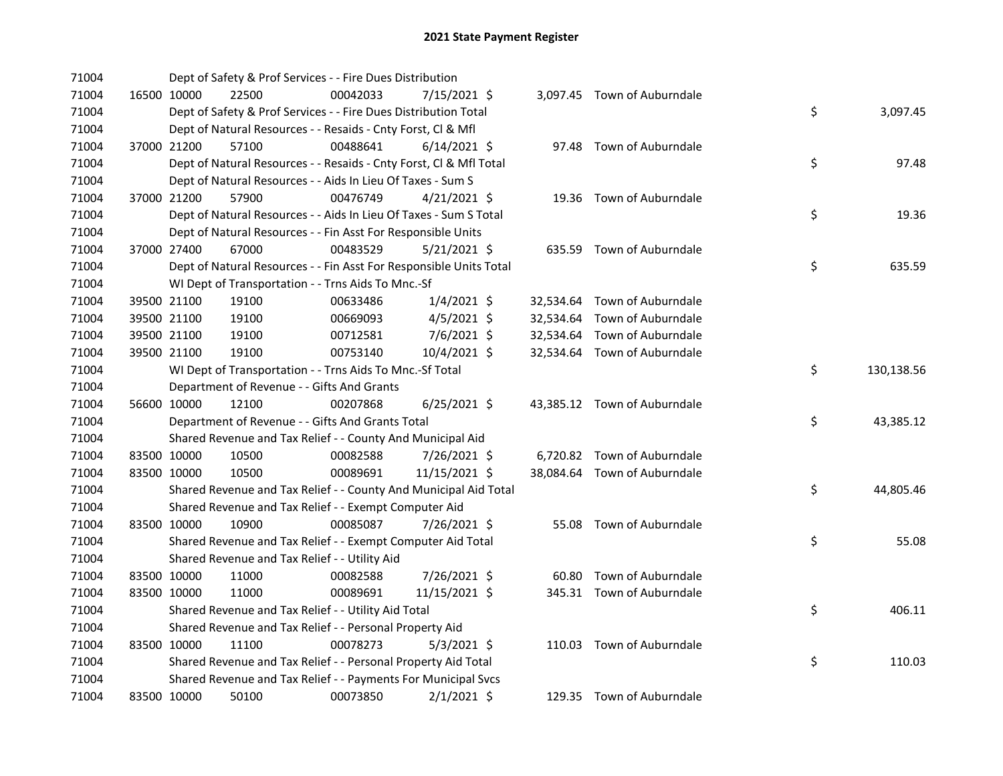| 71004 |             | Dept of Safety & Prof Services - - Fire Dues Distribution          |          |                |  |                              |    |            |
|-------|-------------|--------------------------------------------------------------------|----------|----------------|--|------------------------------|----|------------|
| 71004 | 16500 10000 | 22500                                                              | 00042033 | 7/15/2021 \$   |  | 3,097.45 Town of Auburndale  |    |            |
| 71004 |             | Dept of Safety & Prof Services - - Fire Dues Distribution Total    |          |                |  |                              | \$ | 3,097.45   |
| 71004 |             | Dept of Natural Resources - - Resaids - Cnty Forst, Cl & Mfl       |          |                |  |                              |    |            |
| 71004 | 37000 21200 | 57100                                                              | 00488641 | $6/14/2021$ \$ |  | 97.48 Town of Auburndale     |    |            |
| 71004 |             | Dept of Natural Resources - - Resaids - Cnty Forst, Cl & Mfl Total |          |                |  |                              | \$ | 97.48      |
| 71004 |             | Dept of Natural Resources - - Aids In Lieu Of Taxes - Sum S        |          |                |  |                              |    |            |
| 71004 | 37000 21200 | 57900                                                              | 00476749 | $4/21/2021$ \$ |  | 19.36 Town of Auburndale     |    |            |
| 71004 |             | Dept of Natural Resources - - Aids In Lieu Of Taxes - Sum S Total  |          |                |  |                              | \$ | 19.36      |
| 71004 |             | Dept of Natural Resources - - Fin Asst For Responsible Units       |          |                |  |                              |    |            |
| 71004 | 37000 27400 | 67000                                                              | 00483529 | $5/21/2021$ \$ |  | 635.59 Town of Auburndale    |    |            |
| 71004 |             | Dept of Natural Resources - - Fin Asst For Responsible Units Total |          |                |  |                              | \$ | 635.59     |
| 71004 |             | WI Dept of Transportation - - Trns Aids To Mnc.-Sf                 |          |                |  |                              |    |            |
| 71004 | 39500 21100 | 19100                                                              | 00633486 | $1/4/2021$ \$  |  | 32,534.64 Town of Auburndale |    |            |
| 71004 | 39500 21100 | 19100                                                              | 00669093 | $4/5/2021$ \$  |  | 32,534.64 Town of Auburndale |    |            |
| 71004 | 39500 21100 | 19100                                                              | 00712581 | 7/6/2021 \$    |  | 32,534.64 Town of Auburndale |    |            |
| 71004 | 39500 21100 | 19100                                                              | 00753140 | 10/4/2021 \$   |  | 32,534.64 Town of Auburndale |    |            |
| 71004 |             | WI Dept of Transportation - - Trns Aids To Mnc.-Sf Total           |          |                |  |                              | \$ | 130,138.56 |
| 71004 |             | Department of Revenue - - Gifts And Grants                         |          |                |  |                              |    |            |
| 71004 | 56600 10000 | 12100                                                              | 00207868 | $6/25/2021$ \$ |  | 43,385.12 Town of Auburndale |    |            |
| 71004 |             | Department of Revenue - - Gifts And Grants Total                   |          |                |  |                              | \$ | 43,385.12  |
| 71004 |             | Shared Revenue and Tax Relief - - County And Municipal Aid         |          |                |  |                              |    |            |
| 71004 | 83500 10000 | 10500                                                              | 00082588 | 7/26/2021 \$   |  | 6,720.82 Town of Auburndale  |    |            |
| 71004 | 83500 10000 | 10500                                                              | 00089691 | 11/15/2021 \$  |  | 38,084.64 Town of Auburndale |    |            |
| 71004 |             | Shared Revenue and Tax Relief - - County And Municipal Aid Total   |          |                |  |                              | \$ | 44,805.46  |
| 71004 |             | Shared Revenue and Tax Relief - - Exempt Computer Aid              |          |                |  |                              |    |            |
| 71004 | 83500 10000 | 10900                                                              | 00085087 | 7/26/2021 \$   |  | 55.08 Town of Auburndale     |    |            |
| 71004 |             | Shared Revenue and Tax Relief - - Exempt Computer Aid Total        |          |                |  |                              | \$ | 55.08      |
| 71004 |             | Shared Revenue and Tax Relief - - Utility Aid                      |          |                |  |                              |    |            |
| 71004 | 83500 10000 | 11000                                                              | 00082588 | 7/26/2021 \$   |  | 60.80 Town of Auburndale     |    |            |
| 71004 | 83500 10000 | 11000                                                              | 00089691 | 11/15/2021 \$  |  | 345.31 Town of Auburndale    |    |            |
| 71004 |             | Shared Revenue and Tax Relief - - Utility Aid Total                |          |                |  |                              | \$ | 406.11     |
| 71004 |             | Shared Revenue and Tax Relief - - Personal Property Aid            |          |                |  |                              |    |            |
| 71004 | 83500 10000 | 11100                                                              | 00078273 | $5/3/2021$ \$  |  | 110.03 Town of Auburndale    |    |            |
| 71004 |             | Shared Revenue and Tax Relief - - Personal Property Aid Total      |          |                |  |                              | \$ | 110.03     |
| 71004 |             | Shared Revenue and Tax Relief - - Payments For Municipal Svcs      |          |                |  |                              |    |            |
| 71004 | 83500 10000 | 50100                                                              | 00073850 | $2/1/2021$ \$  |  | 129.35 Town of Auburndale    |    |            |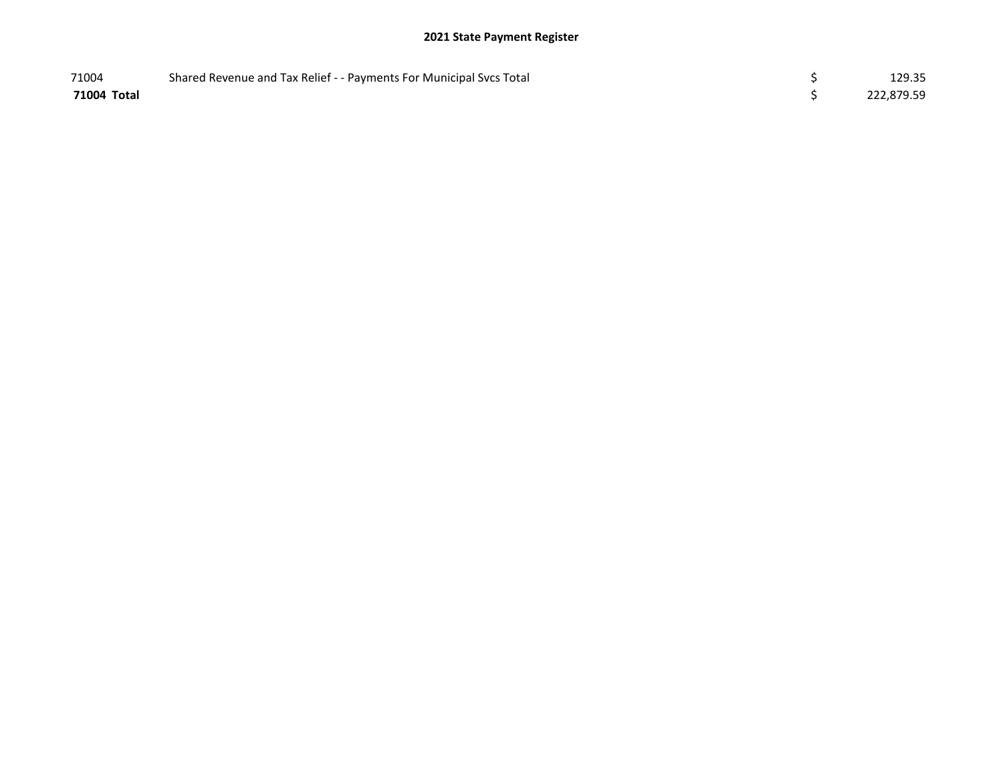## 2021 State Payment Register

| 71004       | Shared Revenue and Tax Relief - - Payments For Municipal Svcs Total | 129.35     |
|-------------|---------------------------------------------------------------------|------------|
| 71004 Total |                                                                     | 222,879.59 |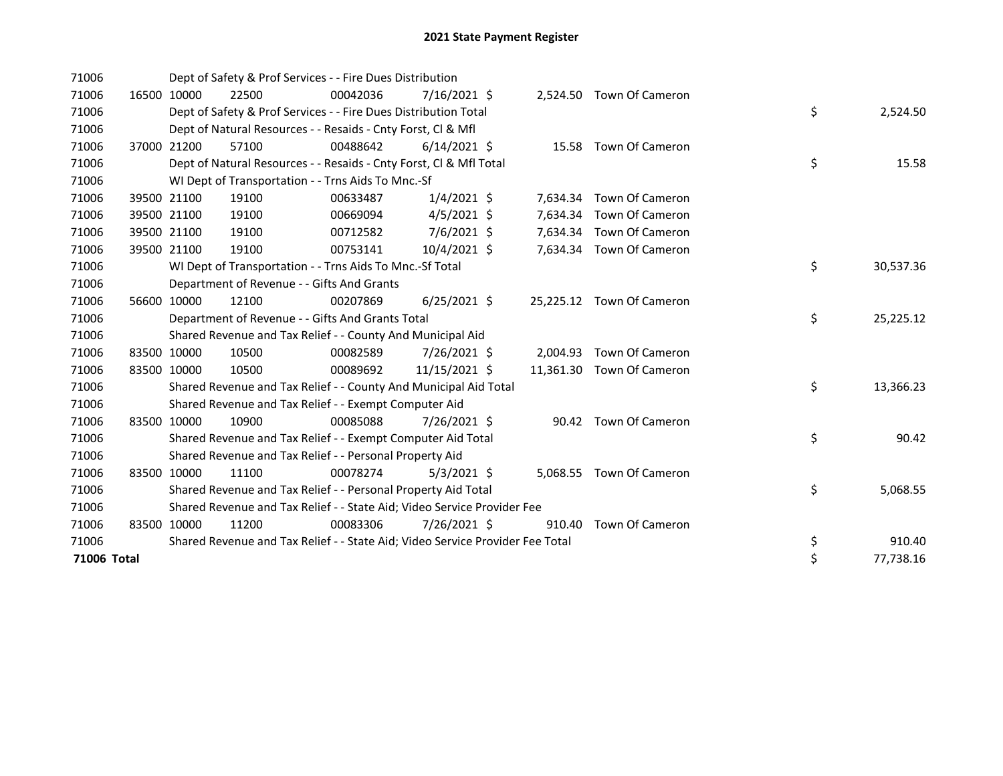| 71006       |             |             | Dept of Safety & Prof Services - - Fire Dues Distribution                     |          |                |        |                           |    |           |
|-------------|-------------|-------------|-------------------------------------------------------------------------------|----------|----------------|--------|---------------------------|----|-----------|
| 71006       |             | 16500 10000 | 22500                                                                         | 00042036 | $7/16/2021$ \$ |        | 2,524.50 Town Of Cameron  |    |           |
| 71006       |             |             | Dept of Safety & Prof Services - - Fire Dues Distribution Total               |          |                |        |                           | \$ | 2,524.50  |
| 71006       |             |             | Dept of Natural Resources - - Resaids - Cnty Forst, CI & Mfl                  |          |                |        |                           |    |           |
| 71006       |             | 37000 21200 | 57100                                                                         | 00488642 | $6/14/2021$ \$ |        | 15.58 Town Of Cameron     |    |           |
| 71006       |             |             | Dept of Natural Resources - - Resaids - Cnty Forst, Cl & Mfl Total            |          |                |        |                           | \$ | 15.58     |
| 71006       |             |             | WI Dept of Transportation - - Trns Aids To Mnc.-Sf                            |          |                |        |                           |    |           |
| 71006       |             | 39500 21100 | 19100                                                                         | 00633487 | $1/4/2021$ \$  |        | 7,634.34 Town Of Cameron  |    |           |
| 71006       |             | 39500 21100 | 19100                                                                         | 00669094 | $4/5/2021$ \$  |        | 7,634.34 Town Of Cameron  |    |           |
| 71006       |             | 39500 21100 | 19100                                                                         | 00712582 | 7/6/2021 \$    |        | 7,634.34 Town Of Cameron  |    |           |
| 71006       |             | 39500 21100 | 19100                                                                         | 00753141 | $10/4/2021$ \$ |        | 7,634.34 Town Of Cameron  |    |           |
| 71006       |             |             | WI Dept of Transportation - - Trns Aids To Mnc.-Sf Total                      |          |                |        |                           | \$ | 30,537.36 |
| 71006       |             |             | Department of Revenue - - Gifts And Grants                                    |          |                |        |                           |    |           |
| 71006       |             | 56600 10000 | 12100                                                                         | 00207869 | $6/25/2021$ \$ |        | 25,225.12 Town Of Cameron |    |           |
| 71006       |             |             | Department of Revenue - - Gifts And Grants Total                              |          |                |        |                           | \$ | 25,225.12 |
| 71006       |             |             | Shared Revenue and Tax Relief - - County And Municipal Aid                    |          |                |        |                           |    |           |
| 71006       |             | 83500 10000 | 10500                                                                         | 00082589 | 7/26/2021 \$   |        | 2,004.93 Town Of Cameron  |    |           |
| 71006       |             | 83500 10000 | 10500                                                                         | 00089692 | 11/15/2021 \$  |        | 11,361.30 Town Of Cameron |    |           |
| 71006       |             |             | Shared Revenue and Tax Relief - - County And Municipal Aid Total              |          |                |        |                           | \$ | 13,366.23 |
| 71006       |             |             | Shared Revenue and Tax Relief - - Exempt Computer Aid                         |          |                |        |                           |    |           |
| 71006       |             | 83500 10000 | 10900                                                                         | 00085088 | 7/26/2021 \$   |        | 90.42 Town Of Cameron     |    |           |
| 71006       |             |             | Shared Revenue and Tax Relief - - Exempt Computer Aid Total                   |          |                |        |                           | \$ | 90.42     |
| 71006       |             |             | Shared Revenue and Tax Relief - - Personal Property Aid                       |          |                |        |                           |    |           |
| 71006       |             | 83500 10000 | 11100                                                                         | 00078274 | $5/3/2021$ \$  |        | 5,068.55 Town Of Cameron  |    |           |
| 71006       |             |             | Shared Revenue and Tax Relief - - Personal Property Aid Total                 |          |                |        |                           | \$ | 5,068.55  |
| 71006       |             |             | Shared Revenue and Tax Relief - - State Aid; Video Service Provider Fee       |          |                |        |                           |    |           |
| 71006       | 83500 10000 |             | 11200                                                                         | 00083306 | 7/26/2021 \$   | 910.40 | Town Of Cameron           |    |           |
| 71006       |             |             | Shared Revenue and Tax Relief - - State Aid; Video Service Provider Fee Total |          |                |        |                           | \$ | 910.40    |
| 71006 Total |             |             |                                                                               |          |                |        |                           | \$ | 77,738.16 |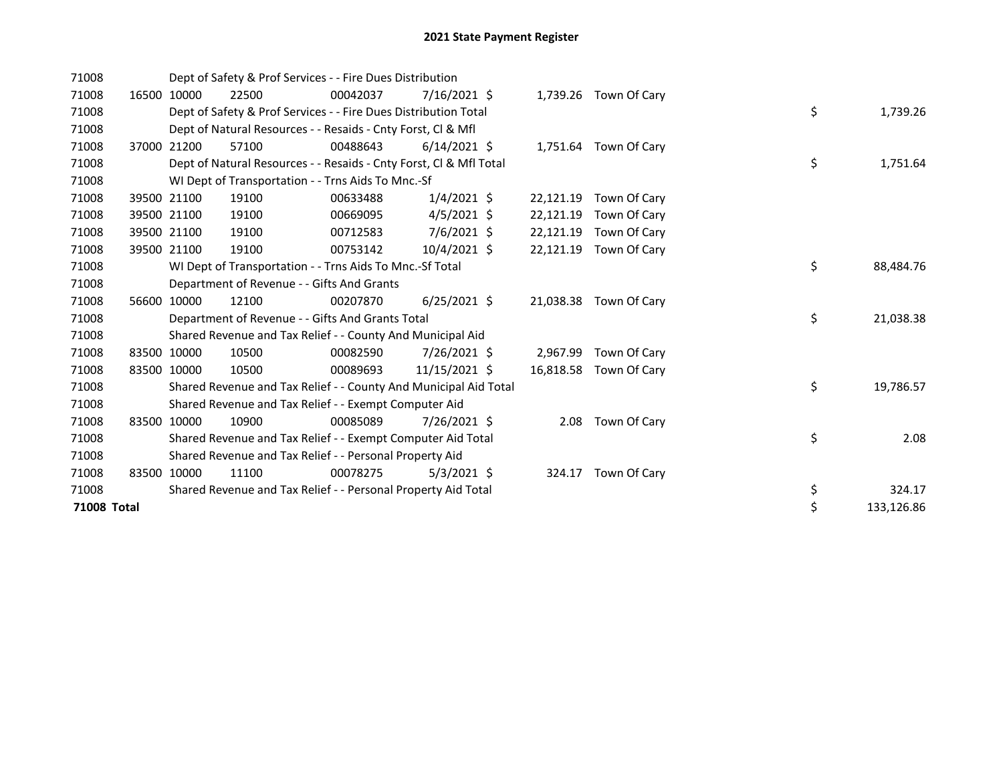| 71008       |       |             | Dept of Safety & Prof Services - - Fire Dues Distribution          |          |                |           |                       |    |            |
|-------------|-------|-------------|--------------------------------------------------------------------|----------|----------------|-----------|-----------------------|----|------------|
| 71008       | 16500 | 10000       | 22500                                                              | 00042037 | $7/16/2021$ \$ |           | 1,739.26 Town Of Cary |    |            |
| 71008       |       |             | Dept of Safety & Prof Services - - Fire Dues Distribution Total    |          |                |           |                       | \$ | 1,739.26   |
| 71008       |       |             | Dept of Natural Resources - - Resaids - Cnty Forst, CI & Mfl       |          |                |           |                       |    |            |
| 71008       | 37000 | 21200       | 57100                                                              | 00488643 | $6/14/2021$ \$ |           | 1,751.64 Town Of Cary |    |            |
| 71008       |       |             | Dept of Natural Resources - - Resaids - Cnty Forst, Cl & Mfl Total |          |                |           |                       | \$ | 1,751.64   |
| 71008       |       |             | WI Dept of Transportation - - Trns Aids To Mnc.-Sf                 |          |                |           |                       |    |            |
| 71008       | 39500 | 21100       | 19100                                                              | 00633488 | $1/4/2021$ \$  | 22,121.19 | Town Of Cary          |    |            |
| 71008       |       | 39500 21100 | 19100                                                              | 00669095 | $4/5/2021$ \$  | 22,121.19 | Town Of Cary          |    |            |
| 71008       |       | 39500 21100 | 19100                                                              | 00712583 | 7/6/2021 \$    | 22,121.19 | Town Of Cary          |    |            |
| 71008       |       | 39500 21100 | 19100                                                              | 00753142 | $10/4/2021$ \$ | 22,121.19 | Town Of Cary          |    |            |
| 71008       |       |             | WI Dept of Transportation - - Trns Aids To Mnc.-Sf Total           |          |                |           |                       | \$ | 88,484.76  |
| 71008       |       |             | Department of Revenue - - Gifts And Grants                         |          |                |           |                       |    |            |
| 71008       |       | 56600 10000 | 12100                                                              | 00207870 | $6/25/2021$ \$ | 21,038.38 | Town Of Cary          |    |            |
| 71008       |       |             | Department of Revenue - - Gifts And Grants Total                   |          |                |           |                       | \$ | 21,038.38  |
| 71008       |       |             | Shared Revenue and Tax Relief - - County And Municipal Aid         |          |                |           |                       |    |            |
| 71008       |       | 83500 10000 | 10500                                                              | 00082590 | 7/26/2021 \$   | 2,967.99  | Town Of Cary          |    |            |
| 71008       |       | 83500 10000 | 10500                                                              | 00089693 | 11/15/2021 \$  | 16,818.58 | Town Of Cary          |    |            |
| 71008       |       |             | Shared Revenue and Tax Relief - - County And Municipal Aid Total   |          |                |           |                       | \$ | 19,786.57  |
| 71008       |       |             | Shared Revenue and Tax Relief - - Exempt Computer Aid              |          |                |           |                       |    |            |
| 71008       |       | 83500 10000 | 10900                                                              | 00085089 | 7/26/2021 \$   | 2.08      | Town Of Cary          |    |            |
| 71008       |       |             | Shared Revenue and Tax Relief - - Exempt Computer Aid Total        |          |                |           |                       | \$ | 2.08       |
| 71008       |       |             | Shared Revenue and Tax Relief - - Personal Property Aid            |          |                |           |                       |    |            |
| 71008       | 83500 | 10000       | 11100                                                              | 00078275 | $5/3/2021$ \$  | 324.17    | Town Of Cary          |    |            |
| 71008       |       |             | Shared Revenue and Tax Relief - - Personal Property Aid Total      |          |                |           |                       | \$ | 324.17     |
| 71008 Total |       |             |                                                                    |          |                |           |                       | \$ | 133,126.86 |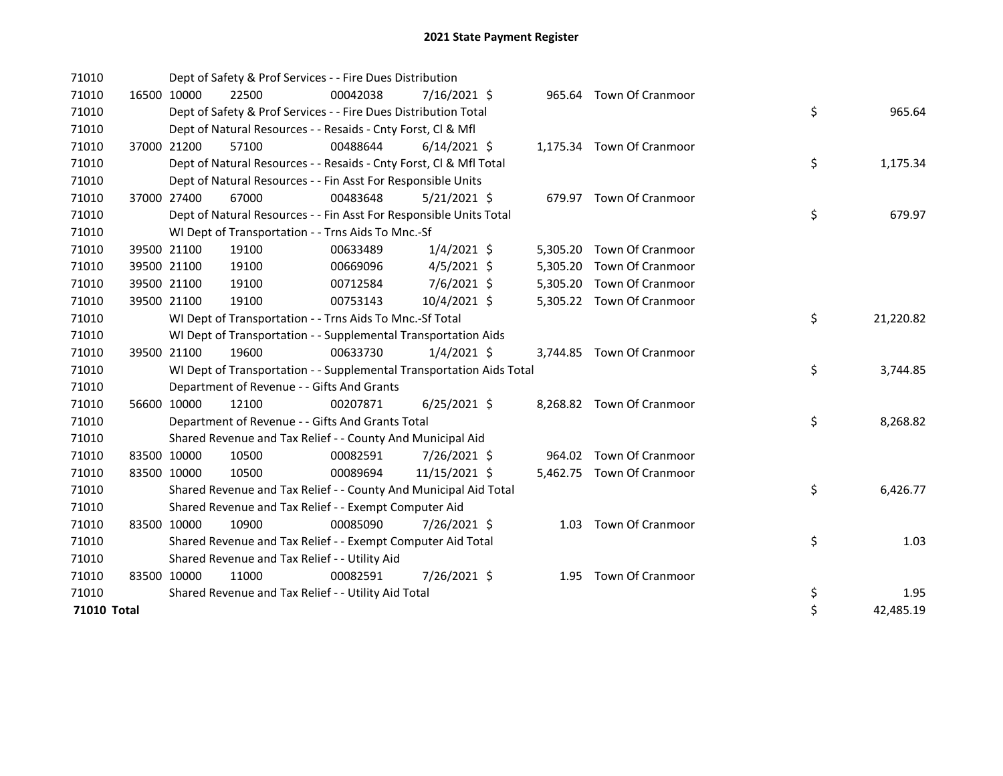| 71010       |             | Dept of Safety & Prof Services - - Fire Dues Distribution            |          |                |  |                           |    |           |
|-------------|-------------|----------------------------------------------------------------------|----------|----------------|--|---------------------------|----|-----------|
| 71010       | 16500 10000 | 22500                                                                | 00042038 | $7/16/2021$ \$ |  | 965.64 Town Of Cranmoor   |    |           |
| 71010       |             | Dept of Safety & Prof Services - - Fire Dues Distribution Total      |          |                |  |                           | \$ | 965.64    |
| 71010       |             | Dept of Natural Resources - - Resaids - Cnty Forst, Cl & Mfl         |          |                |  |                           |    |           |
| 71010       | 37000 21200 | 57100                                                                | 00488644 | $6/14/2021$ \$ |  | 1,175.34 Town Of Cranmoor |    |           |
| 71010       |             | Dept of Natural Resources - - Resaids - Cnty Forst, CI & Mfl Total   |          |                |  |                           | \$ | 1,175.34  |
| 71010       |             | Dept of Natural Resources - - Fin Asst For Responsible Units         |          |                |  |                           |    |           |
| 71010       | 37000 27400 | 67000                                                                | 00483648 | $5/21/2021$ \$ |  | 679.97 Town Of Cranmoor   |    |           |
| 71010       |             | Dept of Natural Resources - - Fin Asst For Responsible Units Total   |          |                |  |                           | \$ | 679.97    |
| 71010       |             | WI Dept of Transportation - - Trns Aids To Mnc.-Sf                   |          |                |  |                           |    |           |
| 71010       | 39500 21100 | 19100                                                                | 00633489 | $1/4/2021$ \$  |  | 5,305.20 Town Of Cranmoor |    |           |
| 71010       | 39500 21100 | 19100                                                                | 00669096 | $4/5/2021$ \$  |  | 5,305.20 Town Of Cranmoor |    |           |
| 71010       | 39500 21100 | 19100                                                                | 00712584 | 7/6/2021 \$    |  | 5,305.20 Town Of Cranmoor |    |           |
| 71010       | 39500 21100 | 19100                                                                | 00753143 | 10/4/2021 \$   |  | 5,305.22 Town Of Cranmoor |    |           |
| 71010       |             | WI Dept of Transportation - - Trns Aids To Mnc.-Sf Total             |          |                |  |                           | \$ | 21,220.82 |
| 71010       |             | WI Dept of Transportation - - Supplemental Transportation Aids       |          |                |  |                           |    |           |
| 71010       | 39500 21100 | 19600                                                                | 00633730 | $1/4/2021$ \$  |  | 3,744.85 Town Of Cranmoor |    |           |
| 71010       |             | WI Dept of Transportation - - Supplemental Transportation Aids Total |          |                |  |                           | \$ | 3,744.85  |
| 71010       |             | Department of Revenue - - Gifts And Grants                           |          |                |  |                           |    |           |
| 71010       | 56600 10000 | 12100                                                                | 00207871 | $6/25/2021$ \$ |  | 8,268.82 Town Of Cranmoor |    |           |
| 71010       |             | Department of Revenue - - Gifts And Grants Total                     |          |                |  |                           | \$ | 8,268.82  |
| 71010       |             | Shared Revenue and Tax Relief - - County And Municipal Aid           |          |                |  |                           |    |           |
| 71010       | 83500 10000 | 10500                                                                | 00082591 | 7/26/2021 \$   |  | 964.02 Town Of Cranmoor   |    |           |
| 71010       | 83500 10000 | 10500                                                                | 00089694 | 11/15/2021 \$  |  | 5,462.75 Town Of Cranmoor |    |           |
| 71010       |             | Shared Revenue and Tax Relief - - County And Municipal Aid Total     |          |                |  |                           | \$ | 6,426.77  |
| 71010       |             | Shared Revenue and Tax Relief - - Exempt Computer Aid                |          |                |  |                           |    |           |
| 71010       | 83500 10000 | 10900                                                                | 00085090 | 7/26/2021 \$   |  | 1.03 Town Of Cranmoor     |    |           |
| 71010       |             | Shared Revenue and Tax Relief - - Exempt Computer Aid Total          |          |                |  |                           | \$ | 1.03      |
| 71010       |             | Shared Revenue and Tax Relief - - Utility Aid                        |          |                |  |                           |    |           |
| 71010       | 83500 10000 | 11000                                                                | 00082591 | 7/26/2021 \$   |  | 1.95 Town Of Cranmoor     |    |           |
| 71010       |             | Shared Revenue and Tax Relief - - Utility Aid Total                  |          |                |  |                           | \$ | 1.95      |
| 71010 Total |             |                                                                      |          |                |  |                           | \$ | 42,485.19 |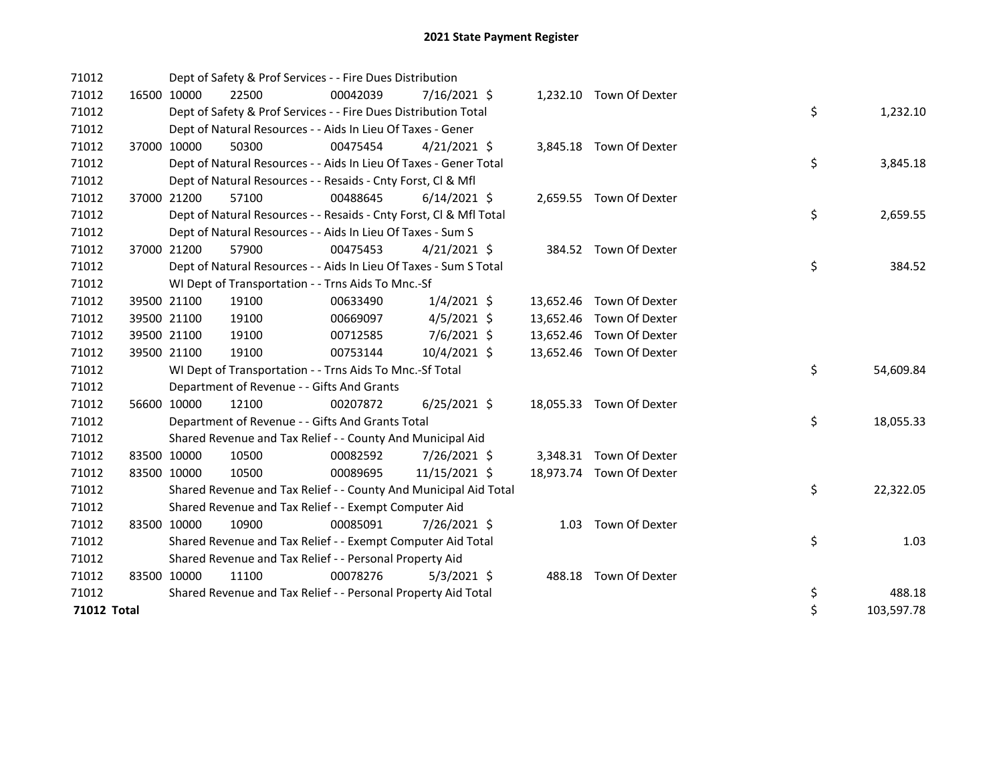| 71012       |             | Dept of Safety & Prof Services - - Fire Dues Distribution          |          |                |  |                          |    |            |
|-------------|-------------|--------------------------------------------------------------------|----------|----------------|--|--------------------------|----|------------|
| 71012       | 16500 10000 | 22500                                                              | 00042039 | $7/16/2021$ \$ |  | 1,232.10 Town Of Dexter  |    |            |
| 71012       |             | Dept of Safety & Prof Services - - Fire Dues Distribution Total    |          |                |  |                          | \$ | 1,232.10   |
| 71012       |             | Dept of Natural Resources - - Aids In Lieu Of Taxes - Gener        |          |                |  |                          |    |            |
| 71012       | 37000 10000 | 50300                                                              | 00475454 | $4/21/2021$ \$ |  | 3,845.18 Town Of Dexter  |    |            |
| 71012       |             | Dept of Natural Resources - - Aids In Lieu Of Taxes - Gener Total  |          |                |  |                          | \$ | 3,845.18   |
| 71012       |             | Dept of Natural Resources - - Resaids - Cnty Forst, CI & Mfl       |          |                |  |                          |    |            |
| 71012       | 37000 21200 | 57100                                                              | 00488645 | $6/14/2021$ \$ |  | 2,659.55 Town Of Dexter  |    |            |
| 71012       |             | Dept of Natural Resources - - Resaids - Cnty Forst, CI & Mfl Total |          |                |  |                          | \$ | 2,659.55   |
| 71012       |             | Dept of Natural Resources - - Aids In Lieu Of Taxes - Sum S        |          |                |  |                          |    |            |
| 71012       | 37000 21200 | 57900                                                              | 00475453 | $4/21/2021$ \$ |  | 384.52 Town Of Dexter    |    |            |
| 71012       |             | Dept of Natural Resources - - Aids In Lieu Of Taxes - Sum S Total  |          |                |  |                          | \$ | 384.52     |
| 71012       |             | WI Dept of Transportation - - Trns Aids To Mnc.-Sf                 |          |                |  |                          |    |            |
| 71012       | 39500 21100 | 19100                                                              | 00633490 | $1/4/2021$ \$  |  | 13,652.46 Town Of Dexter |    |            |
| 71012       | 39500 21100 | 19100                                                              | 00669097 | $4/5/2021$ \$  |  | 13,652.46 Town Of Dexter |    |            |
| 71012       | 39500 21100 | 19100                                                              | 00712585 | 7/6/2021 \$    |  | 13,652.46 Town Of Dexter |    |            |
| 71012       | 39500 21100 | 19100                                                              | 00753144 | 10/4/2021 \$   |  | 13,652.46 Town Of Dexter |    |            |
| 71012       |             | WI Dept of Transportation - - Trns Aids To Mnc.-Sf Total           |          |                |  |                          | \$ | 54,609.84  |
| 71012       |             | Department of Revenue - - Gifts And Grants                         |          |                |  |                          |    |            |
| 71012       | 56600 10000 | 12100                                                              | 00207872 | $6/25/2021$ \$ |  | 18,055.33 Town Of Dexter |    |            |
| 71012       |             | Department of Revenue - - Gifts And Grants Total                   |          |                |  |                          | \$ | 18,055.33  |
| 71012       |             | Shared Revenue and Tax Relief - - County And Municipal Aid         |          |                |  |                          |    |            |
| 71012       | 83500 10000 | 10500                                                              | 00082592 | 7/26/2021 \$   |  | 3,348.31 Town Of Dexter  |    |            |
| 71012       | 83500 10000 | 10500                                                              | 00089695 | 11/15/2021 \$  |  | 18,973.74 Town Of Dexter |    |            |
| 71012       |             | Shared Revenue and Tax Relief - - County And Municipal Aid Total   |          |                |  |                          | \$ | 22,322.05  |
| 71012       |             | Shared Revenue and Tax Relief - - Exempt Computer Aid              |          |                |  |                          |    |            |
| 71012       | 83500 10000 | 10900                                                              | 00085091 | 7/26/2021 \$   |  | 1.03 Town Of Dexter      |    |            |
| 71012       |             | Shared Revenue and Tax Relief - - Exempt Computer Aid Total        |          |                |  |                          | \$ | 1.03       |
| 71012       |             | Shared Revenue and Tax Relief - - Personal Property Aid            |          |                |  |                          |    |            |
| 71012       | 83500 10000 | 11100                                                              | 00078276 | $5/3/2021$ \$  |  | 488.18 Town Of Dexter    |    |            |
| 71012       |             | Shared Revenue and Tax Relief - - Personal Property Aid Total      |          |                |  |                          | \$ | 488.18     |
| 71012 Total |             |                                                                    |          |                |  |                          | \$ | 103,597.78 |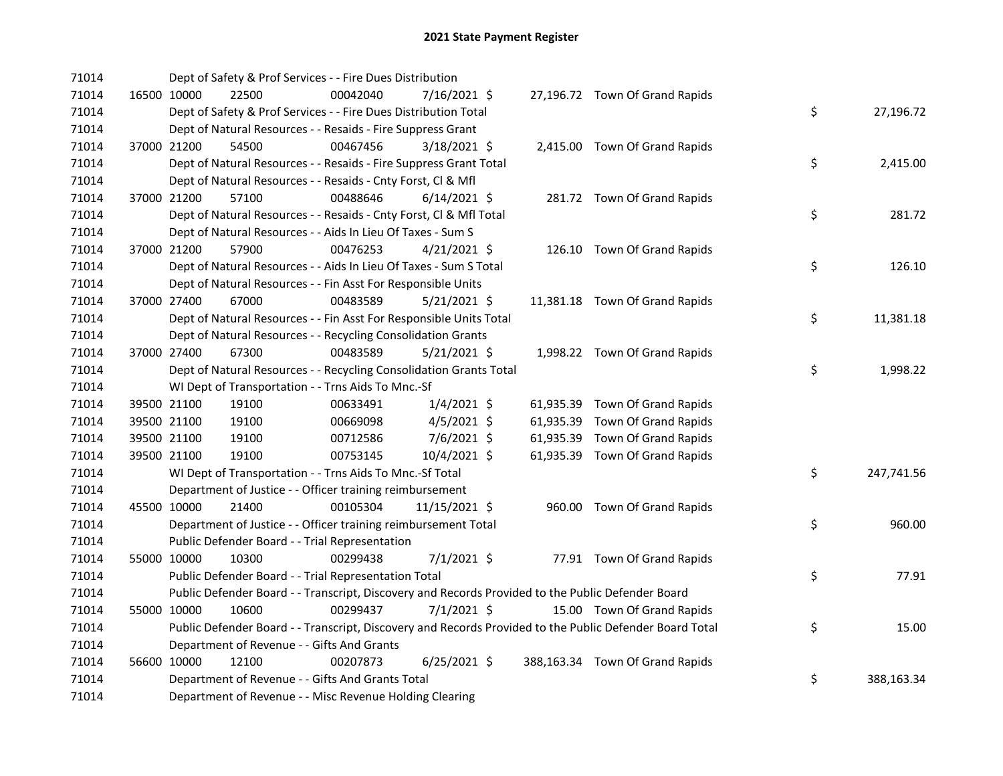|  |                                                                                                                                                                                                                | 00042040                                                                                                                   |                                            |                                                                                                                                                                                                                                                                                                                                                                                                                                                                                                                                                                                                                                                                |                                                                                                                                                                                                                                                                                                                                                                                                                                                                                                                                                                                                                                                                                                                                                                                                                                                                             |  |                                                                                                                                                                                                                                                                                                                                                                                                                                                                                                                                                                                                                                                                                        |            |
|--|----------------------------------------------------------------------------------------------------------------------------------------------------------------------------------------------------------------|----------------------------------------------------------------------------------------------------------------------------|--------------------------------------------|----------------------------------------------------------------------------------------------------------------------------------------------------------------------------------------------------------------------------------------------------------------------------------------------------------------------------------------------------------------------------------------------------------------------------------------------------------------------------------------------------------------------------------------------------------------------------------------------------------------------------------------------------------------|-----------------------------------------------------------------------------------------------------------------------------------------------------------------------------------------------------------------------------------------------------------------------------------------------------------------------------------------------------------------------------------------------------------------------------------------------------------------------------------------------------------------------------------------------------------------------------------------------------------------------------------------------------------------------------------------------------------------------------------------------------------------------------------------------------------------------------------------------------------------------------|--|----------------------------------------------------------------------------------------------------------------------------------------------------------------------------------------------------------------------------------------------------------------------------------------------------------------------------------------------------------------------------------------------------------------------------------------------------------------------------------------------------------------------------------------------------------------------------------------------------------------------------------------------------------------------------------------|------------|
|  |                                                                                                                                                                                                                |                                                                                                                            |                                            |                                                                                                                                                                                                                                                                                                                                                                                                                                                                                                                                                                                                                                                                |                                                                                                                                                                                                                                                                                                                                                                                                                                                                                                                                                                                                                                                                                                                                                                                                                                                                             |  | \$                                                                                                                                                                                                                                                                                                                                                                                                                                                                                                                                                                                                                                                                                     | 27,196.72  |
|  |                                                                                                                                                                                                                |                                                                                                                            |                                            |                                                                                                                                                                                                                                                                                                                                                                                                                                                                                                                                                                                                                                                                |                                                                                                                                                                                                                                                                                                                                                                                                                                                                                                                                                                                                                                                                                                                                                                                                                                                                             |  |                                                                                                                                                                                                                                                                                                                                                                                                                                                                                                                                                                                                                                                                                        |            |
|  |                                                                                                                                                                                                                | 00467456                                                                                                                   |                                            |                                                                                                                                                                                                                                                                                                                                                                                                                                                                                                                                                                                                                                                                |                                                                                                                                                                                                                                                                                                                                                                                                                                                                                                                                                                                                                                                                                                                                                                                                                                                                             |  |                                                                                                                                                                                                                                                                                                                                                                                                                                                                                                                                                                                                                                                                                        |            |
|  |                                                                                                                                                                                                                |                                                                                                                            |                                            |                                                                                                                                                                                                                                                                                                                                                                                                                                                                                                                                                                                                                                                                |                                                                                                                                                                                                                                                                                                                                                                                                                                                                                                                                                                                                                                                                                                                                                                                                                                                                             |  | \$                                                                                                                                                                                                                                                                                                                                                                                                                                                                                                                                                                                                                                                                                     | 2,415.00   |
|  |                                                                                                                                                                                                                |                                                                                                                            |                                            |                                                                                                                                                                                                                                                                                                                                                                                                                                                                                                                                                                                                                                                                |                                                                                                                                                                                                                                                                                                                                                                                                                                                                                                                                                                                                                                                                                                                                                                                                                                                                             |  |                                                                                                                                                                                                                                                                                                                                                                                                                                                                                                                                                                                                                                                                                        |            |
|  |                                                                                                                                                                                                                | 00488646                                                                                                                   |                                            |                                                                                                                                                                                                                                                                                                                                                                                                                                                                                                                                                                                                                                                                |                                                                                                                                                                                                                                                                                                                                                                                                                                                                                                                                                                                                                                                                                                                                                                                                                                                                             |  |                                                                                                                                                                                                                                                                                                                                                                                                                                                                                                                                                                                                                                                                                        |            |
|  |                                                                                                                                                                                                                |                                                                                                                            |                                            |                                                                                                                                                                                                                                                                                                                                                                                                                                                                                                                                                                                                                                                                |                                                                                                                                                                                                                                                                                                                                                                                                                                                                                                                                                                                                                                                                                                                                                                                                                                                                             |  | \$                                                                                                                                                                                                                                                                                                                                                                                                                                                                                                                                                                                                                                                                                     | 281.72     |
|  |                                                                                                                                                                                                                |                                                                                                                            |                                            |                                                                                                                                                                                                                                                                                                                                                                                                                                                                                                                                                                                                                                                                |                                                                                                                                                                                                                                                                                                                                                                                                                                                                                                                                                                                                                                                                                                                                                                                                                                                                             |  |                                                                                                                                                                                                                                                                                                                                                                                                                                                                                                                                                                                                                                                                                        |            |
|  |                                                                                                                                                                                                                | 00476253                                                                                                                   |                                            |                                                                                                                                                                                                                                                                                                                                                                                                                                                                                                                                                                                                                                                                |                                                                                                                                                                                                                                                                                                                                                                                                                                                                                                                                                                                                                                                                                                                                                                                                                                                                             |  |                                                                                                                                                                                                                                                                                                                                                                                                                                                                                                                                                                                                                                                                                        |            |
|  |                                                                                                                                                                                                                |                                                                                                                            |                                            |                                                                                                                                                                                                                                                                                                                                                                                                                                                                                                                                                                                                                                                                |                                                                                                                                                                                                                                                                                                                                                                                                                                                                                                                                                                                                                                                                                                                                                                                                                                                                             |  | \$                                                                                                                                                                                                                                                                                                                                                                                                                                                                                                                                                                                                                                                                                     | 126.10     |
|  |                                                                                                                                                                                                                |                                                                                                                            |                                            |                                                                                                                                                                                                                                                                                                                                                                                                                                                                                                                                                                                                                                                                |                                                                                                                                                                                                                                                                                                                                                                                                                                                                                                                                                                                                                                                                                                                                                                                                                                                                             |  |                                                                                                                                                                                                                                                                                                                                                                                                                                                                                                                                                                                                                                                                                        |            |
|  |                                                                                                                                                                                                                | 00483589                                                                                                                   |                                            |                                                                                                                                                                                                                                                                                                                                                                                                                                                                                                                                                                                                                                                                |                                                                                                                                                                                                                                                                                                                                                                                                                                                                                                                                                                                                                                                                                                                                                                                                                                                                             |  |                                                                                                                                                                                                                                                                                                                                                                                                                                                                                                                                                                                                                                                                                        |            |
|  |                                                                                                                                                                                                                |                                                                                                                            |                                            |                                                                                                                                                                                                                                                                                                                                                                                                                                                                                                                                                                                                                                                                |                                                                                                                                                                                                                                                                                                                                                                                                                                                                                                                                                                                                                                                                                                                                                                                                                                                                             |  | \$                                                                                                                                                                                                                                                                                                                                                                                                                                                                                                                                                                                                                                                                                     | 11,381.18  |
|  |                                                                                                                                                                                                                |                                                                                                                            |                                            |                                                                                                                                                                                                                                                                                                                                                                                                                                                                                                                                                                                                                                                                |                                                                                                                                                                                                                                                                                                                                                                                                                                                                                                                                                                                                                                                                                                                                                                                                                                                                             |  |                                                                                                                                                                                                                                                                                                                                                                                                                                                                                                                                                                                                                                                                                        |            |
|  |                                                                                                                                                                                                                | 00483589                                                                                                                   |                                            |                                                                                                                                                                                                                                                                                                                                                                                                                                                                                                                                                                                                                                                                |                                                                                                                                                                                                                                                                                                                                                                                                                                                                                                                                                                                                                                                                                                                                                                                                                                                                             |  |                                                                                                                                                                                                                                                                                                                                                                                                                                                                                                                                                                                                                                                                                        |            |
|  |                                                                                                                                                                                                                |                                                                                                                            |                                            |                                                                                                                                                                                                                                                                                                                                                                                                                                                                                                                                                                                                                                                                |                                                                                                                                                                                                                                                                                                                                                                                                                                                                                                                                                                                                                                                                                                                                                                                                                                                                             |  | \$                                                                                                                                                                                                                                                                                                                                                                                                                                                                                                                                                                                                                                                                                     | 1,998.22   |
|  |                                                                                                                                                                                                                |                                                                                                                            |                                            |                                                                                                                                                                                                                                                                                                                                                                                                                                                                                                                                                                                                                                                                |                                                                                                                                                                                                                                                                                                                                                                                                                                                                                                                                                                                                                                                                                                                                                                                                                                                                             |  |                                                                                                                                                                                                                                                                                                                                                                                                                                                                                                                                                                                                                                                                                        |            |
|  |                                                                                                                                                                                                                | 00633491                                                                                                                   |                                            |                                                                                                                                                                                                                                                                                                                                                                                                                                                                                                                                                                                                                                                                |                                                                                                                                                                                                                                                                                                                                                                                                                                                                                                                                                                                                                                                                                                                                                                                                                                                                             |  |                                                                                                                                                                                                                                                                                                                                                                                                                                                                                                                                                                                                                                                                                        |            |
|  |                                                                                                                                                                                                                | 00669098                                                                                                                   |                                            |                                                                                                                                                                                                                                                                                                                                                                                                                                                                                                                                                                                                                                                                |                                                                                                                                                                                                                                                                                                                                                                                                                                                                                                                                                                                                                                                                                                                                                                                                                                                                             |  |                                                                                                                                                                                                                                                                                                                                                                                                                                                                                                                                                                                                                                                                                        |            |
|  |                                                                                                                                                                                                                | 00712586                                                                                                                   |                                            |                                                                                                                                                                                                                                                                                                                                                                                                                                                                                                                                                                                                                                                                |                                                                                                                                                                                                                                                                                                                                                                                                                                                                                                                                                                                                                                                                                                                                                                                                                                                                             |  |                                                                                                                                                                                                                                                                                                                                                                                                                                                                                                                                                                                                                                                                                        |            |
|  |                                                                                                                                                                                                                | 00753145                                                                                                                   |                                            |                                                                                                                                                                                                                                                                                                                                                                                                                                                                                                                                                                                                                                                                |                                                                                                                                                                                                                                                                                                                                                                                                                                                                                                                                                                                                                                                                                                                                                                                                                                                                             |  |                                                                                                                                                                                                                                                                                                                                                                                                                                                                                                                                                                                                                                                                                        |            |
|  |                                                                                                                                                                                                                |                                                                                                                            |                                            |                                                                                                                                                                                                                                                                                                                                                                                                                                                                                                                                                                                                                                                                |                                                                                                                                                                                                                                                                                                                                                                                                                                                                                                                                                                                                                                                                                                                                                                                                                                                                             |  | \$                                                                                                                                                                                                                                                                                                                                                                                                                                                                                                                                                                                                                                                                                     | 247,741.56 |
|  |                                                                                                                                                                                                                |                                                                                                                            |                                            |                                                                                                                                                                                                                                                                                                                                                                                                                                                                                                                                                                                                                                                                |                                                                                                                                                                                                                                                                                                                                                                                                                                                                                                                                                                                                                                                                                                                                                                                                                                                                             |  |                                                                                                                                                                                                                                                                                                                                                                                                                                                                                                                                                                                                                                                                                        |            |
|  |                                                                                                                                                                                                                | 00105304                                                                                                                   |                                            |                                                                                                                                                                                                                                                                                                                                                                                                                                                                                                                                                                                                                                                                |                                                                                                                                                                                                                                                                                                                                                                                                                                                                                                                                                                                                                                                                                                                                                                                                                                                                             |  |                                                                                                                                                                                                                                                                                                                                                                                                                                                                                                                                                                                                                                                                                        |            |
|  |                                                                                                                                                                                                                |                                                                                                                            |                                            |                                                                                                                                                                                                                                                                                                                                                                                                                                                                                                                                                                                                                                                                |                                                                                                                                                                                                                                                                                                                                                                                                                                                                                                                                                                                                                                                                                                                                                                                                                                                                             |  | \$                                                                                                                                                                                                                                                                                                                                                                                                                                                                                                                                                                                                                                                                                     | 960.00     |
|  |                                                                                                                                                                                                                |                                                                                                                            |                                            |                                                                                                                                                                                                                                                                                                                                                                                                                                                                                                                                                                                                                                                                |                                                                                                                                                                                                                                                                                                                                                                                                                                                                                                                                                                                                                                                                                                                                                                                                                                                                             |  |                                                                                                                                                                                                                                                                                                                                                                                                                                                                                                                                                                                                                                                                                        |            |
|  |                                                                                                                                                                                                                | 00299438                                                                                                                   |                                            |                                                                                                                                                                                                                                                                                                                                                                                                                                                                                                                                                                                                                                                                |                                                                                                                                                                                                                                                                                                                                                                                                                                                                                                                                                                                                                                                                                                                                                                                                                                                                             |  |                                                                                                                                                                                                                                                                                                                                                                                                                                                                                                                                                                                                                                                                                        |            |
|  |                                                                                                                                                                                                                |                                                                                                                            |                                            |                                                                                                                                                                                                                                                                                                                                                                                                                                                                                                                                                                                                                                                                |                                                                                                                                                                                                                                                                                                                                                                                                                                                                                                                                                                                                                                                                                                                                                                                                                                                                             |  | \$                                                                                                                                                                                                                                                                                                                                                                                                                                                                                                                                                                                                                                                                                     | 77.91      |
|  |                                                                                                                                                                                                                |                                                                                                                            |                                            |                                                                                                                                                                                                                                                                                                                                                                                                                                                                                                                                                                                                                                                                |                                                                                                                                                                                                                                                                                                                                                                                                                                                                                                                                                                                                                                                                                                                                                                                                                                                                             |  |                                                                                                                                                                                                                                                                                                                                                                                                                                                                                                                                                                                                                                                                                        |            |
|  |                                                                                                                                                                                                                | 00299437                                                                                                                   |                                            |                                                                                                                                                                                                                                                                                                                                                                                                                                                                                                                                                                                                                                                                |                                                                                                                                                                                                                                                                                                                                                                                                                                                                                                                                                                                                                                                                                                                                                                                                                                                                             |  |                                                                                                                                                                                                                                                                                                                                                                                                                                                                                                                                                                                                                                                                                        |            |
|  |                                                                                                                                                                                                                |                                                                                                                            |                                            |                                                                                                                                                                                                                                                                                                                                                                                                                                                                                                                                                                                                                                                                |                                                                                                                                                                                                                                                                                                                                                                                                                                                                                                                                                                                                                                                                                                                                                                                                                                                                             |  | \$                                                                                                                                                                                                                                                                                                                                                                                                                                                                                                                                                                                                                                                                                     | 15.00      |
|  |                                                                                                                                                                                                                |                                                                                                                            |                                            |                                                                                                                                                                                                                                                                                                                                                                                                                                                                                                                                                                                                                                                                |                                                                                                                                                                                                                                                                                                                                                                                                                                                                                                                                                                                                                                                                                                                                                                                                                                                                             |  |                                                                                                                                                                                                                                                                                                                                                                                                                                                                                                                                                                                                                                                                                        |            |
|  |                                                                                                                                                                                                                | 00207873                                                                                                                   |                                            |                                                                                                                                                                                                                                                                                                                                                                                                                                                                                                                                                                                                                                                                |                                                                                                                                                                                                                                                                                                                                                                                                                                                                                                                                                                                                                                                                                                                                                                                                                                                                             |  |                                                                                                                                                                                                                                                                                                                                                                                                                                                                                                                                                                                                                                                                                        |            |
|  |                                                                                                                                                                                                                |                                                                                                                            |                                            |                                                                                                                                                                                                                                                                                                                                                                                                                                                                                                                                                                                                                                                                |                                                                                                                                                                                                                                                                                                                                                                                                                                                                                                                                                                                                                                                                                                                                                                                                                                                                             |  | \$                                                                                                                                                                                                                                                                                                                                                                                                                                                                                                                                                                                                                                                                                     | 388,163.34 |
|  |                                                                                                                                                                                                                |                                                                                                                            |                                            |                                                                                                                                                                                                                                                                                                                                                                                                                                                                                                                                                                                                                                                                |                                                                                                                                                                                                                                                                                                                                                                                                                                                                                                                                                                                                                                                                                                                                                                                                                                                                             |  |                                                                                                                                                                                                                                                                                                                                                                                                                                                                                                                                                                                                                                                                                        |            |
|  | 16500 10000<br>37000 21200<br>37000 21200<br>37000 21200<br>37000 27400<br>37000 27400<br>39500 21100<br>39500 21100<br>39500 21100<br>39500 21100<br>45500 10000<br>55000 10000<br>55000 10000<br>56600 10000 | 22500<br>54500<br>57100<br>57900<br>67000<br>67300<br>19100<br>19100<br>19100<br>19100<br>21400<br>10300<br>10600<br>12100 | Department of Revenue - - Gifts And Grants | Dept of Safety & Prof Services - - Fire Dues Distribution<br>Dept of Natural Resources - - Resaids - Fire Suppress Grant<br>Dept of Natural Resources - - Resaids - Cnty Forst, Cl & Mfl<br>Dept of Natural Resources - - Aids In Lieu Of Taxes - Sum S<br>WI Dept of Transportation - - Trns Aids To Mnc.-Sf<br>WI Dept of Transportation - - Trns Aids To Mnc.-Sf Total<br>Department of Justice - - Officer training reimbursement<br>Public Defender Board - - Trial Representation<br>Public Defender Board - - Trial Representation Total<br>Department of Revenue - - Gifts And Grants Total<br>Department of Revenue - - Misc Revenue Holding Clearing | 7/16/2021 \$<br>Dept of Safety & Prof Services - - Fire Dues Distribution Total<br>3/18/2021 \$<br>Dept of Natural Resources - - Resaids - Fire Suppress Grant Total<br>$6/14/2021$ \$<br>Dept of Natural Resources - - Resaids - Cnty Forst, Cl & Mfl Total<br>$4/21/2021$ \$<br>Dept of Natural Resources - - Aids In Lieu Of Taxes - Sum S Total<br>Dept of Natural Resources - - Fin Asst For Responsible Units<br>$5/21/2021$ \$<br>Dept of Natural Resources - - Fin Asst For Responsible Units Total<br>Dept of Natural Resources - - Recycling Consolidation Grants<br>$5/21/2021$ \$<br>Dept of Natural Resources - - Recycling Consolidation Grants Total<br>$1/4/2021$ \$<br>$4/5/2021$ \$<br>7/6/2021 \$<br>10/4/2021 \$<br>11/15/2021 \$<br>Department of Justice - - Officer training reimbursement Total<br>$7/1/2021$ \$<br>$7/1/2021$ \$<br>$6/25/2021$ \$ |  | 27,196.72 Town Of Grand Rapids<br>2,415.00 Town Of Grand Rapids<br>281.72 Town Of Grand Rapids<br>126.10 Town Of Grand Rapids<br>11,381.18 Town Of Grand Rapids<br>1,998.22 Town Of Grand Rapids<br>61,935.39 Town Of Grand Rapids<br>61,935.39 Town Of Grand Rapids<br>61,935.39 Town Of Grand Rapids<br>61,935.39 Town Of Grand Rapids<br>960.00 Town Of Grand Rapids<br>77.91 Town Of Grand Rapids<br>Public Defender Board - - Transcript, Discovery and Records Provided to the Public Defender Board<br>15.00 Town Of Grand Rapids<br>Public Defender Board - - Transcript, Discovery and Records Provided to the Public Defender Board Total<br>388,163.34 Town Of Grand Rapids |            |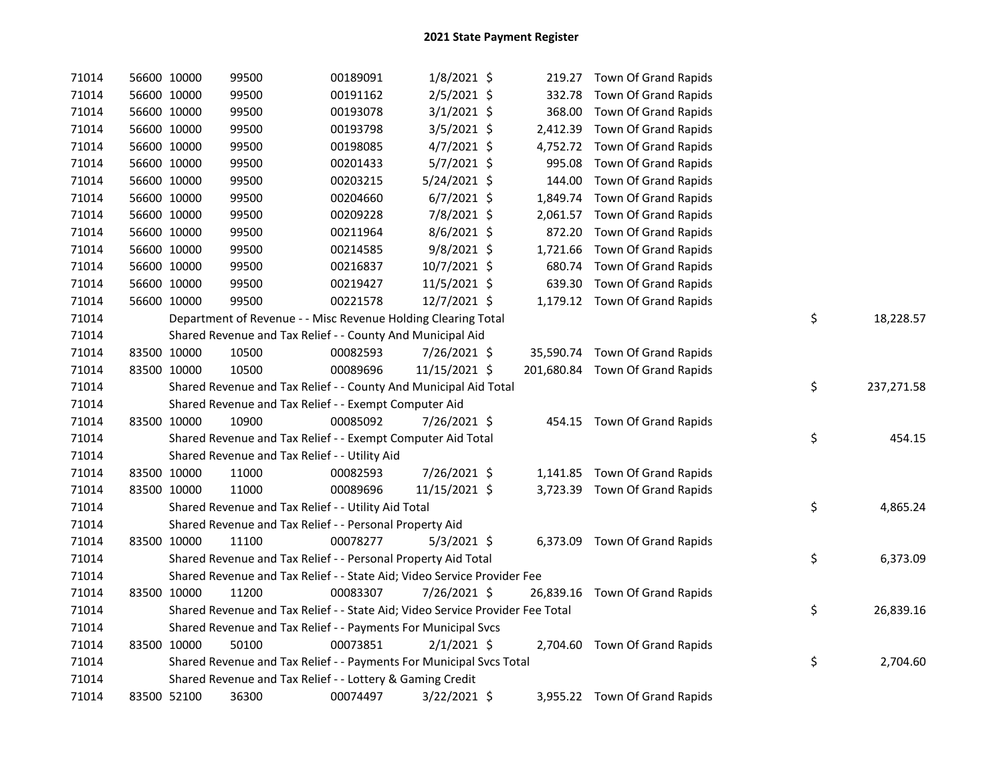| 71014 | 56600 10000 | 99500                                                                         | 00189091 | 1/8/2021 \$   |        | 219.27 Town Of Grand Rapids     |                  |
|-------|-------------|-------------------------------------------------------------------------------|----------|---------------|--------|---------------------------------|------------------|
| 71014 | 56600 10000 | 99500                                                                         | 00191162 | 2/5/2021 \$   |        | 332.78 Town Of Grand Rapids     |                  |
| 71014 | 56600 10000 | 99500                                                                         | 00193078 | $3/1/2021$ \$ | 368.00 | Town Of Grand Rapids            |                  |
| 71014 | 56600 10000 | 99500                                                                         | 00193798 | 3/5/2021 \$   |        | 2,412.39 Town Of Grand Rapids   |                  |
| 71014 | 56600 10000 | 99500                                                                         | 00198085 | 4/7/2021 \$   |        | 4,752.72 Town Of Grand Rapids   |                  |
| 71014 | 56600 10000 | 99500                                                                         | 00201433 | 5/7/2021 \$   |        | 995.08 Town Of Grand Rapids     |                  |
| 71014 | 56600 10000 | 99500                                                                         | 00203215 | 5/24/2021 \$  | 144.00 | Town Of Grand Rapids            |                  |
| 71014 | 56600 10000 | 99500                                                                         | 00204660 | $6/7/2021$ \$ |        | 1,849.74 Town Of Grand Rapids   |                  |
| 71014 | 56600 10000 | 99500                                                                         | 00209228 | 7/8/2021 \$   |        | 2,061.57 Town Of Grand Rapids   |                  |
| 71014 | 56600 10000 | 99500                                                                         | 00211964 | 8/6/2021 \$   |        | 872.20 Town Of Grand Rapids     |                  |
| 71014 | 56600 10000 | 99500                                                                         | 00214585 | 9/8/2021 \$   |        | 1,721.66 Town Of Grand Rapids   |                  |
| 71014 | 56600 10000 | 99500                                                                         | 00216837 | 10/7/2021 \$  |        | 680.74 Town Of Grand Rapids     |                  |
| 71014 | 56600 10000 | 99500                                                                         | 00219427 | 11/5/2021 \$  |        | 639.30 Town Of Grand Rapids     |                  |
| 71014 | 56600 10000 | 99500                                                                         | 00221578 | 12/7/2021 \$  |        | 1,179.12 Town Of Grand Rapids   |                  |
| 71014 |             | Department of Revenue - - Misc Revenue Holding Clearing Total                 |          |               |        |                                 | \$<br>18,228.57  |
| 71014 |             | Shared Revenue and Tax Relief - - County And Municipal Aid                    |          |               |        |                                 |                  |
| 71014 | 83500 10000 | 10500                                                                         | 00082593 | 7/26/2021 \$  |        | 35,590.74 Town Of Grand Rapids  |                  |
| 71014 | 83500 10000 | 10500                                                                         | 00089696 | 11/15/2021 \$ |        | 201,680.84 Town Of Grand Rapids |                  |
| 71014 |             | Shared Revenue and Tax Relief - - County And Municipal Aid Total              |          |               |        |                                 | \$<br>237,271.58 |
| 71014 |             | Shared Revenue and Tax Relief - - Exempt Computer Aid                         |          |               |        |                                 |                  |
| 71014 | 83500 10000 | 10900                                                                         | 00085092 | 7/26/2021 \$  |        | 454.15 Town Of Grand Rapids     |                  |
| 71014 |             | Shared Revenue and Tax Relief - - Exempt Computer Aid Total                   |          |               |        |                                 | \$<br>454.15     |
| 71014 |             | Shared Revenue and Tax Relief - - Utility Aid                                 |          |               |        |                                 |                  |
| 71014 | 83500 10000 | 11000                                                                         | 00082593 | 7/26/2021 \$  |        | 1,141.85 Town Of Grand Rapids   |                  |
| 71014 | 83500 10000 | 11000                                                                         | 00089696 | 11/15/2021 \$ |        | 3,723.39 Town Of Grand Rapids   |                  |
| 71014 |             | Shared Revenue and Tax Relief - - Utility Aid Total                           |          |               |        |                                 | \$<br>4,865.24   |
| 71014 |             | Shared Revenue and Tax Relief - - Personal Property Aid                       |          |               |        |                                 |                  |
| 71014 | 83500 10000 | 11100                                                                         | 00078277 | $5/3/2021$ \$ |        | 6,373.09 Town Of Grand Rapids   |                  |
| 71014 |             | Shared Revenue and Tax Relief - - Personal Property Aid Total                 |          |               |        |                                 | \$<br>6,373.09   |
| 71014 |             | Shared Revenue and Tax Relief - - State Aid; Video Service Provider Fee       |          |               |        |                                 |                  |
| 71014 | 83500 10000 | 11200                                                                         | 00083307 | 7/26/2021 \$  |        | 26,839.16 Town Of Grand Rapids  |                  |
| 71014 |             | Shared Revenue and Tax Relief - - State Aid; Video Service Provider Fee Total |          |               |        |                                 | \$<br>26,839.16  |
| 71014 |             | Shared Revenue and Tax Relief - - Payments For Municipal Svcs                 |          |               |        |                                 |                  |
| 71014 | 83500 10000 | 50100                                                                         | 00073851 | $2/1/2021$ \$ |        | 2,704.60 Town Of Grand Rapids   |                  |
| 71014 |             | Shared Revenue and Tax Relief - - Payments For Municipal Svcs Total           |          |               |        |                                 | \$<br>2,704.60   |
| 71014 |             | Shared Revenue and Tax Relief - - Lottery & Gaming Credit                     |          |               |        |                                 |                  |
| 71014 | 83500 52100 | 36300                                                                         | 00074497 | 3/22/2021 \$  |        | 3,955.22 Town Of Grand Rapids   |                  |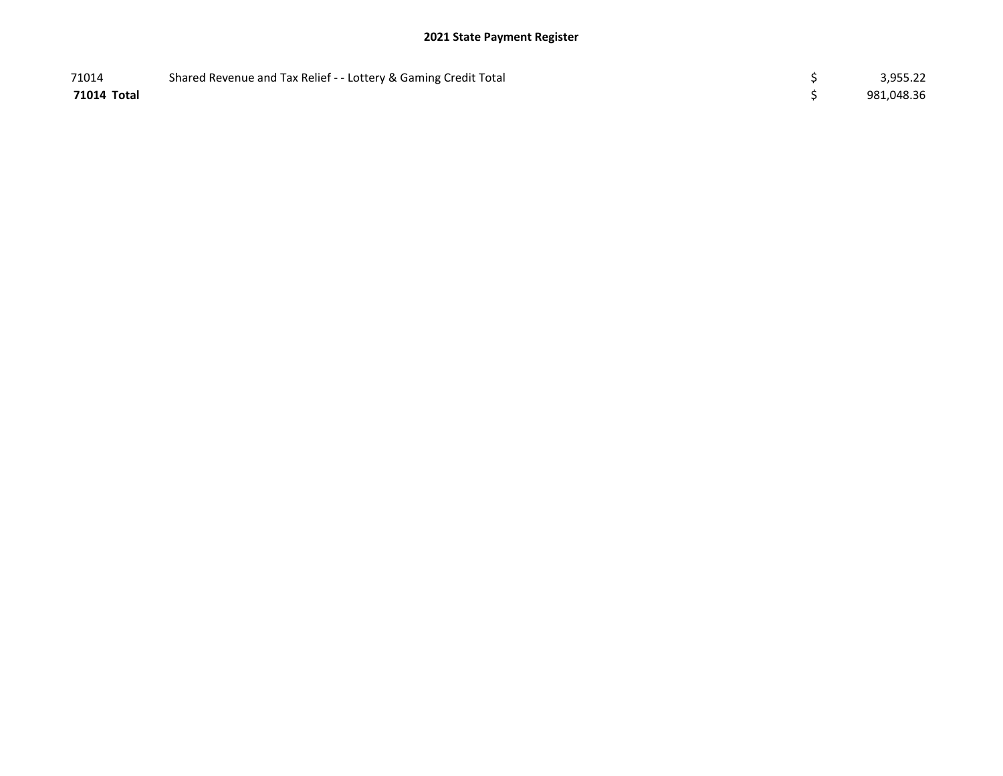## 2021 State Payment Register

| 71014       | Shared Revenue and Tax Relief - - Lottery & Gaming Credit Total | 3,955.22   |
|-------------|-----------------------------------------------------------------|------------|
| 71014 Total |                                                                 | 981,048.36 |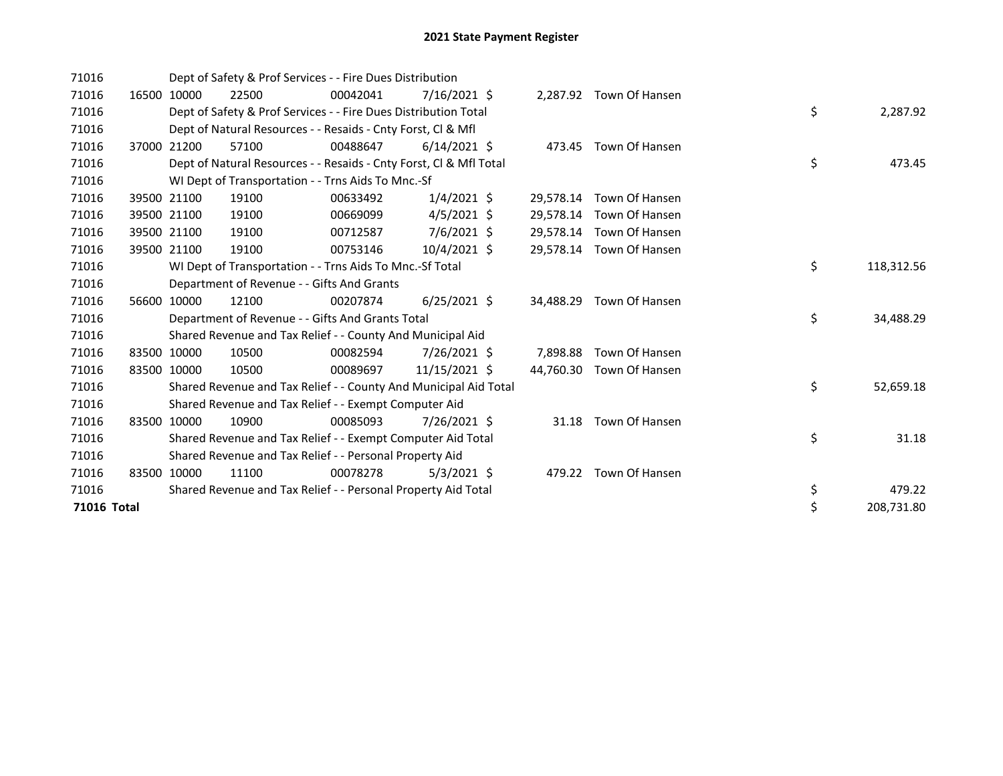| 71016       |       |             | Dept of Safety & Prof Services - - Fire Dues Distribution          |          |                |           |                          |    |            |
|-------------|-------|-------------|--------------------------------------------------------------------|----------|----------------|-----------|--------------------------|----|------------|
| 71016       | 16500 | 10000       | 22500                                                              | 00042041 | $7/16/2021$ \$ |           | 2,287.92 Town Of Hansen  |    |            |
| 71016       |       |             | Dept of Safety & Prof Services - - Fire Dues Distribution Total    |          |                |           |                          | \$ | 2,287.92   |
| 71016       |       |             | Dept of Natural Resources - - Resaids - Cnty Forst, CI & Mfl       |          |                |           |                          |    |            |
| 71016       |       | 37000 21200 | 57100                                                              | 00488647 | $6/14/2021$ \$ |           | 473.45 Town Of Hansen    |    |            |
| 71016       |       |             | Dept of Natural Resources - - Resaids - Cnty Forst, CI & Mfl Total |          |                |           |                          | \$ | 473.45     |
| 71016       |       |             | WI Dept of Transportation - - Trns Aids To Mnc.-Sf                 |          |                |           |                          |    |            |
| 71016       | 39500 | 21100       | 19100                                                              | 00633492 | $1/4/2021$ \$  | 29,578.14 | Town Of Hansen           |    |            |
| 71016       |       | 39500 21100 | 19100                                                              | 00669099 | $4/5/2021$ \$  | 29,578.14 | Town Of Hansen           |    |            |
| 71016       |       | 39500 21100 | 19100                                                              | 00712587 | $7/6/2021$ \$  |           | 29,578.14 Town Of Hansen |    |            |
| 71016       |       | 39500 21100 | 19100                                                              | 00753146 | $10/4/2021$ \$ | 29,578.14 | Town Of Hansen           |    |            |
| 71016       |       |             | WI Dept of Transportation - - Trns Aids To Mnc.-Sf Total           |          |                |           |                          | \$ | 118,312.56 |
| 71016       |       |             | Department of Revenue - - Gifts And Grants                         |          |                |           |                          |    |            |
| 71016       |       | 56600 10000 | 12100                                                              | 00207874 | $6/25/2021$ \$ | 34,488.29 | Town Of Hansen           |    |            |
| 71016       |       |             | Department of Revenue - - Gifts And Grants Total                   |          |                |           |                          | \$ | 34,488.29  |
| 71016       |       |             | Shared Revenue and Tax Relief - - County And Municipal Aid         |          |                |           |                          |    |            |
| 71016       |       | 83500 10000 | 10500                                                              | 00082594 | 7/26/2021 \$   | 7.898.88  | Town Of Hansen           |    |            |
| 71016       |       | 83500 10000 | 10500                                                              | 00089697 | 11/15/2021 \$  | 44.760.30 | Town Of Hansen           |    |            |
| 71016       |       |             | Shared Revenue and Tax Relief - - County And Municipal Aid Total   |          |                |           |                          | \$ | 52,659.18  |
| 71016       |       |             | Shared Revenue and Tax Relief - - Exempt Computer Aid              |          |                |           |                          |    |            |
| 71016       |       | 83500 10000 | 10900                                                              | 00085093 | 7/26/2021 \$   | 31.18     | Town Of Hansen           |    |            |
| 71016       |       |             | Shared Revenue and Tax Relief - - Exempt Computer Aid Total        |          |                |           |                          | \$ | 31.18      |
| 71016       |       |             | Shared Revenue and Tax Relief - - Personal Property Aid            |          |                |           |                          |    |            |
| 71016       | 83500 | 10000       | 11100                                                              | 00078278 | $5/3/2021$ \$  |           | 479.22 Town Of Hansen    |    |            |
| 71016       |       |             | Shared Revenue and Tax Relief - - Personal Property Aid Total      |          |                |           |                          | \$ | 479.22     |
| 71016 Total |       |             |                                                                    |          |                |           |                          | \$ | 208,731.80 |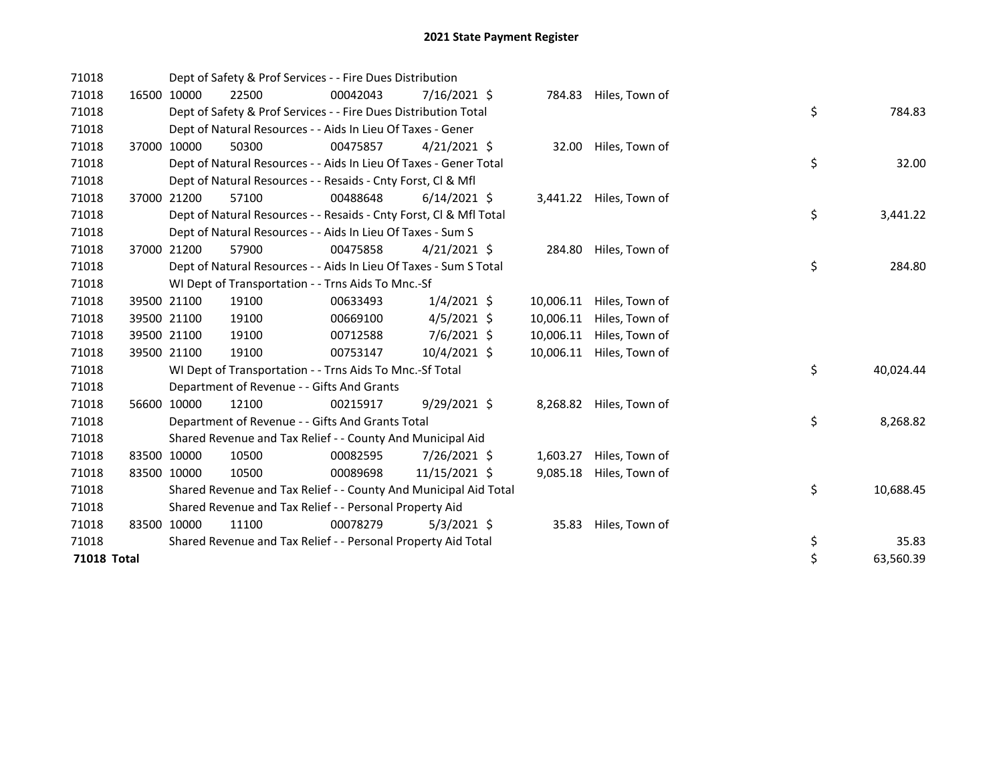| 71018       |             |             | Dept of Safety & Prof Services - - Fire Dues Distribution          |          |                |           |                         |                 |  |
|-------------|-------------|-------------|--------------------------------------------------------------------|----------|----------------|-----------|-------------------------|-----------------|--|
| 71018       |             | 16500 10000 | 22500                                                              | 00042043 | $7/16/2021$ \$ | 784.83    | Hiles, Town of          |                 |  |
| 71018       |             |             | Dept of Safety & Prof Services - - Fire Dues Distribution Total    |          |                |           |                         | \$<br>784.83    |  |
| 71018       |             |             | Dept of Natural Resources - - Aids In Lieu Of Taxes - Gener        |          |                |           |                         |                 |  |
| 71018       | 37000       | 10000       | 50300                                                              | 00475857 | $4/21/2021$ \$ | 32.00     | Hiles, Town of          |                 |  |
| 71018       |             |             | Dept of Natural Resources - - Aids In Lieu Of Taxes - Gener Total  |          |                |           |                         | \$<br>32.00     |  |
| 71018       |             |             | Dept of Natural Resources - - Resaids - Cnty Forst, CI & Mfl       |          |                |           |                         |                 |  |
| 71018       |             | 37000 21200 | 57100                                                              | 00488648 | $6/14/2021$ \$ |           | 3,441.22 Hiles, Town of |                 |  |
| 71018       |             |             | Dept of Natural Resources - - Resaids - Cnty Forst, CI & Mfl Total |          |                |           |                         | \$<br>3,441.22  |  |
| 71018       |             |             | Dept of Natural Resources - - Aids In Lieu Of Taxes - Sum S        |          |                |           |                         |                 |  |
| 71018       |             | 37000 21200 | 57900                                                              | 00475858 | $4/21/2021$ \$ | 284.80    | Hiles, Town of          |                 |  |
| 71018       |             |             | Dept of Natural Resources - - Aids In Lieu Of Taxes - Sum S Total  |          |                |           |                         | \$<br>284.80    |  |
| 71018       |             |             | WI Dept of Transportation - - Trns Aids To Mnc.-Sf                 |          |                |           |                         |                 |  |
| 71018       |             | 39500 21100 | 19100                                                              | 00633493 | $1/4/2021$ \$  | 10,006.11 | Hiles, Town of          |                 |  |
| 71018       |             | 39500 21100 | 19100                                                              | 00669100 | $4/5/2021$ \$  | 10,006.11 | Hiles, Town of          |                 |  |
| 71018       |             | 39500 21100 | 19100                                                              | 00712588 | 7/6/2021 \$    | 10,006.11 | Hiles, Town of          |                 |  |
| 71018       |             | 39500 21100 | 19100                                                              | 00753147 | 10/4/2021 \$   | 10,006.11 | Hiles, Town of          |                 |  |
| 71018       |             |             | WI Dept of Transportation - - Trns Aids To Mnc.-Sf Total           |          |                |           |                         | \$<br>40,024.44 |  |
| 71018       |             |             | Department of Revenue - - Gifts And Grants                         |          |                |           |                         |                 |  |
| 71018       |             | 56600 10000 | 12100                                                              | 00215917 | $9/29/2021$ \$ | 8,268.82  | Hiles, Town of          |                 |  |
| 71018       |             |             | Department of Revenue - - Gifts And Grants Total                   |          |                |           |                         | \$<br>8,268.82  |  |
| 71018       |             |             | Shared Revenue and Tax Relief - - County And Municipal Aid         |          |                |           |                         |                 |  |
| 71018       |             | 83500 10000 | 10500                                                              | 00082595 | 7/26/2021 \$   | 1,603.27  | Hiles, Town of          |                 |  |
| 71018       |             | 83500 10000 | 10500                                                              | 00089698 | 11/15/2021 \$  | 9,085.18  | Hiles, Town of          |                 |  |
| 71018       |             |             | Shared Revenue and Tax Relief - - County And Municipal Aid Total   |          |                |           |                         | \$<br>10,688.45 |  |
| 71018       |             |             | Shared Revenue and Tax Relief - - Personal Property Aid            |          |                |           |                         |                 |  |
| 71018       | 83500 10000 |             | 11100                                                              | 00078279 | $5/3/2021$ \$  | 35.83     | Hiles, Town of          |                 |  |
| 71018       |             |             | Shared Revenue and Tax Relief - - Personal Property Aid Total      |          |                |           |                         | \$<br>35.83     |  |
| 71018 Total |             |             |                                                                    |          |                |           |                         | \$<br>63,560.39 |  |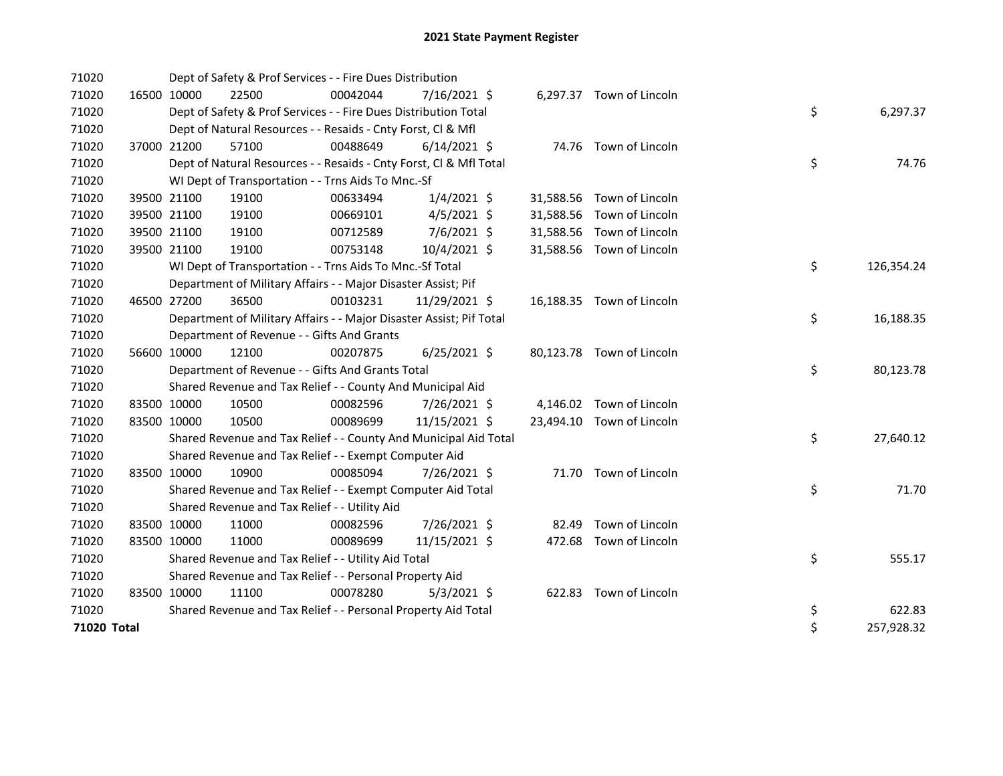| 71020       |             |             | Dept of Safety & Prof Services - - Fire Dues Distribution           |          |                |  |                           |    |            |
|-------------|-------------|-------------|---------------------------------------------------------------------|----------|----------------|--|---------------------------|----|------------|
| 71020       |             | 16500 10000 | 22500                                                               | 00042044 | 7/16/2021 \$   |  | 6,297.37 Town of Lincoln  |    |            |
| 71020       |             |             | Dept of Safety & Prof Services - - Fire Dues Distribution Total     |          |                |  |                           | \$ | 6,297.37   |
| 71020       |             |             | Dept of Natural Resources - - Resaids - Cnty Forst, Cl & Mfl        |          |                |  |                           |    |            |
| 71020       |             | 37000 21200 | 57100                                                               | 00488649 | $6/14/2021$ \$ |  | 74.76 Town of Lincoln     |    |            |
| 71020       |             |             | Dept of Natural Resources - - Resaids - Cnty Forst, CI & Mfl Total  |          |                |  |                           | \$ | 74.76      |
| 71020       |             |             | WI Dept of Transportation - - Trns Aids To Mnc.-Sf                  |          |                |  |                           |    |            |
| 71020       |             | 39500 21100 | 19100                                                               | 00633494 | $1/4/2021$ \$  |  | 31,588.56 Town of Lincoln |    |            |
| 71020       |             | 39500 21100 | 19100                                                               | 00669101 | $4/5/2021$ \$  |  | 31,588.56 Town of Lincoln |    |            |
| 71020       |             | 39500 21100 | 19100                                                               | 00712589 | 7/6/2021 \$    |  | 31,588.56 Town of Lincoln |    |            |
| 71020       |             | 39500 21100 | 19100                                                               | 00753148 | 10/4/2021 \$   |  | 31,588.56 Town of Lincoln |    |            |
| 71020       |             |             | WI Dept of Transportation - - Trns Aids To Mnc.-Sf Total            |          |                |  |                           | \$ | 126,354.24 |
| 71020       |             |             | Department of Military Affairs - - Major Disaster Assist; Pif       |          |                |  |                           |    |            |
| 71020       | 46500 27200 |             | 36500                                                               | 00103231 | 11/29/2021 \$  |  | 16,188.35 Town of Lincoln |    |            |
| 71020       |             |             | Department of Military Affairs - - Major Disaster Assist; Pif Total |          |                |  |                           | \$ | 16,188.35  |
| 71020       |             |             | Department of Revenue - - Gifts And Grants                          |          |                |  |                           |    |            |
| 71020       |             | 56600 10000 | 12100                                                               | 00207875 | $6/25/2021$ \$ |  | 80,123.78 Town of Lincoln |    |            |
| 71020       |             |             | Department of Revenue - - Gifts And Grants Total                    |          |                |  |                           | \$ | 80,123.78  |
| 71020       |             |             | Shared Revenue and Tax Relief - - County And Municipal Aid          |          |                |  |                           |    |            |
| 71020       | 83500 10000 |             | 10500                                                               | 00082596 | 7/26/2021 \$   |  | 4,146.02 Town of Lincoln  |    |            |
| 71020       |             | 83500 10000 | 10500                                                               | 00089699 | 11/15/2021 \$  |  | 23,494.10 Town of Lincoln |    |            |
| 71020       |             |             | Shared Revenue and Tax Relief - - County And Municipal Aid Total    |          |                |  |                           | \$ | 27,640.12  |
| 71020       |             |             | Shared Revenue and Tax Relief - - Exempt Computer Aid               |          |                |  |                           |    |            |
| 71020       | 83500 10000 |             | 10900                                                               | 00085094 | 7/26/2021 \$   |  | 71.70 Town of Lincoln     |    |            |
| 71020       |             |             | Shared Revenue and Tax Relief - - Exempt Computer Aid Total         |          |                |  |                           | \$ | 71.70      |
| 71020       |             |             | Shared Revenue and Tax Relief - - Utility Aid                       |          |                |  |                           |    |            |
| 71020       |             | 83500 10000 | 11000                                                               | 00082596 | 7/26/2021 \$   |  | 82.49 Town of Lincoln     |    |            |
| 71020       |             | 83500 10000 | 11000                                                               | 00089699 | 11/15/2021 \$  |  | 472.68 Town of Lincoln    |    |            |
| 71020       |             |             | Shared Revenue and Tax Relief - - Utility Aid Total                 |          |                |  |                           | \$ | 555.17     |
| 71020       |             |             | Shared Revenue and Tax Relief - - Personal Property Aid             |          |                |  |                           |    |            |
| 71020       | 83500 10000 |             | 11100                                                               | 00078280 | $5/3/2021$ \$  |  | 622.83 Town of Lincoln    |    |            |
| 71020       |             |             | Shared Revenue and Tax Relief - - Personal Property Aid Total       |          |                |  |                           | \$ | 622.83     |
| 71020 Total |             |             |                                                                     |          |                |  |                           | \$ | 257,928.32 |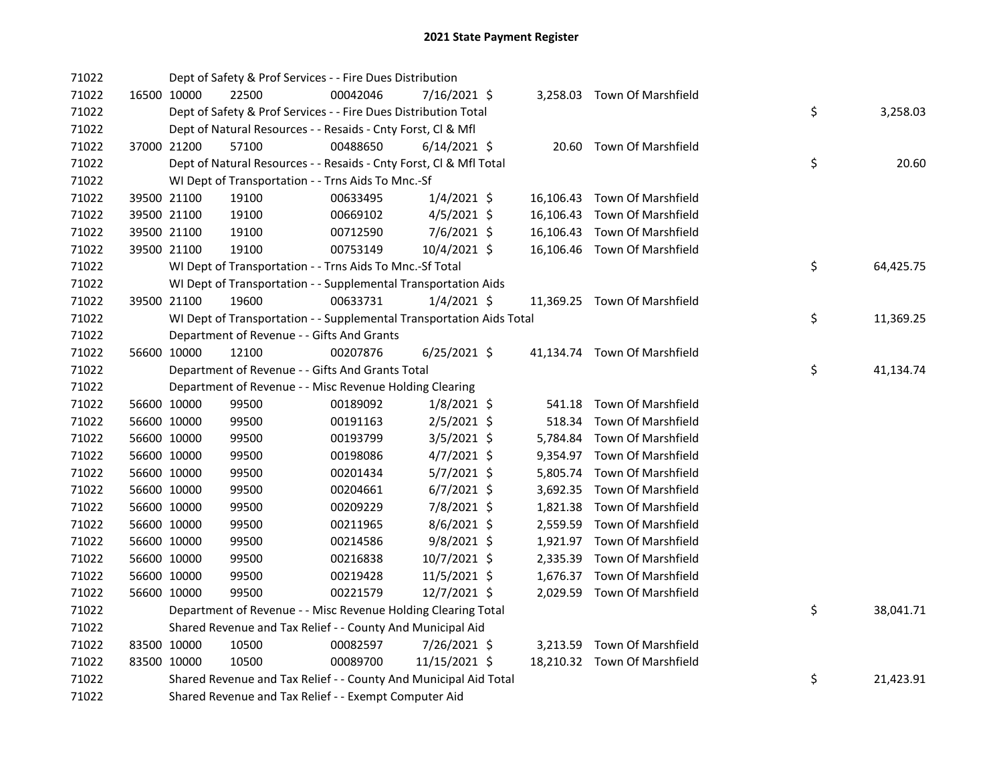| 71022 |             | Dept of Safety & Prof Services - - Fire Dues Distribution            |          |                |  |                              |    |           |
|-------|-------------|----------------------------------------------------------------------|----------|----------------|--|------------------------------|----|-----------|
| 71022 | 16500 10000 | 22500                                                                | 00042046 | 7/16/2021 \$   |  | 3,258.03 Town Of Marshfield  |    |           |
| 71022 |             | Dept of Safety & Prof Services - - Fire Dues Distribution Total      |          |                |  |                              | \$ | 3,258.03  |
| 71022 |             | Dept of Natural Resources - - Resaids - Cnty Forst, Cl & Mfl         |          |                |  |                              |    |           |
| 71022 | 37000 21200 | 57100                                                                | 00488650 | $6/14/2021$ \$ |  | 20.60 Town Of Marshfield     |    |           |
| 71022 |             | Dept of Natural Resources - - Resaids - Cnty Forst, Cl & Mfl Total   |          |                |  |                              | \$ | 20.60     |
| 71022 |             | WI Dept of Transportation - - Trns Aids To Mnc.-Sf                   |          |                |  |                              |    |           |
| 71022 | 39500 21100 | 19100                                                                | 00633495 | $1/4/2021$ \$  |  | 16,106.43 Town Of Marshfield |    |           |
| 71022 | 39500 21100 | 19100                                                                | 00669102 | $4/5/2021$ \$  |  | 16,106.43 Town Of Marshfield |    |           |
| 71022 | 39500 21100 | 19100                                                                | 00712590 | $7/6/2021$ \$  |  | 16,106.43 Town Of Marshfield |    |           |
| 71022 | 39500 21100 | 19100                                                                | 00753149 | 10/4/2021 \$   |  | 16,106.46 Town Of Marshfield |    |           |
| 71022 |             | WI Dept of Transportation - - Trns Aids To Mnc.-Sf Total             |          |                |  |                              | \$ | 64,425.75 |
| 71022 |             | WI Dept of Transportation - - Supplemental Transportation Aids       |          |                |  |                              |    |           |
| 71022 | 39500 21100 | 19600                                                                | 00633731 | $1/4/2021$ \$  |  | 11,369.25 Town Of Marshfield |    |           |
| 71022 |             | WI Dept of Transportation - - Supplemental Transportation Aids Total |          |                |  |                              | \$ | 11,369.25 |
| 71022 |             | Department of Revenue - - Gifts And Grants                           |          |                |  |                              |    |           |
| 71022 | 56600 10000 | 12100                                                                | 00207876 | $6/25/2021$ \$ |  | 41,134.74 Town Of Marshfield |    |           |
| 71022 |             | Department of Revenue - - Gifts And Grants Total                     |          |                |  |                              | \$ | 41,134.74 |
| 71022 |             | Department of Revenue - - Misc Revenue Holding Clearing              |          |                |  |                              |    |           |
| 71022 | 56600 10000 | 99500                                                                | 00189092 | $1/8/2021$ \$  |  | 541.18 Town Of Marshfield    |    |           |
| 71022 | 56600 10000 | 99500                                                                | 00191163 | $2/5/2021$ \$  |  | 518.34 Town Of Marshfield    |    |           |
| 71022 | 56600 10000 | 99500                                                                | 00193799 | $3/5/2021$ \$  |  | 5,784.84 Town Of Marshfield  |    |           |
| 71022 | 56600 10000 | 99500                                                                | 00198086 | 4/7/2021 \$    |  | 9,354.97 Town Of Marshfield  |    |           |
| 71022 | 56600 10000 | 99500                                                                | 00201434 | 5/7/2021 \$    |  | 5,805.74 Town Of Marshfield  |    |           |
| 71022 | 56600 10000 | 99500                                                                | 00204661 | $6/7/2021$ \$  |  | 3,692.35 Town Of Marshfield  |    |           |
| 71022 | 56600 10000 | 99500                                                                | 00209229 | 7/8/2021 \$    |  | 1,821.38 Town Of Marshfield  |    |           |
| 71022 | 56600 10000 | 99500                                                                | 00211965 | $8/6/2021$ \$  |  | 2,559.59 Town Of Marshfield  |    |           |
| 71022 | 56600 10000 | 99500                                                                | 00214586 | 9/8/2021 \$    |  | 1,921.97 Town Of Marshfield  |    |           |
| 71022 | 56600 10000 | 99500                                                                | 00216838 | $10/7/2021$ \$ |  | 2,335.39 Town Of Marshfield  |    |           |
| 71022 | 56600 10000 | 99500                                                                | 00219428 | $11/5/2021$ \$ |  | 1,676.37 Town Of Marshfield  |    |           |
| 71022 | 56600 10000 | 99500                                                                | 00221579 | 12/7/2021 \$   |  | 2,029.59 Town Of Marshfield  |    |           |
| 71022 |             | Department of Revenue - - Misc Revenue Holding Clearing Total        |          |                |  |                              | \$ | 38,041.71 |
| 71022 |             | Shared Revenue and Tax Relief - - County And Municipal Aid           |          |                |  |                              |    |           |
| 71022 | 83500 10000 | 10500                                                                | 00082597 | 7/26/2021 \$   |  | 3,213.59 Town Of Marshfield  |    |           |
| 71022 | 83500 10000 | 10500                                                                | 00089700 | 11/15/2021 \$  |  | 18,210.32 Town Of Marshfield |    |           |
| 71022 |             | Shared Revenue and Tax Relief - - County And Municipal Aid Total     |          |                |  |                              | \$ | 21,423.91 |
| 71022 |             | Shared Revenue and Tax Relief - - Exempt Computer Aid                |          |                |  |                              |    |           |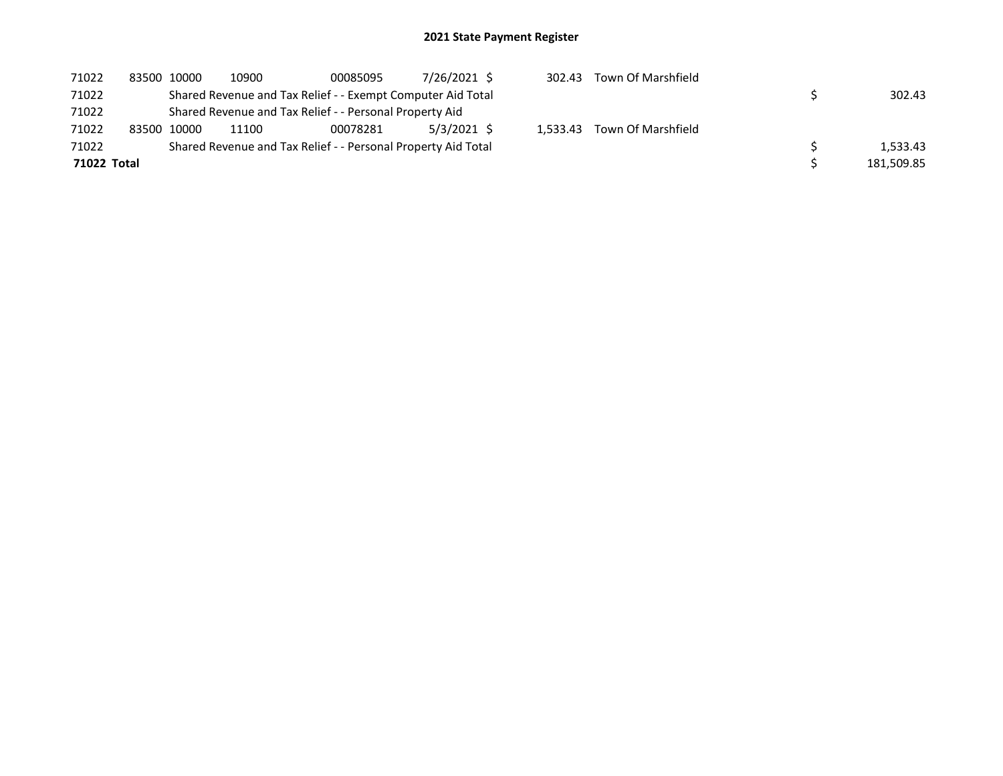| 71022       | 83500 10000 | 10900 | 00085095                                                      | 7/26/2021 \$ | 302.43 | Town Of Marshfield          |            |
|-------------|-------------|-------|---------------------------------------------------------------|--------------|--------|-----------------------------|------------|
| 71022       |             |       | Shared Revenue and Tax Relief - - Exempt Computer Aid Total   |              |        |                             | 302.43     |
| 71022       |             |       | Shared Revenue and Tax Relief - - Personal Property Aid       |              |        |                             |            |
| 71022       | 83500 10000 | 11100 | 00078281                                                      | 5/3/2021 \$  |        | 1.533.43 Town Of Marshfield |            |
| 71022       |             |       | Shared Revenue and Tax Relief - - Personal Property Aid Total |              |        |                             | 1.533.43   |
| 71022 Total |             |       |                                                               |              |        |                             | 181,509.85 |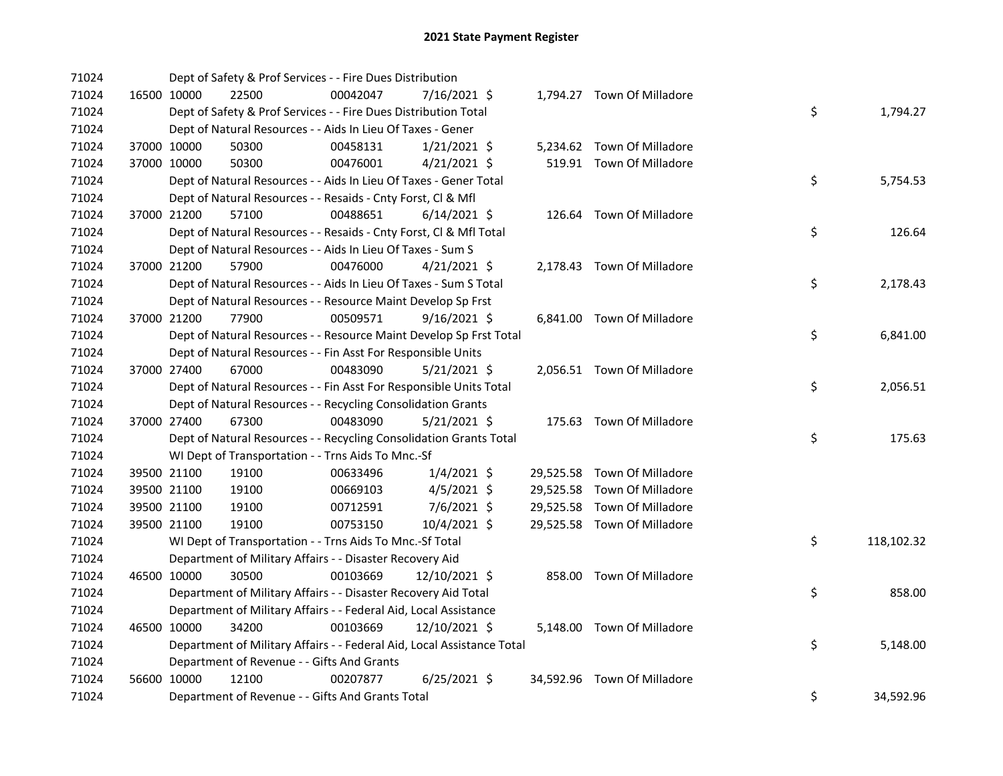| 71024 |             |             | Dept of Safety & Prof Services - - Fire Dues Distribution              |          |                |  |                             |    |            |
|-------|-------------|-------------|------------------------------------------------------------------------|----------|----------------|--|-----------------------------|----|------------|
| 71024 |             | 16500 10000 | 22500                                                                  | 00042047 | 7/16/2021 \$   |  | 1,794.27 Town Of Milladore  |    |            |
| 71024 |             |             | Dept of Safety & Prof Services - - Fire Dues Distribution Total        |          |                |  |                             | \$ | 1,794.27   |
| 71024 |             |             | Dept of Natural Resources - - Aids In Lieu Of Taxes - Gener            |          |                |  |                             |    |            |
| 71024 |             | 37000 10000 | 50300                                                                  | 00458131 | $1/21/2021$ \$ |  | 5,234.62 Town Of Milladore  |    |            |
| 71024 |             | 37000 10000 | 50300                                                                  | 00476001 | $4/21/2021$ \$ |  | 519.91 Town Of Milladore    |    |            |
| 71024 |             |             | Dept of Natural Resources - - Aids In Lieu Of Taxes - Gener Total      |          |                |  |                             | \$ | 5,754.53   |
| 71024 |             |             | Dept of Natural Resources - - Resaids - Cnty Forst, Cl & Mfl           |          |                |  |                             |    |            |
| 71024 | 37000 21200 |             | 57100                                                                  | 00488651 | $6/14/2021$ \$ |  | 126.64 Town Of Milladore    |    |            |
| 71024 |             |             | Dept of Natural Resources - - Resaids - Cnty Forst, Cl & Mfl Total     |          |                |  |                             | \$ | 126.64     |
| 71024 |             |             | Dept of Natural Resources - - Aids In Lieu Of Taxes - Sum S            |          |                |  |                             |    |            |
| 71024 |             | 37000 21200 | 57900                                                                  | 00476000 | $4/21/2021$ \$ |  | 2,178.43 Town Of Milladore  |    |            |
| 71024 |             |             | Dept of Natural Resources - - Aids In Lieu Of Taxes - Sum S Total      |          |                |  |                             | \$ | 2,178.43   |
| 71024 |             |             | Dept of Natural Resources - - Resource Maint Develop Sp Frst           |          |                |  |                             |    |            |
| 71024 |             | 37000 21200 | 77900                                                                  | 00509571 | $9/16/2021$ \$ |  | 6,841.00 Town Of Milladore  |    |            |
| 71024 |             |             | Dept of Natural Resources - - Resource Maint Develop Sp Frst Total     |          |                |  |                             | \$ | 6,841.00   |
| 71024 |             |             | Dept of Natural Resources - - Fin Asst For Responsible Units           |          |                |  |                             |    |            |
| 71024 |             | 37000 27400 | 67000                                                                  | 00483090 | $5/21/2021$ \$ |  | 2,056.51 Town Of Milladore  |    |            |
| 71024 |             |             | Dept of Natural Resources - - Fin Asst For Responsible Units Total     |          |                |  |                             | \$ | 2,056.51   |
| 71024 |             |             | Dept of Natural Resources - - Recycling Consolidation Grants           |          |                |  |                             |    |            |
| 71024 |             | 37000 27400 | 67300                                                                  | 00483090 | $5/21/2021$ \$ |  | 175.63 Town Of Milladore    |    |            |
| 71024 |             |             | Dept of Natural Resources - - Recycling Consolidation Grants Total     |          |                |  |                             | \$ | 175.63     |
| 71024 |             |             | WI Dept of Transportation - - Trns Aids To Mnc.-Sf                     |          |                |  |                             |    |            |
| 71024 |             | 39500 21100 | 19100                                                                  | 00633496 | $1/4/2021$ \$  |  | 29,525.58 Town Of Milladore |    |            |
| 71024 |             | 39500 21100 | 19100                                                                  | 00669103 | $4/5/2021$ \$  |  | 29,525.58 Town Of Milladore |    |            |
| 71024 |             | 39500 21100 | 19100                                                                  | 00712591 | 7/6/2021 \$    |  | 29,525.58 Town Of Milladore |    |            |
| 71024 |             | 39500 21100 | 19100                                                                  | 00753150 | 10/4/2021 \$   |  | 29,525.58 Town Of Milladore |    |            |
| 71024 |             |             | WI Dept of Transportation - - Trns Aids To Mnc.-Sf Total               |          |                |  |                             | \$ | 118,102.32 |
| 71024 |             |             | Department of Military Affairs - - Disaster Recovery Aid               |          |                |  |                             |    |            |
| 71024 |             | 46500 10000 | 30500                                                                  | 00103669 | 12/10/2021 \$  |  | 858.00 Town Of Milladore    |    |            |
| 71024 |             |             | Department of Military Affairs - - Disaster Recovery Aid Total         |          |                |  |                             | \$ | 858.00     |
| 71024 |             |             | Department of Military Affairs - - Federal Aid, Local Assistance       |          |                |  |                             |    |            |
| 71024 |             | 46500 10000 | 34200                                                                  | 00103669 | 12/10/2021 \$  |  | 5,148.00 Town Of Milladore  |    |            |
| 71024 |             |             | Department of Military Affairs - - Federal Aid, Local Assistance Total |          |                |  |                             | \$ | 5,148.00   |
| 71024 |             |             | Department of Revenue - - Gifts And Grants                             |          |                |  |                             |    |            |
| 71024 |             | 56600 10000 | 12100                                                                  | 00207877 | $6/25/2021$ \$ |  | 34,592.96 Town Of Milladore |    |            |
| 71024 |             |             | Department of Revenue - - Gifts And Grants Total                       |          |                |  |                             | \$ | 34,592.96  |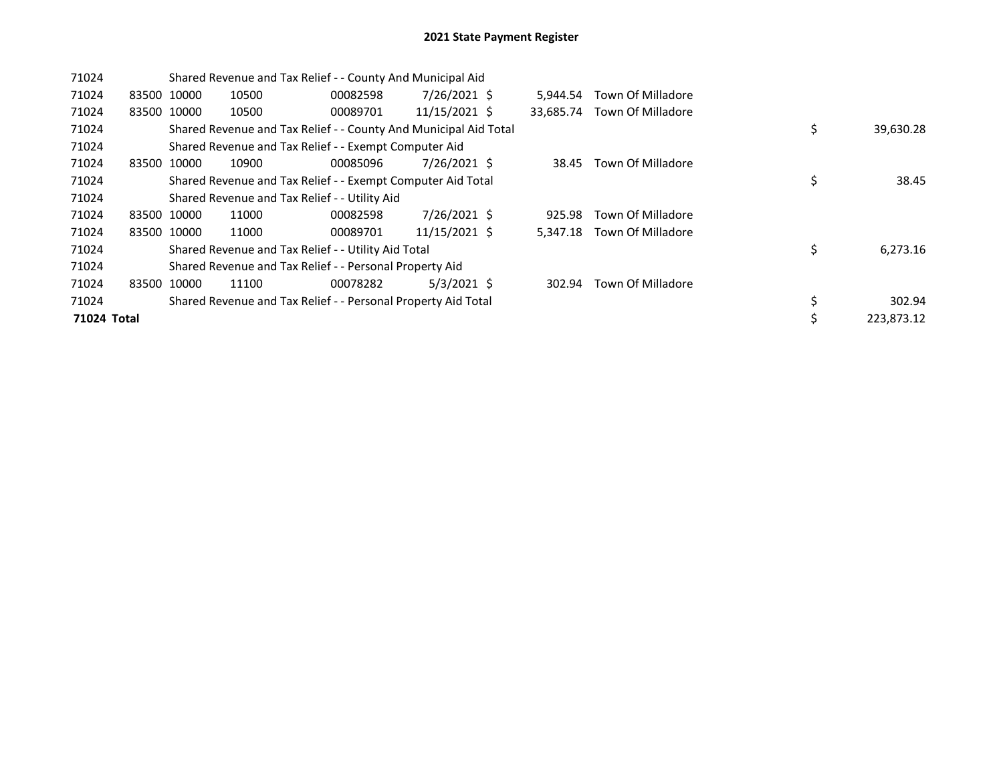| 71024       |       |             | Shared Revenue and Tax Relief - - County And Municipal Aid       |          |               |           |                   |                  |
|-------------|-------|-------------|------------------------------------------------------------------|----------|---------------|-----------|-------------------|------------------|
| 71024       |       | 83500 10000 | 10500                                                            | 00082598 | 7/26/2021 \$  | 5.944.54  | Town Of Milladore |                  |
| 71024       |       | 83500 10000 | 10500                                                            | 00089701 | 11/15/2021 \$ | 33.685.74 | Town Of Milladore |                  |
| 71024       |       |             | Shared Revenue and Tax Relief - - County And Municipal Aid Total |          |               |           |                   | \$<br>39,630.28  |
| 71024       |       |             | Shared Revenue and Tax Relief - - Exempt Computer Aid            |          |               |           |                   |                  |
| 71024       |       | 83500 10000 | 10900                                                            | 00085096 | 7/26/2021 \$  | 38.45     | Town Of Milladore |                  |
| 71024       |       |             | Shared Revenue and Tax Relief - - Exempt Computer Aid Total      |          |               |           |                   | \$<br>38.45      |
| 71024       |       |             | Shared Revenue and Tax Relief - - Utility Aid                    |          |               |           |                   |                  |
| 71024       |       | 83500 10000 | 11000                                                            | 00082598 | 7/26/2021 \$  | 925.98    | Town Of Milladore |                  |
| 71024       |       | 83500 10000 | 11000                                                            | 00089701 | 11/15/2021 \$ | 5,347.18  | Town Of Milladore |                  |
| 71024       |       |             | Shared Revenue and Tax Relief - - Utility Aid Total              |          |               |           |                   | \$<br>6,273.16   |
| 71024       |       |             | Shared Revenue and Tax Relief - - Personal Property Aid          |          |               |           |                   |                  |
| 71024       | 83500 | 10000       | 11100                                                            | 00078282 | $5/3/2021$ \$ | 302.94    | Town Of Milladore |                  |
| 71024       |       |             | Shared Revenue and Tax Relief - - Personal Property Aid Total    |          |               |           |                   | \$<br>302.94     |
| 71024 Total |       |             |                                                                  |          |               |           |                   | \$<br>223,873.12 |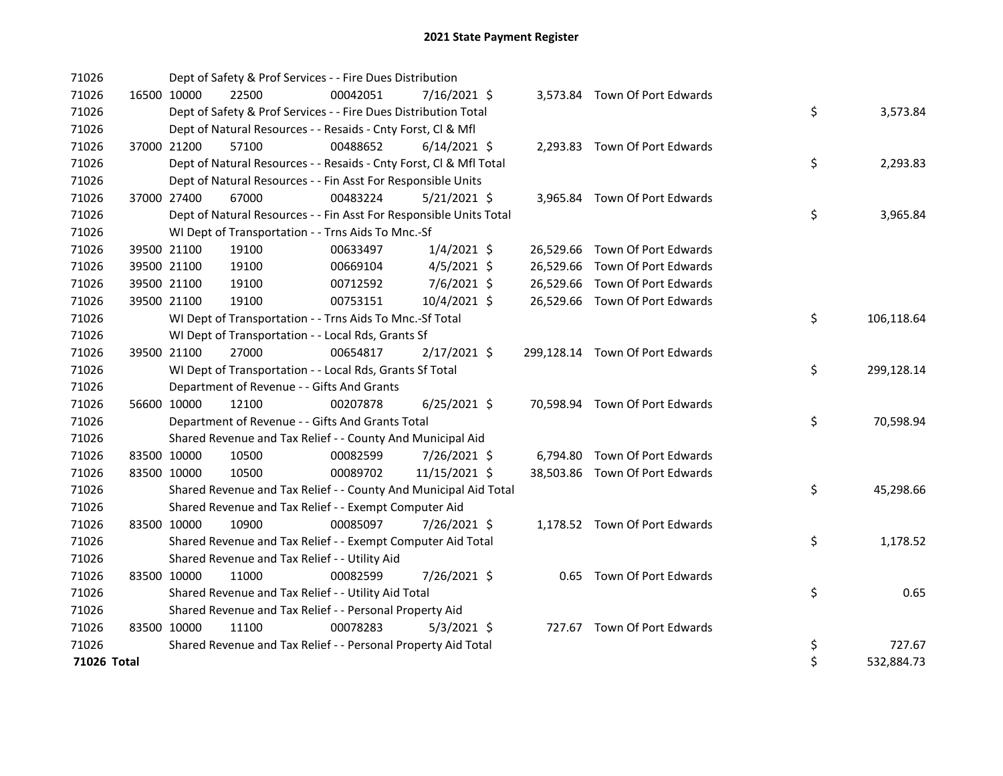| 71026       |             | Dept of Safety & Prof Services - - Fire Dues Distribution          |          |                |  |                                 |    |            |
|-------------|-------------|--------------------------------------------------------------------|----------|----------------|--|---------------------------------|----|------------|
| 71026       | 16500 10000 | 22500                                                              | 00042051 | 7/16/2021 \$   |  | 3,573.84 Town Of Port Edwards   |    |            |
| 71026       |             | Dept of Safety & Prof Services - - Fire Dues Distribution Total    |          |                |  |                                 | \$ | 3,573.84   |
| 71026       |             | Dept of Natural Resources - - Resaids - Cnty Forst, Cl & Mfl       |          |                |  |                                 |    |            |
| 71026       | 37000 21200 | 57100                                                              | 00488652 | $6/14/2021$ \$ |  | 2,293.83 Town Of Port Edwards   |    |            |
| 71026       |             | Dept of Natural Resources - - Resaids - Cnty Forst, Cl & Mfl Total |          |                |  |                                 | \$ | 2,293.83   |
| 71026       |             | Dept of Natural Resources - - Fin Asst For Responsible Units       |          |                |  |                                 |    |            |
| 71026       | 37000 27400 | 67000                                                              | 00483224 | $5/21/2021$ \$ |  | 3,965.84 Town Of Port Edwards   |    |            |
| 71026       |             | Dept of Natural Resources - - Fin Asst For Responsible Units Total |          |                |  |                                 | \$ | 3,965.84   |
| 71026       |             | WI Dept of Transportation - - Trns Aids To Mnc.-Sf                 |          |                |  |                                 |    |            |
| 71026       | 39500 21100 | 19100                                                              | 00633497 | $1/4/2021$ \$  |  | 26,529.66 Town Of Port Edwards  |    |            |
| 71026       | 39500 21100 | 19100                                                              | 00669104 | $4/5/2021$ \$  |  | 26,529.66 Town Of Port Edwards  |    |            |
| 71026       | 39500 21100 | 19100                                                              | 00712592 | 7/6/2021 \$    |  | 26,529.66 Town Of Port Edwards  |    |            |
| 71026       | 39500 21100 | 19100                                                              | 00753151 | 10/4/2021 \$   |  | 26,529.66 Town Of Port Edwards  |    |            |
| 71026       |             | WI Dept of Transportation - - Trns Aids To Mnc.-Sf Total           |          |                |  |                                 | \$ | 106,118.64 |
| 71026       |             | WI Dept of Transportation - - Local Rds, Grants Sf                 |          |                |  |                                 |    |            |
| 71026       | 39500 21100 | 27000                                                              | 00654817 | $2/17/2021$ \$ |  | 299,128.14 Town Of Port Edwards |    |            |
| 71026       |             | WI Dept of Transportation - - Local Rds, Grants Sf Total           |          |                |  |                                 | \$ | 299,128.14 |
| 71026       |             | Department of Revenue - - Gifts And Grants                         |          |                |  |                                 |    |            |
| 71026       | 56600 10000 | 12100                                                              | 00207878 | $6/25/2021$ \$ |  | 70,598.94 Town Of Port Edwards  |    |            |
| 71026       |             | Department of Revenue - - Gifts And Grants Total                   |          |                |  |                                 | \$ | 70,598.94  |
| 71026       |             | Shared Revenue and Tax Relief - - County And Municipal Aid         |          |                |  |                                 |    |            |
| 71026       | 83500 10000 | 10500                                                              | 00082599 | 7/26/2021 \$   |  | 6,794.80 Town Of Port Edwards   |    |            |
| 71026       | 83500 10000 | 10500                                                              | 00089702 | 11/15/2021 \$  |  | 38,503.86 Town Of Port Edwards  |    |            |
| 71026       |             | Shared Revenue and Tax Relief - - County And Municipal Aid Total   |          |                |  |                                 | \$ | 45,298.66  |
| 71026       |             | Shared Revenue and Tax Relief - - Exempt Computer Aid              |          |                |  |                                 |    |            |
| 71026       | 83500 10000 | 10900                                                              | 00085097 | 7/26/2021 \$   |  | 1,178.52 Town Of Port Edwards   |    |            |
| 71026       |             | Shared Revenue and Tax Relief - - Exempt Computer Aid Total        |          |                |  |                                 | \$ | 1,178.52   |
| 71026       |             | Shared Revenue and Tax Relief - - Utility Aid                      |          |                |  |                                 |    |            |
| 71026       | 83500 10000 | 11000                                                              | 00082599 | 7/26/2021 \$   |  | 0.65 Town Of Port Edwards       |    |            |
| 71026       |             | Shared Revenue and Tax Relief - - Utility Aid Total                |          |                |  |                                 | \$ | 0.65       |
| 71026       |             | Shared Revenue and Tax Relief - - Personal Property Aid            |          |                |  |                                 |    |            |
| 71026       | 83500 10000 | 11100                                                              | 00078283 | $5/3/2021$ \$  |  | 727.67 Town Of Port Edwards     |    |            |
| 71026       |             | Shared Revenue and Tax Relief - - Personal Property Aid Total      |          |                |  |                                 | \$ | 727.67     |
| 71026 Total |             |                                                                    |          |                |  |                                 | \$ | 532,884.73 |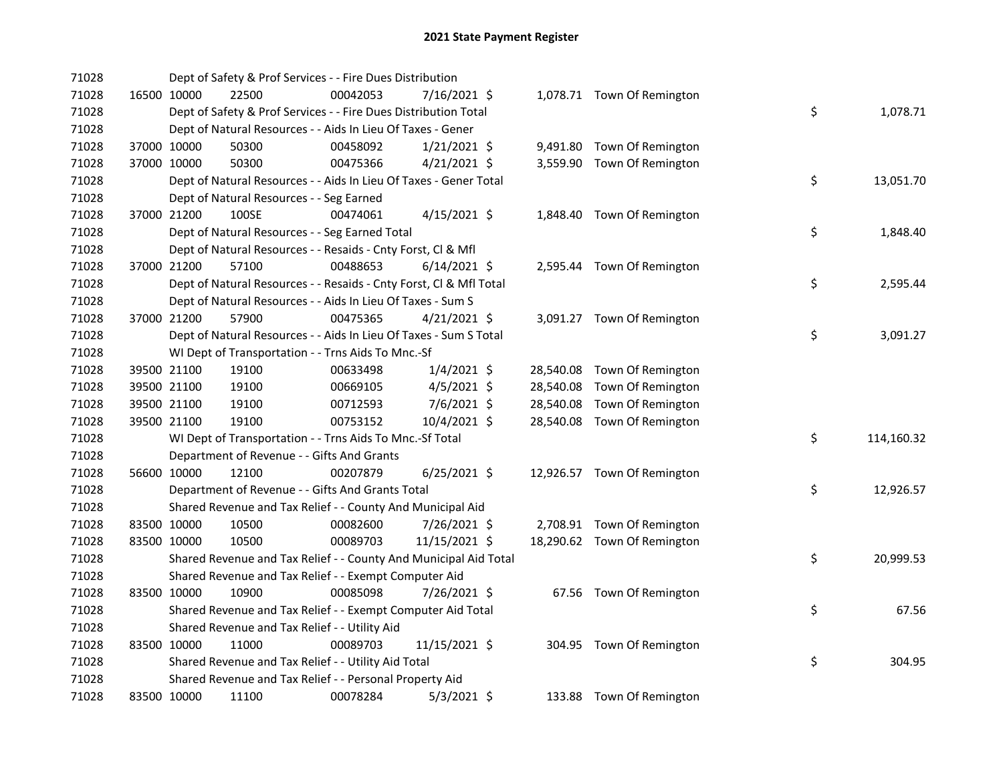| 71028 |             | Dept of Safety & Prof Services - - Fire Dues Distribution          |          |                |  |                             |    |            |
|-------|-------------|--------------------------------------------------------------------|----------|----------------|--|-----------------------------|----|------------|
| 71028 | 16500 10000 | 22500                                                              | 00042053 | 7/16/2021 \$   |  | 1,078.71 Town Of Remington  |    |            |
| 71028 |             | Dept of Safety & Prof Services - - Fire Dues Distribution Total    |          |                |  |                             | \$ | 1,078.71   |
| 71028 |             | Dept of Natural Resources - - Aids In Lieu Of Taxes - Gener        |          |                |  |                             |    |            |
| 71028 | 37000 10000 | 50300                                                              | 00458092 | $1/21/2021$ \$ |  | 9,491.80 Town Of Remington  |    |            |
| 71028 | 37000 10000 | 50300                                                              | 00475366 | $4/21/2021$ \$ |  | 3,559.90 Town Of Remington  |    |            |
| 71028 |             | Dept of Natural Resources - - Aids In Lieu Of Taxes - Gener Total  |          |                |  |                             | \$ | 13,051.70  |
| 71028 |             | Dept of Natural Resources - - Seg Earned                           |          |                |  |                             |    |            |
| 71028 | 37000 21200 | 100SE                                                              | 00474061 | $4/15/2021$ \$ |  | 1,848.40 Town Of Remington  |    |            |
| 71028 |             | Dept of Natural Resources - - Seg Earned Total                     |          |                |  |                             | \$ | 1,848.40   |
| 71028 |             | Dept of Natural Resources - - Resaids - Cnty Forst, Cl & Mfl       |          |                |  |                             |    |            |
| 71028 | 37000 21200 | 57100                                                              | 00488653 | $6/14/2021$ \$ |  | 2,595.44 Town Of Remington  |    |            |
| 71028 |             | Dept of Natural Resources - - Resaids - Cnty Forst, Cl & Mfl Total |          |                |  |                             | \$ | 2,595.44   |
| 71028 |             | Dept of Natural Resources - - Aids In Lieu Of Taxes - Sum S        |          |                |  |                             |    |            |
| 71028 | 37000 21200 | 57900                                                              | 00475365 | $4/21/2021$ \$ |  | 3,091.27 Town Of Remington  |    |            |
| 71028 |             | Dept of Natural Resources - - Aids In Lieu Of Taxes - Sum S Total  |          |                |  |                             | \$ | 3,091.27   |
| 71028 |             | WI Dept of Transportation - - Trns Aids To Mnc.-Sf                 |          |                |  |                             |    |            |
| 71028 | 39500 21100 | 19100                                                              | 00633498 | $1/4/2021$ \$  |  | 28,540.08 Town Of Remington |    |            |
| 71028 | 39500 21100 | 19100                                                              | 00669105 | $4/5/2021$ \$  |  | 28,540.08 Town Of Remington |    |            |
| 71028 | 39500 21100 | 19100                                                              | 00712593 | 7/6/2021 \$    |  | 28,540.08 Town Of Remington |    |            |
| 71028 | 39500 21100 | 19100                                                              | 00753152 | 10/4/2021 \$   |  | 28,540.08 Town Of Remington |    |            |
| 71028 |             | WI Dept of Transportation - - Trns Aids To Mnc.-Sf Total           |          |                |  |                             | \$ | 114,160.32 |
| 71028 |             | Department of Revenue - - Gifts And Grants                         |          |                |  |                             |    |            |
| 71028 | 56600 10000 | 12100                                                              | 00207879 | $6/25/2021$ \$ |  | 12,926.57 Town Of Remington |    |            |
| 71028 |             | Department of Revenue - - Gifts And Grants Total                   |          |                |  |                             | \$ | 12,926.57  |
| 71028 |             | Shared Revenue and Tax Relief - - County And Municipal Aid         |          |                |  |                             |    |            |
| 71028 | 83500 10000 | 10500                                                              | 00082600 | 7/26/2021 \$   |  | 2,708.91 Town Of Remington  |    |            |
| 71028 | 83500 10000 | 10500                                                              | 00089703 | 11/15/2021 \$  |  | 18,290.62 Town Of Remington |    |            |
| 71028 |             | Shared Revenue and Tax Relief - - County And Municipal Aid Total   |          |                |  |                             | \$ | 20,999.53  |
| 71028 |             | Shared Revenue and Tax Relief - - Exempt Computer Aid              |          |                |  |                             |    |            |
| 71028 | 83500 10000 | 10900                                                              | 00085098 | 7/26/2021 \$   |  | 67.56 Town Of Remington     |    |            |
| 71028 |             | Shared Revenue and Tax Relief - - Exempt Computer Aid Total        |          |                |  |                             | \$ | 67.56      |
| 71028 |             | Shared Revenue and Tax Relief - - Utility Aid                      |          |                |  |                             |    |            |
| 71028 | 83500 10000 | 11000                                                              | 00089703 | 11/15/2021 \$  |  | 304.95 Town Of Remington    |    |            |
| 71028 |             | Shared Revenue and Tax Relief - - Utility Aid Total                |          |                |  |                             | \$ | 304.95     |
| 71028 |             | Shared Revenue and Tax Relief - - Personal Property Aid            |          |                |  |                             |    |            |
| 71028 | 83500 10000 | 11100                                                              | 00078284 | $5/3/2021$ \$  |  | 133.88 Town Of Remington    |    |            |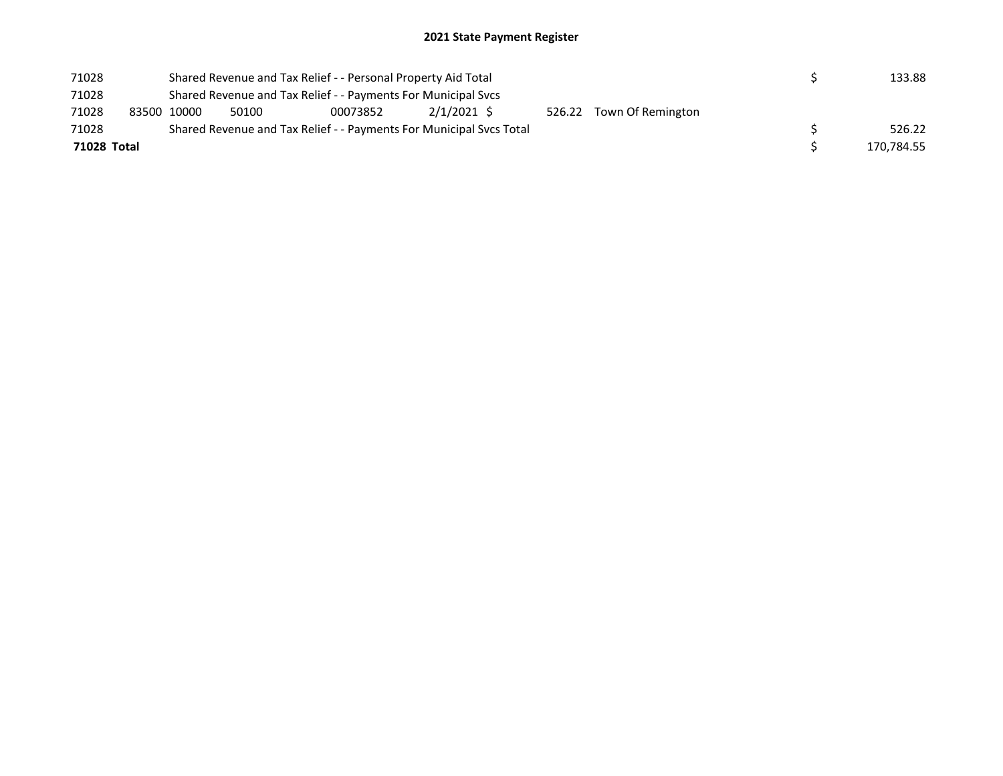## 2021 State Payment Register

| 71028       |             |       | Shared Revenue and Tax Relief - - Personal Property Aid Total       |             |                          | 133.88     |
|-------------|-------------|-------|---------------------------------------------------------------------|-------------|--------------------------|------------|
| 71028       |             |       | Shared Revenue and Tax Relief - - Payments For Municipal Svcs       |             |                          |            |
| 71028       | 83500 10000 | 50100 | 00073852                                                            | 2/1/2021 \$ | 526.22 Town Of Remington |            |
| 71028       |             |       | Shared Revenue and Tax Relief - - Payments For Municipal Svcs Total |             |                          | 526.22     |
| 71028 Total |             |       |                                                                     |             |                          | 170,784.55 |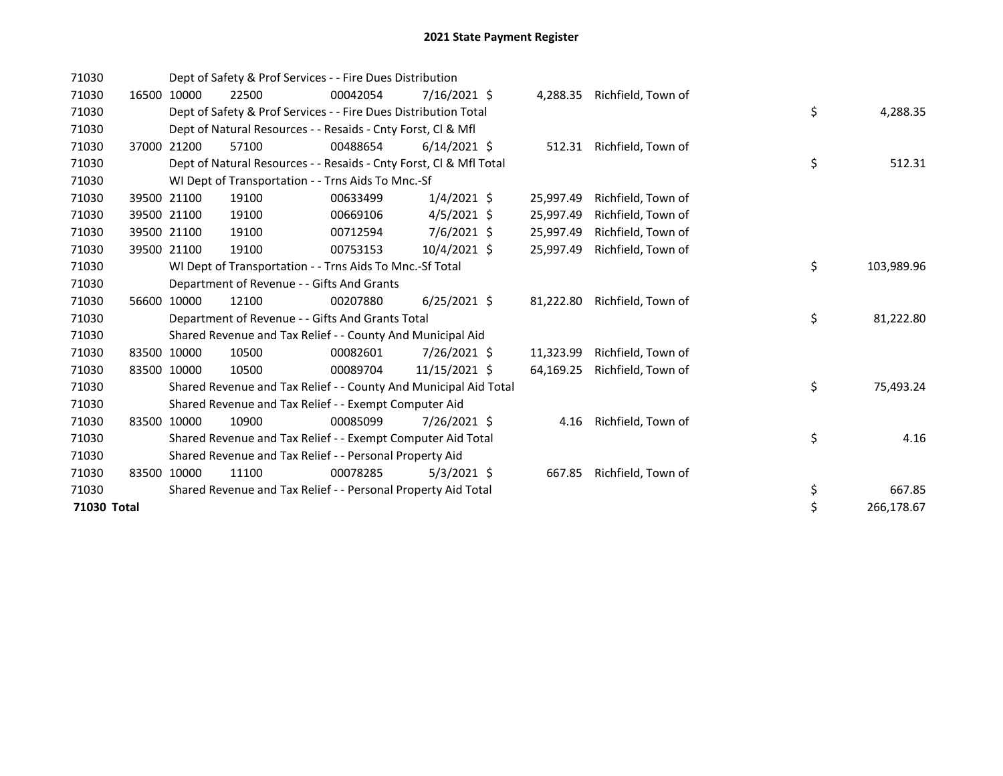| 71030       |       |             | Dept of Safety & Prof Services - - Fire Dues Distribution          |          |                |           |                    |    |            |
|-------------|-------|-------------|--------------------------------------------------------------------|----------|----------------|-----------|--------------------|----|------------|
| 71030       | 16500 | 10000       | 22500                                                              | 00042054 | 7/16/2021 \$   | 4,288.35  | Richfield, Town of |    |            |
| 71030       |       |             | Dept of Safety & Prof Services - - Fire Dues Distribution Total    |          |                |           |                    | \$ | 4,288.35   |
| 71030       |       |             | Dept of Natural Resources - - Resaids - Cnty Forst, CI & Mfl       |          |                |           |                    |    |            |
| 71030       | 37000 | 21200       | 57100                                                              | 00488654 | $6/14/2021$ \$ | 512.31    | Richfield, Town of |    |            |
| 71030       |       |             | Dept of Natural Resources - - Resaids - Cnty Forst, CI & Mfl Total |          |                |           |                    | \$ | 512.31     |
| 71030       |       |             | WI Dept of Transportation - - Trns Aids To Mnc.-Sf                 |          |                |           |                    |    |            |
| 71030       | 39500 | 21100       | 19100                                                              | 00633499 | $1/4/2021$ \$  | 25,997.49 | Richfield, Town of |    |            |
| 71030       | 39500 | 21100       | 19100                                                              | 00669106 | $4/5/2021$ \$  | 25,997.49 | Richfield, Town of |    |            |
| 71030       |       | 39500 21100 | 19100                                                              | 00712594 | $7/6/2021$ \$  | 25,997.49 | Richfield, Town of |    |            |
| 71030       |       | 39500 21100 | 19100                                                              | 00753153 | $10/4/2021$ \$ | 25,997.49 | Richfield, Town of |    |            |
| 71030       |       |             | WI Dept of Transportation - - Trns Aids To Mnc.-Sf Total           |          |                |           |                    | \$ | 103,989.96 |
| 71030       |       |             | Department of Revenue - - Gifts And Grants                         |          |                |           |                    |    |            |
| 71030       |       | 56600 10000 | 12100                                                              | 00207880 | $6/25/2021$ \$ | 81,222.80 | Richfield, Town of |    |            |
| 71030       |       |             | Department of Revenue - - Gifts And Grants Total                   |          |                |           |                    | \$ | 81,222.80  |
| 71030       |       |             | Shared Revenue and Tax Relief - - County And Municipal Aid         |          |                |           |                    |    |            |
| 71030       | 83500 | 10000       | 10500                                                              | 00082601 | 7/26/2021 \$   | 11,323.99 | Richfield, Town of |    |            |
| 71030       |       | 83500 10000 | 10500                                                              | 00089704 | 11/15/2021 \$  | 64,169.25 | Richfield, Town of |    |            |
| 71030       |       |             | Shared Revenue and Tax Relief - - County And Municipal Aid Total   |          |                |           |                    | \$ | 75,493.24  |
| 71030       |       |             | Shared Revenue and Tax Relief - - Exempt Computer Aid              |          |                |           |                    |    |            |
| 71030       |       | 83500 10000 | 10900                                                              | 00085099 | 7/26/2021 \$   | 4.16      | Richfield, Town of |    |            |
| 71030       |       |             | Shared Revenue and Tax Relief - - Exempt Computer Aid Total        |          |                |           |                    | \$ | 4.16       |
| 71030       |       |             | Shared Revenue and Tax Relief - - Personal Property Aid            |          |                |           |                    |    |            |
| 71030       |       | 83500 10000 | 11100                                                              | 00078285 | $5/3/2021$ \$  | 667.85    | Richfield, Town of |    |            |
| 71030       |       |             | Shared Revenue and Tax Relief - - Personal Property Aid Total      |          |                |           |                    | \$ | 667.85     |
| 71030 Total |       |             |                                                                    |          |                |           |                    | \$ | 266,178.67 |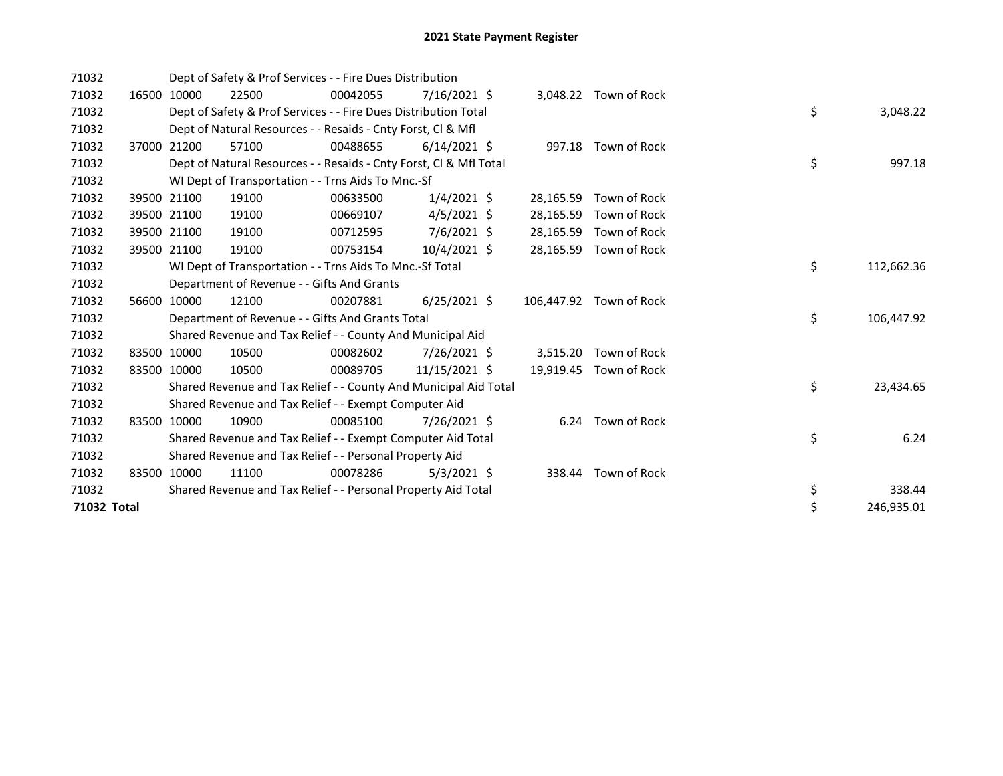| 71032       |             | Dept of Safety & Prof Services - - Fire Dues Distribution          |          |                |           |                         |    |            |
|-------------|-------------|--------------------------------------------------------------------|----------|----------------|-----------|-------------------------|----|------------|
| 71032       | 16500 10000 | 22500                                                              | 00042055 | 7/16/2021 \$   |           | 3,048.22 Town of Rock   |    |            |
| 71032       |             | Dept of Safety & Prof Services - - Fire Dues Distribution Total    |          |                |           |                         | \$ | 3,048.22   |
| 71032       |             | Dept of Natural Resources - - Resaids - Cnty Forst, CI & Mfl       |          |                |           |                         |    |            |
| 71032       | 37000 21200 | 57100                                                              | 00488655 | $6/14/2021$ \$ |           | 997.18 Town of Rock     |    |            |
| 71032       |             | Dept of Natural Resources - - Resaids - Cnty Forst, CI & Mfl Total |          |                |           |                         | \$ | 997.18     |
| 71032       |             | WI Dept of Transportation - - Trns Aids To Mnc.-Sf                 |          |                |           |                         |    |            |
| 71032       | 39500 21100 | 19100                                                              | 00633500 | $1/4/2021$ \$  | 28,165.59 | Town of Rock            |    |            |
| 71032       | 39500 21100 | 19100                                                              | 00669107 | $4/5/2021$ \$  | 28,165.59 | Town of Rock            |    |            |
| 71032       | 39500 21100 | 19100                                                              | 00712595 | 7/6/2021 \$    | 28,165.59 | Town of Rock            |    |            |
| 71032       | 39500 21100 | 19100                                                              | 00753154 | $10/4/2021$ \$ | 28,165.59 | Town of Rock            |    |            |
| 71032       |             | WI Dept of Transportation - - Trns Aids To Mnc.-Sf Total           |          |                |           |                         | \$ | 112,662.36 |
| 71032       |             | Department of Revenue - - Gifts And Grants                         |          |                |           |                         |    |            |
| 71032       | 56600 10000 | 12100                                                              | 00207881 | $6/25/2021$ \$ |           | 106,447.92 Town of Rock |    |            |
| 71032       |             | Department of Revenue - - Gifts And Grants Total                   |          |                |           |                         | \$ | 106,447.92 |
| 71032       |             | Shared Revenue and Tax Relief - - County And Municipal Aid         |          |                |           |                         |    |            |
| 71032       | 83500 10000 | 10500                                                              | 00082602 | 7/26/2021 \$   | 3,515.20  | Town of Rock            |    |            |
| 71032       | 83500 10000 | 10500                                                              | 00089705 | 11/15/2021 \$  | 19,919.45 | Town of Rock            |    |            |
| 71032       |             | Shared Revenue and Tax Relief - - County And Municipal Aid Total   |          |                |           |                         | \$ | 23,434.65  |
| 71032       |             | Shared Revenue and Tax Relief - - Exempt Computer Aid              |          |                |           |                         |    |            |
| 71032       | 83500 10000 | 10900                                                              | 00085100 | 7/26/2021 \$   |           | 6.24 Town of Rock       |    |            |
| 71032       |             | Shared Revenue and Tax Relief - - Exempt Computer Aid Total        |          |                |           |                         | \$ | 6.24       |
| 71032       |             | Shared Revenue and Tax Relief - - Personal Property Aid            |          |                |           |                         |    |            |
| 71032       | 83500 10000 | 11100                                                              | 00078286 | $5/3/2021$ \$  | 338.44    | Town of Rock            |    |            |
| 71032       |             | Shared Revenue and Tax Relief - - Personal Property Aid Total      |          |                |           |                         | \$ | 338.44     |
| 71032 Total |             |                                                                    |          |                |           |                         | \$ | 246,935.01 |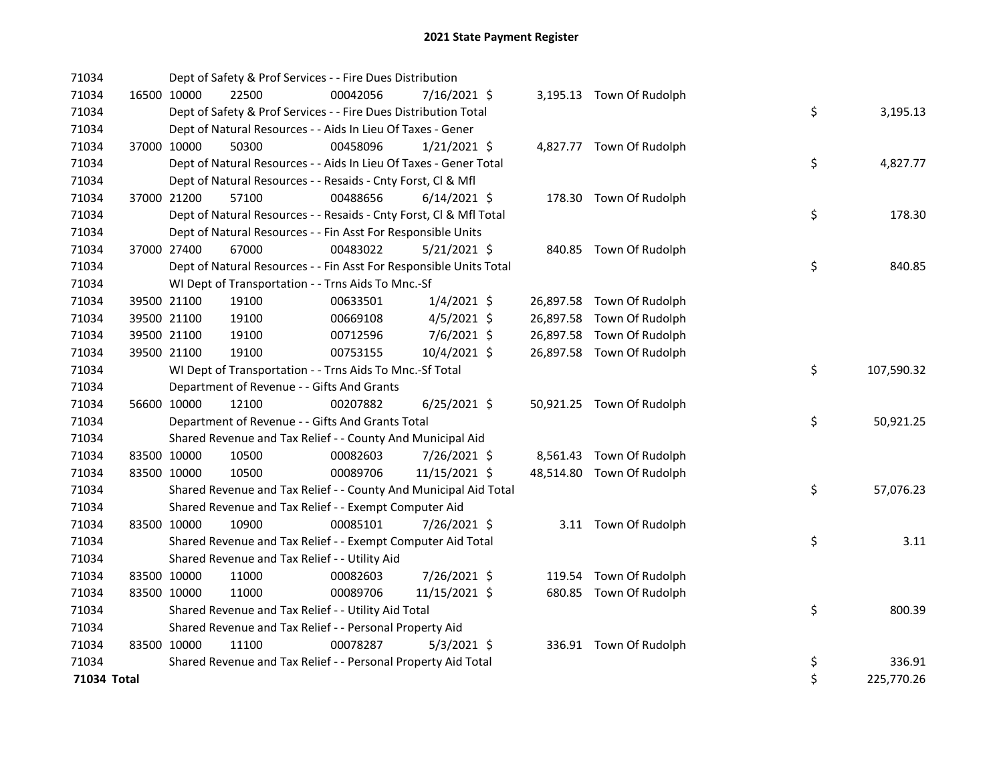| 71034       |             | Dept of Safety & Prof Services - - Fire Dues Distribution          |          |                |  |                           |    |            |
|-------------|-------------|--------------------------------------------------------------------|----------|----------------|--|---------------------------|----|------------|
| 71034       | 16500 10000 | 22500                                                              | 00042056 | 7/16/2021 \$   |  | 3,195.13 Town Of Rudolph  |    |            |
| 71034       |             | Dept of Safety & Prof Services - - Fire Dues Distribution Total    |          |                |  |                           | \$ | 3,195.13   |
| 71034       |             | Dept of Natural Resources - - Aids In Lieu Of Taxes - Gener        |          |                |  |                           |    |            |
| 71034       | 37000 10000 | 50300                                                              | 00458096 | $1/21/2021$ \$ |  | 4,827.77 Town Of Rudolph  |    |            |
| 71034       |             | Dept of Natural Resources - - Aids In Lieu Of Taxes - Gener Total  |          |                |  |                           | \$ | 4,827.77   |
| 71034       |             | Dept of Natural Resources - - Resaids - Cnty Forst, Cl & Mfl       |          |                |  |                           |    |            |
| 71034       | 37000 21200 | 57100                                                              | 00488656 | $6/14/2021$ \$ |  | 178.30 Town Of Rudolph    |    |            |
| 71034       |             | Dept of Natural Resources - - Resaids - Cnty Forst, CI & Mfl Total |          |                |  |                           | \$ | 178.30     |
| 71034       |             | Dept of Natural Resources - - Fin Asst For Responsible Units       |          |                |  |                           |    |            |
| 71034       | 37000 27400 | 67000                                                              | 00483022 | $5/21/2021$ \$ |  | 840.85 Town Of Rudolph    |    |            |
| 71034       |             | Dept of Natural Resources - - Fin Asst For Responsible Units Total |          |                |  |                           | \$ | 840.85     |
| 71034       |             | WI Dept of Transportation - - Trns Aids To Mnc.-Sf                 |          |                |  |                           |    |            |
| 71034       | 39500 21100 | 19100                                                              | 00633501 | $1/4/2021$ \$  |  | 26,897.58 Town Of Rudolph |    |            |
| 71034       | 39500 21100 | 19100                                                              | 00669108 | $4/5/2021$ \$  |  | 26,897.58 Town Of Rudolph |    |            |
| 71034       | 39500 21100 | 19100                                                              | 00712596 | 7/6/2021 \$    |  | 26,897.58 Town Of Rudolph |    |            |
| 71034       | 39500 21100 | 19100                                                              | 00753155 | 10/4/2021 \$   |  | 26,897.58 Town Of Rudolph |    |            |
| 71034       |             | WI Dept of Transportation - - Trns Aids To Mnc.-Sf Total           |          |                |  |                           | \$ | 107,590.32 |
| 71034       |             | Department of Revenue - - Gifts And Grants                         |          |                |  |                           |    |            |
| 71034       | 56600 10000 | 12100                                                              | 00207882 | $6/25/2021$ \$ |  | 50,921.25 Town Of Rudolph |    |            |
| 71034       |             | Department of Revenue - - Gifts And Grants Total                   |          |                |  |                           | \$ | 50,921.25  |
| 71034       |             | Shared Revenue and Tax Relief - - County And Municipal Aid         |          |                |  |                           |    |            |
| 71034       | 83500 10000 | 10500                                                              | 00082603 | 7/26/2021 \$   |  | 8,561.43 Town Of Rudolph  |    |            |
| 71034       | 83500 10000 | 10500                                                              | 00089706 | 11/15/2021 \$  |  | 48,514.80 Town Of Rudolph |    |            |
| 71034       |             | Shared Revenue and Tax Relief - - County And Municipal Aid Total   |          |                |  |                           | \$ | 57,076.23  |
| 71034       |             | Shared Revenue and Tax Relief - - Exempt Computer Aid              |          |                |  |                           |    |            |
| 71034       | 83500 10000 | 10900                                                              | 00085101 | 7/26/2021 \$   |  | 3.11 Town Of Rudolph      |    |            |
| 71034       |             | Shared Revenue and Tax Relief - - Exempt Computer Aid Total        |          |                |  |                           | \$ | 3.11       |
| 71034       |             | Shared Revenue and Tax Relief - - Utility Aid                      |          |                |  |                           |    |            |
| 71034       | 83500 10000 | 11000                                                              | 00082603 | 7/26/2021 \$   |  | 119.54 Town Of Rudolph    |    |            |
| 71034       | 83500 10000 | 11000                                                              | 00089706 | 11/15/2021 \$  |  | 680.85 Town Of Rudolph    |    |            |
| 71034       |             | Shared Revenue and Tax Relief - - Utility Aid Total                |          |                |  |                           | \$ | 800.39     |
| 71034       |             | Shared Revenue and Tax Relief - - Personal Property Aid            |          |                |  |                           |    |            |
| 71034       | 83500 10000 | 11100                                                              | 00078287 | $5/3/2021$ \$  |  | 336.91 Town Of Rudolph    |    |            |
| 71034       |             | Shared Revenue and Tax Relief - - Personal Property Aid Total      |          |                |  |                           | \$ | 336.91     |
| 71034 Total |             |                                                                    |          |                |  |                           | \$ | 225,770.26 |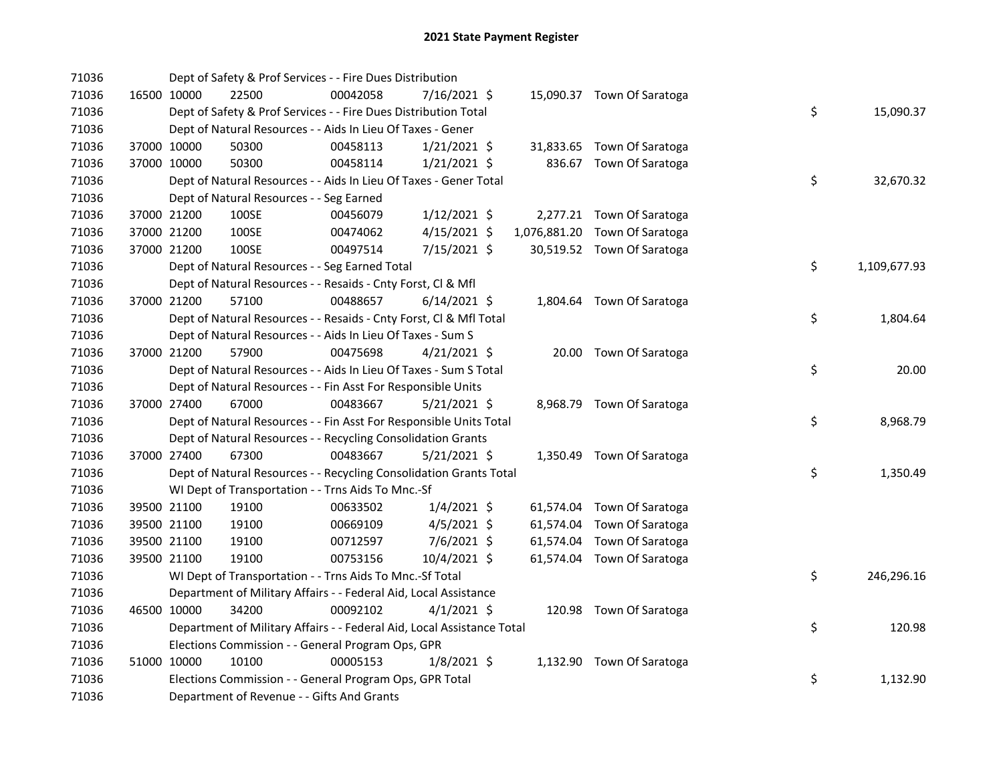| 71036 |             | Dept of Safety & Prof Services - - Fire Dues Distribution              |          |                |  |                               |    |              |
|-------|-------------|------------------------------------------------------------------------|----------|----------------|--|-------------------------------|----|--------------|
| 71036 | 16500 10000 | 22500                                                                  | 00042058 | 7/16/2021 \$   |  | 15,090.37 Town Of Saratoga    |    |              |
| 71036 |             | Dept of Safety & Prof Services - - Fire Dues Distribution Total        |          |                |  |                               | \$ | 15,090.37    |
| 71036 |             | Dept of Natural Resources - - Aids In Lieu Of Taxes - Gener            |          |                |  |                               |    |              |
| 71036 | 37000 10000 | 50300                                                                  | 00458113 | $1/21/2021$ \$ |  | 31,833.65 Town Of Saratoga    |    |              |
| 71036 | 37000 10000 | 50300                                                                  | 00458114 | $1/21/2021$ \$ |  | 836.67 Town Of Saratoga       |    |              |
| 71036 |             | Dept of Natural Resources - - Aids In Lieu Of Taxes - Gener Total      |          |                |  |                               | \$ | 32,670.32    |
| 71036 |             | Dept of Natural Resources - - Seg Earned                               |          |                |  |                               |    |              |
| 71036 | 37000 21200 | 100SE                                                                  | 00456079 | $1/12/2021$ \$ |  | 2,277.21 Town Of Saratoga     |    |              |
| 71036 | 37000 21200 | 100SE                                                                  | 00474062 | $4/15/2021$ \$ |  | 1,076,881.20 Town Of Saratoga |    |              |
| 71036 | 37000 21200 | 100SE                                                                  | 00497514 | 7/15/2021 \$   |  | 30,519.52 Town Of Saratoga    |    |              |
| 71036 |             | Dept of Natural Resources - - Seg Earned Total                         |          |                |  |                               | \$ | 1,109,677.93 |
| 71036 |             | Dept of Natural Resources - - Resaids - Cnty Forst, Cl & Mfl           |          |                |  |                               |    |              |
| 71036 | 37000 21200 | 57100                                                                  | 00488657 | $6/14/2021$ \$ |  | 1,804.64 Town Of Saratoga     |    |              |
| 71036 |             | Dept of Natural Resources - - Resaids - Cnty Forst, Cl & Mfl Total     |          |                |  |                               | \$ | 1,804.64     |
| 71036 |             | Dept of Natural Resources - - Aids In Lieu Of Taxes - Sum S            |          |                |  |                               |    |              |
| 71036 | 37000 21200 | 57900                                                                  | 00475698 | $4/21/2021$ \$ |  | 20.00 Town Of Saratoga        |    |              |
| 71036 |             | Dept of Natural Resources - - Aids In Lieu Of Taxes - Sum S Total      |          |                |  |                               | \$ | 20.00        |
| 71036 |             | Dept of Natural Resources - - Fin Asst For Responsible Units           |          |                |  |                               |    |              |
| 71036 | 37000 27400 | 67000                                                                  | 00483667 | $5/21/2021$ \$ |  | 8,968.79 Town Of Saratoga     |    |              |
| 71036 |             | Dept of Natural Resources - - Fin Asst For Responsible Units Total     |          |                |  |                               | \$ | 8,968.79     |
| 71036 |             | Dept of Natural Resources - - Recycling Consolidation Grants           |          |                |  |                               |    |              |
| 71036 | 37000 27400 | 67300                                                                  | 00483667 | 5/21/2021 \$   |  | 1,350.49 Town Of Saratoga     |    |              |
| 71036 |             | Dept of Natural Resources - - Recycling Consolidation Grants Total     |          |                |  |                               | \$ | 1,350.49     |
| 71036 |             | WI Dept of Transportation - - Trns Aids To Mnc.-Sf                     |          |                |  |                               |    |              |
| 71036 | 39500 21100 | 19100                                                                  | 00633502 | $1/4/2021$ \$  |  | 61,574.04 Town Of Saratoga    |    |              |
| 71036 | 39500 21100 | 19100                                                                  | 00669109 | $4/5/2021$ \$  |  | 61,574.04 Town Of Saratoga    |    |              |
| 71036 | 39500 21100 | 19100                                                                  | 00712597 | $7/6/2021$ \$  |  | 61,574.04 Town Of Saratoga    |    |              |
| 71036 | 39500 21100 | 19100                                                                  | 00753156 | 10/4/2021 \$   |  | 61,574.04 Town Of Saratoga    |    |              |
| 71036 |             | WI Dept of Transportation - - Trns Aids To Mnc.-Sf Total               |          |                |  |                               | \$ | 246,296.16   |
| 71036 |             | Department of Military Affairs - - Federal Aid, Local Assistance       |          |                |  |                               |    |              |
| 71036 | 46500 10000 | 34200                                                                  | 00092102 | $4/1/2021$ \$  |  | 120.98 Town Of Saratoga       |    |              |
| 71036 |             | Department of Military Affairs - - Federal Aid, Local Assistance Total |          |                |  |                               | \$ | 120.98       |
| 71036 |             | Elections Commission - - General Program Ops, GPR                      |          |                |  |                               |    |              |
| 71036 | 51000 10000 | 10100                                                                  | 00005153 | $1/8/2021$ \$  |  | 1,132.90 Town Of Saratoga     |    |              |
| 71036 |             | Elections Commission - - General Program Ops, GPR Total                |          |                |  |                               | \$ | 1,132.90     |
| 71036 |             | Department of Revenue - - Gifts And Grants                             |          |                |  |                               |    |              |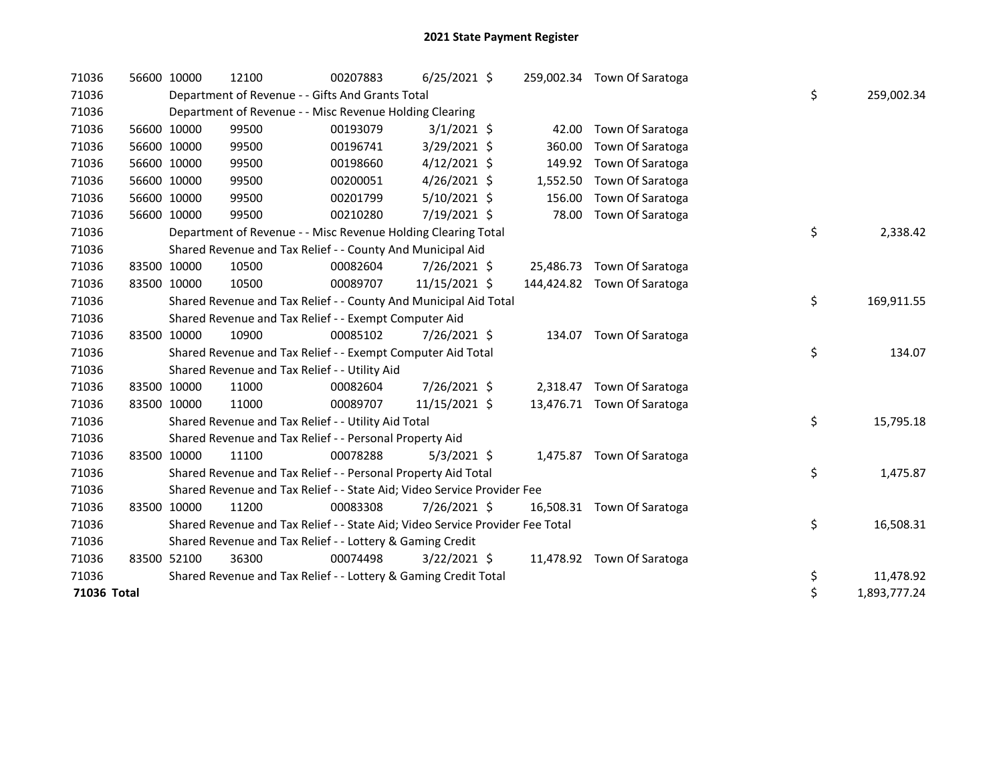| 71036       | 56600 10000 | 12100                                                                         | 00207883 | $6/25/2021$ \$ |        | 259,002.34 Town Of Saratoga |    |              |
|-------------|-------------|-------------------------------------------------------------------------------|----------|----------------|--------|-----------------------------|----|--------------|
| 71036       |             | Department of Revenue - - Gifts And Grants Total                              |          |                |        |                             | \$ | 259,002.34   |
| 71036       |             | Department of Revenue - - Misc Revenue Holding Clearing                       |          |                |        |                             |    |              |
| 71036       | 56600 10000 | 99500                                                                         | 00193079 | $3/1/2021$ \$  |        | 42.00 Town Of Saratoga      |    |              |
| 71036       | 56600 10000 | 99500                                                                         | 00196741 | 3/29/2021 \$   |        | 360.00 Town Of Saratoga     |    |              |
| 71036       | 56600 10000 | 99500                                                                         | 00198660 | $4/12/2021$ \$ | 149.92 | Town Of Saratoga            |    |              |
| 71036       | 56600 10000 | 99500                                                                         | 00200051 | $4/26/2021$ \$ |        | 1,552.50 Town Of Saratoga   |    |              |
| 71036       | 56600 10000 | 99500                                                                         | 00201799 | $5/10/2021$ \$ | 156.00 | Town Of Saratoga            |    |              |
| 71036       | 56600 10000 | 99500                                                                         | 00210280 | 7/19/2021 \$   | 78.00  | Town Of Saratoga            |    |              |
| 71036       |             | Department of Revenue - - Misc Revenue Holding Clearing Total                 |          |                |        |                             | \$ | 2,338.42     |
| 71036       |             | Shared Revenue and Tax Relief - - County And Municipal Aid                    |          |                |        |                             |    |              |
| 71036       | 83500 10000 | 10500                                                                         | 00082604 | 7/26/2021 \$   |        | 25,486.73 Town Of Saratoga  |    |              |
| 71036       | 83500 10000 | 10500                                                                         | 00089707 | 11/15/2021 \$  |        | 144,424.82 Town Of Saratoga |    |              |
| 71036       |             | Shared Revenue and Tax Relief - - County And Municipal Aid Total              |          |                |        |                             | \$ | 169,911.55   |
| 71036       |             | Shared Revenue and Tax Relief - - Exempt Computer Aid                         |          |                |        |                             |    |              |
| 71036       | 83500 10000 | 10900                                                                         | 00085102 | 7/26/2021 \$   |        | 134.07 Town Of Saratoga     |    |              |
| 71036       |             | Shared Revenue and Tax Relief - - Exempt Computer Aid Total                   |          |                |        |                             | \$ | 134.07       |
| 71036       |             | Shared Revenue and Tax Relief - - Utility Aid                                 |          |                |        |                             |    |              |
| 71036       | 83500 10000 | 11000                                                                         | 00082604 | 7/26/2021 \$   |        | 2,318.47 Town Of Saratoga   |    |              |
| 71036       | 83500 10000 | 11000                                                                         | 00089707 | 11/15/2021 \$  |        | 13,476.71 Town Of Saratoga  |    |              |
| 71036       |             | Shared Revenue and Tax Relief - - Utility Aid Total                           |          |                |        |                             | \$ | 15,795.18    |
| 71036       |             | Shared Revenue and Tax Relief - - Personal Property Aid                       |          |                |        |                             |    |              |
| 71036       | 83500 10000 | 11100                                                                         | 00078288 | $5/3/2021$ \$  |        | 1,475.87 Town Of Saratoga   |    |              |
| 71036       |             | Shared Revenue and Tax Relief - - Personal Property Aid Total                 |          |                |        |                             | \$ | 1,475.87     |
| 71036       |             | Shared Revenue and Tax Relief - - State Aid; Video Service Provider Fee       |          |                |        |                             |    |              |
| 71036       | 83500 10000 | 11200                                                                         | 00083308 | 7/26/2021 \$   |        | 16,508.31 Town Of Saratoga  |    |              |
| 71036       |             | Shared Revenue and Tax Relief - - State Aid; Video Service Provider Fee Total |          |                |        |                             | \$ | 16,508.31    |
| 71036       |             | Shared Revenue and Tax Relief - - Lottery & Gaming Credit                     |          |                |        |                             |    |              |
| 71036       | 83500 52100 | 36300                                                                         | 00074498 | $3/22/2021$ \$ |        | 11,478.92 Town Of Saratoga  |    |              |
| 71036       |             | Shared Revenue and Tax Relief - - Lottery & Gaming Credit Total               |          |                |        |                             | \$ | 11,478.92    |
| 71036 Total |             |                                                                               |          |                |        |                             | \$ | 1,893,777.24 |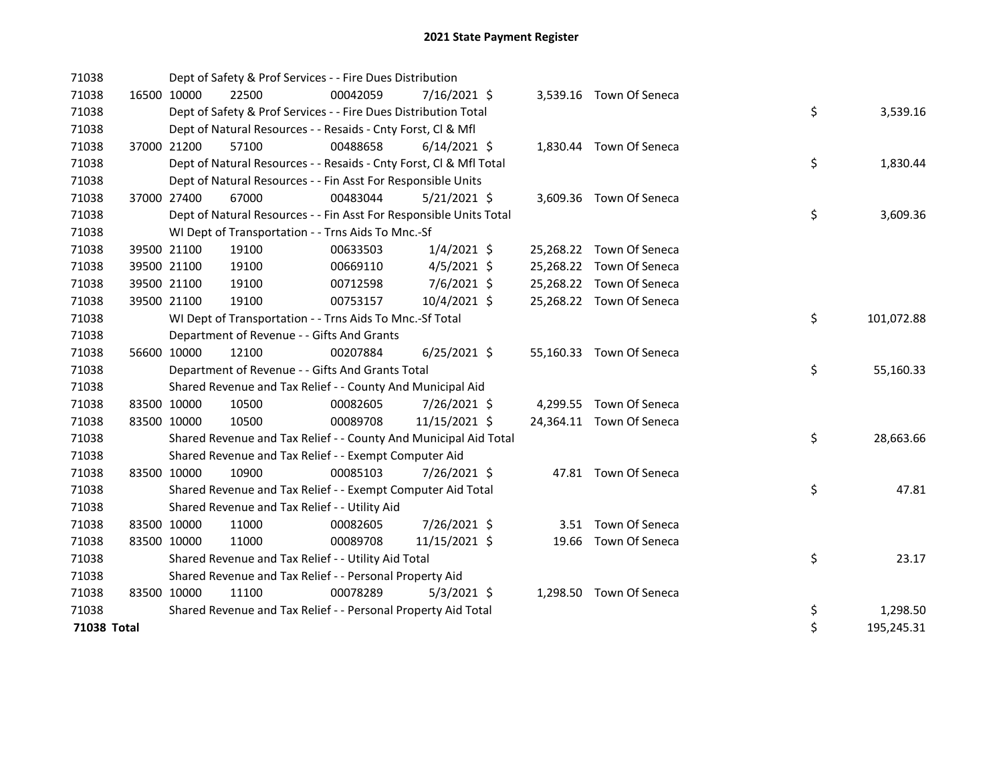| 71038       |             |             | Dept of Safety & Prof Services - - Fire Dues Distribution          |          |                |  |                          |    |            |
|-------------|-------------|-------------|--------------------------------------------------------------------|----------|----------------|--|--------------------------|----|------------|
| 71038       |             | 16500 10000 | 22500                                                              | 00042059 | 7/16/2021 \$   |  | 3,539.16 Town Of Seneca  |    |            |
| 71038       |             |             | Dept of Safety & Prof Services - - Fire Dues Distribution Total    |          |                |  |                          | \$ | 3,539.16   |
| 71038       |             |             | Dept of Natural Resources - - Resaids - Cnty Forst, Cl & Mfl       |          |                |  |                          |    |            |
| 71038       |             | 37000 21200 | 57100                                                              | 00488658 | $6/14/2021$ \$ |  | 1,830.44 Town Of Seneca  |    |            |
| 71038       |             |             | Dept of Natural Resources - - Resaids - Cnty Forst, Cl & Mfl Total |          |                |  |                          | \$ | 1,830.44   |
| 71038       |             |             | Dept of Natural Resources - - Fin Asst For Responsible Units       |          |                |  |                          |    |            |
| 71038       |             | 37000 27400 | 67000                                                              | 00483044 | $5/21/2021$ \$ |  | 3,609.36 Town Of Seneca  |    |            |
| 71038       |             |             | Dept of Natural Resources - - Fin Asst For Responsible Units Total |          |                |  |                          | \$ | 3,609.36   |
| 71038       |             |             | WI Dept of Transportation - - Trns Aids To Mnc.-Sf                 |          |                |  |                          |    |            |
| 71038       |             | 39500 21100 | 19100                                                              | 00633503 | $1/4/2021$ \$  |  | 25,268.22 Town Of Seneca |    |            |
| 71038       |             | 39500 21100 | 19100                                                              | 00669110 | $4/5/2021$ \$  |  | 25,268.22 Town Of Seneca |    |            |
| 71038       |             | 39500 21100 | 19100                                                              | 00712598 | 7/6/2021 \$    |  | 25,268.22 Town Of Seneca |    |            |
| 71038       |             | 39500 21100 | 19100                                                              | 00753157 | 10/4/2021 \$   |  | 25,268.22 Town Of Seneca |    |            |
| 71038       |             |             | WI Dept of Transportation - - Trns Aids To Mnc.-Sf Total           |          |                |  |                          | \$ | 101,072.88 |
| 71038       |             |             | Department of Revenue - - Gifts And Grants                         |          |                |  |                          |    |            |
| 71038       |             | 56600 10000 | 12100                                                              | 00207884 | $6/25/2021$ \$ |  | 55,160.33 Town Of Seneca |    |            |
| 71038       |             |             | Department of Revenue - - Gifts And Grants Total                   |          |                |  |                          | \$ | 55,160.33  |
| 71038       |             |             | Shared Revenue and Tax Relief - - County And Municipal Aid         |          |                |  |                          |    |            |
| 71038       | 83500 10000 |             | 10500                                                              | 00082605 | 7/26/2021 \$   |  | 4,299.55 Town Of Seneca  |    |            |
| 71038       | 83500 10000 |             | 10500                                                              | 00089708 | 11/15/2021 \$  |  | 24,364.11 Town Of Seneca |    |            |
| 71038       |             |             | Shared Revenue and Tax Relief - - County And Municipal Aid Total   |          |                |  |                          | \$ | 28,663.66  |
| 71038       |             |             | Shared Revenue and Tax Relief - - Exempt Computer Aid              |          |                |  |                          |    |            |
| 71038       | 83500 10000 |             | 10900                                                              | 00085103 | 7/26/2021 \$   |  | 47.81 Town Of Seneca     |    |            |
| 71038       |             |             | Shared Revenue and Tax Relief - - Exempt Computer Aid Total        |          |                |  |                          | \$ | 47.81      |
| 71038       |             |             | Shared Revenue and Tax Relief - - Utility Aid                      |          |                |  |                          |    |            |
| 71038       | 83500 10000 |             | 11000                                                              | 00082605 | 7/26/2021 \$   |  | 3.51 Town Of Seneca      |    |            |
| 71038       | 83500 10000 |             | 11000                                                              | 00089708 | 11/15/2021 \$  |  | 19.66 Town Of Seneca     |    |            |
| 71038       |             |             | Shared Revenue and Tax Relief - - Utility Aid Total                |          |                |  |                          | \$ | 23.17      |
| 71038       |             |             | Shared Revenue and Tax Relief - - Personal Property Aid            |          |                |  |                          |    |            |
| 71038       | 83500 10000 |             | 11100                                                              | 00078289 | $5/3/2021$ \$  |  | 1,298.50 Town Of Seneca  |    |            |
| 71038       |             |             | Shared Revenue and Tax Relief - - Personal Property Aid Total      |          |                |  |                          | \$ | 1,298.50   |
| 71038 Total |             |             |                                                                    |          |                |  |                          | \$ | 195,245.31 |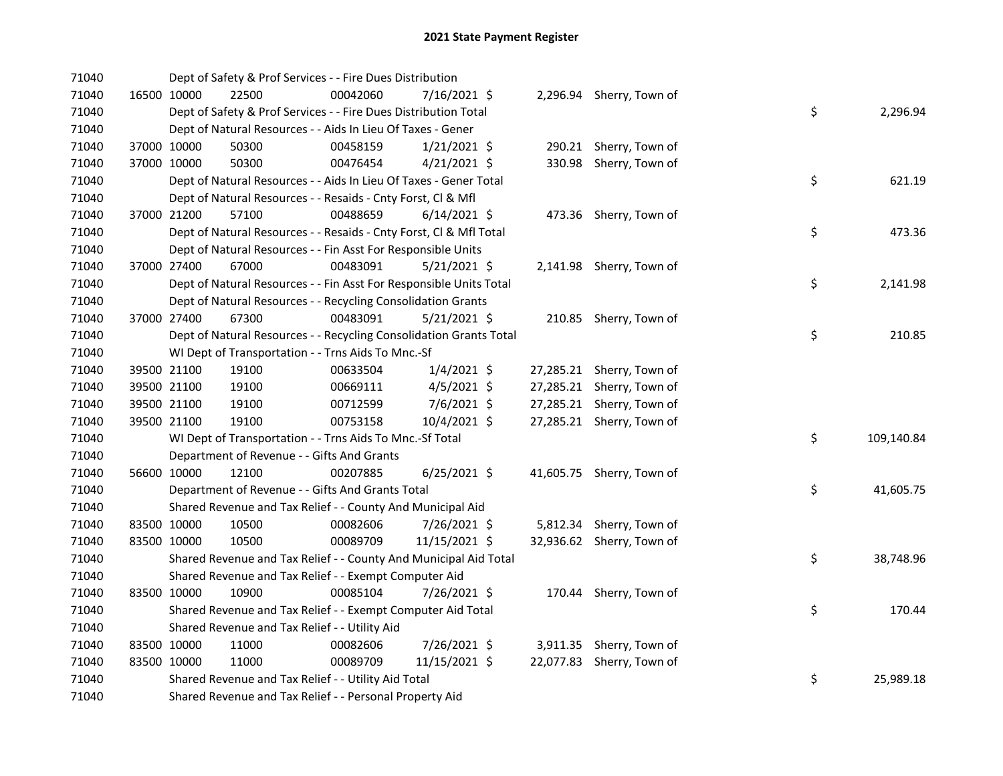| 71040 |             | Dept of Safety & Prof Services - - Fire Dues Distribution          |          |                |  |                           |    |            |
|-------|-------------|--------------------------------------------------------------------|----------|----------------|--|---------------------------|----|------------|
| 71040 | 16500 10000 | 22500                                                              | 00042060 | 7/16/2021 \$   |  | 2,296.94 Sherry, Town of  |    |            |
| 71040 |             | Dept of Safety & Prof Services - - Fire Dues Distribution Total    |          |                |  |                           | \$ | 2,296.94   |
| 71040 |             | Dept of Natural Resources - - Aids In Lieu Of Taxes - Gener        |          |                |  |                           |    |            |
| 71040 | 37000 10000 | 50300                                                              | 00458159 | $1/21/2021$ \$ |  | 290.21 Sherry, Town of    |    |            |
| 71040 | 37000 10000 | 50300                                                              | 00476454 | $4/21/2021$ \$ |  | 330.98 Sherry, Town of    |    |            |
| 71040 |             | Dept of Natural Resources - - Aids In Lieu Of Taxes - Gener Total  |          |                |  |                           | \$ | 621.19     |
| 71040 |             | Dept of Natural Resources - - Resaids - Cnty Forst, Cl & Mfl       |          |                |  |                           |    |            |
| 71040 | 37000 21200 | 57100                                                              | 00488659 | $6/14/2021$ \$ |  | 473.36 Sherry, Town of    |    |            |
| 71040 |             | Dept of Natural Resources - - Resaids - Cnty Forst, CI & Mfl Total |          |                |  |                           | \$ | 473.36     |
| 71040 |             | Dept of Natural Resources - - Fin Asst For Responsible Units       |          |                |  |                           |    |            |
| 71040 | 37000 27400 | 67000                                                              | 00483091 | $5/21/2021$ \$ |  | 2,141.98 Sherry, Town of  |    |            |
| 71040 |             | Dept of Natural Resources - - Fin Asst For Responsible Units Total |          |                |  |                           | \$ | 2,141.98   |
| 71040 |             | Dept of Natural Resources - - Recycling Consolidation Grants       |          |                |  |                           |    |            |
| 71040 | 37000 27400 | 67300                                                              | 00483091 | $5/21/2021$ \$ |  | 210.85 Sherry, Town of    |    |            |
| 71040 |             | Dept of Natural Resources - - Recycling Consolidation Grants Total |          |                |  |                           | \$ | 210.85     |
| 71040 |             | WI Dept of Transportation - - Trns Aids To Mnc.-Sf                 |          |                |  |                           |    |            |
| 71040 | 39500 21100 | 19100                                                              | 00633504 | $1/4/2021$ \$  |  | 27,285.21 Sherry, Town of |    |            |
| 71040 | 39500 21100 | 19100                                                              | 00669111 | $4/5/2021$ \$  |  | 27,285.21 Sherry, Town of |    |            |
| 71040 | 39500 21100 | 19100                                                              | 00712599 | 7/6/2021 \$    |  | 27,285.21 Sherry, Town of |    |            |
| 71040 | 39500 21100 | 19100                                                              | 00753158 | 10/4/2021 \$   |  | 27,285.21 Sherry, Town of |    |            |
| 71040 |             | WI Dept of Transportation - - Trns Aids To Mnc.-Sf Total           |          |                |  |                           | \$ | 109,140.84 |
| 71040 |             | Department of Revenue - - Gifts And Grants                         |          |                |  |                           |    |            |
| 71040 | 56600 10000 | 12100                                                              | 00207885 | 6/25/2021 \$   |  | 41,605.75 Sherry, Town of |    |            |
| 71040 |             | Department of Revenue - - Gifts And Grants Total                   |          |                |  |                           | \$ | 41,605.75  |
| 71040 |             | Shared Revenue and Tax Relief - - County And Municipal Aid         |          |                |  |                           |    |            |
| 71040 | 83500 10000 | 10500                                                              | 00082606 | 7/26/2021 \$   |  | 5,812.34 Sherry, Town of  |    |            |
| 71040 | 83500 10000 | 10500                                                              | 00089709 | 11/15/2021 \$  |  | 32,936.62 Sherry, Town of |    |            |
| 71040 |             | Shared Revenue and Tax Relief - - County And Municipal Aid Total   |          |                |  |                           | \$ | 38,748.96  |
| 71040 |             | Shared Revenue and Tax Relief - - Exempt Computer Aid              |          |                |  |                           |    |            |
| 71040 | 83500 10000 | 10900                                                              | 00085104 | 7/26/2021 \$   |  | 170.44 Sherry, Town of    |    |            |
| 71040 |             | Shared Revenue and Tax Relief - - Exempt Computer Aid Total        |          |                |  |                           | \$ | 170.44     |
| 71040 |             | Shared Revenue and Tax Relief - - Utility Aid                      |          |                |  |                           |    |            |
| 71040 | 83500 10000 | 11000                                                              | 00082606 | 7/26/2021 \$   |  | 3,911.35 Sherry, Town of  |    |            |
| 71040 | 83500 10000 | 11000                                                              | 00089709 | 11/15/2021 \$  |  | 22,077.83 Sherry, Town of |    |            |
| 71040 |             | Shared Revenue and Tax Relief - - Utility Aid Total                |          |                |  |                           | \$ | 25,989.18  |
| 71040 |             | Shared Revenue and Tax Relief - - Personal Property Aid            |          |                |  |                           |    |            |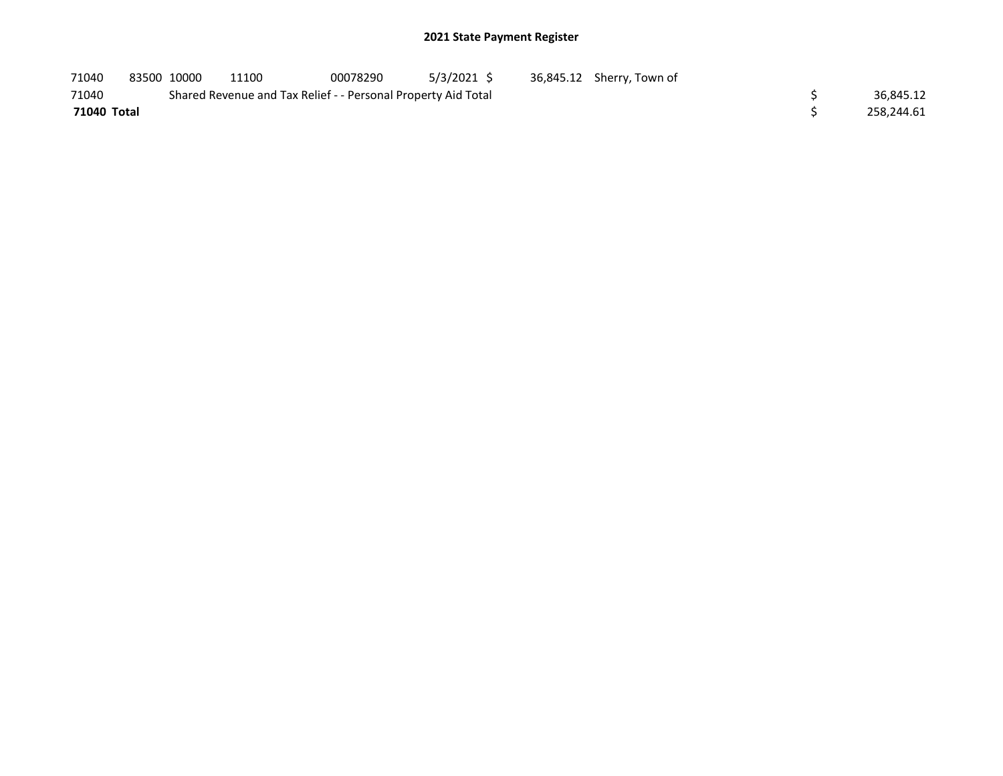| 71040       | 83500 10000 | 11100                                                         | 00078290 | 5/3/2021 S | 36,845.12 Sherry, Town of |            |
|-------------|-------------|---------------------------------------------------------------|----------|------------|---------------------------|------------|
| 71040       |             | Shared Revenue and Tax Relief - - Personal Property Aid Total |          |            |                           | 36.845.12  |
| 71040 Total |             |                                                               |          |            |                           | 258.244.61 |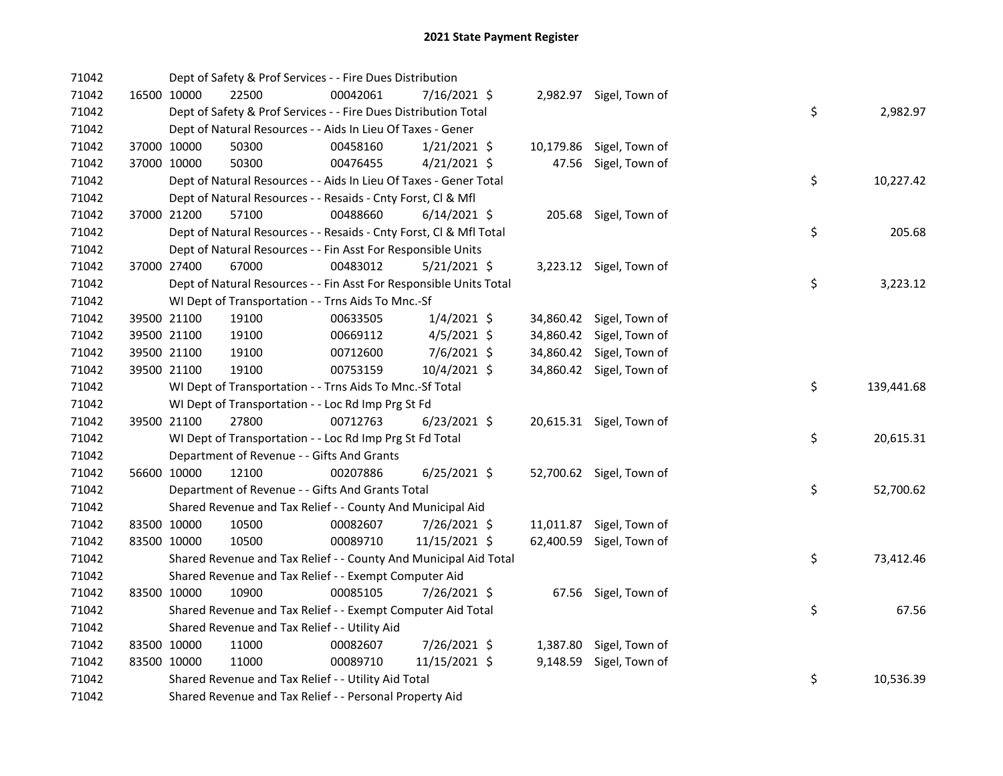| 71042 |             | Dept of Safety & Prof Services - - Fire Dues Distribution          |          |                |  |                          |    |            |
|-------|-------------|--------------------------------------------------------------------|----------|----------------|--|--------------------------|----|------------|
| 71042 | 16500 10000 | 22500                                                              | 00042061 | 7/16/2021 \$   |  | 2,982.97 Sigel, Town of  |    |            |
| 71042 |             | Dept of Safety & Prof Services - - Fire Dues Distribution Total    |          |                |  |                          | \$ | 2,982.97   |
| 71042 |             | Dept of Natural Resources - - Aids In Lieu Of Taxes - Gener        |          |                |  |                          |    |            |
| 71042 | 37000 10000 | 50300                                                              | 00458160 | $1/21/2021$ \$ |  | 10,179.86 Sigel, Town of |    |            |
| 71042 | 37000 10000 | 50300                                                              | 00476455 | $4/21/2021$ \$ |  | 47.56 Sigel, Town of     |    |            |
| 71042 |             | Dept of Natural Resources - - Aids In Lieu Of Taxes - Gener Total  |          |                |  |                          | \$ | 10,227.42  |
| 71042 |             | Dept of Natural Resources - - Resaids - Cnty Forst, Cl & Mfl       |          |                |  |                          |    |            |
| 71042 | 37000 21200 | 57100                                                              | 00488660 | $6/14/2021$ \$ |  | 205.68 Sigel, Town of    |    |            |
| 71042 |             | Dept of Natural Resources - - Resaids - Cnty Forst, Cl & Mfl Total |          |                |  |                          | \$ | 205.68     |
| 71042 |             | Dept of Natural Resources - - Fin Asst For Responsible Units       |          |                |  |                          |    |            |
| 71042 | 37000 27400 | 67000                                                              | 00483012 | $5/21/2021$ \$ |  | 3,223.12 Sigel, Town of  |    |            |
| 71042 |             | Dept of Natural Resources - - Fin Asst For Responsible Units Total |          |                |  |                          | \$ | 3,223.12   |
| 71042 |             | WI Dept of Transportation - - Trns Aids To Mnc.-Sf                 |          |                |  |                          |    |            |
| 71042 | 39500 21100 | 19100                                                              | 00633505 | $1/4/2021$ \$  |  | 34,860.42 Sigel, Town of |    |            |
| 71042 | 39500 21100 | 19100                                                              | 00669112 | $4/5/2021$ \$  |  | 34,860.42 Sigel, Town of |    |            |
| 71042 | 39500 21100 | 19100                                                              | 00712600 | 7/6/2021 \$    |  | 34,860.42 Sigel, Town of |    |            |
| 71042 | 39500 21100 | 19100                                                              | 00753159 | 10/4/2021 \$   |  | 34,860.42 Sigel, Town of |    |            |
| 71042 |             | WI Dept of Transportation - - Trns Aids To Mnc.-Sf Total           |          |                |  |                          | \$ | 139,441.68 |
| 71042 |             | WI Dept of Transportation - - Loc Rd Imp Prg St Fd                 |          |                |  |                          |    |            |
| 71042 | 39500 21100 | 27800                                                              | 00712763 | $6/23/2021$ \$ |  | 20,615.31 Sigel, Town of |    |            |
| 71042 |             | WI Dept of Transportation - - Loc Rd Imp Prg St Fd Total           |          |                |  |                          | \$ | 20,615.31  |
| 71042 |             | Department of Revenue - - Gifts And Grants                         |          |                |  |                          |    |            |
| 71042 | 56600 10000 | 12100                                                              | 00207886 | $6/25/2021$ \$ |  | 52,700.62 Sigel, Town of |    |            |
| 71042 |             | Department of Revenue - - Gifts And Grants Total                   |          |                |  |                          | \$ | 52,700.62  |
| 71042 |             | Shared Revenue and Tax Relief - - County And Municipal Aid         |          |                |  |                          |    |            |
| 71042 | 83500 10000 | 10500                                                              | 00082607 | 7/26/2021 \$   |  | 11,011.87 Sigel, Town of |    |            |
| 71042 | 83500 10000 | 10500                                                              | 00089710 | 11/15/2021 \$  |  | 62,400.59 Sigel, Town of |    |            |
| 71042 |             | Shared Revenue and Tax Relief - - County And Municipal Aid Total   |          |                |  |                          | \$ | 73,412.46  |
| 71042 |             | Shared Revenue and Tax Relief - - Exempt Computer Aid              |          |                |  |                          |    |            |
| 71042 | 83500 10000 | 10900                                                              | 00085105 | 7/26/2021 \$   |  | 67.56 Sigel, Town of     |    |            |
| 71042 |             | Shared Revenue and Tax Relief - - Exempt Computer Aid Total        |          |                |  |                          | \$ | 67.56      |
| 71042 |             | Shared Revenue and Tax Relief - - Utility Aid                      |          |                |  |                          |    |            |
| 71042 | 83500 10000 | 11000                                                              | 00082607 | 7/26/2021 \$   |  | 1,387.80 Sigel, Town of  |    |            |
| 71042 | 83500 10000 | 11000                                                              | 00089710 | 11/15/2021 \$  |  | 9,148.59 Sigel, Town of  |    |            |
| 71042 |             | Shared Revenue and Tax Relief - - Utility Aid Total                |          |                |  |                          | \$ | 10,536.39  |
| 71042 |             | Shared Revenue and Tax Relief - - Personal Property Aid            |          |                |  |                          |    |            |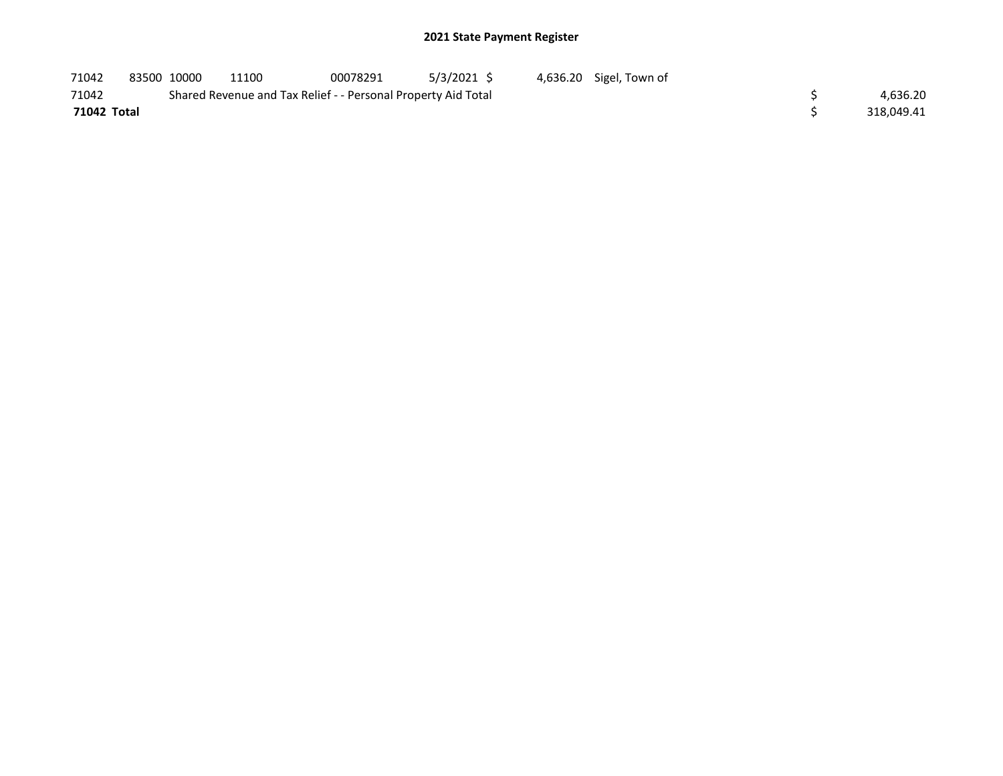## 2021 State Payment Register

| 71042       | 83500 10000 | 11100                                                         | 00078291 | 5/3/2021 \$ | 4,636.20 Sigel, Town of |            |
|-------------|-------------|---------------------------------------------------------------|----------|-------------|-------------------------|------------|
| 71042       |             | Shared Revenue and Tax Relief - - Personal Property Aid Total |          |             |                         | 4,636.20   |
| 71042 Total |             |                                                               |          |             |                         | 318.049.41 |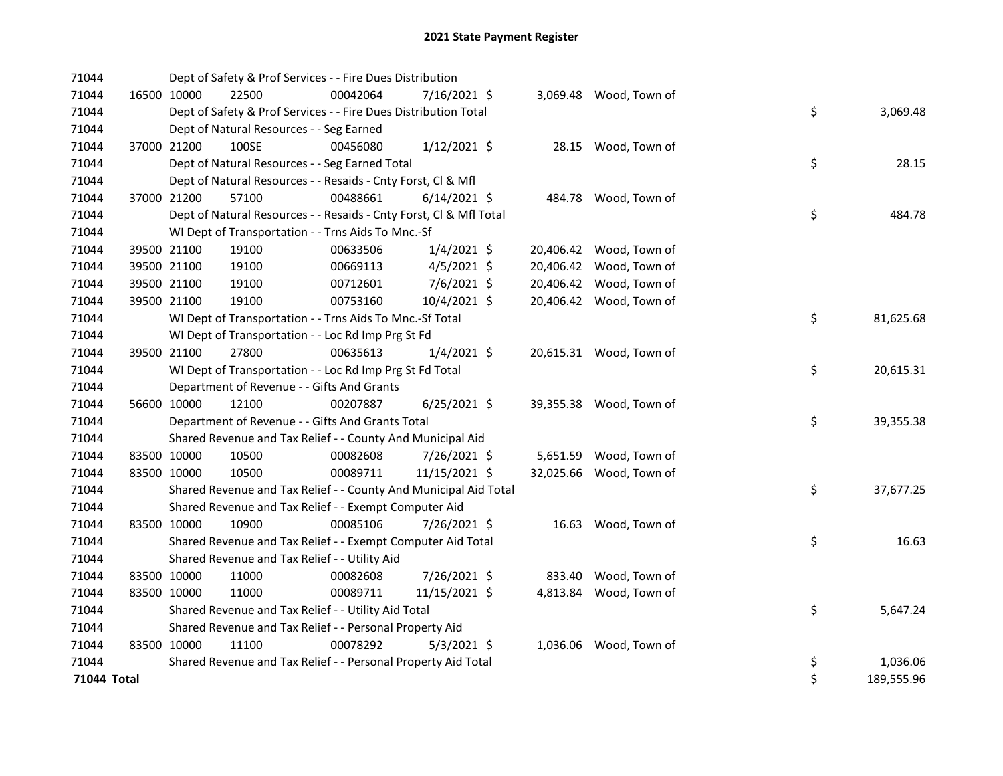| 71044       |             | Dept of Safety & Prof Services - - Fire Dues Distribution          |          |                |  |                         |    |            |
|-------------|-------------|--------------------------------------------------------------------|----------|----------------|--|-------------------------|----|------------|
| 71044       | 16500 10000 | 22500                                                              | 00042064 | 7/16/2021 \$   |  | 3,069.48 Wood, Town of  |    |            |
| 71044       |             | Dept of Safety & Prof Services - - Fire Dues Distribution Total    |          |                |  |                         | \$ | 3,069.48   |
| 71044       |             | Dept of Natural Resources - - Seg Earned                           |          |                |  |                         |    |            |
| 71044       | 37000 21200 | 100SE                                                              | 00456080 | $1/12/2021$ \$ |  | 28.15 Wood, Town of     |    |            |
| 71044       |             | Dept of Natural Resources - - Seg Earned Total                     |          |                |  |                         | \$ | 28.15      |
| 71044       |             | Dept of Natural Resources - - Resaids - Cnty Forst, Cl & Mfl       |          |                |  |                         |    |            |
| 71044       | 37000 21200 | 57100                                                              | 00488661 | $6/14/2021$ \$ |  | 484.78 Wood, Town of    |    |            |
| 71044       |             | Dept of Natural Resources - - Resaids - Cnty Forst, Cl & Mfl Total |          |                |  |                         | \$ | 484.78     |
| 71044       |             | WI Dept of Transportation - - Trns Aids To Mnc.-Sf                 |          |                |  |                         |    |            |
| 71044       | 39500 21100 | 19100                                                              | 00633506 | $1/4/2021$ \$  |  | 20,406.42 Wood, Town of |    |            |
| 71044       | 39500 21100 | 19100                                                              | 00669113 | $4/5/2021$ \$  |  | 20,406.42 Wood, Town of |    |            |
| 71044       | 39500 21100 | 19100                                                              | 00712601 | 7/6/2021 \$    |  | 20,406.42 Wood, Town of |    |            |
| 71044       | 39500 21100 | 19100                                                              | 00753160 | 10/4/2021 \$   |  | 20,406.42 Wood, Town of |    |            |
| 71044       |             | WI Dept of Transportation - - Trns Aids To Mnc.-Sf Total           |          |                |  |                         | \$ | 81,625.68  |
| 71044       |             | WI Dept of Transportation - - Loc Rd Imp Prg St Fd                 |          |                |  |                         |    |            |
| 71044       | 39500 21100 | 27800                                                              | 00635613 | $1/4/2021$ \$  |  | 20,615.31 Wood, Town of |    |            |
| 71044       |             | WI Dept of Transportation - - Loc Rd Imp Prg St Fd Total           |          |                |  |                         | \$ | 20,615.31  |
| 71044       |             | Department of Revenue - - Gifts And Grants                         |          |                |  |                         |    |            |
| 71044       | 56600 10000 | 12100                                                              | 00207887 | $6/25/2021$ \$ |  | 39,355.38 Wood, Town of |    |            |
| 71044       |             | Department of Revenue - - Gifts And Grants Total                   |          |                |  |                         | \$ | 39,355.38  |
| 71044       |             | Shared Revenue and Tax Relief - - County And Municipal Aid         |          |                |  |                         |    |            |
| 71044       | 83500 10000 | 10500                                                              | 00082608 | 7/26/2021 \$   |  | 5,651.59 Wood, Town of  |    |            |
| 71044       | 83500 10000 | 10500                                                              | 00089711 | 11/15/2021 \$  |  | 32,025.66 Wood, Town of |    |            |
| 71044       |             | Shared Revenue and Tax Relief - - County And Municipal Aid Total   |          |                |  |                         | \$ | 37,677.25  |
| 71044       |             | Shared Revenue and Tax Relief - - Exempt Computer Aid              |          |                |  |                         |    |            |
| 71044       | 83500 10000 | 10900                                                              | 00085106 | 7/26/2021 \$   |  | 16.63 Wood, Town of     |    |            |
| 71044       |             | Shared Revenue and Tax Relief - - Exempt Computer Aid Total        |          |                |  |                         | \$ | 16.63      |
| 71044       |             | Shared Revenue and Tax Relief - - Utility Aid                      |          |                |  |                         |    |            |
| 71044       | 83500 10000 | 11000                                                              | 00082608 | 7/26/2021 \$   |  | 833.40 Wood, Town of    |    |            |
| 71044       | 83500 10000 | 11000                                                              | 00089711 | 11/15/2021 \$  |  | 4,813.84 Wood, Town of  |    |            |
| 71044       |             | Shared Revenue and Tax Relief - - Utility Aid Total                |          |                |  |                         | \$ | 5,647.24   |
| 71044       |             | Shared Revenue and Tax Relief - - Personal Property Aid            |          |                |  |                         |    |            |
| 71044       | 83500 10000 | 11100                                                              | 00078292 | $5/3/2021$ \$  |  | 1,036.06 Wood, Town of  |    |            |
| 71044       |             | Shared Revenue and Tax Relief - - Personal Property Aid Total      |          |                |  |                         | \$ | 1,036.06   |
| 71044 Total |             |                                                                    |          |                |  |                         | \$ | 189,555.96 |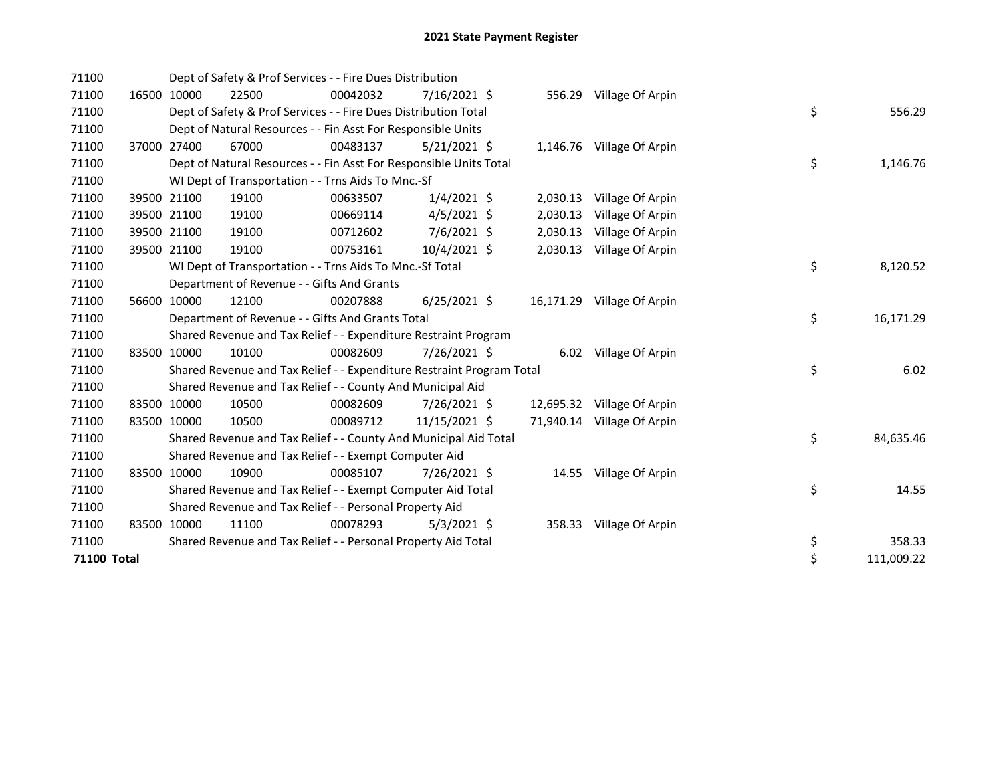| 71100       |             |             | Dept of Safety & Prof Services - - Fire Dues Distribution             |          |                |          |                            |    |            |
|-------------|-------------|-------------|-----------------------------------------------------------------------|----------|----------------|----------|----------------------------|----|------------|
| 71100       |             | 16500 10000 | 22500                                                                 | 00042032 | 7/16/2021 \$   |          | 556.29 Village Of Arpin    |    |            |
| 71100       |             |             | Dept of Safety & Prof Services - - Fire Dues Distribution Total       |          |                |          |                            | \$ | 556.29     |
| 71100       |             |             | Dept of Natural Resources - - Fin Asst For Responsible Units          |          |                |          |                            |    |            |
| 71100       | 37000       | 27400       | 67000                                                                 | 00483137 | $5/21/2021$ \$ |          | 1,146.76 Village Of Arpin  |    |            |
| 71100       |             |             | Dept of Natural Resources - - Fin Asst For Responsible Units Total    |          |                |          |                            | \$ | 1,146.76   |
| 71100       |             |             | WI Dept of Transportation - - Trns Aids To Mnc.-Sf                    |          |                |          |                            |    |            |
| 71100       |             | 39500 21100 | 19100                                                                 | 00633507 | $1/4/2021$ \$  | 2,030.13 | Village Of Arpin           |    |            |
| 71100       |             | 39500 21100 | 19100                                                                 | 00669114 | $4/5/2021$ \$  | 2,030.13 | Village Of Arpin           |    |            |
| 71100       |             | 39500 21100 | 19100                                                                 | 00712602 | 7/6/2021 \$    | 2,030.13 | Village Of Arpin           |    |            |
| 71100       | 39500 21100 |             | 19100                                                                 | 00753161 | 10/4/2021 \$   | 2,030.13 | Village Of Arpin           |    |            |
| 71100       |             |             | WI Dept of Transportation - - Trns Aids To Mnc.-Sf Total              |          |                |          |                            | \$ | 8,120.52   |
| 71100       |             |             | Department of Revenue - - Gifts And Grants                            |          |                |          |                            |    |            |
| 71100       |             | 56600 10000 | 12100                                                                 | 00207888 | $6/25/2021$ \$ |          | 16,171.29 Village Of Arpin |    |            |
| 71100       |             |             | Department of Revenue - - Gifts And Grants Total                      |          |                |          |                            | \$ | 16,171.29  |
| 71100       |             |             | Shared Revenue and Tax Relief - - Expenditure Restraint Program       |          |                |          |                            |    |            |
| 71100       | 83500 10000 |             | 10100                                                                 | 00082609 | 7/26/2021 \$   |          | 6.02 Village Of Arpin      |    |            |
| 71100       |             |             | Shared Revenue and Tax Relief - - Expenditure Restraint Program Total |          |                |          |                            | \$ | 6.02       |
| 71100       |             |             | Shared Revenue and Tax Relief - - County And Municipal Aid            |          |                |          |                            |    |            |
| 71100       | 83500 10000 |             | 10500                                                                 | 00082609 | 7/26/2021 \$   |          | 12,695.32 Village Of Arpin |    |            |
| 71100       | 83500 10000 |             | 10500                                                                 | 00089712 | 11/15/2021 \$  |          | 71,940.14 Village Of Arpin |    |            |
| 71100       |             |             | Shared Revenue and Tax Relief - - County And Municipal Aid Total      |          |                |          |                            | \$ | 84,635.46  |
| 71100       |             |             | Shared Revenue and Tax Relief - - Exempt Computer Aid                 |          |                |          |                            |    |            |
| 71100       |             | 83500 10000 | 10900                                                                 | 00085107 | 7/26/2021 \$   | 14.55    | Village Of Arpin           |    |            |
| 71100       |             |             | Shared Revenue and Tax Relief - - Exempt Computer Aid Total           |          |                |          |                            | \$ | 14.55      |
| 71100       |             |             | Shared Revenue and Tax Relief - - Personal Property Aid               |          |                |          |                            |    |            |
| 71100       | 83500 10000 |             | 11100                                                                 | 00078293 | $5/3/2021$ \$  | 358.33   | Village Of Arpin           |    |            |
| 71100       |             |             | Shared Revenue and Tax Relief - - Personal Property Aid Total         |          |                |          |                            | \$ | 358.33     |
| 71100 Total |             |             |                                                                       |          |                |          |                            | \$ | 111,009.22 |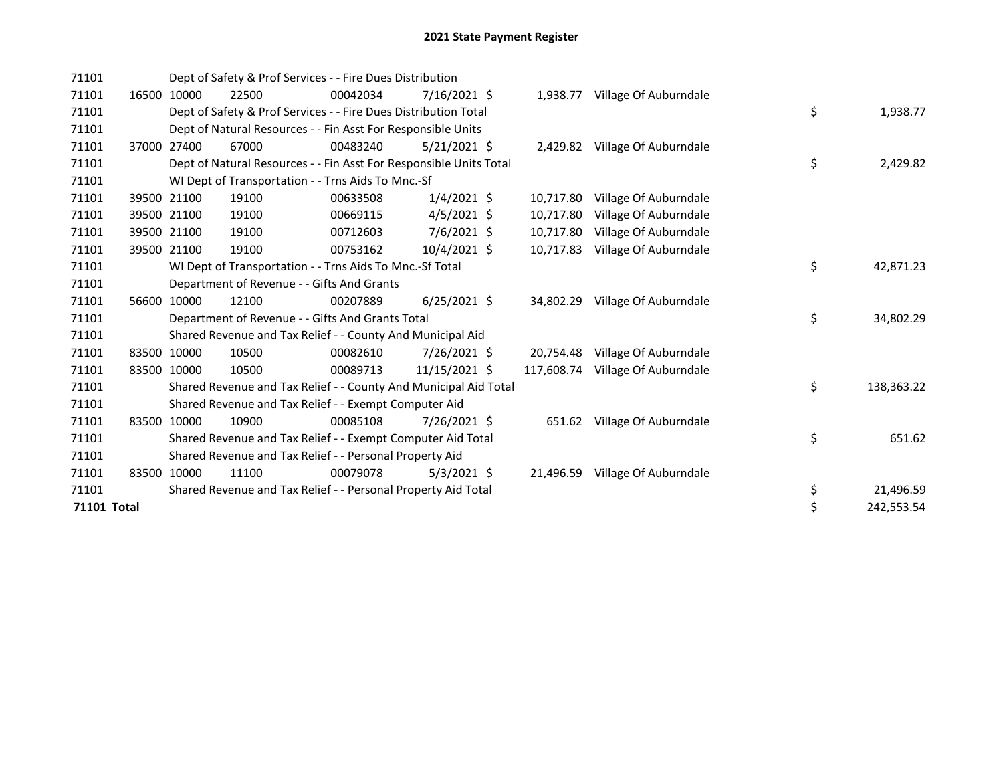| 71101              |       |             | Dept of Safety & Prof Services - - Fire Dues Distribution          |          |                |  |            |                                |  |    |            |  |  |
|--------------------|-------|-------------|--------------------------------------------------------------------|----------|----------------|--|------------|--------------------------------|--|----|------------|--|--|
| 71101              | 16500 | 10000       | 22500                                                              | 00042034 | 7/16/2021 \$   |  | 1,938.77   | Village Of Auburndale          |  |    |            |  |  |
| 71101              |       |             | Dept of Safety & Prof Services - - Fire Dues Distribution Total    |          |                |  |            |                                |  | \$ | 1,938.77   |  |  |
| 71101              |       |             | Dept of Natural Resources - - Fin Asst For Responsible Units       |          |                |  |            |                                |  |    |            |  |  |
| 71101              |       | 37000 27400 | 67000                                                              | 00483240 | $5/21/2021$ \$ |  |            | 2,429.82 Village Of Auburndale |  |    |            |  |  |
| 71101              |       |             | Dept of Natural Resources - - Fin Asst For Responsible Units Total |          |                |  |            |                                |  | \$ | 2,429.82   |  |  |
| 71101              |       |             | WI Dept of Transportation - - Trns Aids To Mnc.-Sf                 |          |                |  |            |                                |  |    |            |  |  |
| 71101              |       | 39500 21100 | 19100                                                              | 00633508 | $1/4/2021$ \$  |  | 10,717.80  | Village Of Auburndale          |  |    |            |  |  |
| 71101              |       | 39500 21100 | 19100                                                              | 00669115 | $4/5/2021$ \$  |  | 10.717.80  | Village Of Auburndale          |  |    |            |  |  |
| 71101              |       | 39500 21100 | 19100                                                              | 00712603 | $7/6/2021$ \$  |  | 10,717.80  | Village Of Auburndale          |  |    |            |  |  |
| 71101              |       | 39500 21100 | 19100                                                              | 00753162 | $10/4/2021$ \$ |  | 10,717.83  | Village Of Auburndale          |  |    |            |  |  |
| 71101              |       |             | WI Dept of Transportation - - Trns Aids To Mnc.-Sf Total           |          |                |  | \$         | 42,871.23                      |  |    |            |  |  |
| 71101              |       |             | Department of Revenue - - Gifts And Grants                         |          |                |  |            |                                |  |    |            |  |  |
| 71101              |       | 56600 10000 | 12100                                                              | 00207889 | $6/25/2021$ \$ |  | 34,802.29  | Village Of Auburndale          |  |    |            |  |  |
| 71101              |       |             | Department of Revenue - - Gifts And Grants Total                   |          |                |  |            |                                |  | \$ | 34,802.29  |  |  |
| 71101              |       |             | Shared Revenue and Tax Relief - - County And Municipal Aid         |          |                |  |            |                                |  |    |            |  |  |
| 71101              | 83500 | 10000       | 10500                                                              | 00082610 | 7/26/2021 \$   |  | 20,754.48  | Village Of Auburndale          |  |    |            |  |  |
| 71101              | 83500 | 10000       | 10500                                                              | 00089713 | 11/15/2021 \$  |  | 117,608.74 | Village Of Auburndale          |  |    |            |  |  |
| 71101              |       |             | Shared Revenue and Tax Relief - - County And Municipal Aid Total   |          |                |  |            |                                |  | \$ | 138,363.22 |  |  |
| 71101              |       |             | Shared Revenue and Tax Relief - - Exempt Computer Aid              |          |                |  |            |                                |  |    |            |  |  |
| 71101              |       | 83500 10000 | 10900                                                              | 00085108 | 7/26/2021 \$   |  |            | 651.62 Village Of Auburndale   |  |    |            |  |  |
| 71101              |       |             | Shared Revenue and Tax Relief - - Exempt Computer Aid Total        |          |                |  |            |                                |  | \$ | 651.62     |  |  |
| 71101              |       |             | Shared Revenue and Tax Relief - - Personal Property Aid            |          |                |  |            |                                |  |    |            |  |  |
| 71101              |       | 83500 10000 | 11100                                                              | 00079078 | $5/3/2021$ \$  |  | 21,496.59  | Village Of Auburndale          |  |    |            |  |  |
| 71101              |       |             | Shared Revenue and Tax Relief - - Personal Property Aid Total      |          |                |  |            |                                |  | \$ | 21,496.59  |  |  |
| <b>71101 Total</b> |       |             |                                                                    |          |                |  |            |                                |  | \$ | 242,553.54 |  |  |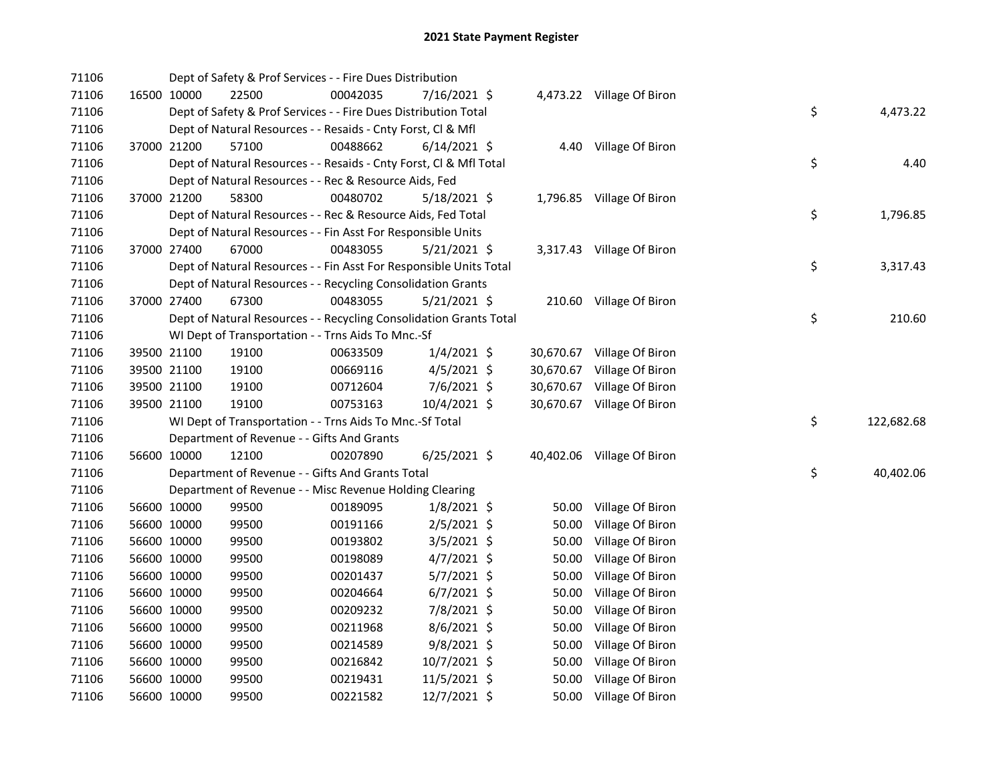| 71106 |             |             | Dept of Safety & Prof Services - - Fire Dues Distribution          |          |                |           |                            |    |            |
|-------|-------------|-------------|--------------------------------------------------------------------|----------|----------------|-----------|----------------------------|----|------------|
| 71106 |             | 16500 10000 | 22500                                                              | 00042035 | 7/16/2021 \$   |           | 4,473.22 Village Of Biron  |    |            |
| 71106 |             |             | Dept of Safety & Prof Services - - Fire Dues Distribution Total    |          |                |           |                            | \$ | 4,473.22   |
| 71106 |             |             | Dept of Natural Resources - - Resaids - Cnty Forst, Cl & Mfl       |          |                |           |                            |    |            |
| 71106 |             | 37000 21200 | 57100                                                              | 00488662 | $6/14/2021$ \$ |           | 4.40 Village Of Biron      |    |            |
| 71106 |             |             | Dept of Natural Resources - - Resaids - Cnty Forst, Cl & Mfl Total |          |                |           |                            | \$ | 4.40       |
| 71106 |             |             | Dept of Natural Resources - - Rec & Resource Aids, Fed             |          |                |           |                            |    |            |
| 71106 |             | 37000 21200 | 58300                                                              | 00480702 | $5/18/2021$ \$ |           | 1,796.85 Village Of Biron  |    |            |
| 71106 |             |             | Dept of Natural Resources - - Rec & Resource Aids, Fed Total       |          |                |           |                            | \$ | 1,796.85   |
| 71106 |             |             | Dept of Natural Resources - - Fin Asst For Responsible Units       |          |                |           |                            |    |            |
| 71106 |             | 37000 27400 | 67000                                                              | 00483055 | $5/21/2021$ \$ |           | 3,317.43 Village Of Biron  |    |            |
| 71106 |             |             | Dept of Natural Resources - - Fin Asst For Responsible Units Total |          |                |           |                            | \$ | 3,317.43   |
| 71106 |             |             | Dept of Natural Resources - - Recycling Consolidation Grants       |          |                |           |                            |    |            |
| 71106 |             | 37000 27400 | 67300                                                              | 00483055 | $5/21/2021$ \$ |           | 210.60 Village Of Biron    |    |            |
| 71106 |             |             | Dept of Natural Resources - - Recycling Consolidation Grants Total |          |                |           |                            | \$ | 210.60     |
| 71106 |             |             | WI Dept of Transportation - - Trns Aids To Mnc.-Sf                 |          |                |           |                            |    |            |
| 71106 |             | 39500 21100 | 19100                                                              | 00633509 | $1/4/2021$ \$  |           | 30,670.67 Village Of Biron |    |            |
| 71106 |             | 39500 21100 | 19100                                                              | 00669116 | 4/5/2021 \$    | 30,670.67 | Village Of Biron           |    |            |
| 71106 |             | 39500 21100 | 19100                                                              | 00712604 | 7/6/2021 \$    |           | 30,670.67 Village Of Biron |    |            |
| 71106 |             | 39500 21100 | 19100                                                              | 00753163 | 10/4/2021 \$   |           | 30,670.67 Village Of Biron |    |            |
| 71106 |             |             | WI Dept of Transportation - - Trns Aids To Mnc.-Sf Total           |          |                |           |                            | \$ | 122,682.68 |
| 71106 |             |             | Department of Revenue - - Gifts And Grants                         |          |                |           |                            |    |            |
| 71106 |             | 56600 10000 | 12100                                                              | 00207890 | 6/25/2021 \$   |           | 40,402.06 Village Of Biron |    |            |
| 71106 |             |             | Department of Revenue - - Gifts And Grants Total                   |          |                |           |                            | \$ | 40,402.06  |
| 71106 |             |             | Department of Revenue - - Misc Revenue Holding Clearing            |          |                |           |                            |    |            |
| 71106 |             | 56600 10000 | 99500                                                              | 00189095 | $1/8/2021$ \$  | 50.00     | Village Of Biron           |    |            |
| 71106 |             | 56600 10000 | 99500                                                              | 00191166 | 2/5/2021 \$    | 50.00     | Village Of Biron           |    |            |
| 71106 |             | 56600 10000 | 99500                                                              | 00193802 | $3/5/2021$ \$  | 50.00     | Village Of Biron           |    |            |
| 71106 |             | 56600 10000 | 99500                                                              | 00198089 | $4/7/2021$ \$  | 50.00     | Village Of Biron           |    |            |
| 71106 |             | 56600 10000 | 99500                                                              | 00201437 | 5/7/2021 \$    | 50.00     | Village Of Biron           |    |            |
| 71106 |             | 56600 10000 | 99500                                                              | 00204664 | $6/7/2021$ \$  | 50.00     | Village Of Biron           |    |            |
| 71106 |             | 56600 10000 | 99500                                                              | 00209232 | 7/8/2021 \$    | 50.00     | Village Of Biron           |    |            |
| 71106 |             | 56600 10000 | 99500                                                              | 00211968 | 8/6/2021 \$    | 50.00     | Village Of Biron           |    |            |
| 71106 |             | 56600 10000 | 99500                                                              | 00214589 | 9/8/2021 \$    | 50.00     | Village Of Biron           |    |            |
| 71106 |             | 56600 10000 | 99500                                                              | 00216842 | 10/7/2021 \$   | 50.00     | Village Of Biron           |    |            |
| 71106 | 56600 10000 |             | 99500                                                              | 00219431 | 11/5/2021 \$   | 50.00     | Village Of Biron           |    |            |
| 71106 | 56600 10000 |             | 99500                                                              | 00221582 | 12/7/2021 \$   |           | 50.00 Village Of Biron     |    |            |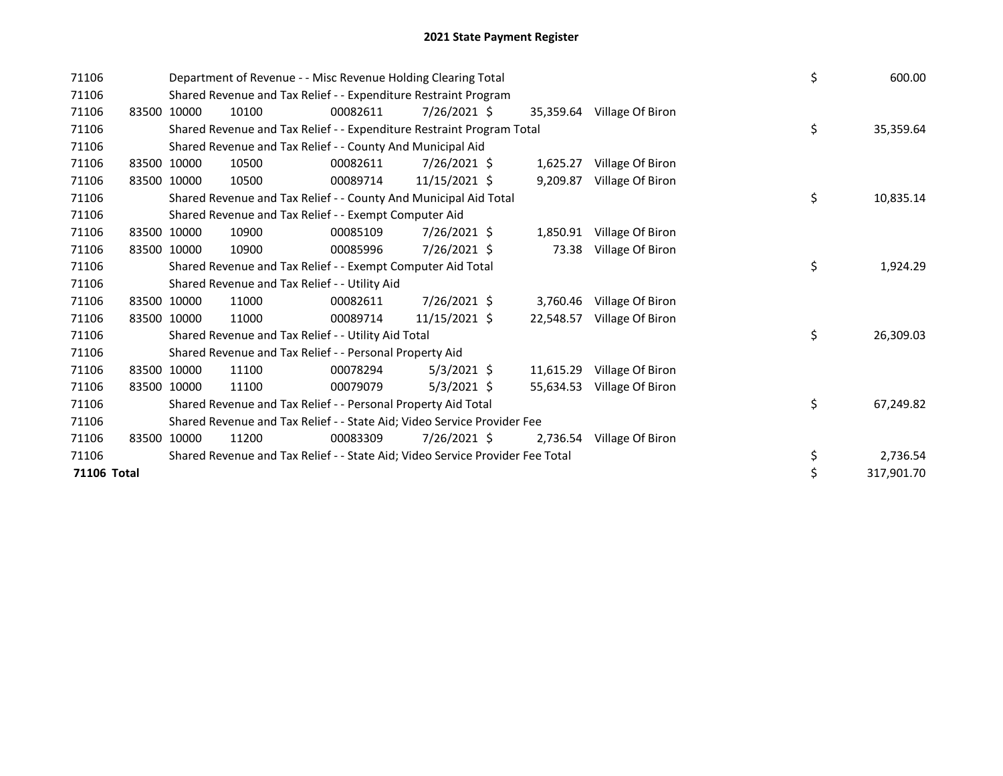| 71106 |                                                                                              |             | Department of Revenue - - Misc Revenue Holding Clearing Total                                                                                                                                                  |          | \$             | 600.00   |           |                  |  |    |            |  |  |
|-------|----------------------------------------------------------------------------------------------|-------------|----------------------------------------------------------------------------------------------------------------------------------------------------------------------------------------------------------------|----------|----------------|----------|-----------|------------------|--|----|------------|--|--|
| 71106 |                                                                                              |             | Shared Revenue and Tax Relief - - Expenditure Restraint Program<br>00082611<br>10100<br>7/26/2021 \$<br>Village Of Biron<br>35,359.64<br>Shared Revenue and Tax Relief - - Expenditure Restraint Program Total |          |                |          |           |                  |  |    |            |  |  |
| 71106 |                                                                                              | 83500 10000 |                                                                                                                                                                                                                |          |                |          |           |                  |  |    |            |  |  |
| 71106 |                                                                                              |             |                                                                                                                                                                                                                |          |                |          |           |                  |  | \$ | 35,359.64  |  |  |
| 71106 |                                                                                              |             | Shared Revenue and Tax Relief - - County And Municipal Aid                                                                                                                                                     |          |                |          |           |                  |  |    |            |  |  |
| 71106 |                                                                                              | 83500 10000 | 10500                                                                                                                                                                                                          | 00082611 | $7/26/2021$ \$ |          | 1,625.27  | Village Of Biron |  |    |            |  |  |
| 71106 | 83500                                                                                        | 10000       | 10500                                                                                                                                                                                                          | 00089714 | 11/15/2021 \$  |          | 9,209.87  | Village Of Biron |  |    |            |  |  |
| 71106 |                                                                                              |             | Shared Revenue and Tax Relief - - County And Municipal Aid Total                                                                                                                                               |          |                |          |           |                  |  | \$ | 10,835.14  |  |  |
| 71106 |                                                                                              |             | Shared Revenue and Tax Relief - - Exempt Computer Aid                                                                                                                                                          |          |                |          |           |                  |  |    |            |  |  |
| 71106 |                                                                                              | 83500 10000 | 10900                                                                                                                                                                                                          | 00085109 | $7/26/2021$ \$ |          | 1,850.91  | Village Of Biron |  |    |            |  |  |
| 71106 |                                                                                              | 83500 10000 | 10900                                                                                                                                                                                                          | 00085996 | 7/26/2021 \$   |          | 73.38     | Village Of Biron |  |    |            |  |  |
| 71106 |                                                                                              |             | Shared Revenue and Tax Relief - - Exempt Computer Aid Total                                                                                                                                                    |          | \$             | 1,924.29 |           |                  |  |    |            |  |  |
| 71106 |                                                                                              |             | Shared Revenue and Tax Relief - - Utility Aid                                                                                                                                                                  |          |                |          |           |                  |  |    |            |  |  |
| 71106 |                                                                                              | 83500 10000 | 11000                                                                                                                                                                                                          | 00082611 | 7/26/2021 \$   |          | 3,760.46  | Village Of Biron |  |    |            |  |  |
| 71106 |                                                                                              | 83500 10000 | 11000                                                                                                                                                                                                          | 00089714 | 11/15/2021 \$  |          | 22,548.57 | Village Of Biron |  |    |            |  |  |
| 71106 |                                                                                              |             | Shared Revenue and Tax Relief - - Utility Aid Total                                                                                                                                                            |          |                |          |           |                  |  | \$ | 26,309.03  |  |  |
| 71106 |                                                                                              |             | Shared Revenue and Tax Relief - - Personal Property Aid                                                                                                                                                        |          |                |          |           |                  |  |    |            |  |  |
| 71106 | 83500                                                                                        | 10000       | 11100                                                                                                                                                                                                          | 00078294 | $5/3/2021$ \$  |          | 11,615.29 | Village Of Biron |  |    |            |  |  |
| 71106 |                                                                                              | 83500 10000 | 11100                                                                                                                                                                                                          | 00079079 | $5/3/2021$ \$  |          | 55,634.53 | Village Of Biron |  |    |            |  |  |
| 71106 |                                                                                              |             | Shared Revenue and Tax Relief - - Personal Property Aid Total                                                                                                                                                  |          |                |          |           |                  |  |    | 67,249.82  |  |  |
| 71106 |                                                                                              |             | Shared Revenue and Tax Relief - - State Aid; Video Service Provider Fee                                                                                                                                        |          |                |          |           |                  |  |    |            |  |  |
| 71106 |                                                                                              | 83500 10000 | 11200                                                                                                                                                                                                          | 00083309 | 7/26/2021 \$   |          | 2,736.54  | Village Of Biron |  |    |            |  |  |
| 71106 |                                                                                              |             |                                                                                                                                                                                                                |          | \$             | 2,736.54 |           |                  |  |    |            |  |  |
|       | Shared Revenue and Tax Relief - - State Aid; Video Service Provider Fee Total<br>71106 Total |             |                                                                                                                                                                                                                |          |                |          |           |                  |  | \$ | 317,901.70 |  |  |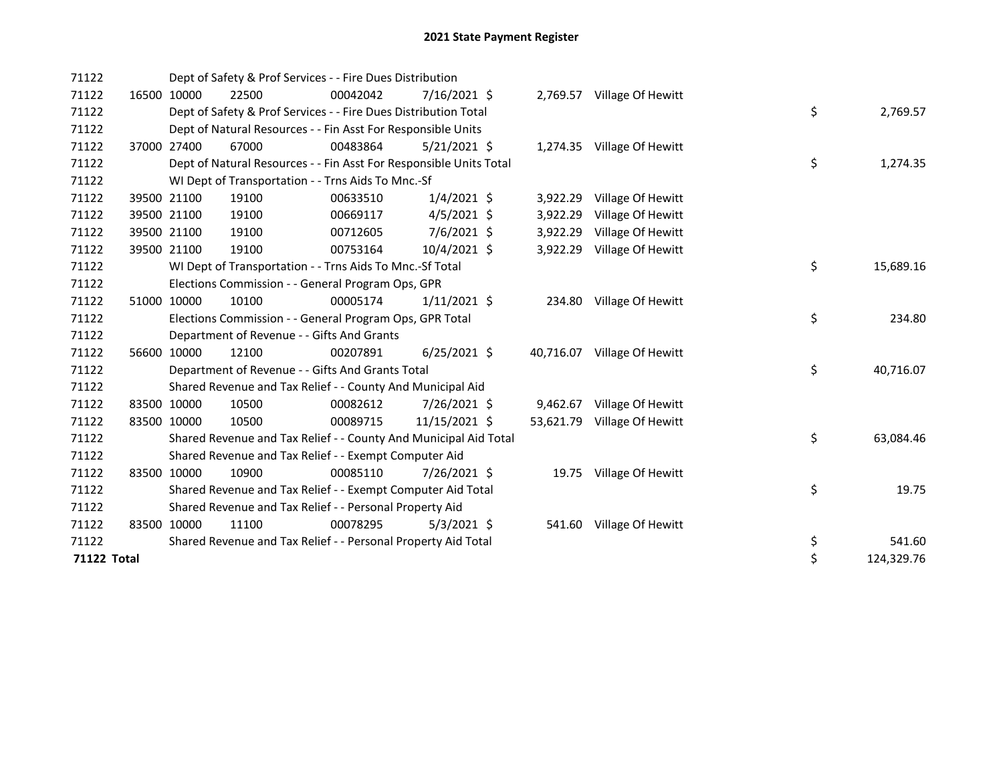| 71122              |             | Dept of Safety & Prof Services - - Fire Dues Distribution          |          |                |  |           |                             |  |    |            |  |  |
|--------------------|-------------|--------------------------------------------------------------------|----------|----------------|--|-----------|-----------------------------|--|----|------------|--|--|
| 71122              | 16500 10000 | 22500                                                              | 00042042 | 7/16/2021 \$   |  |           | 2,769.57 Village Of Hewitt  |  |    |            |  |  |
| 71122              |             | Dept of Safety & Prof Services - - Fire Dues Distribution Total    |          |                |  |           |                             |  | \$ | 2,769.57   |  |  |
| 71122              |             | Dept of Natural Resources - - Fin Asst For Responsible Units       |          |                |  |           |                             |  |    |            |  |  |
| 71122              | 37000 27400 | 67000                                                              | 00483864 | $5/21/2021$ \$ |  |           | 1,274.35 Village Of Hewitt  |  |    |            |  |  |
| 71122              |             | Dept of Natural Resources - - Fin Asst For Responsible Units Total |          |                |  |           |                             |  | \$ | 1,274.35   |  |  |
| 71122              |             | WI Dept of Transportation - - Trns Aids To Mnc.-Sf                 |          |                |  |           |                             |  |    |            |  |  |
| 71122              | 39500 21100 | 19100                                                              | 00633510 | $1/4/2021$ \$  |  | 3,922.29  | Village Of Hewitt           |  |    |            |  |  |
| 71122              | 39500 21100 | 19100                                                              | 00669117 | $4/5/2021$ \$  |  | 3,922.29  | Village Of Hewitt           |  |    |            |  |  |
| 71122              | 39500 21100 | 19100                                                              | 00712605 | 7/6/2021 \$    |  | 3,922.29  | Village Of Hewitt           |  |    |            |  |  |
| 71122              | 39500 21100 | 19100                                                              | 00753164 | 10/4/2021 \$   |  | 3,922.29  | Village Of Hewitt           |  |    |            |  |  |
| 71122              |             | WI Dept of Transportation - - Trns Aids To Mnc.-Sf Total           |          |                |  |           |                             |  | \$ | 15,689.16  |  |  |
| 71122              |             | Elections Commission - - General Program Ops, GPR                  |          |                |  |           |                             |  |    |            |  |  |
| 71122              | 51000 10000 | 10100                                                              | 00005174 | $1/11/2021$ \$ |  |           | 234.80 Village Of Hewitt    |  |    |            |  |  |
| 71122              |             | Elections Commission - - General Program Ops, GPR Total            |          |                |  |           |                             |  | \$ | 234.80     |  |  |
| 71122              |             | Department of Revenue - - Gifts And Grants                         |          |                |  |           |                             |  |    |            |  |  |
| 71122              | 56600 10000 | 12100                                                              | 00207891 | $6/25/2021$ \$ |  | 40,716.07 | Village Of Hewitt           |  |    |            |  |  |
| 71122              |             | Department of Revenue - - Gifts And Grants Total                   |          |                |  |           |                             |  | \$ | 40,716.07  |  |  |
| 71122              |             | Shared Revenue and Tax Relief - - County And Municipal Aid         |          |                |  |           |                             |  |    |            |  |  |
| 71122              | 83500 10000 | 10500                                                              | 00082612 | 7/26/2021 \$   |  | 9,462.67  | Village Of Hewitt           |  |    |            |  |  |
| 71122              | 83500 10000 | 10500                                                              | 00089715 | 11/15/2021 \$  |  |           | 53,621.79 Village Of Hewitt |  |    |            |  |  |
| 71122              |             | Shared Revenue and Tax Relief - - County And Municipal Aid Total   |          |                |  |           |                             |  | \$ | 63,084.46  |  |  |
| 71122              |             | Shared Revenue and Tax Relief - - Exempt Computer Aid              |          |                |  |           |                             |  |    |            |  |  |
| 71122              | 83500 10000 | 10900                                                              | 00085110 | 7/26/2021 \$   |  |           | 19.75 Village Of Hewitt     |  |    |            |  |  |
| 71122              |             | Shared Revenue and Tax Relief - - Exempt Computer Aid Total        |          |                |  |           |                             |  | \$ | 19.75      |  |  |
| 71122              |             | Shared Revenue and Tax Relief - - Personal Property Aid            |          |                |  |           |                             |  |    |            |  |  |
| 71122              | 83500 10000 | 11100                                                              | 00078295 | $5/3/2021$ \$  |  |           | 541.60 Village Of Hewitt    |  |    |            |  |  |
| 71122              |             | Shared Revenue and Tax Relief - - Personal Property Aid Total      |          |                |  |           |                             |  | \$ | 541.60     |  |  |
| <b>71122 Total</b> |             |                                                                    |          |                |  |           |                             |  | \$ | 124,329.76 |  |  |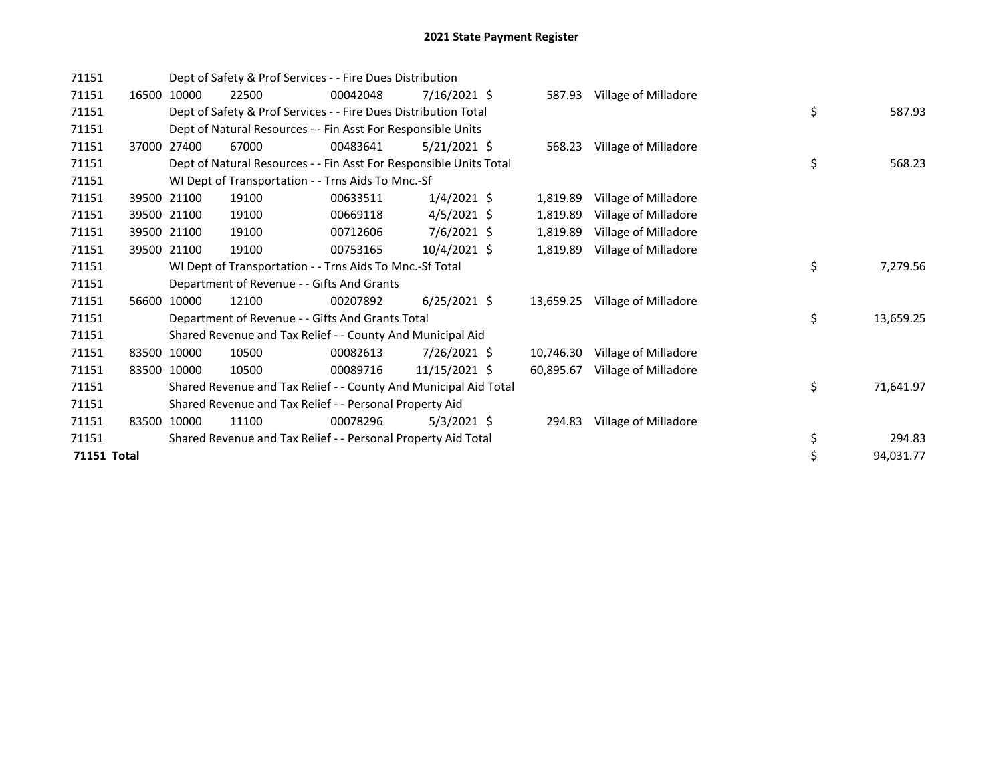| 71151              |       |             | Dept of Safety & Prof Services - - Fire Dues Distribution<br>7/16/2021 \$<br>22500<br>00042048<br>Village of Milladore<br>587.93 |          |                      |  |           |                             |  |    |           |  |  |
|--------------------|-------|-------------|----------------------------------------------------------------------------------------------------------------------------------|----------|----------------------|--|-----------|-----------------------------|--|----|-----------|--|--|
| 71151              |       | 16500 10000 |                                                                                                                                  |          |                      |  |           |                             |  |    |           |  |  |
| 71151              |       |             | Dept of Safety & Prof Services - - Fire Dues Distribution Total                                                                  |          |                      |  |           |                             |  | \$ | 587.93    |  |  |
| 71151              |       |             | Dept of Natural Resources - - Fin Asst For Responsible Units                                                                     |          |                      |  |           |                             |  |    |           |  |  |
| 71151              | 37000 | 27400       | 67000                                                                                                                            | 00483641 | $5/21/2021$ \$       |  |           | 568.23 Village of Milladore |  |    |           |  |  |
| 71151              |       |             | Dept of Natural Resources - - Fin Asst For Responsible Units Total                                                               |          |                      |  |           |                             |  | \$ | 568.23    |  |  |
| 71151              |       |             | WI Dept of Transportation - - Trns Aids To Mnc.-Sf                                                                               |          |                      |  |           |                             |  |    |           |  |  |
| 71151              |       | 39500 21100 | 19100                                                                                                                            | 00633511 | $1/4/2021$ \$        |  | 1,819.89  | Village of Milladore        |  |    |           |  |  |
| 71151              |       | 39500 21100 | 19100                                                                                                                            | 00669118 | $4/5/2021$ \$        |  | 1,819.89  | Village of Milladore        |  |    |           |  |  |
| 71151              |       | 39500 21100 | 19100                                                                                                                            | 00712606 | 7/6/2021 \$          |  | 1,819.89  | Village of Milladore        |  |    |           |  |  |
| 71151              |       | 39500 21100 | 19100                                                                                                                            | 00753165 | $10/4/2021 \text{ }$ |  | 1,819.89  | Village of Milladore        |  |    |           |  |  |
| 71151              |       |             | WI Dept of Transportation - - Trns Aids To Mnc.-Sf Total                                                                         |          |                      |  |           |                             |  | \$ | 7,279.56  |  |  |
| 71151              |       |             | Department of Revenue - - Gifts And Grants                                                                                       |          |                      |  |           |                             |  |    |           |  |  |
| 71151              |       | 56600 10000 | 12100                                                                                                                            | 00207892 | $6/25/2021$ \$       |  | 13,659.25 | Village of Milladore        |  |    |           |  |  |
| 71151              |       |             | Department of Revenue - - Gifts And Grants Total                                                                                 |          |                      |  |           |                             |  | \$ | 13,659.25 |  |  |
| 71151              |       |             | Shared Revenue and Tax Relief - - County And Municipal Aid                                                                       |          |                      |  |           |                             |  |    |           |  |  |
| 71151              |       | 83500 10000 | 10500                                                                                                                            | 00082613 | $7/26/2021$ \$       |  | 10,746.30 | Village of Milladore        |  |    |           |  |  |
| 71151              |       | 83500 10000 | 10500                                                                                                                            | 00089716 | 11/15/2021 \$        |  | 60,895.67 | Village of Milladore        |  |    |           |  |  |
| 71151              |       |             | Shared Revenue and Tax Relief - - County And Municipal Aid Total                                                                 |          |                      |  |           |                             |  | \$ | 71,641.97 |  |  |
| 71151              |       |             | Shared Revenue and Tax Relief - - Personal Property Aid                                                                          |          |                      |  |           |                             |  |    |           |  |  |
| 71151              |       | 83500 10000 | 11100                                                                                                                            | 00078296 | $5/3/2021$ \$        |  | 294.83    | Village of Milladore        |  |    |           |  |  |
| 71151              |       |             | Shared Revenue and Tax Relief - - Personal Property Aid Total                                                                    |          |                      |  |           |                             |  | \$ | 294.83    |  |  |
| <b>71151 Total</b> |       |             |                                                                                                                                  |          |                      |  |           |                             |  | \$ | 94,031.77 |  |  |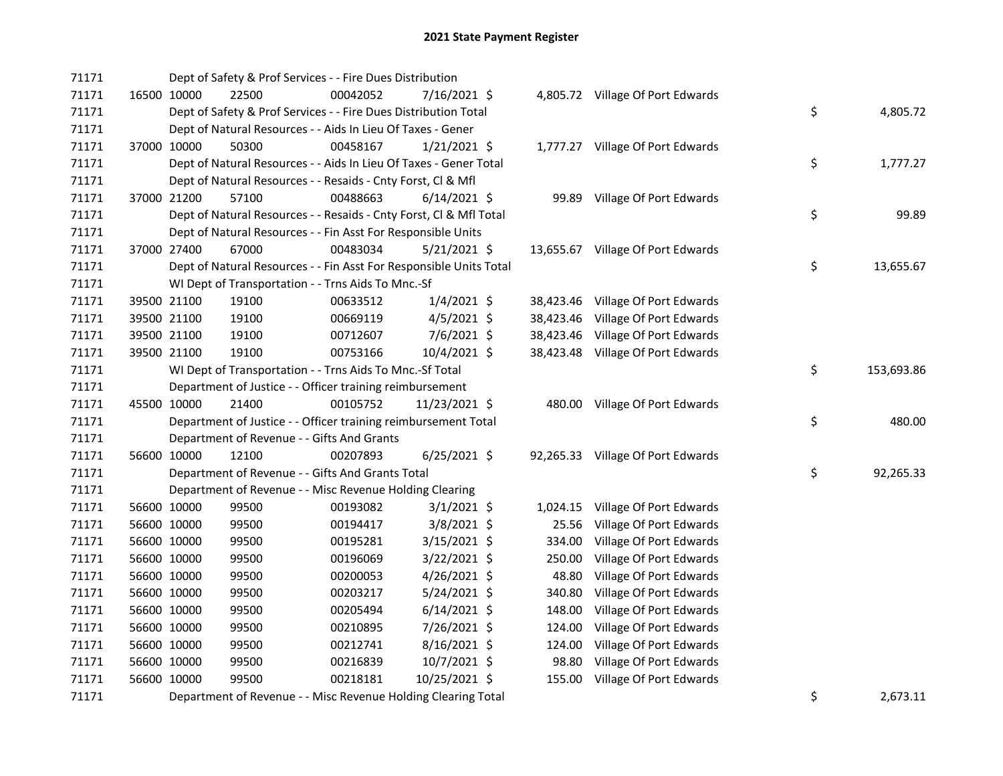| 71171 |             | Dept of Safety & Prof Services - - Fire Dues Distribution          |          |                |           |                                   |    |            |
|-------|-------------|--------------------------------------------------------------------|----------|----------------|-----------|-----------------------------------|----|------------|
| 71171 | 16500 10000 | 22500                                                              | 00042052 | 7/16/2021 \$   |           | 4,805.72 Village Of Port Edwards  |    |            |
| 71171 |             | Dept of Safety & Prof Services - - Fire Dues Distribution Total    |          |                |           |                                   | \$ | 4,805.72   |
| 71171 |             | Dept of Natural Resources - - Aids In Lieu Of Taxes - Gener        |          |                |           |                                   |    |            |
| 71171 | 37000 10000 | 50300                                                              | 00458167 | $1/21/2021$ \$ |           | 1,777.27 Village Of Port Edwards  |    |            |
| 71171 |             | Dept of Natural Resources - - Aids In Lieu Of Taxes - Gener Total  |          |                |           |                                   | \$ | 1,777.27   |
| 71171 |             | Dept of Natural Resources - - Resaids - Cnty Forst, Cl & Mfl       |          |                |           |                                   |    |            |
| 71171 | 37000 21200 | 57100                                                              | 00488663 | $6/14/2021$ \$ |           | 99.89 Village Of Port Edwards     |    |            |
| 71171 |             | Dept of Natural Resources - - Resaids - Cnty Forst, CI & Mfl Total |          |                |           |                                   | \$ | 99.89      |
| 71171 |             | Dept of Natural Resources - - Fin Asst For Responsible Units       |          |                |           |                                   |    |            |
| 71171 | 37000 27400 | 67000                                                              | 00483034 | $5/21/2021$ \$ |           | 13,655.67 Village Of Port Edwards |    |            |
| 71171 |             | Dept of Natural Resources - - Fin Asst For Responsible Units Total |          |                |           |                                   | \$ | 13,655.67  |
| 71171 |             | WI Dept of Transportation - - Trns Aids To Mnc.-Sf                 |          |                |           |                                   |    |            |
| 71171 | 39500 21100 | 19100                                                              | 00633512 | $1/4/2021$ \$  |           | 38,423.46 Village Of Port Edwards |    |            |
| 71171 | 39500 21100 | 19100                                                              | 00669119 | $4/5/2021$ \$  | 38,423.46 | Village Of Port Edwards           |    |            |
| 71171 | 39500 21100 | 19100                                                              | 00712607 | 7/6/2021 \$    | 38,423.46 | Village Of Port Edwards           |    |            |
| 71171 | 39500 21100 | 19100                                                              | 00753166 | 10/4/2021 \$   |           | 38,423.48 Village Of Port Edwards |    |            |
| 71171 |             | WI Dept of Transportation - - Trns Aids To Mnc.-Sf Total           |          |                |           |                                   | \$ | 153,693.86 |
| 71171 |             | Department of Justice - - Officer training reimbursement           |          |                |           |                                   |    |            |
| 71171 | 45500 10000 | 21400                                                              | 00105752 | 11/23/2021 \$  |           | 480.00 Village Of Port Edwards    |    |            |
| 71171 |             | Department of Justice - - Officer training reimbursement Total     |          |                |           |                                   | \$ | 480.00     |
| 71171 |             | Department of Revenue - - Gifts And Grants                         |          |                |           |                                   |    |            |
| 71171 | 56600 10000 | 12100                                                              | 00207893 | 6/25/2021 \$   |           | 92,265.33 Village Of Port Edwards |    |            |
| 71171 |             | Department of Revenue - - Gifts And Grants Total                   |          |                |           |                                   | \$ | 92,265.33  |
| 71171 |             | Department of Revenue - - Misc Revenue Holding Clearing            |          |                |           |                                   |    |            |
| 71171 | 56600 10000 | 99500                                                              | 00193082 | $3/1/2021$ \$  |           | 1,024.15 Village Of Port Edwards  |    |            |
| 71171 | 56600 10000 | 99500                                                              | 00194417 | 3/8/2021 \$    | 25.56     | Village Of Port Edwards           |    |            |
| 71171 | 56600 10000 | 99500                                                              | 00195281 | 3/15/2021 \$   | 334.00    | Village Of Port Edwards           |    |            |
| 71171 | 56600 10000 | 99500                                                              | 00196069 | $3/22/2021$ \$ | 250.00    | Village Of Port Edwards           |    |            |
| 71171 | 56600 10000 | 99500                                                              | 00200053 | $4/26/2021$ \$ | 48.80     | Village Of Port Edwards           |    |            |
| 71171 | 56600 10000 | 99500                                                              | 00203217 | 5/24/2021 \$   | 340.80    | Village Of Port Edwards           |    |            |
| 71171 | 56600 10000 | 99500                                                              | 00205494 | $6/14/2021$ \$ |           | 148.00 Village Of Port Edwards    |    |            |
| 71171 | 56600 10000 | 99500                                                              | 00210895 | 7/26/2021 \$   | 124.00    | Village Of Port Edwards           |    |            |
| 71171 | 56600 10000 | 99500                                                              | 00212741 | $8/16/2021$ \$ | 124.00    | Village Of Port Edwards           |    |            |
| 71171 | 56600 10000 | 99500                                                              | 00216839 | 10/7/2021 \$   | 98.80     | Village Of Port Edwards           |    |            |
| 71171 | 56600 10000 | 99500                                                              | 00218181 | 10/25/2021 \$  | 155.00    | Village Of Port Edwards           |    |            |
| 71171 |             | Department of Revenue - - Misc Revenue Holding Clearing Total      |          |                |           |                                   | \$ | 2,673.11   |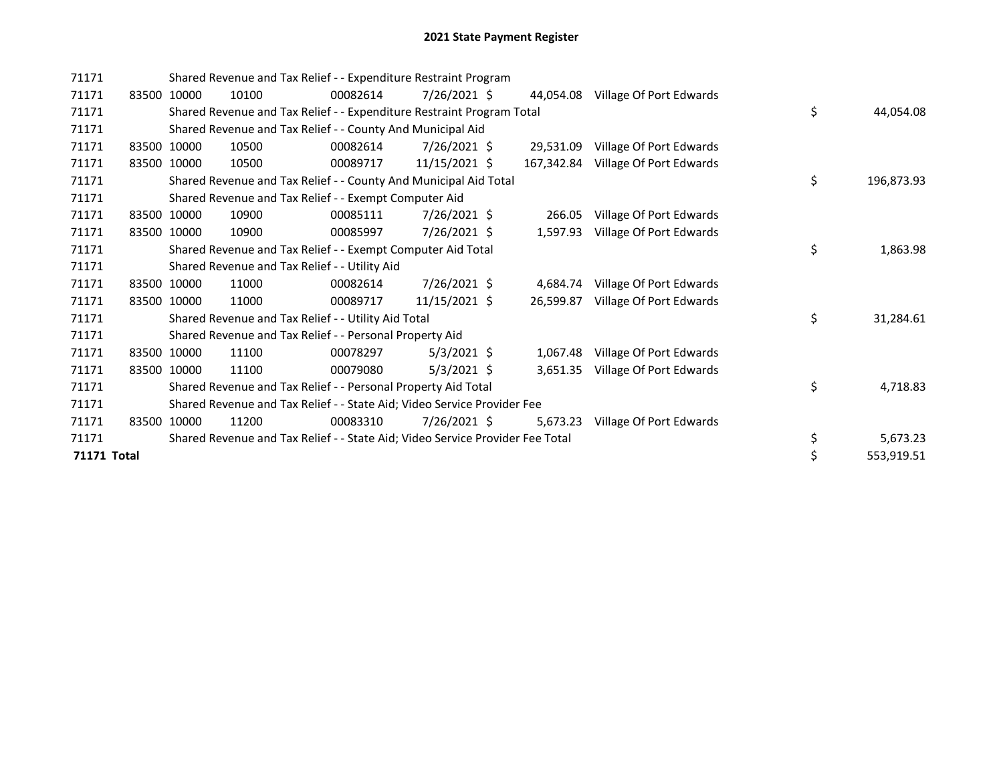| 71171       |             | Shared Revenue and Tax Relief - - Expenditure Restraint Program               |          |                 |            |                         |    |            |
|-------------|-------------|-------------------------------------------------------------------------------|----------|-----------------|------------|-------------------------|----|------------|
| 71171       | 83500 10000 | 10100                                                                         | 00082614 | $7/26/2021$ \$  | 44.054.08  | Village Of Port Edwards |    |            |
| 71171       |             | Shared Revenue and Tax Relief - - Expenditure Restraint Program Total         |          |                 |            |                         | \$ | 44,054.08  |
| 71171       |             | Shared Revenue and Tax Relief - - County And Municipal Aid                    |          |                 |            |                         |    |            |
| 71171       | 83500 10000 | 10500                                                                         | 00082614 | $7/26/2021$ \$  | 29,531.09  | Village Of Port Edwards |    |            |
| 71171       | 83500 10000 | 10500                                                                         | 00089717 | $11/15/2021$ \$ | 167,342.84 | Village Of Port Edwards |    |            |
| 71171       |             | Shared Revenue and Tax Relief - - County And Municipal Aid Total              |          |                 |            |                         | \$ | 196,873.93 |
| 71171       |             | Shared Revenue and Tax Relief - - Exempt Computer Aid                         |          |                 |            |                         |    |            |
| 71171       | 83500 10000 | 10900                                                                         | 00085111 | $7/26/2021$ \$  | 266.05     | Village Of Port Edwards |    |            |
| 71171       | 83500 10000 | 10900                                                                         | 00085997 | $7/26/2021$ \$  | 1,597.93   | Village Of Port Edwards |    |            |
| 71171       |             | Shared Revenue and Tax Relief - - Exempt Computer Aid Total                   |          |                 |            |                         | \$ | 1,863.98   |
| 71171       |             | Shared Revenue and Tax Relief - - Utility Aid                                 |          |                 |            |                         |    |            |
| 71171       | 83500 10000 | 11000                                                                         | 00082614 | 7/26/2021 \$    | 4,684.74   | Village Of Port Edwards |    |            |
| 71171       | 83500 10000 | 11000                                                                         | 00089717 | 11/15/2021 \$   | 26.599.87  | Village Of Port Edwards |    |            |
| 71171       |             | Shared Revenue and Tax Relief - - Utility Aid Total                           |          |                 |            |                         | \$ | 31,284.61  |
| 71171       |             | Shared Revenue and Tax Relief - - Personal Property Aid                       |          |                 |            |                         |    |            |
| 71171       | 83500 10000 | 11100                                                                         | 00078297 | $5/3/2021$ \$   | 1,067.48   | Village Of Port Edwards |    |            |
| 71171       | 83500 10000 | 11100                                                                         | 00079080 | $5/3/2021$ \$   | 3,651.35   | Village Of Port Edwards |    |            |
| 71171       |             | Shared Revenue and Tax Relief - - Personal Property Aid Total                 |          |                 |            |                         | \$ | 4,718.83   |
| 71171       |             | Shared Revenue and Tax Relief - - State Aid; Video Service Provider Fee       |          |                 |            |                         |    |            |
| 71171       | 83500 10000 | 11200                                                                         | 00083310 | 7/26/2021 \$    | 5,673.23   | Village Of Port Edwards |    |            |
| 71171       |             | Shared Revenue and Tax Relief - - State Aid; Video Service Provider Fee Total |          |                 |            |                         | \$ | 5,673.23   |
| 71171 Total |             |                                                                               |          |                 |            |                         | \$ | 553,919.51 |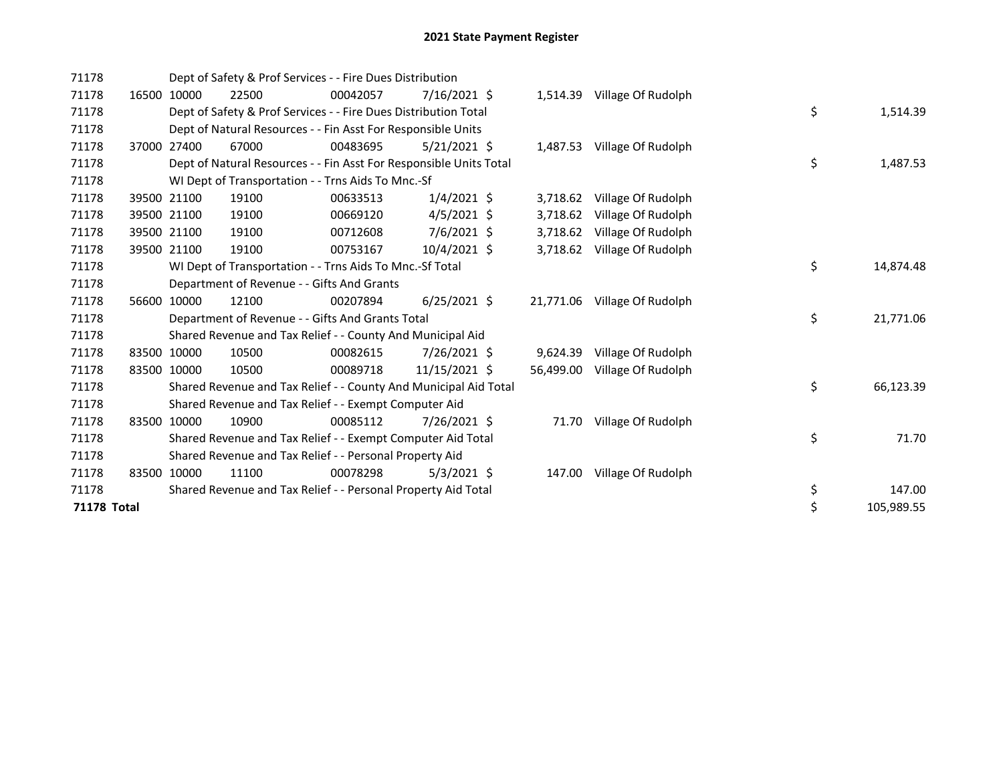| 71178              |       |             | Dept of Safety & Prof Services - - Fire Dues Distribution          |          |                |  |           |                              |  |    |            |  |  |
|--------------------|-------|-------------|--------------------------------------------------------------------|----------|----------------|--|-----------|------------------------------|--|----|------------|--|--|
| 71178              | 16500 | 10000       | 22500                                                              | 00042057 | 7/16/2021 \$   |  | 1,514.39  | Village Of Rudolph           |  |    |            |  |  |
| 71178              |       |             | Dept of Safety & Prof Services - - Fire Dues Distribution Total    |          |                |  |           |                              |  | \$ | 1,514.39   |  |  |
| 71178              |       |             | Dept of Natural Resources - - Fin Asst For Responsible Units       |          |                |  |           |                              |  |    |            |  |  |
| 71178              |       | 37000 27400 | 67000                                                              | 00483695 | $5/21/2021$ \$ |  |           | 1,487.53 Village Of Rudolph  |  |    |            |  |  |
| 71178              |       |             | Dept of Natural Resources - - Fin Asst For Responsible Units Total |          |                |  |           |                              |  | \$ | 1,487.53   |  |  |
| 71178              |       |             | WI Dept of Transportation - - Trns Aids To Mnc.-Sf                 |          |                |  |           |                              |  |    |            |  |  |
| 71178              |       | 39500 21100 | 19100                                                              | 00633513 | $1/4/2021$ \$  |  | 3,718.62  | Village Of Rudolph           |  |    |            |  |  |
| 71178              |       | 39500 21100 | 19100                                                              | 00669120 | $4/5/2021$ \$  |  | 3,718.62  | Village Of Rudolph           |  |    |            |  |  |
| 71178              |       | 39500 21100 | 19100                                                              | 00712608 | 7/6/2021 \$    |  | 3,718.62  | Village Of Rudolph           |  |    |            |  |  |
| 71178              |       | 39500 21100 | 19100                                                              | 00753167 | 10/4/2021 \$   |  | 3,718.62  | Village Of Rudolph           |  |    |            |  |  |
| 71178              |       |             | WI Dept of Transportation - - Trns Aids To Mnc.-Sf Total           |          |                |  | \$        | 14,874.48                    |  |    |            |  |  |
| 71178              |       |             | Department of Revenue - - Gifts And Grants                         |          |                |  |           |                              |  |    |            |  |  |
| 71178              |       | 56600 10000 | 12100                                                              | 00207894 | $6/25/2021$ \$ |  |           | 21,771.06 Village Of Rudolph |  |    |            |  |  |
| 71178              |       |             | Department of Revenue - - Gifts And Grants Total                   |          |                |  |           |                              |  | \$ | 21,771.06  |  |  |
| 71178              |       |             | Shared Revenue and Tax Relief - - County And Municipal Aid         |          |                |  |           |                              |  |    |            |  |  |
| 71178              |       | 83500 10000 | 10500                                                              | 00082615 | 7/26/2021 \$   |  | 9,624.39  | Village Of Rudolph           |  |    |            |  |  |
| 71178              |       | 83500 10000 | 10500                                                              | 00089718 | 11/15/2021 \$  |  | 56,499.00 | Village Of Rudolph           |  |    |            |  |  |
| 71178              |       |             | Shared Revenue and Tax Relief - - County And Municipal Aid Total   |          |                |  |           |                              |  | \$ | 66,123.39  |  |  |
| 71178              |       |             | Shared Revenue and Tax Relief - - Exempt Computer Aid              |          |                |  |           |                              |  |    |            |  |  |
| 71178              |       | 83500 10000 | 10900                                                              | 00085112 | 7/26/2021 \$   |  |           | 71.70 Village Of Rudolph     |  |    |            |  |  |
| 71178              |       |             | Shared Revenue and Tax Relief - - Exempt Computer Aid Total        |          |                |  |           |                              |  | \$ | 71.70      |  |  |
| 71178              |       |             | Shared Revenue and Tax Relief - - Personal Property Aid            |          |                |  |           |                              |  |    |            |  |  |
| 71178              |       | 83500 10000 | 11100                                                              | 00078298 | $5/3/2021$ \$  |  | 147.00    | Village Of Rudolph           |  |    |            |  |  |
| 71178              |       |             | Shared Revenue and Tax Relief - - Personal Property Aid Total      |          |                |  |           |                              |  | \$ | 147.00     |  |  |
| <b>71178 Total</b> |       |             |                                                                    |          |                |  |           |                              |  | \$ | 105,989.55 |  |  |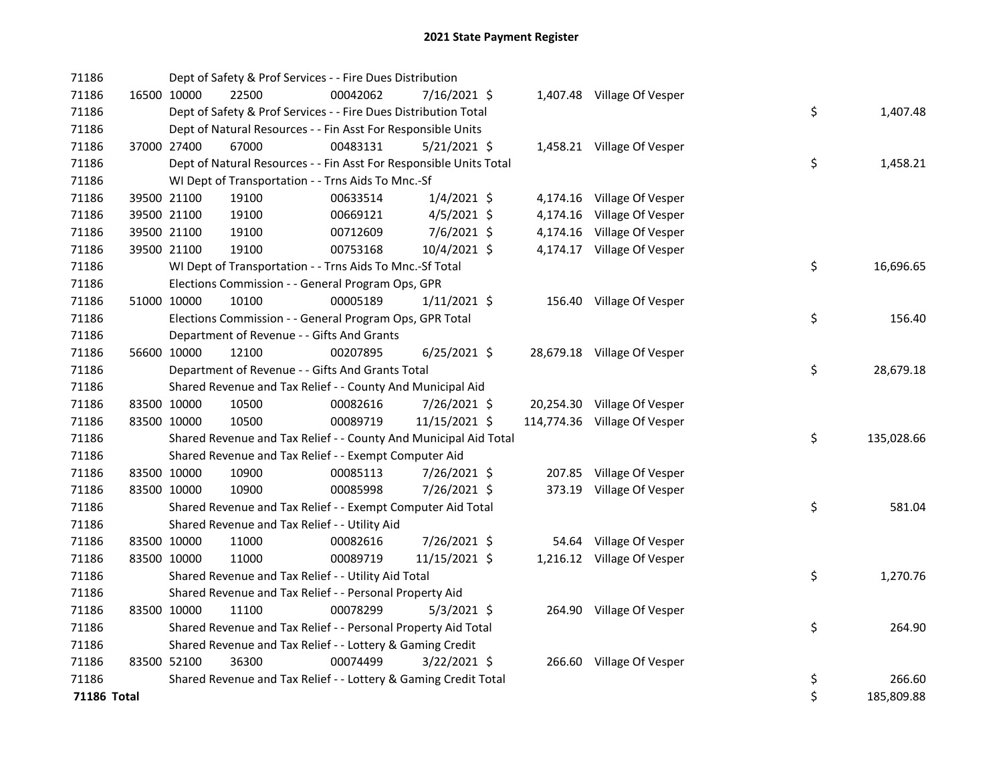| 71186       |             | Dept of Safety & Prof Services - - Fire Dues Distribution          |          |                |  |                              |    |            |
|-------------|-------------|--------------------------------------------------------------------|----------|----------------|--|------------------------------|----|------------|
| 71186       | 16500 10000 | 22500                                                              | 00042062 | 7/16/2021 \$   |  | 1,407.48 Village Of Vesper   |    |            |
| 71186       |             | Dept of Safety & Prof Services - - Fire Dues Distribution Total    |          |                |  |                              | \$ | 1,407.48   |
| 71186       |             | Dept of Natural Resources - - Fin Asst For Responsible Units       |          |                |  |                              |    |            |
| 71186       | 37000 27400 | 67000                                                              | 00483131 | $5/21/2021$ \$ |  | 1,458.21 Village Of Vesper   |    |            |
| 71186       |             | Dept of Natural Resources - - Fin Asst For Responsible Units Total |          |                |  |                              | \$ | 1,458.21   |
| 71186       |             | WI Dept of Transportation - - Trns Aids To Mnc.-Sf                 |          |                |  |                              |    |            |
| 71186       | 39500 21100 | 19100                                                              | 00633514 | $1/4/2021$ \$  |  | 4,174.16 Village Of Vesper   |    |            |
| 71186       | 39500 21100 | 19100                                                              | 00669121 | $4/5/2021$ \$  |  | 4,174.16 Village Of Vesper   |    |            |
| 71186       | 39500 21100 | 19100                                                              | 00712609 | 7/6/2021 \$    |  | 4,174.16 Village Of Vesper   |    |            |
| 71186       | 39500 21100 | 19100                                                              | 00753168 | 10/4/2021 \$   |  | 4,174.17 Village Of Vesper   |    |            |
| 71186       |             | WI Dept of Transportation - - Trns Aids To Mnc.-Sf Total           |          |                |  |                              | \$ | 16,696.65  |
| 71186       |             | Elections Commission - - General Program Ops, GPR                  |          |                |  |                              |    |            |
| 71186       | 51000 10000 | 10100                                                              | 00005189 | $1/11/2021$ \$ |  | 156.40 Village Of Vesper     |    |            |
| 71186       |             | Elections Commission - - General Program Ops, GPR Total            |          |                |  |                              | \$ | 156.40     |
| 71186       |             | Department of Revenue - - Gifts And Grants                         |          |                |  |                              |    |            |
| 71186       | 56600 10000 | 12100                                                              | 00207895 | $6/25/2021$ \$ |  | 28,679.18 Village Of Vesper  |    |            |
| 71186       |             | Department of Revenue - - Gifts And Grants Total                   |          |                |  |                              | \$ | 28,679.18  |
| 71186       |             | Shared Revenue and Tax Relief - - County And Municipal Aid         |          |                |  |                              |    |            |
| 71186       | 83500 10000 | 10500                                                              | 00082616 | 7/26/2021 \$   |  | 20,254.30 Village Of Vesper  |    |            |
| 71186       | 83500 10000 | 10500                                                              | 00089719 | 11/15/2021 \$  |  | 114,774.36 Village Of Vesper |    |            |
| 71186       |             | Shared Revenue and Tax Relief - - County And Municipal Aid Total   |          |                |  |                              | \$ | 135,028.66 |
| 71186       |             | Shared Revenue and Tax Relief - - Exempt Computer Aid              |          |                |  |                              |    |            |
| 71186       | 83500 10000 | 10900                                                              | 00085113 | 7/26/2021 \$   |  | 207.85 Village Of Vesper     |    |            |
| 71186       | 83500 10000 | 10900                                                              | 00085998 | 7/26/2021 \$   |  | 373.19 Village Of Vesper     |    |            |
| 71186       |             | Shared Revenue and Tax Relief - - Exempt Computer Aid Total        |          |                |  |                              | \$ | 581.04     |
| 71186       |             | Shared Revenue and Tax Relief - - Utility Aid                      |          |                |  |                              |    |            |
| 71186       | 83500 10000 | 11000                                                              | 00082616 | 7/26/2021 \$   |  | 54.64 Village Of Vesper      |    |            |
| 71186       | 83500 10000 | 11000                                                              | 00089719 | 11/15/2021 \$  |  | 1,216.12 Village Of Vesper   |    |            |
| 71186       |             | Shared Revenue and Tax Relief - - Utility Aid Total                |          |                |  |                              | \$ | 1,270.76   |
| 71186       |             | Shared Revenue and Tax Relief - - Personal Property Aid            |          |                |  |                              |    |            |
| 71186       | 83500 10000 | 11100                                                              | 00078299 | $5/3/2021$ \$  |  | 264.90 Village Of Vesper     |    |            |
| 71186       |             | Shared Revenue and Tax Relief - - Personal Property Aid Total      |          |                |  |                              | \$ | 264.90     |
| 71186       |             | Shared Revenue and Tax Relief - - Lottery & Gaming Credit          |          |                |  |                              |    |            |
| 71186       | 83500 52100 | 36300                                                              | 00074499 | $3/22/2021$ \$ |  | 266.60 Village Of Vesper     |    |            |
| 71186       |             | Shared Revenue and Tax Relief - - Lottery & Gaming Credit Total    |          |                |  |                              | \$ | 266.60     |
| 71186 Total |             |                                                                    |          |                |  |                              | \$ | 185,809.88 |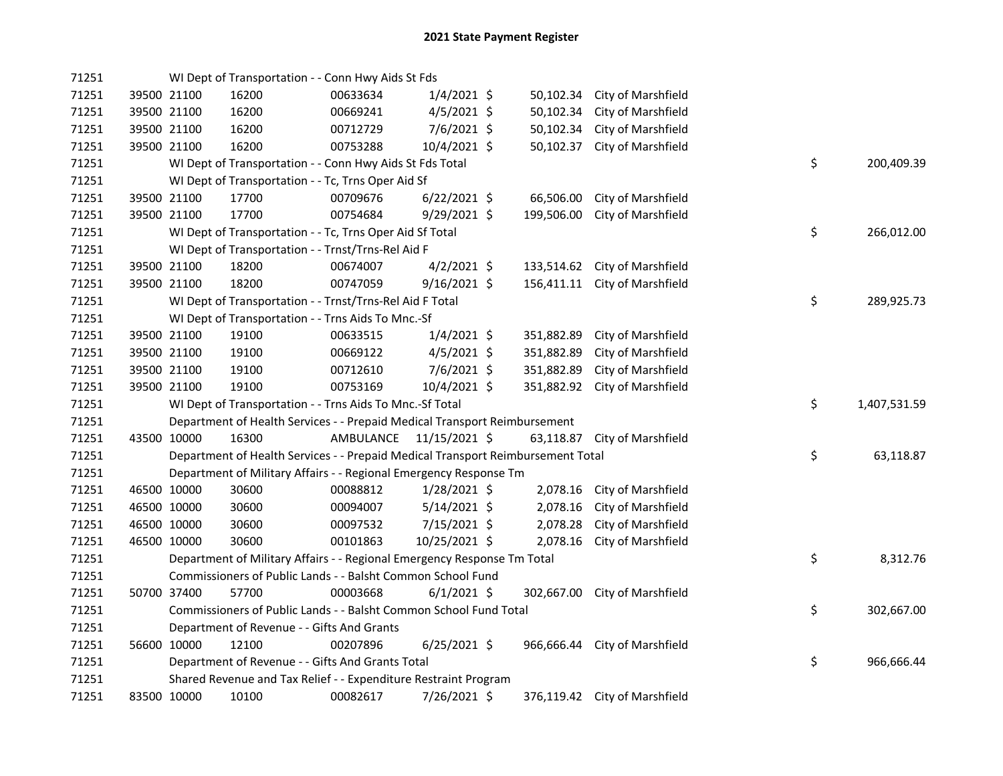| 71251 |             | WI Dept of Transportation - - Conn Hwy Aids St Fds                              |           |                |            |                               |    |              |
|-------|-------------|---------------------------------------------------------------------------------|-----------|----------------|------------|-------------------------------|----|--------------|
| 71251 | 39500 21100 | 16200                                                                           | 00633634  | $1/4/2021$ \$  | 50,102.34  | City of Marshfield            |    |              |
| 71251 | 39500 21100 | 16200                                                                           | 00669241  | $4/5/2021$ \$  | 50,102.34  | City of Marshfield            |    |              |
| 71251 | 39500 21100 | 16200                                                                           | 00712729  | $7/6/2021$ \$  | 50,102.34  | City of Marshfield            |    |              |
| 71251 | 39500 21100 | 16200                                                                           | 00753288  | 10/4/2021 \$   | 50,102.37  | City of Marshfield            |    |              |
| 71251 |             | WI Dept of Transportation - - Conn Hwy Aids St Fds Total                        |           |                |            |                               | \$ | 200,409.39   |
| 71251 |             | WI Dept of Transportation - - Tc, Trns Oper Aid Sf                              |           |                |            |                               |    |              |
| 71251 | 39500 21100 | 17700                                                                           | 00709676  | $6/22/2021$ \$ | 66,506.00  | City of Marshfield            |    |              |
| 71251 | 39500 21100 | 17700                                                                           | 00754684  | $9/29/2021$ \$ | 199,506.00 | City of Marshfield            |    |              |
| 71251 |             | WI Dept of Transportation - - Tc, Trns Oper Aid Sf Total                        |           |                |            |                               | \$ | 266,012.00   |
| 71251 |             | WI Dept of Transportation - - Trnst/Trns-Rel Aid F                              |           |                |            |                               |    |              |
| 71251 | 39500 21100 | 18200                                                                           | 00674007  | $4/2/2021$ \$  | 133,514.62 | City of Marshfield            |    |              |
| 71251 | 39500 21100 | 18200                                                                           | 00747059  | $9/16/2021$ \$ |            | 156,411.11 City of Marshfield |    |              |
| 71251 |             | WI Dept of Transportation - - Trnst/Trns-Rel Aid F Total                        |           |                |            |                               | \$ | 289,925.73   |
| 71251 |             | WI Dept of Transportation - - Trns Aids To Mnc.-Sf                              |           |                |            |                               |    |              |
| 71251 | 39500 21100 | 19100                                                                           | 00633515  | $1/4/2021$ \$  | 351,882.89 | City of Marshfield            |    |              |
| 71251 | 39500 21100 | 19100                                                                           | 00669122  | $4/5/2021$ \$  | 351,882.89 | City of Marshfield            |    |              |
| 71251 | 39500 21100 | 19100                                                                           | 00712610  | $7/6/2021$ \$  | 351,882.89 | City of Marshfield            |    |              |
| 71251 | 39500 21100 | 19100                                                                           | 00753169  | 10/4/2021 \$   | 351,882.92 | City of Marshfield            |    |              |
| 71251 |             | WI Dept of Transportation - - Trns Aids To Mnc.-Sf Total                        |           |                |            |                               | \$ | 1,407,531.59 |
| 71251 |             | Department of Health Services - - Prepaid Medical Transport Reimbursement       |           |                |            |                               |    |              |
| 71251 | 43500 10000 | 16300                                                                           | AMBULANCE | 11/15/2021 \$  |            | 63,118.87 City of Marshfield  |    |              |
| 71251 |             | Department of Health Services - - Prepaid Medical Transport Reimbursement Total |           |                |            |                               | \$ | 63,118.87    |
| 71251 |             | Department of Military Affairs - - Regional Emergency Response Tm               |           |                |            |                               |    |              |
| 71251 | 46500 10000 | 30600                                                                           | 00088812  | $1/28/2021$ \$ | 2,078.16   | City of Marshfield            |    |              |
| 71251 | 46500 10000 | 30600                                                                           | 00094007  | $5/14/2021$ \$ | 2,078.16   | City of Marshfield            |    |              |
| 71251 | 46500 10000 | 30600                                                                           | 00097532  | 7/15/2021 \$   | 2,078.28   | City of Marshfield            |    |              |
| 71251 | 46500 10000 | 30600                                                                           | 00101863  | 10/25/2021 \$  | 2,078.16   | City of Marshfield            |    |              |
| 71251 |             | Department of Military Affairs - - Regional Emergency Response Tm Total         |           |                |            |                               | \$ | 8,312.76     |
| 71251 |             | Commissioners of Public Lands - - Balsht Common School Fund                     |           |                |            |                               |    |              |
| 71251 | 50700 37400 | 57700                                                                           | 00003668  | $6/1/2021$ \$  | 302,667.00 | City of Marshfield            |    |              |
|       |             |                                                                                 |           |                |            |                               |    |              |
| 71251 |             | Commissioners of Public Lands - - Balsht Common School Fund Total               |           |                |            |                               | \$ | 302,667.00   |
| 71251 |             | Department of Revenue - - Gifts And Grants                                      |           |                |            |                               |    |              |
| 71251 | 56600 10000 | 12100                                                                           | 00207896  | $6/25/2021$ \$ |            | 966,666.44 City of Marshfield |    |              |
| 71251 |             | Department of Revenue - - Gifts And Grants Total                                |           |                |            |                               | \$ | 966,666.44   |
| 71251 |             | Shared Revenue and Tax Relief - - Expenditure Restraint Program                 |           |                |            |                               |    |              |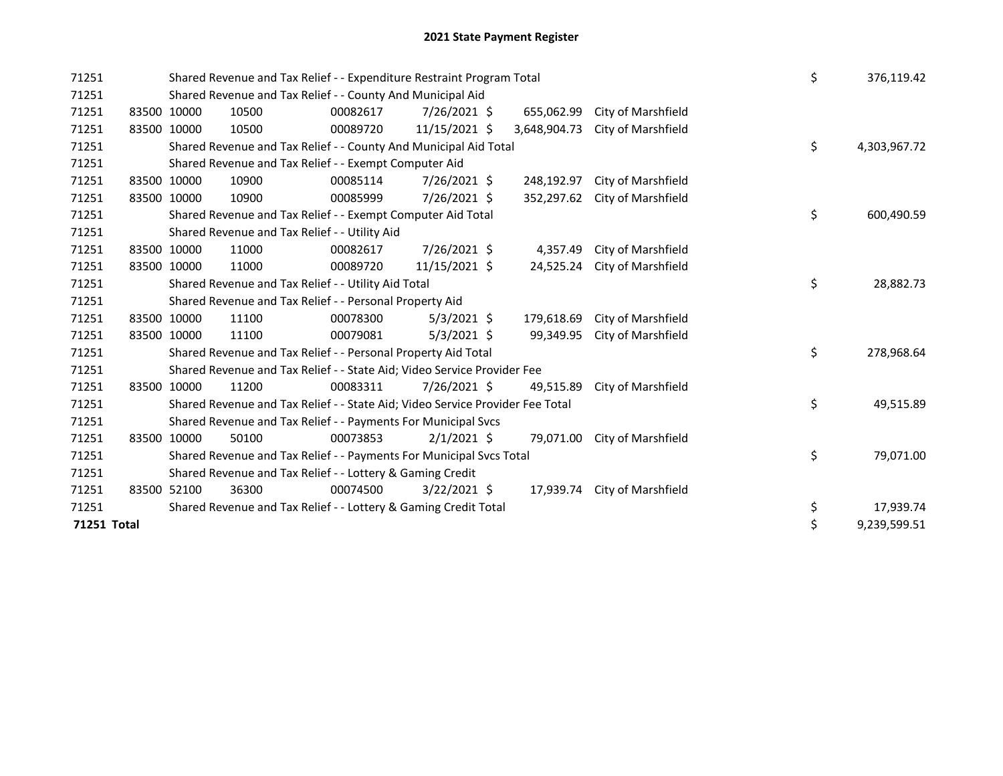| 71251       |             | Shared Revenue and Tax Relief - - Expenditure Restraint Program Total<br>Shared Revenue and Tax Relief - - County And Municipal Aid |          |                |              |              |                    |    | \$<br>376,119.42 |
|-------------|-------------|-------------------------------------------------------------------------------------------------------------------------------------|----------|----------------|--------------|--------------|--------------------|----|------------------|
| 71251       |             |                                                                                                                                     |          |                |              |              |                    |    |                  |
| 71251       | 83500 10000 | 10500                                                                                                                               | 00082617 | 7/26/2021 \$   |              | 655,062.99   | City of Marshfield |    |                  |
| 71251       | 83500 10000 | 10500                                                                                                                               | 00089720 | 11/15/2021 \$  |              | 3,648,904.73 | City of Marshfield |    |                  |
| 71251       |             | Shared Revenue and Tax Relief - - County And Municipal Aid Total                                                                    |          |                |              |              |                    | \$ | 4,303,967.72     |
| 71251       |             | Shared Revenue and Tax Relief - - Exempt Computer Aid                                                                               |          |                |              |              |                    |    |                  |
| 71251       | 83500 10000 | 10900                                                                                                                               | 00085114 | 7/26/2021 \$   |              | 248,192.97   | City of Marshfield |    |                  |
| 71251       | 83500 10000 | 10900                                                                                                                               | 00085999 | 7/26/2021 \$   |              | 352,297.62   | City of Marshfield |    |                  |
| 71251       |             | Shared Revenue and Tax Relief - - Exempt Computer Aid Total                                                                         |          |                |              |              |                    | \$ | 600,490.59       |
| 71251       |             | Shared Revenue and Tax Relief - - Utility Aid                                                                                       |          |                |              |              |                    |    |                  |
| 71251       | 83500 10000 | 11000                                                                                                                               | 00082617 | 7/26/2021 \$   |              | 4,357.49     | City of Marshfield |    |                  |
| 71251       | 83500 10000 | 11000                                                                                                                               | 00089720 | 11/15/2021 \$  |              | 24,525.24    | City of Marshfield |    |                  |
| 71251       |             | Shared Revenue and Tax Relief - - Utility Aid Total                                                                                 |          |                |              |              |                    | \$ | 28,882.73        |
| 71251       |             | Shared Revenue and Tax Relief - - Personal Property Aid                                                                             |          |                |              |              |                    |    |                  |
| 71251       | 83500 10000 | 11100                                                                                                                               | 00078300 | $5/3/2021$ \$  |              | 179,618.69   | City of Marshfield |    |                  |
| 71251       | 83500 10000 | 11100                                                                                                                               | 00079081 | $5/3/2021$ \$  |              | 99,349.95    | City of Marshfield |    |                  |
| 71251       |             | Shared Revenue and Tax Relief - - Personal Property Aid Total                                                                       |          |                |              |              |                    | \$ | 278,968.64       |
| 71251       |             | Shared Revenue and Tax Relief - - State Aid; Video Service Provider Fee                                                             |          |                |              |              |                    |    |                  |
| 71251       | 83500 10000 | 11200                                                                                                                               | 00083311 | 7/26/2021 \$   |              | 49,515.89    | City of Marshfield |    |                  |
| 71251       |             | Shared Revenue and Tax Relief - - State Aid; Video Service Provider Fee Total                                                       |          |                |              |              |                    | \$ | 49,515.89        |
| 71251       |             | Shared Revenue and Tax Relief - - Payments For Municipal Svcs                                                                       |          |                |              |              |                    |    |                  |
| 71251       | 83500 10000 | 50100                                                                                                                               | 00073853 | $2/1/2021$ \$  |              | 79,071.00    | City of Marshfield |    |                  |
| 71251       |             | Shared Revenue and Tax Relief - - Payments For Municipal Svcs Total                                                                 |          |                |              |              |                    | \$ | 79,071.00        |
| 71251       |             | Shared Revenue and Tax Relief - - Lottery & Gaming Credit                                                                           |          |                |              |              |                    |    |                  |
| 71251       | 83500 52100 | 36300                                                                                                                               | 00074500 | $3/22/2021$ \$ |              | 17,939.74    | City of Marshfield |    |                  |
| 71251       |             | Shared Revenue and Tax Relief - - Lottery & Gaming Credit Total                                                                     |          |                |              |              |                    | \$ | 17,939.74        |
| 71251 Total |             |                                                                                                                                     |          | \$             | 9,239,599.51 |              |                    |    |                  |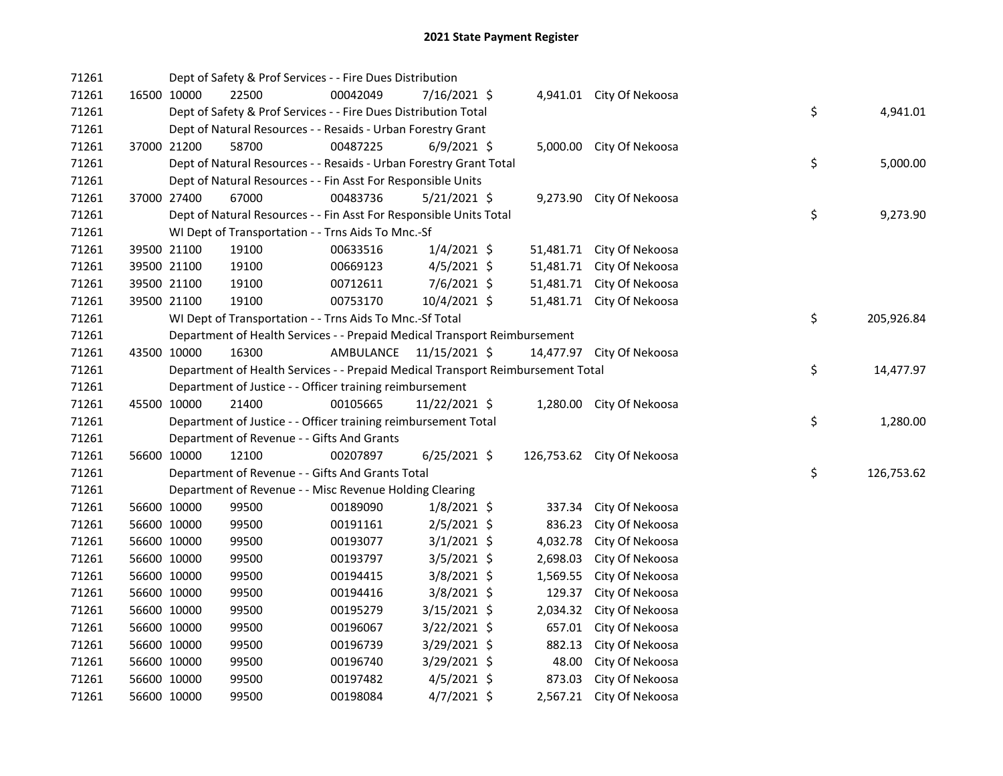| 71261 |             | Dept of Safety & Prof Services - - Fire Dues Distribution                       |                         |                |           |                            |    |            |
|-------|-------------|---------------------------------------------------------------------------------|-------------------------|----------------|-----------|----------------------------|----|------------|
| 71261 | 16500 10000 | 22500                                                                           | 00042049                | 7/16/2021 \$   |           | 4,941.01 City Of Nekoosa   |    |            |
| 71261 |             | Dept of Safety & Prof Services - - Fire Dues Distribution Total                 |                         |                |           |                            | \$ | 4,941.01   |
| 71261 |             | Dept of Natural Resources - - Resaids - Urban Forestry Grant                    |                         |                |           |                            |    |            |
| 71261 | 37000 21200 | 58700                                                                           | 00487225                | $6/9/2021$ \$  |           | 5,000.00 City Of Nekoosa   |    |            |
| 71261 |             | Dept of Natural Resources - - Resaids - Urban Forestry Grant Total              |                         |                |           |                            | \$ | 5,000.00   |
| 71261 |             | Dept of Natural Resources - - Fin Asst For Responsible Units                    |                         |                |           |                            |    |            |
| 71261 | 37000 27400 | 67000                                                                           | 00483736                | $5/21/2021$ \$ |           | 9,273.90 City Of Nekoosa   |    |            |
| 71261 |             | Dept of Natural Resources - - Fin Asst For Responsible Units Total              |                         |                |           |                            | \$ | 9,273.90   |
| 71261 |             | WI Dept of Transportation - - Trns Aids To Mnc.-Sf                              |                         |                |           |                            |    |            |
| 71261 | 39500 21100 | 19100                                                                           | 00633516                | $1/4/2021$ \$  |           | 51,481.71 City Of Nekoosa  |    |            |
| 71261 | 39500 21100 | 19100                                                                           | 00669123                | $4/5/2021$ \$  | 51,481.71 | City Of Nekoosa            |    |            |
| 71261 | 39500 21100 | 19100                                                                           | 00712611                | $7/6/2021$ \$  | 51,481.71 | City Of Nekoosa            |    |            |
| 71261 | 39500 21100 | 19100                                                                           | 00753170                | 10/4/2021 \$   | 51,481.71 | City Of Nekoosa            |    |            |
| 71261 |             | WI Dept of Transportation - - Trns Aids To Mnc.-Sf Total                        |                         |                |           |                            | \$ | 205,926.84 |
| 71261 |             | Department of Health Services - - Prepaid Medical Transport Reimbursement       |                         |                |           |                            |    |            |
| 71261 | 43500 10000 | 16300                                                                           | AMBULANCE 11/15/2021 \$ |                |           | 14,477.97 City Of Nekoosa  |    |            |
| 71261 |             | Department of Health Services - - Prepaid Medical Transport Reimbursement Total |                         |                |           |                            | \$ | 14,477.97  |
| 71261 |             | Department of Justice - - Officer training reimbursement                        |                         |                |           |                            |    |            |
| 71261 | 45500 10000 | 21400                                                                           | 00105665                | 11/22/2021 \$  |           | 1,280.00 City Of Nekoosa   |    |            |
| 71261 |             | Department of Justice - - Officer training reimbursement Total                  |                         |                |           |                            | \$ | 1,280.00   |
| 71261 |             | Department of Revenue - - Gifts And Grants                                      |                         |                |           |                            |    |            |
| 71261 | 56600 10000 | 12100                                                                           | 00207897                | 6/25/2021 \$   |           | 126,753.62 City Of Nekoosa |    |            |
| 71261 |             | Department of Revenue - - Gifts And Grants Total                                |                         |                |           |                            | \$ | 126,753.62 |
| 71261 |             | Department of Revenue - - Misc Revenue Holding Clearing                         |                         |                |           |                            |    |            |
| 71261 | 56600 10000 | 99500                                                                           | 00189090                | $1/8/2021$ \$  | 337.34    | City Of Nekoosa            |    |            |
| 71261 | 56600 10000 | 99500                                                                           | 00191161                | 2/5/2021 \$    | 836.23    | City Of Nekoosa            |    |            |
| 71261 | 56600 10000 | 99500                                                                           | 00193077                | $3/1/2021$ \$  | 4,032.78  | City Of Nekoosa            |    |            |
| 71261 | 56600 10000 | 99500                                                                           | 00193797                | 3/5/2021 \$    | 2,698.03  | City Of Nekoosa            |    |            |
| 71261 | 56600 10000 | 99500                                                                           | 00194415                | $3/8/2021$ \$  | 1,569.55  | City Of Nekoosa            |    |            |
| 71261 | 56600 10000 | 99500                                                                           | 00194416                | 3/8/2021 \$    | 129.37    | City Of Nekoosa            |    |            |
| 71261 | 56600 10000 | 99500                                                                           | 00195279                | 3/15/2021 \$   | 2,034.32  | City Of Nekoosa            |    |            |
| 71261 | 56600 10000 | 99500                                                                           | 00196067                | 3/22/2021 \$   | 657.01    | City Of Nekoosa            |    |            |
| 71261 | 56600 10000 | 99500                                                                           | 00196739                | $3/29/2021$ \$ | 882.13    | City Of Nekoosa            |    |            |
| 71261 | 56600 10000 | 99500                                                                           | 00196740                | 3/29/2021 \$   | 48.00     | City Of Nekoosa            |    |            |
| 71261 | 56600 10000 | 99500                                                                           | 00197482                | $4/5/2021$ \$  | 873.03    | City Of Nekoosa            |    |            |
| 71261 | 56600 10000 | 99500                                                                           | 00198084                | $4/7/2021$ \$  |           | 2,567.21 City Of Nekoosa   |    |            |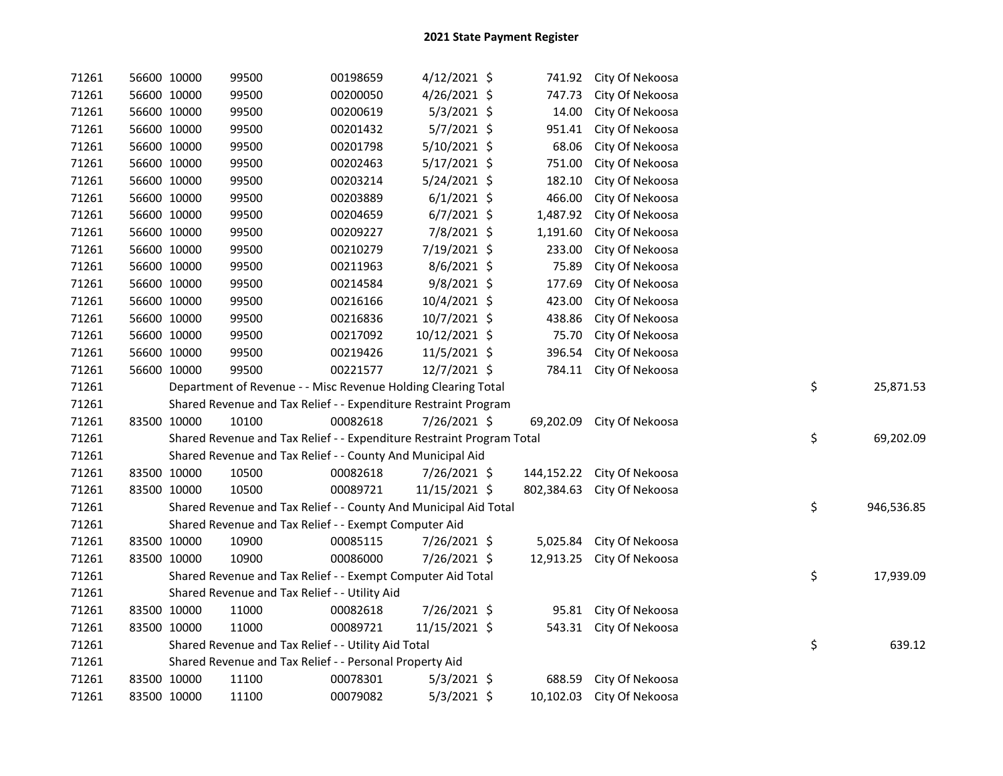| 71261 | 56600 10000 |             | 99500                                                                 | 00198659 | $4/12/2021$ \$ |            | 741.92 City Of Nekoosa     |    |            |
|-------|-------------|-------------|-----------------------------------------------------------------------|----------|----------------|------------|----------------------------|----|------------|
| 71261 |             | 56600 10000 | 99500                                                                 | 00200050 | 4/26/2021 \$   | 747.73     | City Of Nekoosa            |    |            |
| 71261 |             | 56600 10000 | 99500                                                                 | 00200619 | $5/3/2021$ \$  | 14.00      | City Of Nekoosa            |    |            |
| 71261 |             | 56600 10000 | 99500                                                                 | 00201432 | $5/7/2021$ \$  | 951.41     | City Of Nekoosa            |    |            |
| 71261 |             | 56600 10000 | 99500                                                                 | 00201798 | 5/10/2021 \$   | 68.06      | City Of Nekoosa            |    |            |
| 71261 |             | 56600 10000 | 99500                                                                 | 00202463 | $5/17/2021$ \$ | 751.00     | City Of Nekoosa            |    |            |
| 71261 |             | 56600 10000 | 99500                                                                 | 00203214 | 5/24/2021 \$   | 182.10     | City Of Nekoosa            |    |            |
| 71261 |             | 56600 10000 | 99500                                                                 | 00203889 | $6/1/2021$ \$  | 466.00     | City Of Nekoosa            |    |            |
| 71261 |             | 56600 10000 | 99500                                                                 | 00204659 | $6/7/2021$ \$  | 1,487.92   | City Of Nekoosa            |    |            |
| 71261 |             | 56600 10000 | 99500                                                                 | 00209227 | 7/8/2021 \$    | 1,191.60   | City Of Nekoosa            |    |            |
| 71261 |             | 56600 10000 | 99500                                                                 | 00210279 | 7/19/2021 \$   | 233.00     | City Of Nekoosa            |    |            |
| 71261 |             | 56600 10000 | 99500                                                                 | 00211963 | 8/6/2021 \$    | 75.89      | City Of Nekoosa            |    |            |
| 71261 |             | 56600 10000 | 99500                                                                 | 00214584 | 9/8/2021 \$    | 177.69     | City Of Nekoosa            |    |            |
| 71261 |             | 56600 10000 | 99500                                                                 | 00216166 | 10/4/2021 \$   | 423.00     | City Of Nekoosa            |    |            |
| 71261 |             | 56600 10000 | 99500                                                                 | 00216836 | 10/7/2021 \$   | 438.86     | City Of Nekoosa            |    |            |
| 71261 |             | 56600 10000 | 99500                                                                 | 00217092 | 10/12/2021 \$  | 75.70      | City Of Nekoosa            |    |            |
| 71261 |             | 56600 10000 | 99500                                                                 | 00219426 | 11/5/2021 \$   | 396.54     | City Of Nekoosa            |    |            |
| 71261 |             | 56600 10000 | 99500                                                                 | 00221577 | 12/7/2021 \$   |            | 784.11 City Of Nekoosa     |    |            |
| 71261 |             |             | Department of Revenue - - Misc Revenue Holding Clearing Total         |          |                |            |                            | \$ | 25,871.53  |
| 71261 |             |             | Shared Revenue and Tax Relief - - Expenditure Restraint Program       |          |                |            |                            |    |            |
| 71261 |             | 83500 10000 | 10100                                                                 | 00082618 | 7/26/2021 \$   | 69,202.09  | City Of Nekoosa            |    |            |
| 71261 |             |             | Shared Revenue and Tax Relief - - Expenditure Restraint Program Total |          |                |            |                            | \$ | 69,202.09  |
| 71261 |             |             | Shared Revenue and Tax Relief - - County And Municipal Aid            |          |                |            |                            |    |            |
| 71261 |             | 83500 10000 | 10500                                                                 | 00082618 | 7/26/2021 \$   |            | 144,152.22 City Of Nekoosa |    |            |
| 71261 |             | 83500 10000 | 10500                                                                 | 00089721 | 11/15/2021 \$  | 802,384.63 | City Of Nekoosa            |    |            |
| 71261 |             |             | Shared Revenue and Tax Relief - - County And Municipal Aid Total      |          |                |            |                            | \$ | 946,536.85 |
| 71261 |             |             | Shared Revenue and Tax Relief - - Exempt Computer Aid                 |          |                |            |                            |    |            |
| 71261 |             | 83500 10000 | 10900                                                                 | 00085115 | 7/26/2021 \$   |            | 5,025.84 City Of Nekoosa   |    |            |
| 71261 |             | 83500 10000 | 10900                                                                 | 00086000 | 7/26/2021 \$   | 12,913.25  | City Of Nekoosa            |    |            |
| 71261 |             |             | Shared Revenue and Tax Relief - - Exempt Computer Aid Total           |          |                |            |                            | \$ | 17,939.09  |
| 71261 |             |             | Shared Revenue and Tax Relief - - Utility Aid                         |          |                |            |                            |    |            |
| 71261 |             | 83500 10000 | 11000                                                                 | 00082618 | 7/26/2021 \$   |            | 95.81 City Of Nekoosa      |    |            |
| 71261 | 83500 10000 |             | 11000                                                                 | 00089721 | 11/15/2021 \$  |            | 543.31 City Of Nekoosa     |    |            |
| 71261 |             |             | Shared Revenue and Tax Relief - - Utility Aid Total                   |          |                |            |                            | \$ | 639.12     |
| 71261 |             |             | Shared Revenue and Tax Relief - - Personal Property Aid               |          |                |            |                            |    |            |
| 71261 |             | 83500 10000 | 11100                                                                 | 00078301 | $5/3/2021$ \$  | 688.59     | City Of Nekoosa            |    |            |
| 71261 | 83500 10000 |             | 11100                                                                 | 00079082 | $5/3/2021$ \$  |            | 10,102.03 City Of Nekoosa  |    |            |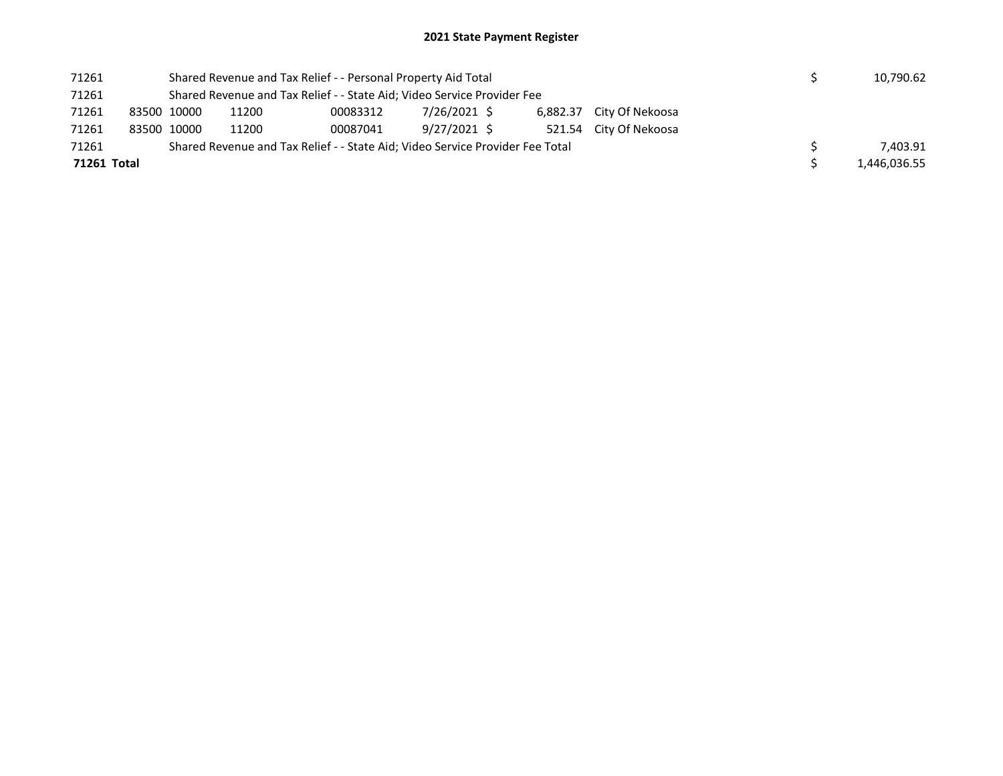## 2021 State Payment Register

| 71261       |             |       | Shared Revenue and Tax Relief - - Personal Property Aid Total                 |              |  |                          |  | 10,790.62    |
|-------------|-------------|-------|-------------------------------------------------------------------------------|--------------|--|--------------------------|--|--------------|
| 71261       |             |       | Shared Revenue and Tax Relief - - State Aid; Video Service Provider Fee       |              |  |                          |  |              |
| 71261       | 83500 10000 | 11200 | 00083312                                                                      | 7/26/2021 \$ |  | 6,882.37 City Of Nekoosa |  |              |
| 71261       | 83500 10000 | 11200 | 00087041                                                                      | 9/27/2021 \$ |  | 521.54 City Of Nekoosa   |  |              |
| 71261       |             |       | Shared Revenue and Tax Relief - - State Aid; Video Service Provider Fee Total |              |  |                          |  | 7.403.91     |
| 71261 Total |             |       |                                                                               |              |  |                          |  | 1,446,036.55 |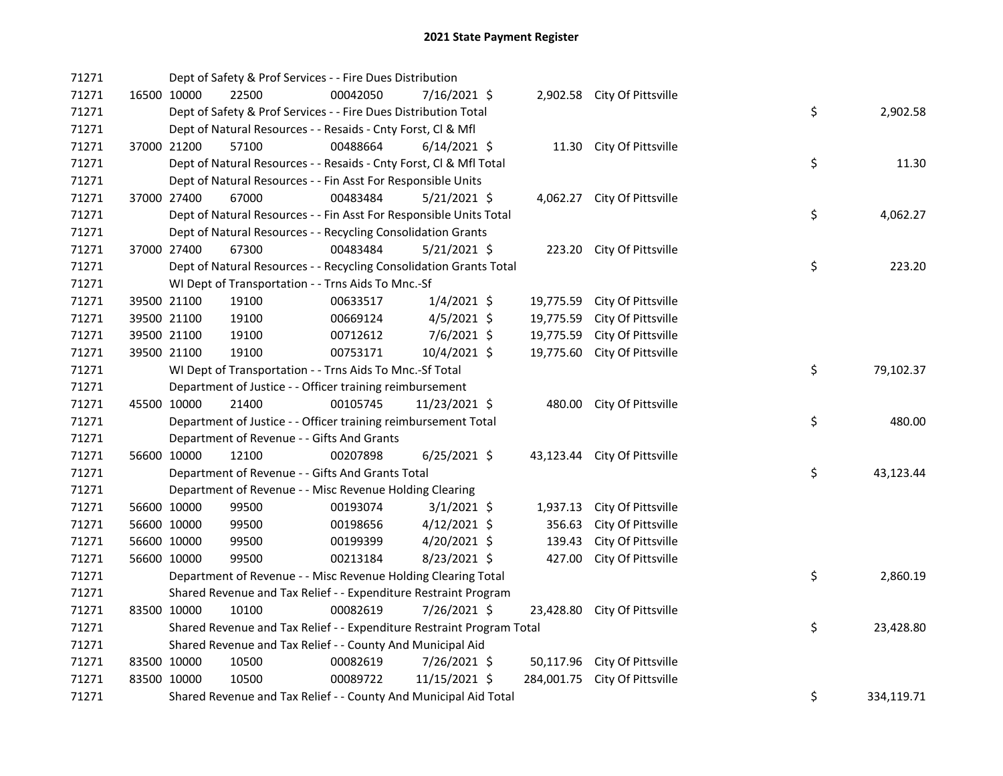| 71271 |             | Dept of Safety & Prof Services - - Fire Dues Distribution             |          |                |            |                              |    |            |
|-------|-------------|-----------------------------------------------------------------------|----------|----------------|------------|------------------------------|----|------------|
| 71271 | 16500 10000 | 22500                                                                 | 00042050 | 7/16/2021 \$   |            | 2,902.58 City Of Pittsville  |    |            |
| 71271 |             | Dept of Safety & Prof Services - - Fire Dues Distribution Total       |          |                |            |                              | \$ | 2,902.58   |
| 71271 |             | Dept of Natural Resources - - Resaids - Cnty Forst, Cl & Mfl          |          |                |            |                              |    |            |
| 71271 | 37000 21200 | 57100                                                                 | 00488664 | $6/14/2021$ \$ |            | 11.30 City Of Pittsville     |    |            |
| 71271 |             | Dept of Natural Resources - - Resaids - Cnty Forst, Cl & Mfl Total    |          |                |            |                              | \$ | 11.30      |
| 71271 |             | Dept of Natural Resources - - Fin Asst For Responsible Units          |          |                |            |                              |    |            |
| 71271 | 37000 27400 | 67000                                                                 | 00483484 | $5/21/2021$ \$ |            | 4,062.27 City Of Pittsville  |    |            |
| 71271 |             | Dept of Natural Resources - - Fin Asst For Responsible Units Total    |          |                |            |                              | \$ | 4,062.27   |
| 71271 |             | Dept of Natural Resources - - Recycling Consolidation Grants          |          |                |            |                              |    |            |
| 71271 | 37000 27400 | 67300                                                                 | 00483484 | $5/21/2021$ \$ |            | 223.20 City Of Pittsville    |    |            |
| 71271 |             | Dept of Natural Resources - - Recycling Consolidation Grants Total    |          |                |            |                              | \$ | 223.20     |
| 71271 |             | WI Dept of Transportation - - Trns Aids To Mnc.-Sf                    |          |                |            |                              |    |            |
| 71271 | 39500 21100 | 19100                                                                 | 00633517 | $1/4/2021$ \$  | 19,775.59  | City Of Pittsville           |    |            |
| 71271 | 39500 21100 | 19100                                                                 | 00669124 | $4/5/2021$ \$  | 19,775.59  | City Of Pittsville           |    |            |
| 71271 | 39500 21100 | 19100                                                                 | 00712612 | 7/6/2021 \$    | 19,775.59  | City Of Pittsville           |    |            |
| 71271 | 39500 21100 | 19100                                                                 | 00753171 | 10/4/2021 \$   | 19,775.60  | City Of Pittsville           |    |            |
| 71271 |             | WI Dept of Transportation - - Trns Aids To Mnc.-Sf Total              |          |                |            |                              | \$ | 79,102.37  |
| 71271 |             | Department of Justice - - Officer training reimbursement              |          |                |            |                              |    |            |
| 71271 | 45500 10000 | 21400                                                                 | 00105745 | 11/23/2021 \$  |            | 480.00 City Of Pittsville    |    |            |
| 71271 |             | Department of Justice - - Officer training reimbursement Total        |          |                |            |                              | \$ | 480.00     |
| 71271 |             | Department of Revenue - - Gifts And Grants                            |          |                |            |                              |    |            |
| 71271 | 56600 10000 | 12100                                                                 | 00207898 | $6/25/2021$ \$ |            | 43,123.44 City Of Pittsville |    |            |
| 71271 |             | Department of Revenue - - Gifts And Grants Total                      |          |                |            |                              | \$ | 43,123.44  |
| 71271 |             | Department of Revenue - - Misc Revenue Holding Clearing               |          |                |            |                              |    |            |
| 71271 | 56600 10000 | 99500                                                                 | 00193074 | $3/1/2021$ \$  | 1,937.13   | City Of Pittsville           |    |            |
| 71271 | 56600 10000 | 99500                                                                 | 00198656 | $4/12/2021$ \$ | 356.63     | City Of Pittsville           |    |            |
| 71271 | 56600 10000 | 99500                                                                 | 00199399 | $4/20/2021$ \$ | 139.43     | City Of Pittsville           |    |            |
| 71271 | 56600 10000 | 99500                                                                 | 00213184 | 8/23/2021 \$   | 427.00     | City Of Pittsville           |    |            |
| 71271 |             | Department of Revenue - - Misc Revenue Holding Clearing Total         |          |                |            |                              | \$ | 2,860.19   |
| 71271 |             | Shared Revenue and Tax Relief - - Expenditure Restraint Program       |          |                |            |                              |    |            |
| 71271 | 83500 10000 | 10100                                                                 | 00082619 | 7/26/2021 \$   | 23,428.80  | City Of Pittsville           |    |            |
| 71271 |             | Shared Revenue and Tax Relief - - Expenditure Restraint Program Total |          |                |            |                              | \$ | 23,428.80  |
| 71271 |             | Shared Revenue and Tax Relief - - County And Municipal Aid            |          |                |            |                              |    |            |
| 71271 | 83500 10000 | 10500                                                                 | 00082619 | 7/26/2021 \$   |            | 50,117.96 City Of Pittsville |    |            |
| 71271 | 83500 10000 | 10500                                                                 | 00089722 | 11/15/2021 \$  | 284,001.75 | City Of Pittsville           |    |            |
| 71271 |             | Shared Revenue and Tax Relief - - County And Municipal Aid Total      |          |                |            |                              | \$ | 334,119.71 |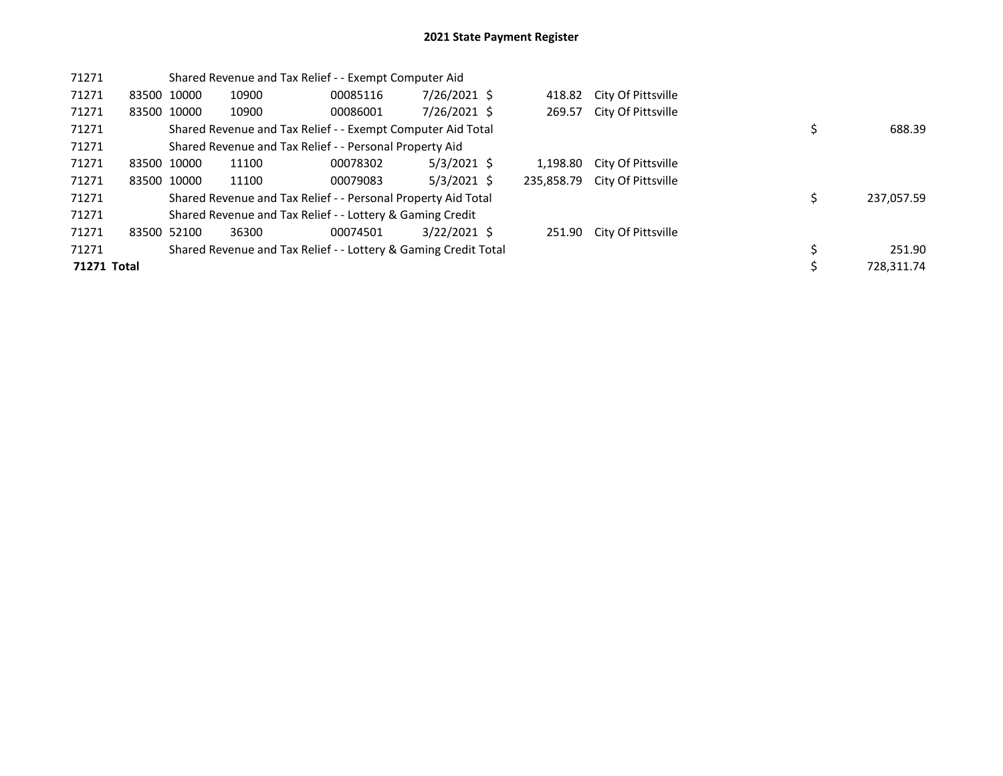| 71271       |             |             | Shared Revenue and Tax Relief - - Exempt Computer Aid           |          |                |            |                    |  |            |
|-------------|-------------|-------------|-----------------------------------------------------------------|----------|----------------|------------|--------------------|--|------------|
| 71271       | 83500 10000 |             | 10900                                                           | 00085116 | 7/26/2021 \$   | 418.82     | City Of Pittsville |  |            |
| 71271       |             | 83500 10000 | 10900                                                           | 00086001 | 7/26/2021 \$   | 269.57     | City Of Pittsville |  |            |
| 71271       |             |             | Shared Revenue and Tax Relief - - Exempt Computer Aid Total     |          |                |            |                    |  | 688.39     |
| 71271       |             |             | Shared Revenue and Tax Relief - - Personal Property Aid         |          |                |            |                    |  |            |
| 71271       | 83500 10000 |             | 11100                                                           | 00078302 | $5/3/2021$ \$  | 1.198.80   | City Of Pittsville |  |            |
| 71271       |             | 83500 10000 | 11100                                                           | 00079083 | $5/3/2021$ \$  | 235.858.79 | City Of Pittsville |  |            |
| 71271       |             |             | Shared Revenue and Tax Relief - - Personal Property Aid Total   |          |                |            |                    |  | 237,057.59 |
| 71271       |             |             | Shared Revenue and Tax Relief - - Lottery & Gaming Credit       |          |                |            |                    |  |            |
| 71271       | 83500 52100 |             | 36300                                                           | 00074501 | $3/22/2021$ \$ | 251.90     | City Of Pittsville |  |            |
| 71271       |             |             | Shared Revenue and Tax Relief - - Lottery & Gaming Credit Total |          |                |            |                    |  | 251.90     |
| 71271 Total |             |             |                                                                 |          |                |            |                    |  | 728.311.74 |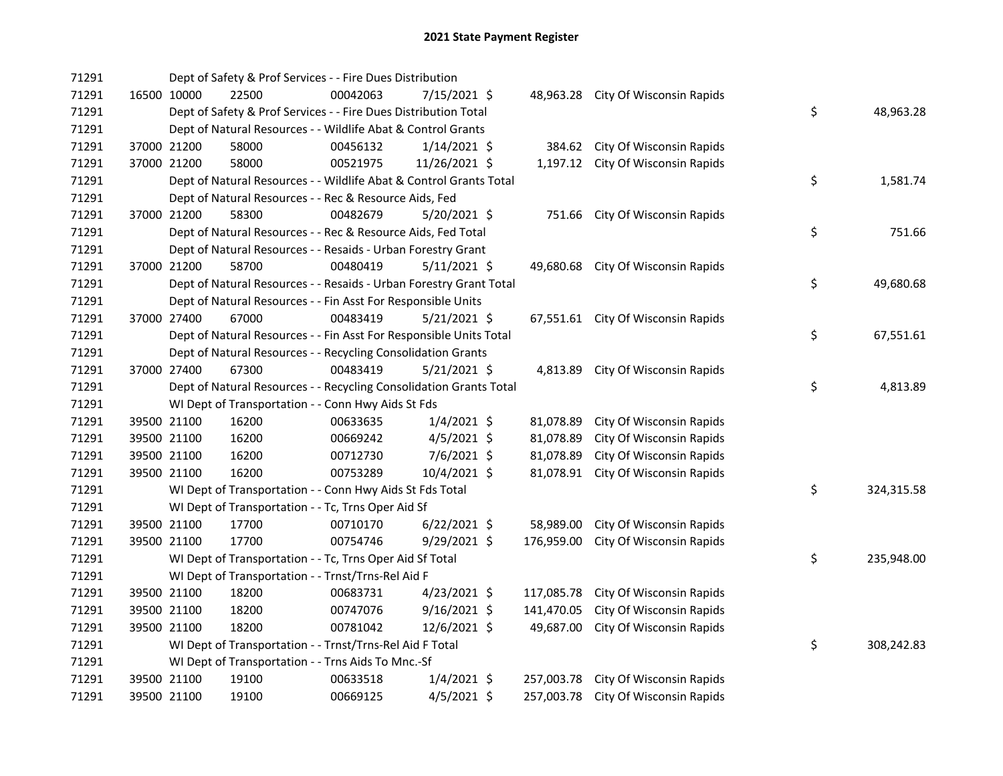| 71291 |             | Dept of Safety & Prof Services - - Fire Dues Distribution          |          |                |            |                                     |    |            |
|-------|-------------|--------------------------------------------------------------------|----------|----------------|------------|-------------------------------------|----|------------|
| 71291 | 16500 10000 | 22500                                                              | 00042063 | 7/15/2021 \$   |            | 48,963.28 City Of Wisconsin Rapids  |    |            |
| 71291 |             | Dept of Safety & Prof Services - - Fire Dues Distribution Total    |          |                |            |                                     | \$ | 48,963.28  |
| 71291 |             | Dept of Natural Resources - - Wildlife Abat & Control Grants       |          |                |            |                                     |    |            |
| 71291 | 37000 21200 | 58000                                                              | 00456132 | $1/14/2021$ \$ |            | 384.62 City Of Wisconsin Rapids     |    |            |
| 71291 | 37000 21200 | 58000                                                              | 00521975 | 11/26/2021 \$  |            | 1,197.12 City Of Wisconsin Rapids   |    |            |
| 71291 |             | Dept of Natural Resources - - Wildlife Abat & Control Grants Total |          |                |            |                                     | \$ | 1,581.74   |
| 71291 |             | Dept of Natural Resources - - Rec & Resource Aids, Fed             |          |                |            |                                     |    |            |
| 71291 | 37000 21200 | 58300                                                              | 00482679 | $5/20/2021$ \$ |            | 751.66 City Of Wisconsin Rapids     |    |            |
| 71291 |             | Dept of Natural Resources - - Rec & Resource Aids, Fed Total       |          |                |            |                                     | \$ | 751.66     |
| 71291 |             | Dept of Natural Resources - - Resaids - Urban Forestry Grant       |          |                |            |                                     |    |            |
| 71291 | 37000 21200 | 58700                                                              | 00480419 | $5/11/2021$ \$ |            | 49,680.68 City Of Wisconsin Rapids  |    |            |
| 71291 |             | Dept of Natural Resources - - Resaids - Urban Forestry Grant Total |          |                |            |                                     | \$ | 49,680.68  |
| 71291 |             | Dept of Natural Resources - - Fin Asst For Responsible Units       |          |                |            |                                     |    |            |
| 71291 | 37000 27400 | 67000                                                              | 00483419 | 5/21/2021 \$   |            | 67,551.61 City Of Wisconsin Rapids  |    |            |
| 71291 |             | Dept of Natural Resources - - Fin Asst For Responsible Units Total |          |                |            |                                     | \$ | 67,551.61  |
| 71291 |             | Dept of Natural Resources - - Recycling Consolidation Grants       |          |                |            |                                     |    |            |
| 71291 | 37000 27400 | 67300                                                              | 00483419 | $5/21/2021$ \$ |            | 4,813.89 City Of Wisconsin Rapids   |    |            |
| 71291 |             | Dept of Natural Resources - - Recycling Consolidation Grants Total |          |                |            |                                     | \$ | 4,813.89   |
| 71291 |             | WI Dept of Transportation - - Conn Hwy Aids St Fds                 |          |                |            |                                     |    |            |
| 71291 | 39500 21100 | 16200                                                              | 00633635 | $1/4/2021$ \$  | 81,078.89  | City Of Wisconsin Rapids            |    |            |
| 71291 | 39500 21100 | 16200                                                              | 00669242 | $4/5/2021$ \$  | 81,078.89  | City Of Wisconsin Rapids            |    |            |
| 71291 | 39500 21100 | 16200                                                              | 00712730 | 7/6/2021 \$    | 81,078.89  | City Of Wisconsin Rapids            |    |            |
| 71291 | 39500 21100 | 16200                                                              | 00753289 | 10/4/2021 \$   | 81,078.91  | City Of Wisconsin Rapids            |    |            |
| 71291 |             | WI Dept of Transportation - - Conn Hwy Aids St Fds Total           |          |                |            |                                     | \$ | 324,315.58 |
| 71291 |             | WI Dept of Transportation - - Tc, Trns Oper Aid Sf                 |          |                |            |                                     |    |            |
| 71291 | 39500 21100 | 17700                                                              | 00710170 | $6/22/2021$ \$ | 58,989.00  | City Of Wisconsin Rapids            |    |            |
| 71291 | 39500 21100 | 17700                                                              | 00754746 | 9/29/2021 \$   | 176,959.00 | City Of Wisconsin Rapids            |    |            |
| 71291 |             | WI Dept of Transportation - - Tc, Trns Oper Aid Sf Total           |          |                |            |                                     | \$ | 235,948.00 |
| 71291 |             | WI Dept of Transportation - - Trnst/Trns-Rel Aid F                 |          |                |            |                                     |    |            |
| 71291 | 39500 21100 | 18200                                                              | 00683731 | 4/23/2021 \$   | 117,085.78 | City Of Wisconsin Rapids            |    |            |
| 71291 | 39500 21100 | 18200                                                              | 00747076 | $9/16/2021$ \$ | 141,470.05 | City Of Wisconsin Rapids            |    |            |
| 71291 | 39500 21100 | 18200                                                              | 00781042 | 12/6/2021 \$   | 49,687.00  | City Of Wisconsin Rapids            |    |            |
| 71291 |             | WI Dept of Transportation - - Trnst/Trns-Rel Aid F Total           |          |                |            |                                     | \$ | 308,242.83 |
| 71291 |             | WI Dept of Transportation - - Trns Aids To Mnc.-Sf                 |          |                |            |                                     |    |            |
| 71291 | 39500 21100 | 19100                                                              | 00633518 | $1/4/2021$ \$  | 257,003.78 | City Of Wisconsin Rapids            |    |            |
| 71291 | 39500 21100 | 19100                                                              | 00669125 | $4/5/2021$ \$  |            | 257,003.78 City Of Wisconsin Rapids |    |            |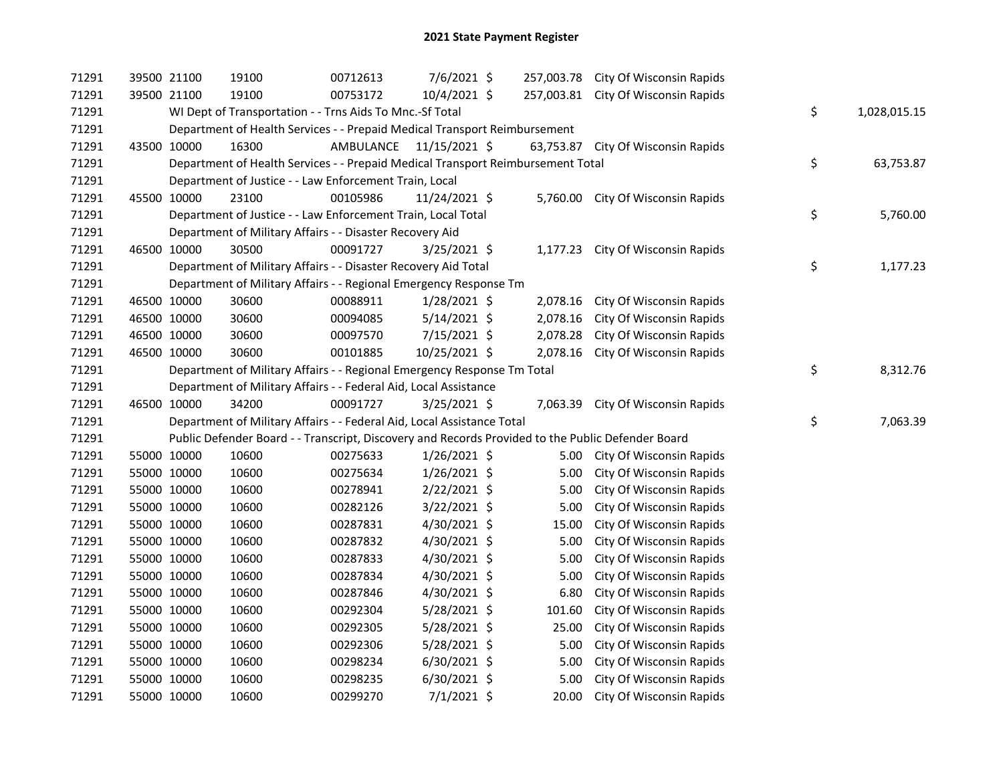| 71291 |             | 39500 21100 | 19100                                                                                             | 00712613                | 7/6/2021 \$    |          | 257,003.78 City Of Wisconsin Rapids |                    |
|-------|-------------|-------------|---------------------------------------------------------------------------------------------------|-------------------------|----------------|----------|-------------------------------------|--------------------|
| 71291 |             | 39500 21100 | 19100                                                                                             | 00753172                | 10/4/2021 \$   |          | 257,003.81 City Of Wisconsin Rapids |                    |
| 71291 |             |             | WI Dept of Transportation - - Trns Aids To Mnc.-Sf Total                                          |                         |                |          |                                     | \$<br>1,028,015.15 |
| 71291 |             |             | Department of Health Services - - Prepaid Medical Transport Reimbursement                         |                         |                |          |                                     |                    |
| 71291 |             | 43500 10000 | 16300                                                                                             | AMBULANCE 11/15/2021 \$ |                |          | 63,753.87 City Of Wisconsin Rapids  |                    |
| 71291 |             |             | Department of Health Services - - Prepaid Medical Transport Reimbursement Total                   |                         |                |          |                                     | \$<br>63,753.87    |
| 71291 |             |             | Department of Justice - - Law Enforcement Train, Local                                            |                         |                |          |                                     |                    |
| 71291 |             | 45500 10000 | 23100                                                                                             | 00105986                | 11/24/2021 \$  |          | 5,760.00 City Of Wisconsin Rapids   |                    |
| 71291 |             |             | Department of Justice - - Law Enforcement Train, Local Total                                      |                         |                |          |                                     | \$<br>5,760.00     |
| 71291 |             |             | Department of Military Affairs - - Disaster Recovery Aid                                          |                         |                |          |                                     |                    |
| 71291 |             | 46500 10000 | 30500                                                                                             | 00091727                | $3/25/2021$ \$ |          | 1,177.23 City Of Wisconsin Rapids   |                    |
| 71291 |             |             | Department of Military Affairs - - Disaster Recovery Aid Total                                    |                         |                |          |                                     | \$<br>1,177.23     |
| 71291 |             |             | Department of Military Affairs - - Regional Emergency Response Tm                                 |                         |                |          |                                     |                    |
| 71291 |             | 46500 10000 | 30600                                                                                             | 00088911                | 1/28/2021 \$   | 2,078.16 | City Of Wisconsin Rapids            |                    |
| 71291 |             | 46500 10000 | 30600                                                                                             | 00094085                | $5/14/2021$ \$ | 2,078.16 | City Of Wisconsin Rapids            |                    |
| 71291 |             | 46500 10000 | 30600                                                                                             | 00097570                | 7/15/2021 \$   | 2,078.28 | City Of Wisconsin Rapids            |                    |
| 71291 |             | 46500 10000 | 30600                                                                                             | 00101885                | 10/25/2021 \$  | 2,078.16 | City Of Wisconsin Rapids            |                    |
| 71291 |             |             | Department of Military Affairs - - Regional Emergency Response Tm Total                           |                         |                |          |                                     | \$<br>8,312.76     |
| 71291 |             |             | Department of Military Affairs - - Federal Aid, Local Assistance                                  |                         |                |          |                                     |                    |
| 71291 |             | 46500 10000 | 34200                                                                                             | 00091727                | 3/25/2021 \$   |          | 7,063.39 City Of Wisconsin Rapids   |                    |
| 71291 |             |             | Department of Military Affairs - - Federal Aid, Local Assistance Total                            |                         |                |          |                                     | \$<br>7,063.39     |
| 71291 |             |             | Public Defender Board - - Transcript, Discovery and Records Provided to the Public Defender Board |                         |                |          |                                     |                    |
| 71291 |             | 55000 10000 | 10600                                                                                             | 00275633                | $1/26/2021$ \$ |          | 5.00 City Of Wisconsin Rapids       |                    |
| 71291 |             | 55000 10000 | 10600                                                                                             | 00275634                | 1/26/2021 \$   | 5.00     | City Of Wisconsin Rapids            |                    |
| 71291 |             | 55000 10000 | 10600                                                                                             | 00278941                | 2/22/2021 \$   | 5.00     | City Of Wisconsin Rapids            |                    |
| 71291 |             | 55000 10000 | 10600                                                                                             | 00282126                | 3/22/2021 \$   | 5.00     | City Of Wisconsin Rapids            |                    |
| 71291 |             | 55000 10000 | 10600                                                                                             | 00287831                | 4/30/2021 \$   | 15.00    | City Of Wisconsin Rapids            |                    |
| 71291 |             | 55000 10000 | 10600                                                                                             | 00287832                | 4/30/2021 \$   | 5.00     | City Of Wisconsin Rapids            |                    |
| 71291 |             | 55000 10000 | 10600                                                                                             | 00287833                | 4/30/2021 \$   | 5.00     | City Of Wisconsin Rapids            |                    |
| 71291 |             | 55000 10000 | 10600                                                                                             | 00287834                | 4/30/2021 \$   | 5.00     | City Of Wisconsin Rapids            |                    |
| 71291 |             | 55000 10000 | 10600                                                                                             | 00287846                | 4/30/2021 \$   | 6.80     | City Of Wisconsin Rapids            |                    |
| 71291 |             | 55000 10000 | 10600                                                                                             | 00292304                | 5/28/2021 \$   | 101.60   | City Of Wisconsin Rapids            |                    |
| 71291 |             | 55000 10000 | 10600                                                                                             | 00292305                | 5/28/2021 \$   | 25.00    | City Of Wisconsin Rapids            |                    |
| 71291 |             | 55000 10000 | 10600                                                                                             | 00292306                | 5/28/2021 \$   | 5.00     | City Of Wisconsin Rapids            |                    |
| 71291 |             | 55000 10000 | 10600                                                                                             | 00298234                | $6/30/2021$ \$ | 5.00     | City Of Wisconsin Rapids            |                    |
|       |             |             |                                                                                                   |                         |                |          |                                     |                    |
| 71291 | 55000 10000 |             | 10600                                                                                             | 00298235                | $6/30/2021$ \$ | 5.00     | City Of Wisconsin Rapids            |                    |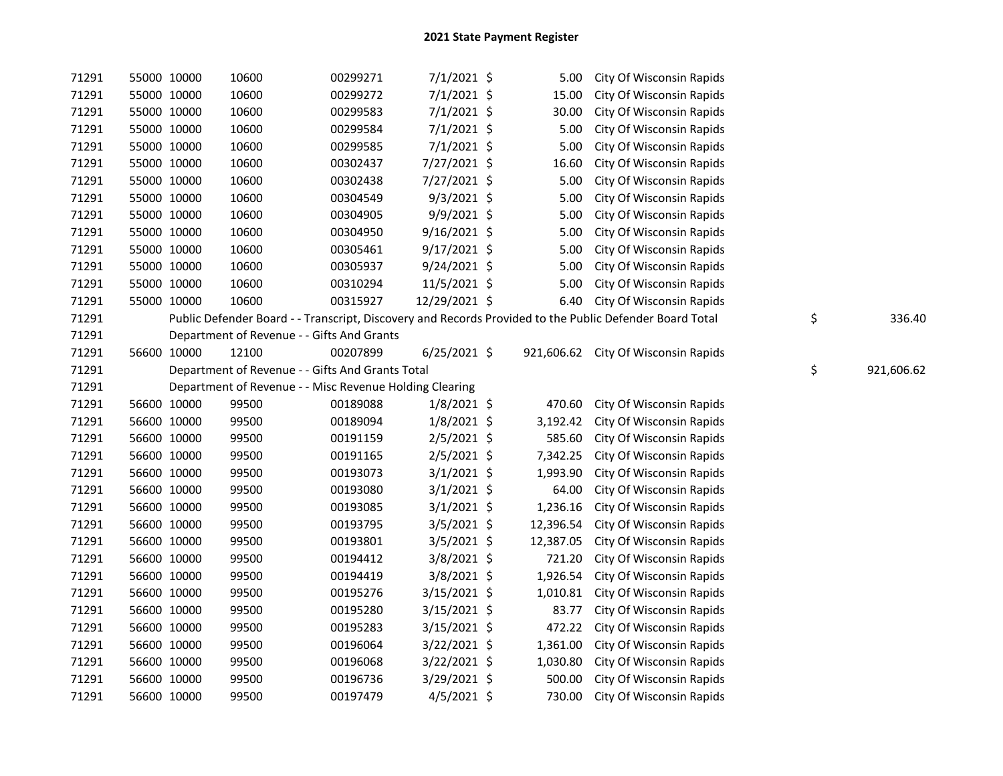| 71291 |             | 55000 10000 | 10600                                                   | 00299271 | 7/1/2021 \$    | 5.00      | City Of Wisconsin Rapids                                                                                |                  |
|-------|-------------|-------------|---------------------------------------------------------|----------|----------------|-----------|---------------------------------------------------------------------------------------------------------|------------------|
| 71291 | 55000 10000 |             | 10600                                                   | 00299272 | 7/1/2021 \$    | 15.00     | City Of Wisconsin Rapids                                                                                |                  |
| 71291 | 55000 10000 |             | 10600                                                   | 00299583 | 7/1/2021 \$    | 30.00     | City Of Wisconsin Rapids                                                                                |                  |
| 71291 | 55000 10000 |             | 10600                                                   | 00299584 | 7/1/2021 \$    | 5.00      | City Of Wisconsin Rapids                                                                                |                  |
| 71291 | 55000 10000 |             | 10600                                                   | 00299585 | 7/1/2021 \$    | 5.00      | City Of Wisconsin Rapids                                                                                |                  |
| 71291 | 55000 10000 |             | 10600                                                   | 00302437 | 7/27/2021 \$   | 16.60     | City Of Wisconsin Rapids                                                                                |                  |
| 71291 | 55000 10000 |             | 10600                                                   | 00302438 | 7/27/2021 \$   | 5.00      | City Of Wisconsin Rapids                                                                                |                  |
| 71291 | 55000 10000 |             | 10600                                                   | 00304549 | 9/3/2021 \$    | 5.00      | City Of Wisconsin Rapids                                                                                |                  |
| 71291 | 55000 10000 |             | 10600                                                   | 00304905 | 9/9/2021 \$    | 5.00      | City Of Wisconsin Rapids                                                                                |                  |
| 71291 | 55000 10000 |             | 10600                                                   | 00304950 | $9/16/2021$ \$ | 5.00      | City Of Wisconsin Rapids                                                                                |                  |
| 71291 | 55000 10000 |             | 10600                                                   | 00305461 | $9/17/2021$ \$ | 5.00      | City Of Wisconsin Rapids                                                                                |                  |
| 71291 | 55000 10000 |             | 10600                                                   | 00305937 | $9/24/2021$ \$ | 5.00      | City Of Wisconsin Rapids                                                                                |                  |
| 71291 | 55000 10000 |             | 10600                                                   | 00310294 | 11/5/2021 \$   | 5.00      | City Of Wisconsin Rapids                                                                                |                  |
| 71291 | 55000 10000 |             | 10600                                                   | 00315927 | 12/29/2021 \$  | 6.40      | City Of Wisconsin Rapids                                                                                |                  |
| 71291 |             |             |                                                         |          |                |           | Public Defender Board - - Transcript, Discovery and Records Provided to the Public Defender Board Total | \$<br>336.40     |
| 71291 |             |             | Department of Revenue - - Gifts And Grants              |          |                |           |                                                                                                         |                  |
| 71291 | 56600 10000 |             | 12100                                                   | 00207899 | $6/25/2021$ \$ |           | 921,606.62 City Of Wisconsin Rapids                                                                     |                  |
| 71291 |             |             | Department of Revenue - - Gifts And Grants Total        |          |                |           |                                                                                                         | \$<br>921,606.62 |
| 71291 |             |             | Department of Revenue - - Misc Revenue Holding Clearing |          |                |           |                                                                                                         |                  |
| 71291 | 56600 10000 |             | 99500                                                   | 00189088 | $1/8/2021$ \$  | 470.60    | City Of Wisconsin Rapids                                                                                |                  |
| 71291 | 56600 10000 |             | 99500                                                   | 00189094 | $1/8/2021$ \$  | 3,192.42  | City Of Wisconsin Rapids                                                                                |                  |
| 71291 | 56600 10000 |             | 99500                                                   | 00191159 | $2/5/2021$ \$  | 585.60    | City Of Wisconsin Rapids                                                                                |                  |
| 71291 | 56600 10000 |             | 99500                                                   | 00191165 | 2/5/2021 \$    | 7,342.25  | City Of Wisconsin Rapids                                                                                |                  |
| 71291 | 56600 10000 |             | 99500                                                   | 00193073 | $3/1/2021$ \$  | 1,993.90  | City Of Wisconsin Rapids                                                                                |                  |
| 71291 |             | 56600 10000 | 99500                                                   | 00193080 | $3/1/2021$ \$  | 64.00     | City Of Wisconsin Rapids                                                                                |                  |
| 71291 |             | 56600 10000 | 99500                                                   | 00193085 | $3/1/2021$ \$  | 1,236.16  | City Of Wisconsin Rapids                                                                                |                  |
| 71291 | 56600 10000 |             | 99500                                                   | 00193795 | $3/5/2021$ \$  | 12,396.54 | City Of Wisconsin Rapids                                                                                |                  |
| 71291 |             | 56600 10000 | 99500                                                   | 00193801 | $3/5/2021$ \$  | 12,387.05 | City Of Wisconsin Rapids                                                                                |                  |
| 71291 | 56600 10000 |             | 99500                                                   | 00194412 | 3/8/2021 \$    | 721.20    | City Of Wisconsin Rapids                                                                                |                  |
| 71291 | 56600 10000 |             | 99500                                                   | 00194419 | 3/8/2021 \$    | 1,926.54  | City Of Wisconsin Rapids                                                                                |                  |
| 71291 | 56600 10000 |             | 99500                                                   | 00195276 | 3/15/2021 \$   | 1,010.81  | City Of Wisconsin Rapids                                                                                |                  |
| 71291 | 56600 10000 |             | 99500                                                   | 00195280 | $3/15/2021$ \$ | 83.77     | City Of Wisconsin Rapids                                                                                |                  |
| 71291 | 56600 10000 |             | 99500                                                   | 00195283 | $3/15/2021$ \$ | 472.22    | City Of Wisconsin Rapids                                                                                |                  |
| 71291 | 56600 10000 |             | 99500                                                   | 00196064 | 3/22/2021 \$   | 1,361.00  | City Of Wisconsin Rapids                                                                                |                  |
| 71291 | 56600 10000 |             | 99500                                                   | 00196068 | $3/22/2021$ \$ | 1,030.80  | City Of Wisconsin Rapids                                                                                |                  |
| 71291 | 56600 10000 |             | 99500                                                   | 00196736 | 3/29/2021 \$   | 500.00    | City Of Wisconsin Rapids                                                                                |                  |
| 71291 | 56600 10000 |             | 99500                                                   | 00197479 | 4/5/2021 \$    | 730.00    | City Of Wisconsin Rapids                                                                                |                  |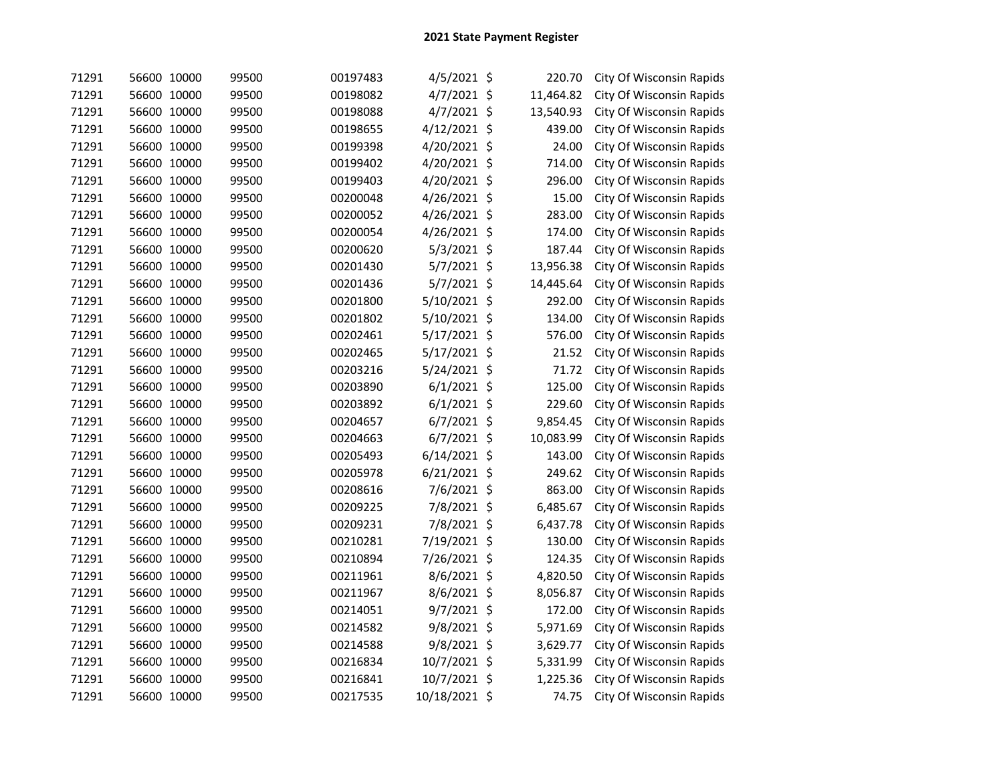| 71291 | 56600 10000 | 99500 | 00197483 | $4/5/2021$ \$  | 220.70    | City Of Wisconsin Rapids |
|-------|-------------|-------|----------|----------------|-----------|--------------------------|
| 71291 | 56600 10000 | 99500 | 00198082 | 4/7/2021 \$    | 11,464.82 | City Of Wisconsin Rapids |
| 71291 | 56600 10000 | 99500 | 00198088 | $4/7/2021$ \$  | 13,540.93 | City Of Wisconsin Rapids |
| 71291 | 56600 10000 | 99500 | 00198655 | 4/12/2021 \$   | 439.00    | City Of Wisconsin Rapids |
| 71291 | 56600 10000 | 99500 | 00199398 | 4/20/2021 \$   | 24.00     | City Of Wisconsin Rapids |
| 71291 | 56600 10000 | 99500 | 00199402 | 4/20/2021 \$   | 714.00    | City Of Wisconsin Rapids |
| 71291 | 56600 10000 | 99500 | 00199403 | 4/20/2021 \$   | 296.00    | City Of Wisconsin Rapids |
| 71291 | 56600 10000 | 99500 | 00200048 | 4/26/2021 \$   | 15.00     | City Of Wisconsin Rapids |
| 71291 | 56600 10000 | 99500 | 00200052 | 4/26/2021 \$   | 283.00    | City Of Wisconsin Rapids |
| 71291 | 56600 10000 | 99500 | 00200054 | 4/26/2021 \$   | 174.00    | City Of Wisconsin Rapids |
| 71291 | 56600 10000 | 99500 | 00200620 | $5/3/2021$ \$  | 187.44    | City Of Wisconsin Rapids |
| 71291 | 56600 10000 | 99500 | 00201430 | 5/7/2021 \$    | 13,956.38 | City Of Wisconsin Rapids |
| 71291 | 56600 10000 | 99500 | 00201436 | 5/7/2021 \$    | 14,445.64 | City Of Wisconsin Rapids |
| 71291 | 56600 10000 | 99500 | 00201800 | 5/10/2021 \$   | 292.00    | City Of Wisconsin Rapids |
| 71291 | 56600 10000 | 99500 | 00201802 | 5/10/2021 \$   | 134.00    | City Of Wisconsin Rapids |
| 71291 | 56600 10000 | 99500 | 00202461 | $5/17/2021$ \$ | 576.00    | City Of Wisconsin Rapids |
| 71291 | 56600 10000 | 99500 | 00202465 | $5/17/2021$ \$ | 21.52     | City Of Wisconsin Rapids |
| 71291 | 56600 10000 | 99500 | 00203216 | 5/24/2021 \$   | 71.72     | City Of Wisconsin Rapids |
| 71291 | 56600 10000 | 99500 | 00203890 | $6/1/2021$ \$  | 125.00    | City Of Wisconsin Rapids |
| 71291 | 56600 10000 | 99500 | 00203892 | $6/1/2021$ \$  | 229.60    | City Of Wisconsin Rapids |
| 71291 | 56600 10000 | 99500 | 00204657 | $6/7/2021$ \$  | 9,854.45  | City Of Wisconsin Rapids |
| 71291 | 56600 10000 | 99500 | 00204663 | $6/7/2021$ \$  | 10,083.99 | City Of Wisconsin Rapids |
| 71291 | 56600 10000 | 99500 | 00205493 | $6/14/2021$ \$ | 143.00    | City Of Wisconsin Rapids |
| 71291 | 56600 10000 | 99500 | 00205978 | $6/21/2021$ \$ | 249.62    | City Of Wisconsin Rapids |
| 71291 | 56600 10000 | 99500 | 00208616 | 7/6/2021 \$    | 863.00    | City Of Wisconsin Rapids |
| 71291 | 56600 10000 | 99500 | 00209225 | 7/8/2021 \$    | 6,485.67  | City Of Wisconsin Rapids |
| 71291 | 56600 10000 | 99500 | 00209231 | 7/8/2021 \$    | 6,437.78  | City Of Wisconsin Rapids |
| 71291 | 56600 10000 | 99500 | 00210281 | 7/19/2021 \$   | 130.00    | City Of Wisconsin Rapids |
| 71291 | 56600 10000 | 99500 | 00210894 | 7/26/2021 \$   | 124.35    | City Of Wisconsin Rapids |
| 71291 | 56600 10000 | 99500 | 00211961 | 8/6/2021 \$    | 4,820.50  | City Of Wisconsin Rapids |
| 71291 | 56600 10000 | 99500 | 00211967 | 8/6/2021 \$    | 8,056.87  | City Of Wisconsin Rapids |
| 71291 | 56600 10000 | 99500 | 00214051 | 9/7/2021 \$    | 172.00    | City Of Wisconsin Rapids |
| 71291 | 56600 10000 | 99500 | 00214582 | 9/8/2021 \$    | 5,971.69  | City Of Wisconsin Rapids |
| 71291 | 56600 10000 | 99500 | 00214588 | 9/8/2021 \$    | 3,629.77  | City Of Wisconsin Rapids |
| 71291 | 56600 10000 | 99500 | 00216834 | 10/7/2021 \$   | 5,331.99  | City Of Wisconsin Rapids |
| 71291 | 56600 10000 | 99500 | 00216841 | 10/7/2021 \$   | 1,225.36  | City Of Wisconsin Rapids |
| 71291 | 56600 10000 | 99500 | 00217535 | 10/18/2021 \$  | 74.75     | City Of Wisconsin Rapids |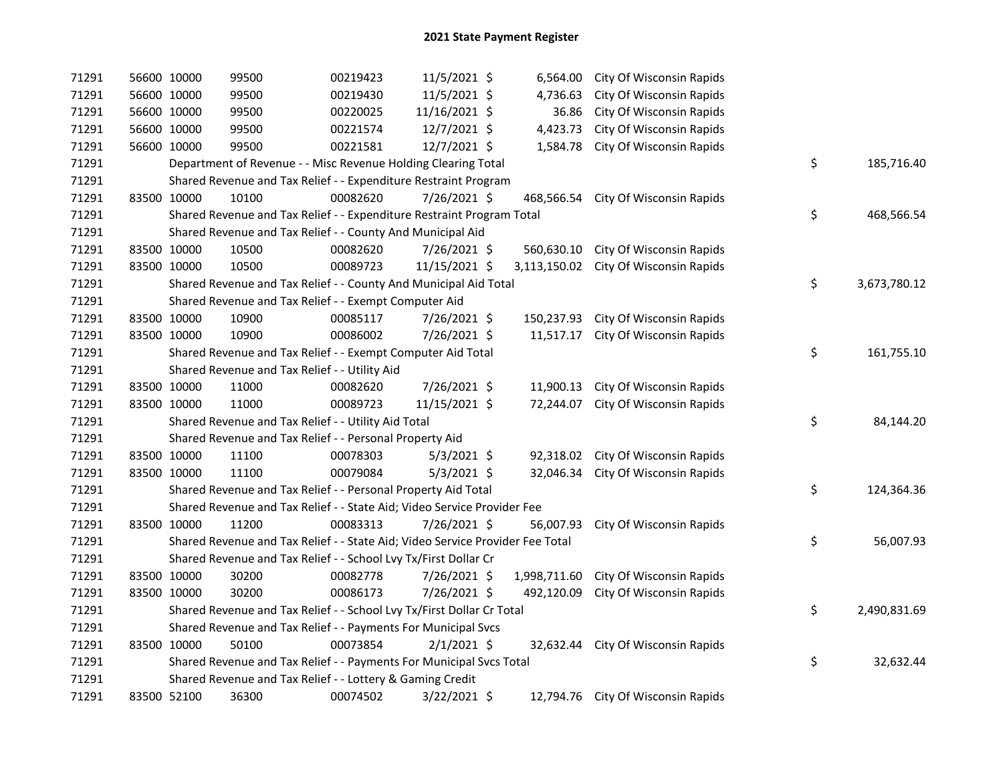| 71291 | 56600 10000                                                                   | 99500                                                                 | 00219423 | 11/5/2021 \$  |  | 6,564.00     | City Of Wisconsin Rapids           |    |              |
|-------|-------------------------------------------------------------------------------|-----------------------------------------------------------------------|----------|---------------|--|--------------|------------------------------------|----|--------------|
| 71291 | 56600 10000                                                                   | 99500                                                                 | 00219430 | 11/5/2021 \$  |  | 4,736.63     | City Of Wisconsin Rapids           |    |              |
| 71291 | 56600 10000                                                                   | 99500                                                                 | 00220025 | 11/16/2021 \$ |  | 36.86        | City Of Wisconsin Rapids           |    |              |
| 71291 | 56600 10000                                                                   | 99500                                                                 | 00221574 | 12/7/2021 \$  |  | 4,423.73     | City Of Wisconsin Rapids           |    |              |
| 71291 | 56600 10000                                                                   | 99500                                                                 | 00221581 | 12/7/2021 \$  |  | 1,584.78     | City Of Wisconsin Rapids           |    |              |
| 71291 | Department of Revenue - - Misc Revenue Holding Clearing Total                 |                                                                       |          |               |  |              |                                    | \$ | 185,716.40   |
| 71291 | Shared Revenue and Tax Relief - - Expenditure Restraint Program               |                                                                       |          |               |  |              |                                    |    |              |
| 71291 | 83500 10000                                                                   | 10100                                                                 | 00082620 | 7/26/2021 \$  |  | 468,566.54   | City Of Wisconsin Rapids           |    |              |
| 71291 |                                                                               | Shared Revenue and Tax Relief - - Expenditure Restraint Program Total |          |               |  |              |                                    | \$ | 468,566.54   |
| 71291 | Shared Revenue and Tax Relief - - County And Municipal Aid                    |                                                                       |          |               |  |              |                                    |    |              |
| 71291 | 83500 10000                                                                   | 10500                                                                 | 00082620 | 7/26/2021 \$  |  | 560,630.10   | City Of Wisconsin Rapids           |    |              |
| 71291 | 83500 10000                                                                   | 10500                                                                 | 00089723 | 11/15/2021 \$ |  | 3,113,150.02 | City Of Wisconsin Rapids           |    |              |
| 71291 |                                                                               | Shared Revenue and Tax Relief - - County And Municipal Aid Total      |          |               |  |              |                                    | \$ | 3,673,780.12 |
| 71291 |                                                                               | Shared Revenue and Tax Relief - - Exempt Computer Aid                 |          |               |  |              |                                    |    |              |
| 71291 | 83500 10000                                                                   | 10900                                                                 | 00085117 | 7/26/2021 \$  |  | 150,237.93   | City Of Wisconsin Rapids           |    |              |
| 71291 | 83500 10000                                                                   | 10900                                                                 | 00086002 | 7/26/2021 \$  |  | 11,517.17    | City Of Wisconsin Rapids           |    |              |
| 71291 | Shared Revenue and Tax Relief - - Exempt Computer Aid Total                   |                                                                       |          |               |  |              |                                    | \$ | 161,755.10   |
| 71291 | Shared Revenue and Tax Relief - - Utility Aid                                 |                                                                       |          |               |  |              |                                    |    |              |
| 71291 | 83500 10000                                                                   | 11000                                                                 | 00082620 | 7/26/2021 \$  |  | 11,900.13    | City Of Wisconsin Rapids           |    |              |
| 71291 | 83500 10000                                                                   | 11000                                                                 | 00089723 | 11/15/2021 \$ |  | 72,244.07    | City Of Wisconsin Rapids           |    |              |
| 71291 |                                                                               | Shared Revenue and Tax Relief - - Utility Aid Total                   |          |               |  |              |                                    | \$ | 84,144.20    |
| 71291 | Shared Revenue and Tax Relief - - Personal Property Aid                       |                                                                       |          |               |  |              |                                    |    |              |
| 71291 | 83500 10000                                                                   | 11100                                                                 | 00078303 | $5/3/2021$ \$ |  | 92,318.02    | City Of Wisconsin Rapids           |    |              |
| 71291 | 83500 10000                                                                   | 11100                                                                 | 00079084 | $5/3/2021$ \$ |  | 32,046.34    | City Of Wisconsin Rapids           |    |              |
| 71291 | Shared Revenue and Tax Relief - - Personal Property Aid Total                 |                                                                       |          |               |  |              |                                    | \$ | 124,364.36   |
| 71291 | Shared Revenue and Tax Relief - - State Aid; Video Service Provider Fee       |                                                                       |          |               |  |              |                                    |    |              |
| 71291 | 83500 10000                                                                   | 11200                                                                 | 00083313 | 7/26/2021 \$  |  | 56,007.93    | City Of Wisconsin Rapids           |    |              |
| 71291 | Shared Revenue and Tax Relief - - State Aid; Video Service Provider Fee Total |                                                                       |          |               |  |              |                                    | \$ | 56,007.93    |
| 71291 | Shared Revenue and Tax Relief - - School Lvy Tx/First Dollar Cr               |                                                                       |          |               |  |              |                                    |    |              |
| 71291 | 83500 10000                                                                   | 30200                                                                 | 00082778 | 7/26/2021 \$  |  | 1,998,711.60 | City Of Wisconsin Rapids           |    |              |
| 71291 | 83500 10000                                                                   | 30200                                                                 | 00086173 | 7/26/2021 \$  |  | 492,120.09   | City Of Wisconsin Rapids           |    |              |
| 71291 | Shared Revenue and Tax Relief - - School Lvy Tx/First Dollar Cr Total         |                                                                       |          |               |  |              |                                    | \$ | 2,490,831.69 |
| 71291 | Shared Revenue and Tax Relief - - Payments For Municipal Svcs                 |                                                                       |          |               |  |              |                                    |    |              |
| 71291 | 83500 10000                                                                   | 50100                                                                 | 00073854 | $2/1/2021$ \$ |  |              | 32,632.44 City Of Wisconsin Rapids |    |              |
| 71291 |                                                                               | Shared Revenue and Tax Relief - - Payments For Municipal Svcs Total   |          |               |  |              |                                    | \$ | 32,632.44    |
| 71291 |                                                                               | Shared Revenue and Tax Relief - - Lottery & Gaming Credit             |          |               |  |              |                                    |    |              |
| 71291 | 83500 52100                                                                   | 36300                                                                 | 00074502 | 3/22/2021 \$  |  |              | 12,794.76 City Of Wisconsin Rapids |    |              |